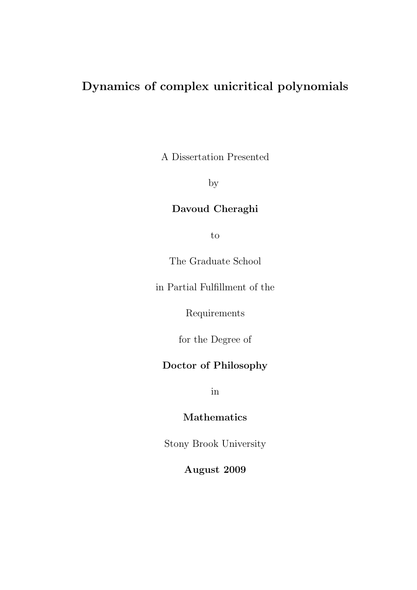### Dynamics of complex unicritical polynomials

A Dissertation Presented

by

### Davoud Cheraghi

to

The Graduate School

in Partial Fulfillment of the

Requirements

for the Degree of

### Doctor of Philosophy

in

### Mathematics

Stony Brook University

August 2009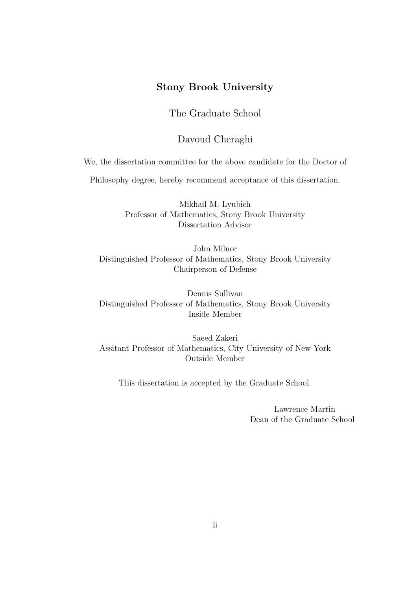#### Stony Brook University

The Graduate School

Davoud Cheraghi

We, the dissertation committee for the above candidate for the Doctor of

Philosophy degree, hereby recommend acceptance of this dissertation.

Mikhail M. Lyubich Professor of Mathematics, Stony Brook University Dissertation Advisor

John Milnor Distinguished Professor of Mathematics, Stony Brook University Chairperson of Defense

Dennis Sullivan Distinguished Professor of Mathematics, Stony Brook University Inside Member

Saeed Zakeri Assitant Professor of Mathematics, City University of New York Outside Member

This dissertation is accepted by the Graduate School.

Lawrence Martin Dean of the Graduate School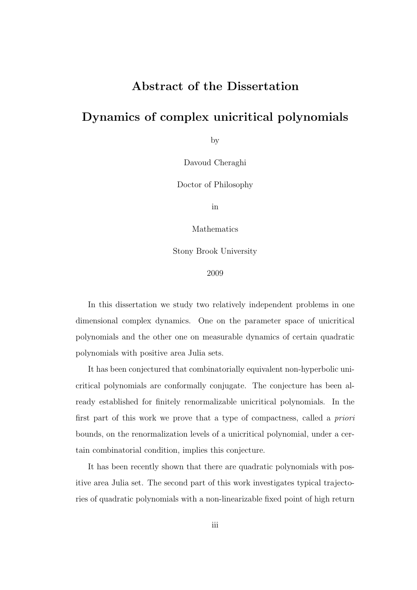### Abstract of the Dissertation

### Dynamics of complex unicritical polynomials

by

Davoud Cheraghi

Doctor of Philosophy

in

Mathematics

Stony Brook University

2009

In this dissertation we study two relatively independent problems in one dimensional complex dynamics. One on the parameter space of unicritical polynomials and the other one on measurable dynamics of certain quadratic polynomials with positive area Julia sets.

It has been conjectured that combinatorially equivalent non-hyperbolic unicritical polynomials are conformally conjugate. The conjecture has been already established for finitely renormalizable unicritical polynomials. In the first part of this work we prove that a type of compactness, called a priori bounds, on the renormalization levels of a unicritical polynomial, under a certain combinatorial condition, implies this conjecture.

It has been recently shown that there are quadratic polynomials with positive area Julia set. The second part of this work investigates typical trajectories of quadratic polynomials with a non-linearizable fixed point of high return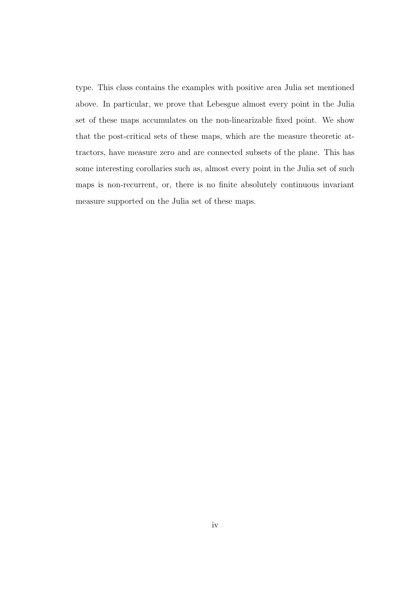type. This class contains the examples with positive area Julia set mentioned above. In particular, we prove that Lebesgue almost every point in the Julia set of these maps accumulates on the non-linearizable fixed point. We show that the post-critical sets of these maps, which are the measure theoretic attractors, have measure zero and are connected subsets of the plane. This has some interesting corollaries such as, almost every point in the Julia set of such maps is non-recurrent, or, there is no finite absolutely continuous invariant measure supported on the Julia set of these maps.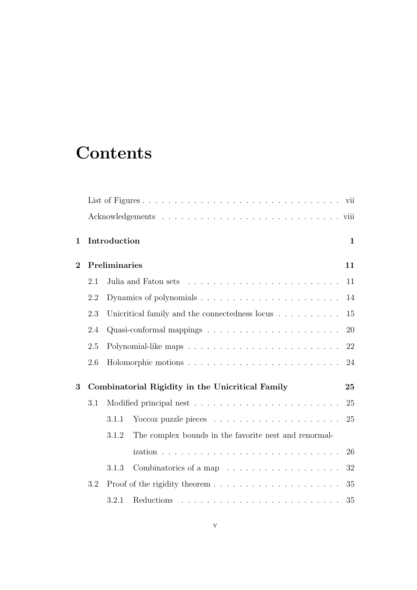## **Contents**

| $\mathbf{1}$   |     | Introduction                                                                      | $\mathbf{1}$ |
|----------------|-----|-----------------------------------------------------------------------------------|--------------|
| $\overline{2}$ |     | Preliminaries                                                                     | 11           |
|                | 2.1 |                                                                                   | 11           |
|                | 2.2 |                                                                                   | 14           |
|                | 2.3 |                                                                                   | 15           |
|                | 2.4 |                                                                                   | 20           |
|                | 2.5 |                                                                                   | 22           |
|                | 2.6 |                                                                                   | 24           |
| 3              |     | Combinatorial Rigidity in the Unicritical Family                                  | 25           |
|                | 3.1 | Modified principal nest $\ldots \ldots \ldots \ldots \ldots \ldots \ldots \ldots$ | 25           |
|                |     | 3.1.1                                                                             | 25           |
|                |     | The complex bounds in the favorite nest and renormal-<br>3.1.2                    |              |
|                |     |                                                                                   | 26           |
|                |     | 3.1.3                                                                             | 32           |
|                | 3.2 |                                                                                   | 35           |
|                |     | 3.2.1                                                                             | 35           |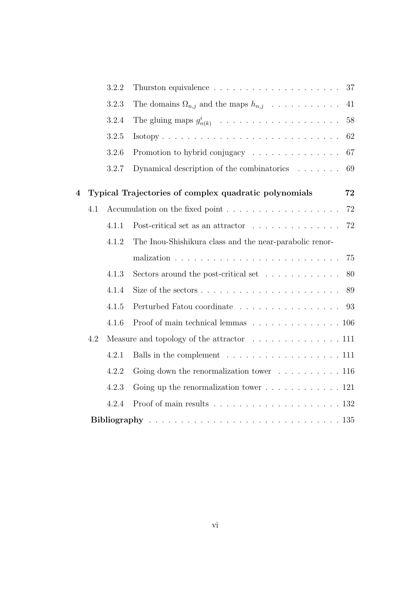|   |     | 3.2.2 |                                                                                 | 37     |
|---|-----|-------|---------------------------------------------------------------------------------|--------|
|   |     | 3.2.3 | The domains $\Omega_{n,j}$ and the maps $h_{n,j}$                               | 41     |
|   |     | 3.2.4 | The gluing maps $g_{n(k)}^i$                                                    | 58     |
|   |     | 3.2.5 | $Isotopy \ldots \ldots \ldots \ldots \ldots \ldots \ldots \ldots \ldots \ldots$ | 62     |
|   |     | 3.2.6 | Promotion to hybrid conjugacy                                                   | 67     |
|   |     | 3.2.7 | Dynamical description of the combinatorics $\ldots \ldots$                      | 69     |
| 4 |     |       | Typical Trajectories of complex quadratic polynomials                           | 72     |
|   | 4.1 |       |                                                                                 | $72\,$ |
|   |     | 4.1.1 | Post-critical set as an attractor                                               | $72\,$ |
|   |     | 4.1.2 | The Inou-Shishikura class and the near-parabolic renor-                         |        |
|   |     |       |                                                                                 | 75     |
|   |     | 4.1.3 | Sectors around the post-critical set                                            | 80     |
|   |     | 4.1.4 | Size of the sectors $\dots \dots \dots \dots \dots \dots \dots \dots$           | 89     |
|   |     | 4.1.5 | Perturbed Fatou coordinate                                                      | 93     |
|   |     | 4.1.6 | Proof of main technical lemmas 106                                              |        |
|   | 4.2 |       | Measure and topology of the attractor $\ldots \ldots \ldots \ldots 111$         |        |
|   |     | 4.2.1 |                                                                                 |        |
|   |     | 4.2.2 | Going down the renormalization tower $\dots \dots \dots \dots 116$              |        |
|   |     | 4.2.3 | Going up the renormalization tower $\ldots \ldots \ldots \ldots 121$            |        |
|   |     | 4.2.4 |                                                                                 |        |
|   |     |       |                                                                                 |        |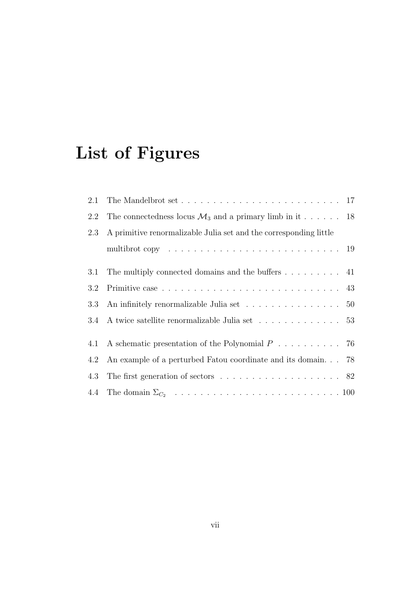# List of Figures

| 2.1 | The Mandelbrot set $\dots \dots \dots \dots \dots \dots \dots \dots \dots \dots \dots \dots \dots \dots \dots \dots \dots$ |  |
|-----|----------------------------------------------------------------------------------------------------------------------------|--|
| 2.2 | The connectedness locus $\mathcal{M}_3$ and a primary limb in it 18                                                        |  |
| 2.3 | A primitive renormalizable Julia set and the corresponding little                                                          |  |
|     | multibrot copy $\ldots \ldots \ldots \ldots \ldots \ldots \ldots \ldots \ldots \ldots 19$                                  |  |
|     |                                                                                                                            |  |
| 3.1 | The multiply connected domains and the buffers 41 $\,$                                                                     |  |
| 3.2 |                                                                                                                            |  |
| 3.3 | An infinitely renormalizable Julia set $\hfill\ldots\ldots\ldots\ldots\ldots\ldots\ldots\ldots\quad 50$                    |  |
| 3.4 | A twice satellite renormalizable Julia set $\hfill\ldots\ldots\ldots\ldots\ldots\ldots\hfill\hspace{0.2cm}53$              |  |
|     |                                                                                                                            |  |
| 4.1 | A schematic presentation of the Polynomial $P \dots \dots \dots$ 76                                                        |  |
| 4.2 | An example of a perturbed Fatou coordinate and its domain. 78                                                              |  |
| 4.3 | The first generation of sectors $\ldots \ldots \ldots \ldots \ldots \ldots \ldots 82$                                      |  |
|     |                                                                                                                            |  |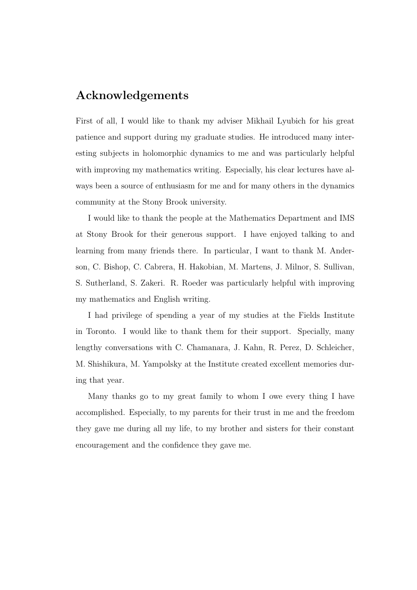### Acknowledgements

First of all, I would like to thank my adviser Mikhail Lyubich for his great patience and support during my graduate studies. He introduced many interesting subjects in holomorphic dynamics to me and was particularly helpful with improving my mathematics writing. Especially, his clear lectures have always been a source of enthusiasm for me and for many others in the dynamics community at the Stony Brook university.

I would like to thank the people at the Mathematics Department and IMS at Stony Brook for their generous support. I have enjoyed talking to and learning from many friends there. In particular, I want to thank M. Anderson, C. Bishop, C. Cabrera, H. Hakobian, M. Martens, J. Milnor, S. Sullivan, S. Sutherland, S. Zakeri. R. Roeder was particularly helpful with improving my mathematics and English writing.

I had privilege of spending a year of my studies at the Fields Institute in Toronto. I would like to thank them for their support. Specially, many lengthy conversations with C. Chamanara, J. Kahn, R. Perez, D. Schleicher, M. Shishikura, M. Yampolsky at the Institute created excellent memories during that year.

Many thanks go to my great family to whom I owe every thing I have accomplished. Especially, to my parents for their trust in me and the freedom they gave me during all my life, to my brother and sisters for their constant encouragement and the confidence they gave me.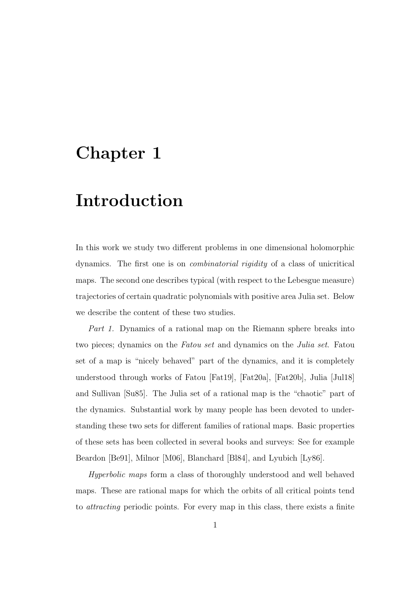### Chapter 1

### Introduction

In this work we study two different problems in one dimensional holomorphic dynamics. The first one is on combinatorial rigidity of a class of unicritical maps. The second one describes typical (with respect to the Lebesgue measure) trajectories of certain quadratic polynomials with positive area Julia set. Below we describe the content of these two studies.

Part 1. Dynamics of a rational map on the Riemann sphere breaks into two pieces; dynamics on the Fatou set and dynamics on the Julia set. Fatou set of a map is "nicely behaved" part of the dynamics, and it is completely understood through works of Fatou [Fat19], [Fat20a], [Fat20b], Julia [Jul18] and Sullivan [Su85]. The Julia set of a rational map is the "chaotic" part of the dynamics. Substantial work by many people has been devoted to understanding these two sets for different families of rational maps. Basic properties of these sets has been collected in several books and surveys: See for example Beardon [Be91], Milnor [M06], Blanchard [Bl84], and Lyubich [Ly86].

Hyperbolic maps form a class of thoroughly understood and well behaved maps. These are rational maps for which the orbits of all critical points tend to attracting periodic points. For every map in this class, there exists a finite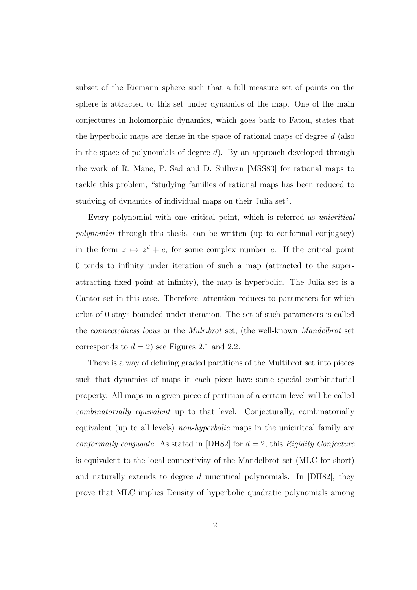subset of the Riemann sphere such that a full measure set of points on the sphere is attracted to this set under dynamics of the map. One of the main conjectures in holomorphic dynamics, which goes back to Fatou, states that the hyperbolic maps are dense in the space of rational maps of degree d (also in the space of polynomials of degree  $d$ ). By an approach developed through the work of R. M˜ane, P. Sad and D. Sullivan [MSS83] for rational maps to tackle this problem, "studying families of rational maps has been reduced to studying of dynamics of individual maps on their Julia set".

Every polynomial with one critical point, which is referred as unicritical polynomial through this thesis, can be written (up to conformal conjugacy) in the form  $z \mapsto z^d + c$ , for some complex number c. If the critical point 0 tends to infinity under iteration of such a map (attracted to the superattracting fixed point at infinity), the map is hyperbolic. The Julia set is a Cantor set in this case. Therefore, attention reduces to parameters for which orbit of 0 stays bounded under iteration. The set of such parameters is called the connectedness locus or the Mulribrot set, (the well-known Mandelbrot set corresponds to  $d = 2$ ) see Figures 2.1 and 2.2.

There is a way of defining graded partitions of the Multibrot set into pieces such that dynamics of maps in each piece have some special combinatorial property. All maps in a given piece of partition of a certain level will be called combinatorially equivalent up to that level. Conjecturally, combinatorially equivalent (up to all levels) non-hyperbolic maps in the uniciritcal family are conformally conjugate. As stated in [DH82] for  $d = 2$ , this Rigidity Conjecture is equivalent to the local connectivity of the Mandelbrot set (MLC for short) and naturally extends to degree d unicritical polynomials. In  $[DH82]$ , they prove that MLC implies Density of hyperbolic quadratic polynomials among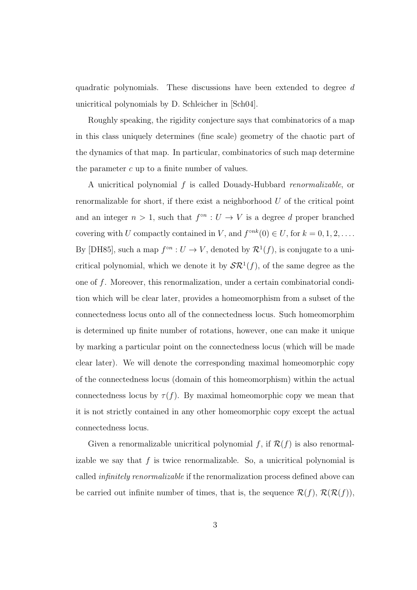quadratic polynomials. These discussions have been extended to degree d unicritical polynomials by D. Schleicher in [Sch04].

Roughly speaking, the rigidity conjecture says that combinatorics of a map in this class uniquely determines (fine scale) geometry of the chaotic part of the dynamics of that map. In particular, combinatorics of such map determine the parameter  $c$  up to a finite number of values.

A unicritical polynomial f is called Douady-Hubbard renormalizable, or renormalizable for short, if there exist a neighborhood  $U$  of the critical point and an integer  $n > 1$ , such that  $f^{\circ n} : U \to V$  is a degree d proper branched covering with U compactly contained in V, and  $f^{\circ nk}(0) \in U$ , for  $k = 0, 1, 2, \ldots$ . By [DH85], such a map  $f^{\circ n}: U \to V$ , denoted by  $\mathcal{R}^1(f)$ , is conjugate to a unicritical polynomial, which we denote it by  $\mathcal{SR}^1(f)$ , of the same degree as the one of f. Moreover, this renormalization, under a certain combinatorial condition which will be clear later, provides a homeomorphism from a subset of the connectedness locus onto all of the connectedness locus. Such homeomorphim is determined up finite number of rotations, however, one can make it unique by marking a particular point on the connectedness locus (which will be made clear later). We will denote the corresponding maximal homeomorphic copy of the connectedness locus (domain of this homeomorphism) within the actual connectedness locus by  $\tau(f)$ . By maximal homeomorphic copy we mean that it is not strictly contained in any other homeomorphic copy except the actual connectedness locus.

Given a renormalizable unicritical polynomial f, if  $\mathcal{R}(f)$  is also renormalizable we say that  $f$  is twice renormalizable. So, a unicritical polynomial is called infinitely renormalizable if the renormalization process defined above can be carried out infinite number of times, that is, the sequence  $\mathcal{R}(f)$ ,  $\mathcal{R}(\mathcal{R}(f))$ ,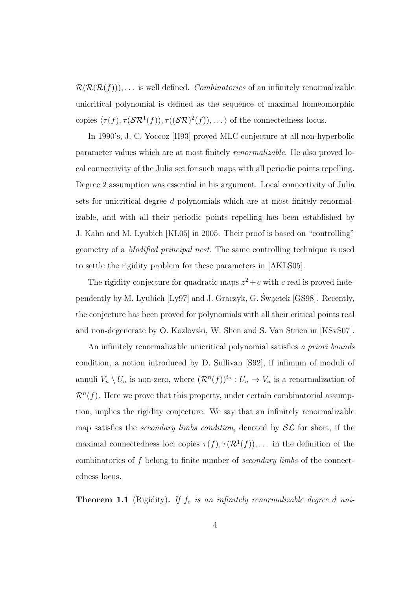$\mathcal{R}(\mathcal{R}(\mathcal{R}(f))),...$  is well defined. Combinatorics of an infinitely renormalizable unicritical polynomial is defined as the sequence of maximal homeomorphic copies  $\langle \tau(f), \tau(\mathcal{SR}^1(f)), \tau((\mathcal{SR})^2(f)), \ldots \rangle$  of the connectedness locus.

In 1990's, J. C. Yoccoz [H93] proved MLC conjecture at all non-hyperbolic parameter values which are at most finitely renormalizable. He also proved local connectivity of the Julia set for such maps with all periodic points repelling. Degree 2 assumption was essential in his argument. Local connectivity of Julia sets for unicritical degree d polynomials which are at most finitely renormalizable, and with all their periodic points repelling has been established by J. Kahn and M. Lyubich [KL05] in 2005. Their proof is based on "controlling" geometry of a Modified principal nest. The same controlling technique is used to settle the rigidity problem for these parameters in [AKLS05].

The rigidity conjecture for quadratic maps  $z^2 + c$  with c real is proved independently by M. Lyubich  $[Ly97]$  and J. Graczyk, G. Śwąctek  $[GS98]$ . Recently, the conjecture has been proved for polynomials with all their critical points real and non-degenerate by O. Kozlovski, W. Shen and S. Van Strien in [KSvS07].

An infinitely renormalizable unicritical polynomial satisfies a priori bounds condition, a notion introduced by D. Sullivan [S92], if infimum of moduli of annuli  $V_n \setminus U_n$  is non-zero, where  $(\mathcal{R}^n(f))^{t_n}: U_n \to V_n$  is a renormalization of  $\mathcal{R}^n(f)$ . Here we prove that this property, under certain combinatorial assumption, implies the rigidity conjecture. We say that an infinitely renormalizable map satisfies the *secondary limbs condition*, denoted by  $SL$  for short, if the maximal connectedness loci copies  $\tau(f), \tau(\mathcal{R}^1(f)), \ldots$  in the definition of the combinatorics of f belong to finite number of secondary limbs of the connectedness locus.

**Theorem 1.1** (Rigidity). If  $f_c$  is an infinitely renormalizable degree d uni-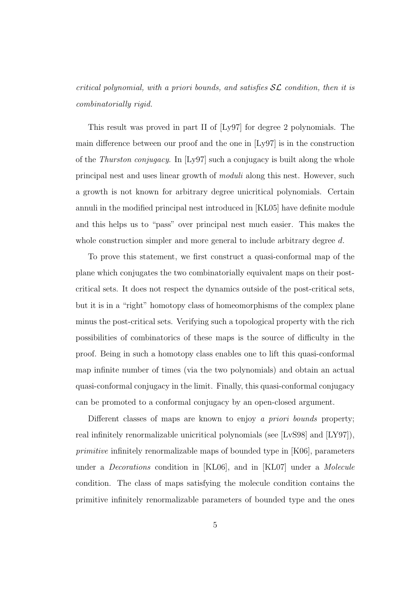critical polynomial, with a priori bounds, and satisfies  $\mathcal{SL}$  condition, then it is combinatorially rigid.

This result was proved in part II of [Ly97] for degree 2 polynomials. The main difference between our proof and the one in [Ly97] is in the construction of the Thurston conjugacy. In [Ly97] such a conjugacy is built along the whole principal nest and uses linear growth of moduli along this nest. However, such a growth is not known for arbitrary degree unicritical polynomials. Certain annuli in the modified principal nest introduced in [KL05] have definite module and this helps us to "pass" over principal nest much easier. This makes the whole construction simpler and more general to include arbitrary degree d.

To prove this statement, we first construct a quasi-conformal map of the plane which conjugates the two combinatorially equivalent maps on their postcritical sets. It does not respect the dynamics outside of the post-critical sets, but it is in a "right" homotopy class of homeomorphisms of the complex plane minus the post-critical sets. Verifying such a topological property with the rich possibilities of combinatorics of these maps is the source of difficulty in the proof. Being in such a homotopy class enables one to lift this quasi-conformal map infinite number of times (via the two polynomials) and obtain an actual quasi-conformal conjugacy in the limit. Finally, this quasi-conformal conjugacy can be promoted to a conformal conjugacy by an open-closed argument.

Different classes of maps are known to enjoy a priori bounds property; real infinitely renormalizable unicritical polynomials (see [LvS98] and [LY97]), primitive infinitely renormalizable maps of bounded type in [K06], parameters under a Decorations condition in [KL06], and in [KL07] under a Molecule condition. The class of maps satisfying the molecule condition contains the primitive infinitely renormalizable parameters of bounded type and the ones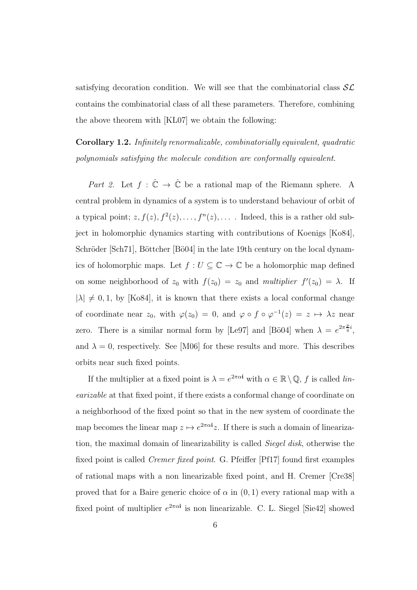satisfying decoration condition. We will see that the combinatorial class  $SL$ contains the combinatorial class of all these parameters. Therefore, combining the above theorem with [KL07] we obtain the following:

Corollary 1.2. Infinitely renormalizable, combinatorially equivalent, quadratic polynomials satisfying the molecule condition are conformally equivalent.

Part 2. Let  $f : \hat{\mathbb{C}} \to \hat{\mathbb{C}}$  be a rational map of the Riemann sphere. A central problem in dynamics of a system is to understand behaviour of orbit of a typical point;  $z, f(z), f^2(z), \ldots, f^n(z), \ldots$ . Indeed, this is a rather old subject in holomorphic dynamics starting with contributions of Koenigs [Ko84], Schröder [Sch71], Böttcher [Bö04] in the late 19th century on the local dynamics of holomorphic maps. Let  $f:U\subseteq \mathbb{C}\to \mathbb{C}$  be a holomorphic map defined on some neighborhood of  $z_0$  with  $f(z_0) = z_0$  and multiplier  $f'(z_0) = \lambda$ . If  $|\lambda| \neq 0, 1$ , by [Ko84], it is known that there exists a local conformal change of coordinate near  $z_0$ , with  $\varphi(z_0) = 0$ , and  $\varphi \circ f \circ \varphi^{-1}(z) = z \mapsto \lambda z$  near zero. There is a similar normal form by [Le97] and [Bö04] when  $\lambda = e^{2\pi \frac{p}{q}i}$ , and  $\lambda = 0$ , respectively. See [M06] for these results and more. This describes orbits near such fixed points.

If the multiplier at a fixed point is  $\lambda = e^{2\pi\alpha i}$  with  $\alpha \in \mathbb{R} \setminus \mathbb{Q}$ , f is called *lin*earizable at that fixed point, if there exists a conformal change of coordinate on a neighborhood of the fixed point so that in the new system of coordinate the map becomes the linear map  $z \mapsto e^{2\pi \alpha i} z$ . If there is such a domain of linearization, the maximal domain of linearizability is called Siegel disk, otherwise the fixed point is called Cremer fixed point. G. Pfeiffer [Pf17] found first examples of rational maps with a non linearizable fixed point, and H. Cremer [Cre38] proved that for a Baire generic choice of  $\alpha$  in  $(0, 1)$  every rational map with a fixed point of multiplier  $e^{2\pi\alpha i}$  is non linearizable. C. L. Siegel [Sie42] showed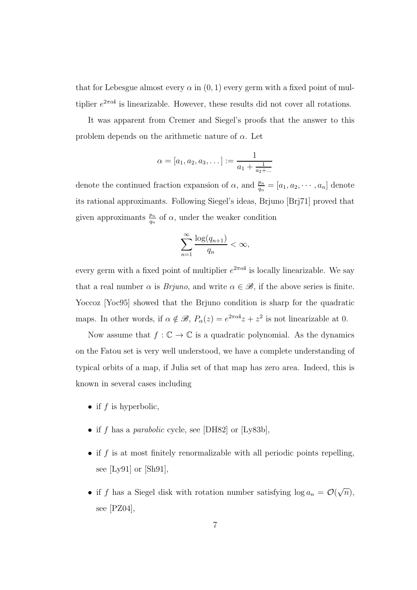that for Lebesgue almost every  $\alpha$  in  $(0, 1)$  every germ with a fixed point of multiplier  $e^{2\pi\alpha i}$  is linearizable. However, these results did not cover all rotations.

It was apparent from Cremer and Siegel's proofs that the answer to this problem depends on the arithmetic nature of  $\alpha$ . Let

$$
\alpha = [a_1, a_2, a_3, \dots] := \frac{1}{a_1 + \frac{1}{a_2 + \dots}}
$$

denote the continued fraction expansion of  $\alpha$ , and  $\frac{p_n}{q_n} = [a_1, a_2, \cdots, a_n]$  denote its rational approximants. Following Siegel's ideas, Brjuno [Brj71] proved that given approximants  $\frac{p_n}{q_n}$  of  $\alpha$ , under the weaker condition

$$
\sum_{n=1}^{\infty} \frac{\log(q_{n+1})}{q_n} < \infty,
$$

every germ with a fixed point of multiplier  $e^{2\pi\alpha i}$  is locally linearizable. We say that a real number  $\alpha$  is *Brjuno*, and write  $\alpha \in \mathcal{B}$ , if the above series is finite. Yoccoz [Yoc95] showed that the Brjuno condition is sharp for the quadratic maps. In other words, if  $\alpha \notin \mathcal{B}$ ,  $P_{\alpha}(z) = e^{2\pi \alpha i} z + z^2$  is not linearizable at 0.

Now assume that  $f: \mathbb{C} \to \mathbb{C}$  is a quadratic polynomial. As the dynamics on the Fatou set is very well understood, we have a complete understanding of typical orbits of a map, if Julia set of that map has zero area. Indeed, this is known in several cases including

- if  $f$  is hyperbolic,
- if f has a *parabolic* cycle, see [DH82] or [Ly83b],
- if  $f$  is at most finitely renormalizable with all periodic points repelling, see [Ly91] or [Sh91],
- if f has a Siegel disk with rotation number satisfying  $\log a_n = \mathcal{O}(\sqrt{n}),$ see [PZ04],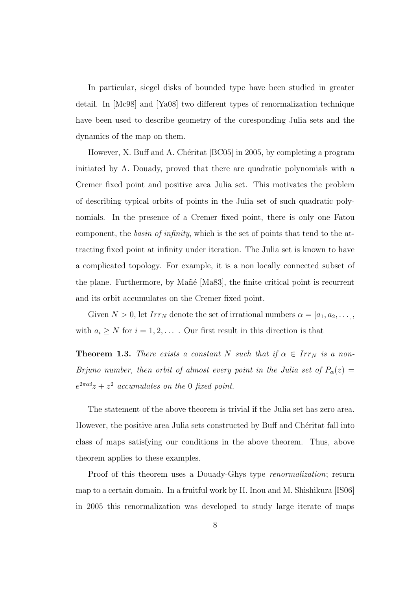In particular, siegel disks of bounded type have been studied in greater detail. In [Mc98] and [Ya08] two different types of renormalization technique have been used to describe geometry of the coresponding Julia sets and the dynamics of the map on them.

However, X. Buff and A. Chéritat [BC05] in 2005, by completing a program initiated by A. Douady, proved that there are quadratic polynomials with a Cremer fixed point and positive area Julia set. This motivates the problem of describing typical orbits of points in the Julia set of such quadratic polynomials. In the presence of a Cremer fixed point, there is only one Fatou component, the basin of infinity, which is the set of points that tend to the attracting fixed point at infinity under iteration. The Julia set is known to have a complicated topology. For example, it is a non locally connected subset of the plane. Furthermore, by Mañé [Ma83], the finite critical point is recurrent and its orbit accumulates on the Cremer fixed point.

Given  $N > 0$ , let  $Irr_N$  denote the set of irrational numbers  $\alpha = [a_1, a_2, \dots]$ , with  $a_i \geq N$  for  $i = 1, 2, \ldots$ . Our first result in this direction is that

**Theorem 1.3.** There exists a constant N such that if  $\alpha \in \text{Irr}_N$  is a non-Brjuno number, then orbit of almost every point in the Julia set of  $P_{\alpha}(z) =$  $e^{2\pi\alpha i}z + z^2$  accumulates on the 0 fixed point.

The statement of the above theorem is trivial if the Julia set has zero area. However, the positive area Julia sets constructed by Buff and Chéritat fall into class of maps satisfying our conditions in the above theorem. Thus, above theorem applies to these examples.

Proof of this theorem uses a Douady-Ghys type *renormalization*; return map to a certain domain. In a fruitful work by H. Inou and M. Shishikura [IS06] in 2005 this renormalization was developed to study large iterate of maps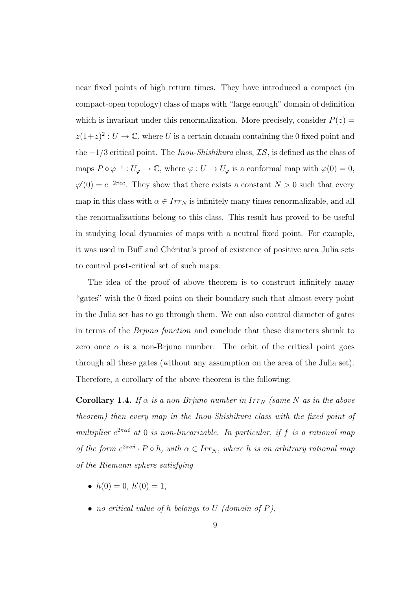near fixed points of high return times. They have introduced a compact (in compact-open topology) class of maps with "large enough" domain of definition which is invariant under this renormalization. More precisely, consider  $P(z)$  $z(1+z)^2: U \to \mathbb{C}$ , where U is a certain domain containing the 0 fixed point and the  $-1/3$  critical point. The Inou-Shishikura class,  $\mathcal{IS}$ , is defined as the class of maps  $P \circ \varphi^{-1} : U_{\varphi} \to \mathbb{C}$ , where  $\varphi : U \to U_{\varphi}$  is a conformal map with  $\varphi(0) = 0$ ,  $\varphi'(0) = e^{-2\pi\alpha i}$ . They show that there exists a constant  $N > 0$  such that every map in this class with  $\alpha \in Irr_N$  is infinitely many times renormalizable, and all the renormalizations belong to this class. This result has proved to be useful in studying local dynamics of maps with a neutral fixed point. For example, it was used in Buff and Chéritat's proof of existence of positive area Julia sets to control post-critical set of such maps.

The idea of the proof of above theorem is to construct infinitely many "gates" with the 0 fixed point on their boundary such that almost every point in the Julia set has to go through them. We can also control diameter of gates in terms of the Brjuno function and conclude that these diameters shrink to zero once  $\alpha$  is a non-Brjuno number. The orbit of the critical point goes through all these gates (without any assumption on the area of the Julia set). Therefore, a corollary of the above theorem is the following:

**Corollary 1.4.** If  $\alpha$  is a non-Brjuno number in Irr<sub>N</sub> (same N as in the above theorem) then every map in the Inou-Shishikura class with the fixed point of multiplier  $e^{2\pi\alpha i}$  at 0 is non-linearizable. In particular, if f is a rational map of the form  $e^{2\pi\alpha i} \cdot P \circ h$ , with  $\alpha \in Irr_N$ , where h is an arbitrary rational map of the Riemann sphere satisfying

- $h(0) = 0, h'(0) = 1,$
- no critical value of h belongs to  $U$  (domain of  $P$ ),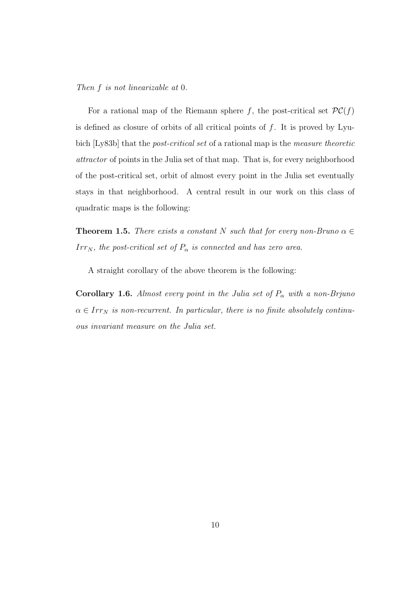Then f is not linearizable at 0.

For a rational map of the Riemann sphere f, the post-critical set  $\mathcal{PC}(f)$ is defined as closure of orbits of all critical points of  $f$ . It is proved by Lyubich [Ly83b] that the post-critical set of a rational map is the measure theoretic attractor of points in the Julia set of that map. That is, for every neighborhood of the post-critical set, orbit of almost every point in the Julia set eventually stays in that neighborhood. A central result in our work on this class of quadratic maps is the following:

**Theorem 1.5.** There exists a constant N such that for every non-Bruno  $\alpha \in$  $Irr_N$ , the post-critical set of  $P_\alpha$  is connected and has zero area.

A straight corollary of the above theorem is the following:

**Corollary 1.6.** Almost every point in the Julia set of  $P_{\alpha}$  with a non-Brjuno  $\alpha \in Irr_N$  is non-recurrent. In particular, there is no finite absolutely continuous invariant measure on the Julia set.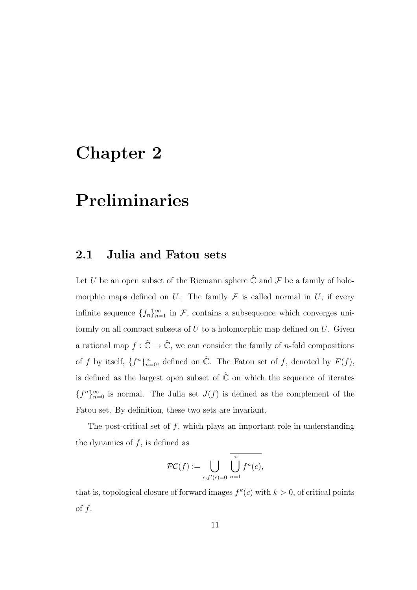### Chapter 2

### Preliminaries

#### 2.1 Julia and Fatou sets

Let U be an open subset of the Riemann sphere  $\hat{\mathbb{C}}$  and  $\mathcal F$  be a family of holomorphic maps defined on U. The family  $\mathcal F$  is called normal in U, if every infinite sequence  $\{f_n\}_{n=1}^{\infty}$  in  $\mathcal{F}$ , contains a subsequence which converges uniformly on all compact subsets of  $U$  to a holomorphic map defined on  $U$ . Given a rational map  $f: \hat{\mathbb{C}} \to \hat{\mathbb{C}}$ , we can consider the family of *n*-fold compositions of f by itself,  $\{f^n\}_{n=0}^{\infty}$ , defined on  $\hat{\mathbb{C}}$ . The Fatou set of f, denoted by  $F(f)$ , is defined as the largest open subset of  $\hat{\mathbb{C}}$  on which the sequence of iterates  ${f<sup>n</sup>}_{n=0}^{\infty}$  is normal. The Julia set  $J(f)$  is defined as the complement of the Fatou set. By definition, these two sets are invariant.

The post-critical set of  $f$ , which plays an important role in understanding the dynamics of  $f$ , is defined as

$$
\mathcal{PC}(f) := \bigcup_{c: f'(c) = 0} \bigcup_{n=1}^{\infty} f^n(c),
$$

that is, topological closure of forward images  $f^k(c)$  with  $k > 0$ , of critical points of  $f$ .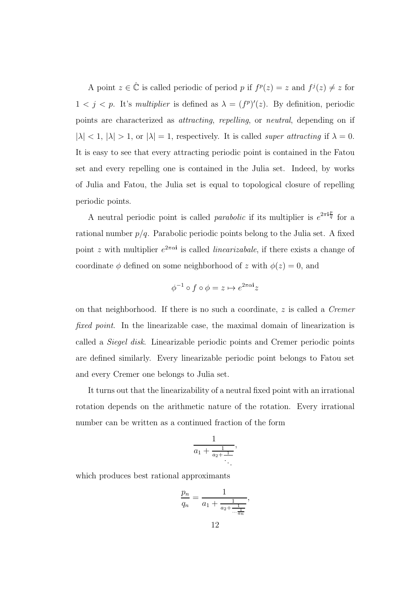A point  $z \in \hat{\mathbb{C}}$  is called periodic of period p if  $f^p(z) = z$  and  $f^j(z) \neq z$  for  $1 < j < p$ . It's *multiplier* is defined as  $\lambda = (f^p)'(z)$ . By definition, periodic points are characterized as attracting, repelling, or neutral, depending on if  $|\lambda| < 1, |\lambda| > 1$ , or  $|\lambda| = 1$ , respectively. It is called *super attracting* if  $\lambda = 0$ . It is easy to see that every attracting periodic point is contained in the Fatou set and every repelling one is contained in the Julia set. Indeed, by works of Julia and Fatou, the Julia set is equal to topological closure of repelling periodic points.

A neutral periodic point is called *parabolic* if its multiplier is  $e^{2\pi i \frac{p}{q}}$  for a rational number  $p/q$ . Parabolic periodic points belong to the Julia set. A fixed point z with multiplier  $e^{2\pi\alpha i}$  is called *linearizabale*, if there exists a change of coordinate  $\phi$  defined on some neighborhood of z with  $\phi(z) = 0$ , and

$$
\phi^{-1}\circ f\circ \phi=z\mapsto e^{2\pi\alpha{\bf i}}z
$$

on that neighborhood. If there is no such a coordinate, z is called a Cremer fixed point. In the linearizable case, the maximal domain of linearization is called a Siegel disk. Linearizable periodic points and Cremer periodic points are defined similarly. Every linearizable periodic point belongs to Fatou set and every Cremer one belongs to Julia set.

It turns out that the linearizability of a neutral fixed point with an irrational rotation depends on the arithmetic nature of the rotation. Every irrational number can be written as a continued fraction of the form

$$
\frac{1}{a_1+\frac{1}{a_2+\frac{1}{\ddots}}},
$$

which produces best rational approximants

$$
\frac{p_n}{q_n} = \frac{1}{a_1 + \frac{1}{a_2 + \frac{1}{\dots + a_n}}},
$$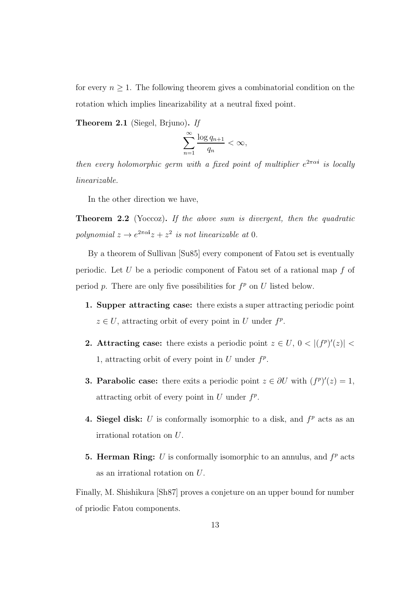for every  $n \geq 1$ . The following theorem gives a combinatorial condition on the rotation which implies linearizability at a neutral fixed point.

Theorem 2.1 (Siegel, Brjuno). If

$$
\sum_{n=1}^{\infty} \frac{\log q_{n+1}}{q_n} < \infty,
$$

then every holomorphic germ with a fixed point of multiplier  $e^{2\pi\alpha i}$  is locally linearizable.

In the other direction we have,

Theorem 2.2 (Yoccoz). If the above sum is divergent, then the quadratic polynomial  $z \to e^{2\pi\alpha i}z + z^2$  is not linearizable at 0.

By a theorem of Sullivan [Su85] every component of Fatou set is eventually periodic. Let U be a periodic component of Fatou set of a rational map f of period p. There are only five possibilities for  $f^p$  on U listed below.

- 1. Supper attracting case: there exists a super attracting periodic point  $z \in U$ , attracting orbit of every point in U under  $f^p$ .
- **2. Attracting case:** there exists a periodic point  $z \in U$ ,  $0 < |(f^p)'(z)| <$ 1, attracting orbit of every point in  $U$  under  $f^p$ .
- **3. Parabolic case:** there exits a periodic point  $z \in \partial U$  with  $(f^p)'(z) = 1$ , attracting orbit of every point in  $U$  under  $f^p$ .
- 4. Siegel disk: U is conformally isomorphic to a disk, and  $f<sup>p</sup>$  acts as an irrational rotation on U.
- **5. Herman Ring:**  $U$  is conformally isomorphic to an annulus, and  $f<sup>p</sup>$  acts as an irrational rotation on U.

Finally, M. Shishikura [Sh87] proves a conjeture on an upper bound for number of priodic Fatou components.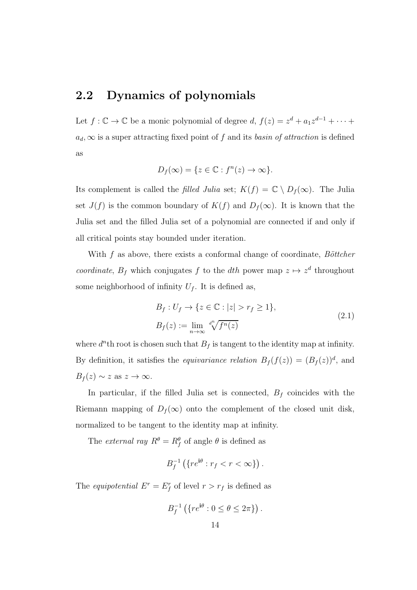#### 2.2 Dynamics of polynomials

Let  $f: \mathbb{C} \to \mathbb{C}$  be a monic polynomial of degree  $d, f(z) = z^d + a_1 z^{d-1} + \cdots$  $a_d, \infty$  is a super attracting fixed point of f and its *basin of attraction* is defined as

$$
D_f(\infty) = \{ z \in \mathbb{C} : f^n(z) \to \infty \}.
$$

Its complement is called the *filled Julia* set;  $K(f) = \mathbb{C} \setminus D_f(\infty)$ . The Julia set  $J(f)$  is the common boundary of  $K(f)$  and  $D_f(\infty)$ . It is known that the Julia set and the filled Julia set of a polynomial are connected if and only if all critical points stay bounded under iteration.

With  $f$  as above, there exists a conformal change of coordinate,  $B\ddot{o}t$ . *coordinate*,  $B_f$  which conjugates f to the dth power map  $z \mapsto z^d$  throughout some neighborhood of infinity  $U_f$ . It is defined as,

$$
B_f: U_f \to \{z \in \mathbb{C} : |z| > r_f \ge 1\},
$$
  
\n
$$
B_f(z) := \lim_{n \to \infty} \sqrt[n]{f^n(z)}
$$
\n(2.1)

where  $d<sup>n</sup>$ th root is chosen such that  $B<sub>f</sub>$  is tangent to the identity map at infinity. By definition, it satisfies the *equivariance relation*  $B_f(f(z)) = (B_f(z))^d$ , and  $B_f(z) \sim z$  as  $z \to \infty$ .

In particular, if the filled Julia set is connected,  $B_f$  coincides with the Riemann mapping of  $D_f(\infty)$  onto the complement of the closed unit disk, normalized to be tangent to the identity map at infinity.

The *external ray*  $R^{\theta} = R_f^{\theta}$  of angle  $\theta$  is defined as

$$
B_f^{-1}\left(\{re^{\mathbf{i}\theta}:r_f < r < \infty\}\right).
$$

The *equipotential*  $E^r = E_f^r$  of level  $r > r_f$  is defined as

$$
B_f^{-1}\left(\{re^{\mathbf{i}\theta}:0\leq\theta\leq 2\pi\}\right).
$$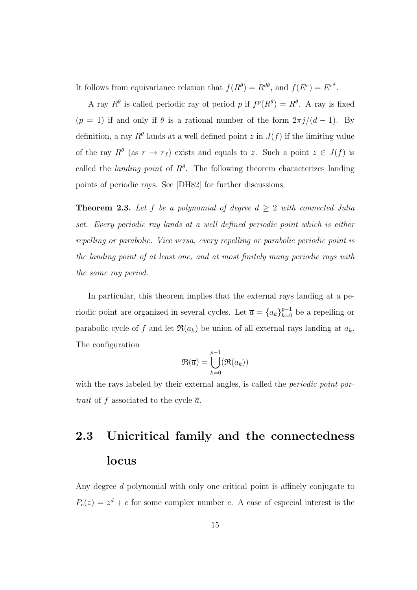It follows from equivariance relation that  $f(R^{\theta}) = R^{d\theta}$ , and  $f(E^r) = E^{r^d}$ .

A ray  $R^{\theta}$  is called periodic ray of period p if  $f^p(R^{\theta}) = R^{\theta}$ . A ray is fixed  $(p = 1)$  if and only if  $\theta$  is a rational number of the form  $2\pi j/(d-1)$ . By definition, a ray  $R^{\theta}$  lands at a well defined point z in  $J(f)$  if the limiting value of the ray  $R^{\theta}$  (as  $r \to r_f$ ) exists and equals to z. Such a point  $z \in J(f)$  is called the *landing point* of  $R^{\theta}$ . The following theorem characterizes landing points of periodic rays. See [DH82] for further discussions.

**Theorem 2.3.** Let f be a polynomial of degree  $d \geq 2$  with connected Julia set. Every periodic ray lands at a well defined periodic point which is either repelling or parabolic. Vice versa, every repelling or parabolic periodic point is the landing point of at least one, and at most finitely many periodic rays with the same ray period.

In particular, this theorem implies that the external rays landing at a periodic point are organized in several cycles. Let  $\overline{a} = \{a_k\}_{k=0}^{p-1}$  be a repelling or parabolic cycle of f and let  $\Re(a_k)$  be union of all external rays landing at  $a_k$ . The configuration

$$
\mathfrak{R}(\overline{a})=\bigcup_{k=0}^{p-1}(\mathfrak{R}(a_k))
$$

with the rays labeled by their external angles, is called the *periodic point por*trait of f associated to the cycle  $\overline{a}$ .

## 2.3 Unicritical family and the connectedness locus

Any degree d polynomial with only one critical point is affinely conjugate to  $P_c(z) = z<sup>d</sup> + c$  for some complex number c. A case of especial interest is the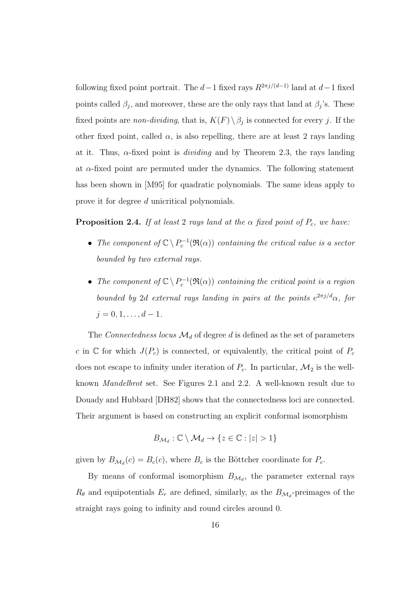following fixed point portrait. The  $d-1$  fixed rays  $R^{2\pi j/(d-1)}$  land at  $d-1$  fixed points called  $\beta_j$ , and moreover, these are the only rays that land at  $\beta_j$ 's. These fixed points are *non-dividing*, that is,  $K(F) \setminus \beta_j$  is connected for every j. If the other fixed point, called  $\alpha$ , is also repelling, there are at least 2 rays landing at it. Thus,  $\alpha$ -fixed point is *dividing* and by Theorem 2.3, the rays landing at α-fixed point are permuted under the dynamics. The following statement has been shown in [M95] for quadratic polynomials. The same ideas apply to prove it for degree d unicritical polynomials.

**Proposition 2.4.** If at least 2 rays land at the  $\alpha$  fixed point of  $P_c$ , we have:

- The component of  $\mathbb{C} \setminus P_c^{-1}(\mathfrak{R}(\alpha))$  containing the critical value is a sector bounded by two external rays.
- The component of  $\mathbb{C} \setminus P_c^{-1}(\mathfrak{R}(\alpha))$  containing the critical point is a region bounded by 2d external rays landing in pairs at the points  $e^{2\pi j/d}\alpha$ , for  $j = 0, 1, \ldots, d - 1.$

The Connectedness locus  $\mathcal{M}_d$  of degree d is defined as the set of parameters c in  $\mathbb C$  for which  $J(P_c)$  is connected, or equivalently, the critical point of  $P_c$ does not escape to infinity under iteration of  $P_c$ . In particular,  $\mathcal{M}_2$  is the wellknown Mandelbrot set. See Figures 2.1 and 2.2. A well-known result due to Douady and Hubbard [DH82] shows that the connectedness loci are connected. Their argument is based on constructing an explicit conformal isomorphism

$$
B_{\mathcal{M}_d} : \mathbb{C} \setminus \mathcal{M}_d \to \{ z \in \mathbb{C} : |z| > 1 \}
$$

given by  $B_{\mathcal{M}_d}(c) = B_c(c)$ , where  $B_c$  is the Böttcher coordinate for  $P_c$ .

By means of conformal isomorphism  $B_{\mathcal{M}_d}$ , the parameter external rays  $R_{\theta}$  and equipotentials  $E_r$  are defined, similarly, as the  $B_{\mathcal{M}_d}$ -preimages of the straight rays going to infinity and round circles around 0.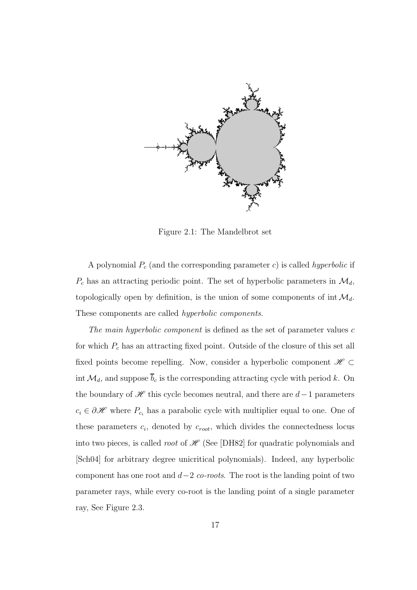

Figure 2.1: The Mandelbrot set

A polynomial  $P_c$  (and the corresponding parameter c) is called *hyperbolic* if  $P_c$  has an attracting periodic point. The set of hyperbolic parameters in  $\mathcal{M}_d$ , topologically open by definition, is the union of some components of  $\mathrm{int}\mathcal{M}_d$ . These components are called hyperbolic components.

The main hyperbolic component is defined as the set of parameter values c for which  $P_c$  has an attracting fixed point. Outside of the closure of this set all fixed points become repelling. Now, consider a hyperbolic component  $\mathscr{H} \subset$ int  $\mathcal{M}_d$ , and suppose  $\overline{b}_c$  is the corresponding attracting cycle with period k. On the boundary of  $\mathscr H$  this cycle becomes neutral, and there are  $d-1$  parameters  $c_i \in \partial \mathscr{H}$  where  $P_{c_i}$  has a parabolic cycle with multiplier equal to one. One of these parameters  $c_i$ , denoted by  $c_{root}$ , which divides the connectedness locus into two pieces, is called *root* of  $\mathcal{H}$  (See [DH82] for quadratic polynomials and [Sch04] for arbitrary degree unicritical polynomials). Indeed, any hyperbolic component has one root and  $d-2$  co-roots. The root is the landing point of two parameter rays, while every co-root is the landing point of a single parameter ray, See Figure 2.3.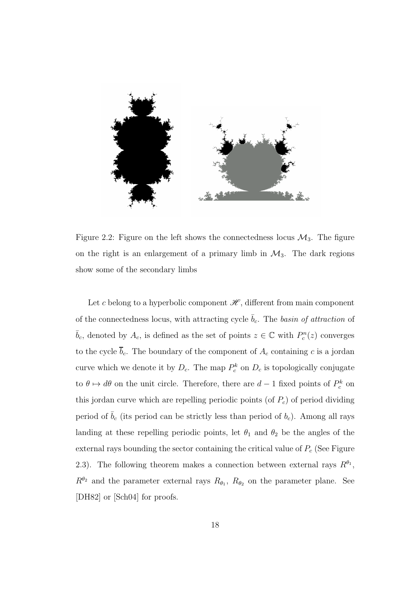

Figure 2.2: Figure on the left shows the connectedness locus  $\mathcal{M}_3$ . The figure on the right is an enlargement of a primary limb in  $\mathcal{M}_3$ . The dark regions show some of the secondary limbs

Let c belong to a hyperbolic component  $\mathscr{H}$ , different from main component of the connectedness locus, with attracting cycle  $\bar{b}_c$ . The basin of attraction of  $\bar{b}_c$ , denoted by  $A_c$ , is defined as the set of points  $z \in \mathbb{C}$  with  $P_c^n(z)$  converges to the cycle  $\overline{b}_c$ . The boundary of the component of  $A_c$  containing c is a jordan curve which we denote it by  $D_c$ . The map  $P_c^k$  on  $D_c$  is topologically conjugate to  $\theta \mapsto d\theta$  on the unit circle. Therefore, there are  $d-1$  fixed points of  $P_c^k$  on this jordan curve which are repelling periodic points (of  $P_c$ ) of period dividing period of  $\overline{b}_c$  (its period can be strictly less than period of  $b_c$ ). Among all rays landing at these repelling periodic points, let  $\theta_1$  and  $\theta_2$  be the angles of the external rays bounding the sector containing the critical value of  $P_c$  (See Figure 2.3). The following theorem makes a connection between external rays  $R^{\theta_1}$ ,  $R^{\theta_2}$  and the parameter external rays  $R_{\theta_1}$ ,  $R_{\theta_2}$  on the parameter plane. See [DH82] or [Sch04] for proofs.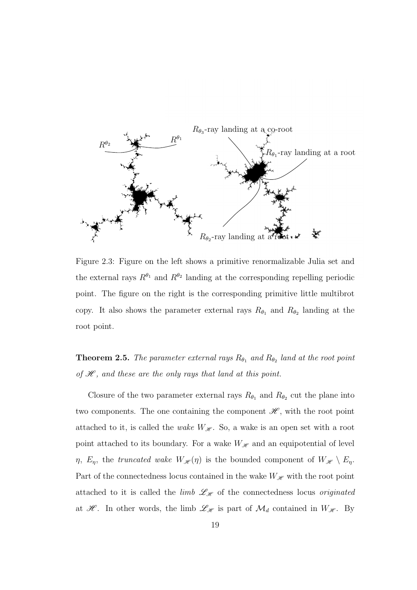

Figure 2.3: Figure on the left shows a primitive renormalizable Julia set and the external rays  $R^{\theta_1}$  and  $R^{\theta_2}$  landing at the corresponding repelling periodic point. The figure on the right is the corresponding primitive little multibrot copy. It also shows the parameter external rays  $R_{\theta_1}$  and  $R_{\theta_2}$  landing at the root point.

**Theorem 2.5.** The parameter external rays  $R_{\theta_1}$  and  $R_{\theta_2}$  land at the root point of  $\mathcal{H}$ , and these are the only rays that land at this point.

Closure of the two parameter external rays  $R_{\theta_1}$  and  $R_{\theta_2}$  cut the plane into two components. The one containing the component  $\mathscr{H}$ , with the root point attached to it, is called the *wake*  $W_{\mathscr{H}}$ . So, a wake is an open set with a root point attached to its boundary. For a wake  $W_{\mathscr{H}}$  and an equipotential of level  $\eta$ ,  $E_{\eta}$ , the truncated wake  $W_{\mathscr{H}}(\eta)$  is the bounded component of  $W_{\mathscr{H}} \setminus E_{\eta}$ . Part of the connectedness locus contained in the wake  $W_{\mathscr{H}}$  with the root point attached to it is called the *limb*  $\mathcal{L}_{\mathcal{H}}$  of the connectedness locus *originated* at  $\mathscr{H}$ . In other words, the limb  $\mathscr{L}_{\mathscr{H}}$  is part of  $\mathcal{M}_d$  contained in  $W_{\mathscr{H}}$ . By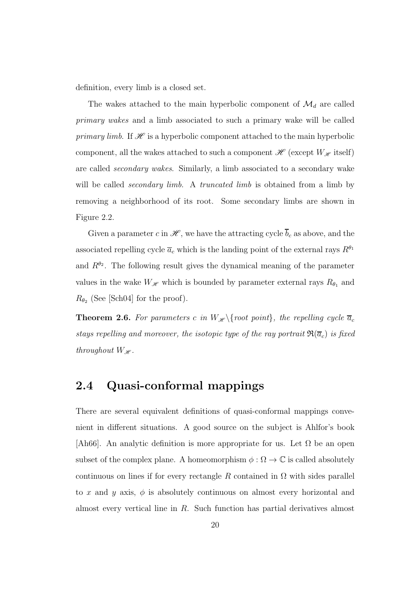definition, every limb is a closed set.

The wakes attached to the main hyperbolic component of  $\mathcal{M}_d$  are called primary wakes and a limb associated to such a primary wake will be called primary limb. If  $\mathcal H$  is a hyperbolic component attached to the main hyperbolic component, all the wakes attached to such a component  $\mathscr{H}$  (except  $W_{\mathscr{H}}$  itself) are called secondary wakes. Similarly, a limb associated to a secondary wake will be called *secondary limb*. A *truncated limb* is obtained from a limb by removing a neighborhood of its root. Some secondary limbs are shown in Figure 2.2.

Given a parameter c in  $\mathscr{H}$ , we have the attracting cycle  $\overline{b}_c$  as above, and the associated repelling cycle  $\overline{a}_c$  which is the landing point of the external rays  $R^{\theta_1}$ and  $R^{\theta_2}$ . The following result gives the dynamical meaning of the parameter values in the wake  $W_{\mathscr{H}}$  which is bounded by parameter external rays  $R_{\theta_1}$  and  $R_{\theta_2}$  (See [Sch04] for the proof).

**Theorem 2.6.** For parameters c in  $W_{\mathscr{H}}\backslash\{\text{root point}\}$ , the repelling cycle  $\overline{a}_c$ stays repelling and moreover, the isotopic type of the ray portrait  $\Re(\overline{a}_c)$  is fixed throughout  $W_{\mathscr{H}}$ .

### 2.4 Quasi-conformal mappings

There are several equivalent definitions of quasi-conformal mappings convenient in different situations. A good source on the subject is Ahlfor's book [Ah66]. An analytic definition is more appropriate for us. Let  $\Omega$  be an open subset of the complex plane. A homeomorphism  $\phi:\Omega\to\mathbb{C}$  is called absolutely continuous on lines if for every rectangle R contained in  $\Omega$  with sides parallel to x and y axis,  $\phi$  is absolutely continuous on almost every horizontal and almost every vertical line in R. Such function has partial derivatives almost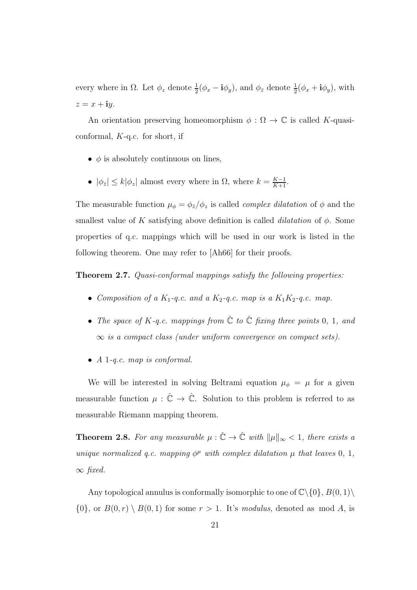every where in  $\Omega$ . Let  $\phi_z$  denote  $\frac{1}{2}(\phi_x - \mathbf{i}\phi_y)$ , and  $\phi_{\bar{z}}$  denote  $\frac{1}{2}(\phi_x + \mathbf{i}\phi_y)$ , with  $z = x + iy$ .

An orientation preserving homeomorphism  $\phi : \Omega \to \mathbb{C}$  is called K-quasiconformal, K-q.c. for short, if

- $\phi$  is absolutely continuous on lines,
- $|\phi_{\bar{z}}| \le k |\phi_z|$  almost every where in  $\Omega$ , where  $k = \frac{K-1}{K+1}$ .

The measurable function  $\mu_{\phi} = \phi_{\bar{z}}/\phi_z$  is called *complex dilatation* of  $\phi$  and the smallest value of K satisfying above definition is called *dilatation* of  $\phi$ . Some properties of q.c. mappings which will be used in our work is listed in the following theorem. One may refer to [Ah66] for their proofs.

Theorem 2.7. Quasi-conformal mappings satisfy the following properties:

- Composition of a  $K_1$ -q.c. and a  $K_2$ -q.c. map is a  $K_1K_2$ -q.c. map.
- The space of K-q.c. mappings from  $\hat{\mathbb{C}}$  to  $\hat{\mathbb{C}}$  fixing three points 0, 1, and  $\infty$  is a compact class (under uniform convergence on compact sets).
- $A$  1-q.c. map is conformal.

We will be interested in solving Beltrami equation  $\mu_{\phi} = \mu$  for a given measurable function  $\mu : \hat{\mathbb{C}} \to \hat{\mathbb{C}}$ . Solution to this problem is referred to as measurable Riemann mapping theorem.

**Theorem 2.8.** For any measurable  $\mu : \hat{\mathbb{C}} \to \hat{\mathbb{C}}$  with  $\|\mu\|_{\infty} < 1$ , there exists a unique normalized q.c. mapping  $\phi^{\mu}$  with complex dilatation  $\mu$  that leaves 0, 1,  $∞$  fixed.

Any topological annulus is conformally isomorphic to one of  $\mathbb{C}\backslash\{0\}$ ,  $B(0,1)\backslash$  $\{0\}$ , or  $B(0,r) \setminus B(0,1)$  for some  $r > 1$ . It's modulus, denoted as mod A, is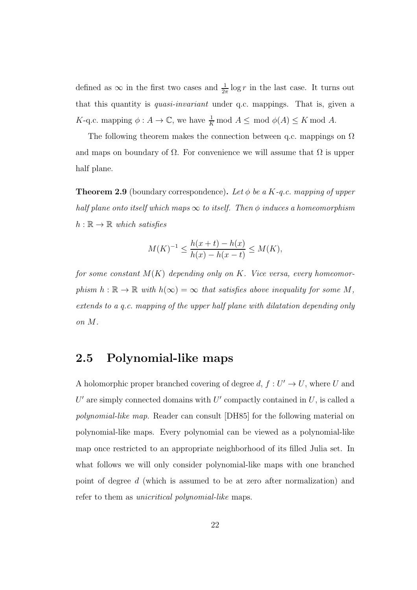defined as  $\infty$  in the first two cases and  $\frac{1}{2\pi} \log r$  in the last case. It turns out that this quantity is quasi-invariant under q.c. mappings. That is, given a K-q.c. mapping  $\phi: A \to \mathbb{C}$ , we have  $\frac{1}{K} \text{ mod } A \le \text{ mod } \phi(A) \le K \text{ mod } A$ .

The following theorem makes the connection between q.c. mappings on  $\Omega$ and maps on boundary of  $\Omega$ . For convenience we will assume that  $\Omega$  is upper half plane.

**Theorem 2.9** (boundary correspondence). Let  $\phi$  be a K-q.c. mapping of upper half plane onto itself which maps  $\infty$  to itself. Then  $\phi$  induces a homeomorphism  $h : \mathbb{R} \to \mathbb{R}$  which satisfies

$$
M(K)^{-1} \le \frac{h(x+t) - h(x)}{h(x) - h(x-t)} \le M(K),
$$

for some constant  $M(K)$  depending only on K. Vice versa, every homeomorphism  $h : \mathbb{R} \to \mathbb{R}$  with  $h(\infty) = \infty$  that satisfies above inequality for some M, extends to a q.c. mapping of the upper half plane with dilatation depending only on M.

### 2.5 Polynomial-like maps

A holomorphic proper branched covering of degree  $d, f: U' \to U$ , where U and  $U'$  are simply connected domains with  $U'$  compactly contained in  $U$ , is called a polynomial-like map. Reader can consult [DH85] for the following material on polynomial-like maps. Every polynomial can be viewed as a polynomial-like map once restricted to an appropriate neighborhood of its filled Julia set. In what follows we will only consider polynomial-like maps with one branched point of degree d (which is assumed to be at zero after normalization) and refer to them as *unicritical polynomial-like* maps.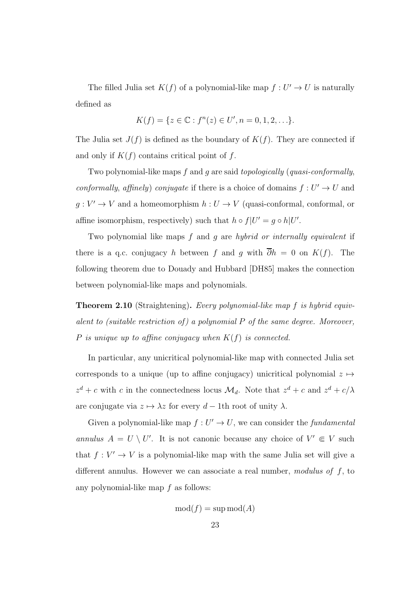The filled Julia set  $K(f)$  of a polynomial-like map  $f: U' \to U$  is naturally defined as

$$
K(f) = \{ z \in \mathbb{C} : f^{n}(z) \in U', n = 0, 1, 2, \ldots \}.
$$

The Julia set  $J(f)$  is defined as the boundary of  $K(f)$ . They are connected if and only if  $K(f)$  contains critical point of f.

Two polynomial-like maps f and g are said topologically (quasi-conformally, conformally, affinely) conjugate if there is a choice of domains  $f: U' \to U$  and  $g: V' \to V$  and a homeomorphism  $h: U \to V$  (quasi-conformal, conformal, or affine isomorphism, respectively) such that  $h \circ f|U' = g \circ h|U'$ .

Two polynomial like maps f and g are hybrid or internally equivalent if there is a q.c. conjugacy h between f and g with  $\overline{\partial}h = 0$  on  $K(f)$ . The following theorem due to Douady and Hubbard [DH85] makes the connection between polynomial-like maps and polynomials.

**Theorem 2.10** (Straightening). Every polynomial-like map f is hybrid equivalent to (suitable restriction of) a polynomial  $P$  of the same degree. Moreover, P is unique up to affine conjugacy when  $K(f)$  is connected.

In particular, any unicritical polynomial-like map with connected Julia set corresponds to a unique (up to affine conjugacy) unicritical polynomial  $z \mapsto$  $z^d + c$  with c in the connectedness locus  $\mathcal{M}_d$ . Note that  $z^d + c$  and  $z^d + c/\lambda$ are conjugate via  $z \mapsto \lambda z$  for every d – 1th root of unity  $\lambda$ .

Given a polynomial-like map  $f: U' \to U$ , we can consider the *fundamental* annulus  $A = U \setminus U'$ . It is not canonic because any choice of  $V' \in V$  such that  $f: V' \to V$  is a polynomial-like map with the same Julia set will give a different annulus. However we can associate a real number, modulus of  $f$ , to any polynomial-like map f as follows:

$$
\mathrm{mod}(f) = \mathrm{sup}\,\mathrm{mod}(A)
$$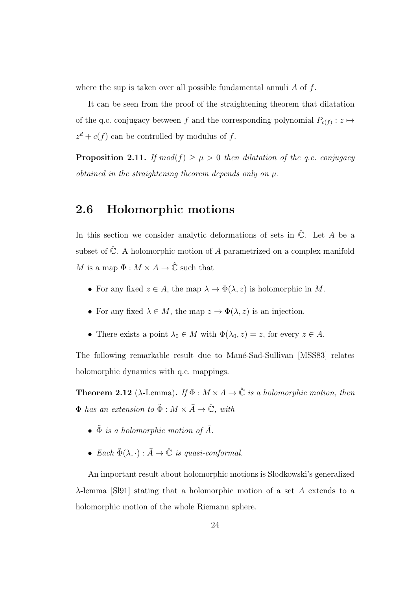where the sup is taken over all possible fundamental annuli  $A$  of  $f$ .

It can be seen from the proof of the straightening theorem that dilatation of the q.c. conjugacy between  $f$  and the corresponding polynomial  $P_{c(f)}: z \mapsto$  $z<sup>d</sup> + c(f)$  can be controlled by modulus of f.

**Proposition 2.11.** If  $mod(f) \ge \mu > 0$  then dilatation of the q.c. conjugacy obtained in the straightening theorem depends only on  $\mu$ .

#### 2.6 Holomorphic motions

In this section we consider analytic deformations of sets in  $\hat{\mathbb{C}}$ . Let A be a subset of  $\hat{\mathbb{C}}$ . A holomorphic motion of A parametrized on a complex manifold  $M$  is a map  $\Phi:M\times A\rightarrow \hat{\mathbb{C}}$  such that

- For any fixed  $z \in A$ , the map  $\lambda \to \Phi(\lambda, z)$  is holomorphic in M.
- For any fixed  $\lambda \in M$ , the map  $z \to \Phi(\lambda, z)$  is an injection.
- There exists a point  $\lambda_0 \in M$  with  $\Phi(\lambda_0, z) = z$ , for every  $z \in A$ .

The following remarkable result due to Mané-Sad-Sullivan [MSS83] relates holomorphic dynamics with q.c. mappings.

**Theorem 2.12** ( $\lambda$ -Lemma). If  $\Phi : M \times A \rightarrow \hat{\mathbb{C}}$  is a holomorphic motion, then  $\Phi$  has an extension to  $\tilde{\Phi}: M \times \bar{A} \to \hat{\mathbb{C}}$ , with

- $\tilde{\Phi}$  is a holomorphic motion of  $\bar{A}$ .
- Each  $\tilde{\Phi}(\lambda, \cdot) : \overline{A} \to \hat{\mathbb{C}}$  is quasi-conformal.

An important result about holomorphic motions is Slodkowski's generalized  $\lambda$ -lemma [Sl91] stating that a holomorphic motion of a set A extends to a holomorphic motion of the whole Riemann sphere.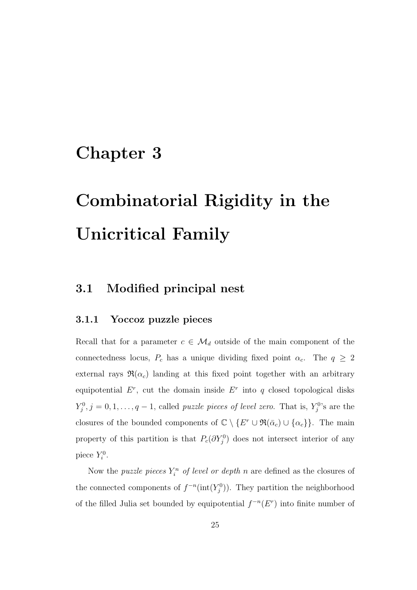### Chapter 3

# Combinatorial Rigidity in the Unicritical Family

### 3.1 Modified principal nest

#### 3.1.1 Yoccoz puzzle pieces

Recall that for a parameter  $c \in \mathcal{M}_d$  outside of the main component of the connectedness locus,  $P_c$  has a unique dividing fixed point  $\alpha_c$ . The  $q \geq 2$ external rays  $\Re(\alpha_c)$  landing at this fixed point together with an arbitrary equipotential  $E^r$ , cut the domain inside  $E^r$  into q closed topological disks  $Y_j^0, j = 0, 1, \ldots, q-1$ , called *puzzle pieces of level zero*. That is,  $Y_j^0$ 's are the closures of the bounded components of  $\mathbb{C} \setminus \{E^r \cup \Re(\bar{\alpha}_c) \cup \{\alpha_c\}\}\.$  The main property of this partition is that  $P_c(\partial Y_j^0)$  does not intersect interior of any piece  $Y_i^0$ .

Now the *puzzle pieces*  $Y_i^n$  of level or depth n are defined as the closures of the connected components of  $f^{-n}(\text{int}(Y_j^0))$ . They partition the neighborhood of the filled Julia set bounded by equipotential  $f^{-n}(E^r)$  into finite number of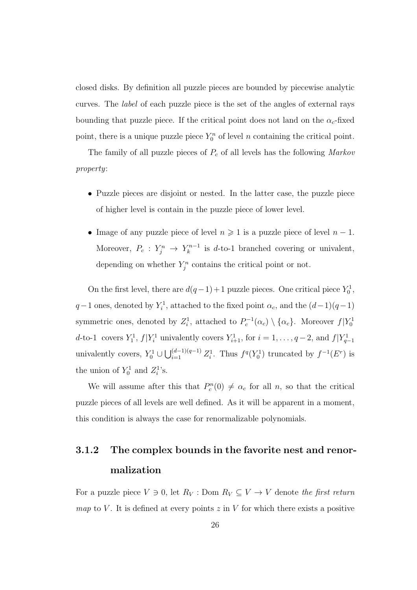closed disks. By definition all puzzle pieces are bounded by piecewise analytic curves. The label of each puzzle piece is the set of the angles of external rays bounding that puzzle piece. If the critical point does not land on the  $\alpha_c$ -fixed point, there is a unique puzzle piece  $Y_0^n$  of level n containing the critical point.

The family of all puzzle pieces of  $P_c$  of all levels has the following *Markov* property:

- Puzzle pieces are disjoint or nested. In the latter case, the puzzle piece of higher level is contain in the puzzle piece of lower level.
- Image of any puzzle piece of level  $n \geq 1$  is a puzzle piece of level  $n-1$ . Moreover,  $P_c: Y_j^n \to Y_k^{n-1}$  is d-to-1 branched covering or univalent, depending on whether  $Y_j^n$  contains the critical point or not.

On the first level, there are  $d(q-1)+1$  puzzle pieces. One critical piece  $Y_0^1$ ,  $q-1$  ones, denoted by  $Y_i^1$ , attached to the fixed point  $\alpha_c$ , and the  $(d-1)(q-1)$ symmetric ones, denoted by  $Z_i^1$ , attached to  $P_c^{-1}(\alpha_c) \setminus {\alpha_c}$ . Moreover  $f|Y_0^1$ d-to-1 covers  $Y_1^1$ ,  $f|Y_i^1$  univalently covers  $Y_{i+1}^1$ , for  $i = 1, \ldots, q-2$ , and  $f|Y_{q-1}^1$ univalently covers,  $Y_0^1 \cup \bigcup_{i=1}^{(d-1)(q-1)} Z_i^1$ . Thus  $f^q(Y_0^1)$  truncated by  $f^{-1}(E^r)$  is the union of  $Y_0^1$  and  $Z_i^1$ 's.

We will assume after this that  $P_c^n(0) \neq \alpha_c$  for all n, so that the critical puzzle pieces of all levels are well defined. As it will be apparent in a moment, this condition is always the case for renormalizable polynomials.

### 3.1.2 The complex bounds in the favorite nest and renormalization

For a puzzle piece  $V \ni 0$ , let  $R_V :$  Dom  $R_V \subseteq V \rightarrow V$  denote the first return map to  $V$ . It is defined at every points  $z$  in  $V$  for which there exists a positive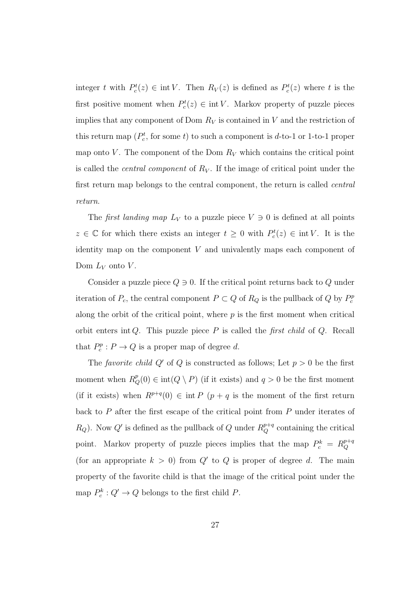integer t with  $P_c^t(z) \in \text{int } V$ . Then  $R_V(z)$  is defined as  $P_c^t(z)$  where t is the first positive moment when  $P_c^t(z) \in \text{int } V$ . Markov property of puzzle pieces implies that any component of Dom  $R_V$  is contained in V and the restriction of this return map  $(P_c^t, \text{ for some } t)$  to such a component is d-to-1 or 1-to-1 proper map onto V. The component of the Dom  $R_V$  which contains the critical point is called the *central component* of  $R_V$ . If the image of critical point under the first return map belongs to the central component, the return is called central return.

The first landing map  $L_V$  to a puzzle piece  $V \ni 0$  is defined at all points  $z \in \mathbb{C}$  for which there exists an integer  $t \geq 0$  with  $P_c^t(z) \in \text{int } V$ . It is the identity map on the component V and univalently maps each component of Dom  $L_V$  onto  $V$ .

Consider a puzzle piece  $Q \ni 0$ . If the critical point returns back to Q under iteration of  $P_c$ , the central component  $P \subset Q$  of  $R_Q$  is the pullback of  $Q$  by  $P_c^p$ along the orbit of the critical point, where  $p$  is the first moment when critical orbit enters int  $Q$ . This puzzle piece  $P$  is called the *first child* of  $Q$ . Recall that  $P_c^p : P \to Q$  is a proper map of degree d.

The favorite child  $Q'$  of  $Q$  is constructed as follows; Let  $p > 0$  be the first moment when  $R_Q^p(0) \in \text{int}(Q \setminus P)$  (if it exists) and  $q > 0$  be the first moment (if it exists) when  $R^{p+q}(0) \in \text{int } P (p+q)$  is the moment of the first return back to P after the first escape of the critical point from P under iterates of  $R_Q$ ). Now  $Q'$  is defined as the pullback of  $Q$  under  $R_Q^{p+q}$  containing the critical point. Markov property of puzzle pieces implies that the map  $P_c^k = R_Q^{p+q}$ Q (for an appropriate  $k > 0$ ) from  $Q'$  to  $Q$  is proper of degree d. The main property of the favorite child is that the image of the critical point under the map  $P_c^k: Q' \to Q$  belongs to the first child P.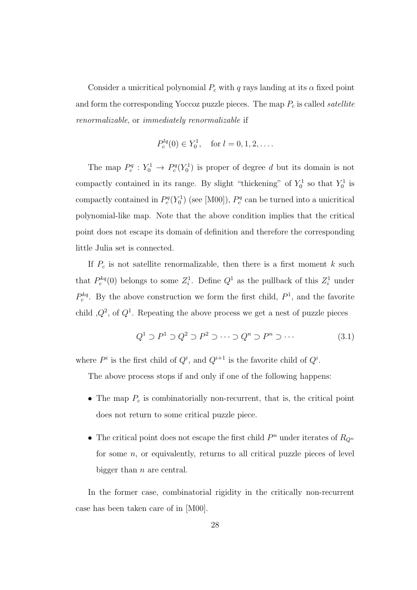Consider a unicritical polynomial  $P_c$  with q rays landing at its  $\alpha$  fixed point and form the corresponding Yoccoz puzzle pieces. The map  $P_c$  is called *satellite* renormalizable, or immediately renormalizable if

$$
P_c^{lq}(0) \in Y_0^1
$$
, for  $l = 0, 1, 2, ...$ 

The map  $P_c^q: Y_0^1 \to P_c^q(Y_0^1)$  is proper of degree d but its domain is not compactly contained in its range. By slight "thickening" of  $Y_0^1$  so that  $Y_0^1$  is compactly contained in  $P_c^q(Y_0^1)$  (see [M00]),  $P_c^q$  can be turned into a unicritical polynomial-like map. Note that the above condition implies that the critical point does not escape its domain of definition and therefore the corresponding little Julia set is connected.

If  $P_c$  is not satellite renormalizable, then there is a first moment k such that  $P_c^{kq}(0)$  belongs to some  $Z_i^1$ . Define  $Q^1$  as the pullback of this  $Z_i^1$  under  $P_c^{kq}$ . By the above construction we form the first child,  $P<sup>1</sup>$ , and the favorite child  $Q^2$ , of  $Q^1$ . Repeating the above process we get a nest of puzzle pieces

$$
Q^1 \supset P^1 \supset Q^2 \supset P^2 \supset \cdots \supset Q^n \supset P^n \supset \cdots \tag{3.1}
$$

where  $P^i$  is the first child of  $Q^i$ , and  $Q^{i+1}$  is the favorite child of  $Q^i$ .

The above process stops if and only if one of the following happens:

- The map  $P_c$  is combinatorially non-recurrent, that is, the critical point does not return to some critical puzzle piece.
- The critical point does not escape the first child  $P^n$  under iterates of  $R_{Q^n}$ for some  $n$ , or equivalently, returns to all critical puzzle pieces of level bigger than  $n$  are central.

In the former case, combinatorial rigidity in the critically non-recurrent case has been taken care of in [M00].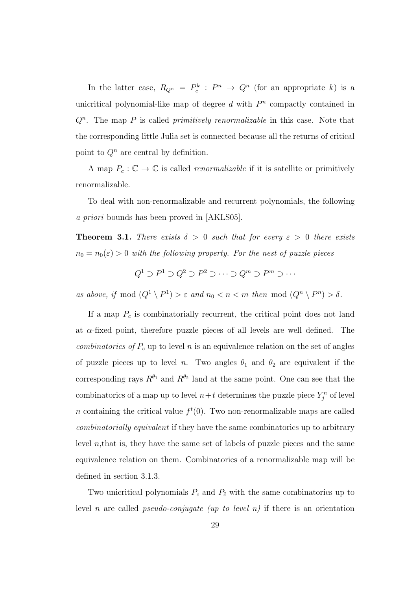In the latter case,  $R_{Q^n} = P_c^k : P^n \to Q^n$  (for an appropriate k) is a unicritical polynomial-like map of degree  $d$  with  $P<sup>n</sup>$  compactly contained in  $Q<sup>n</sup>$ . The map P is called *primitively renormalizable* in this case. Note that the corresponding little Julia set is connected because all the returns of critical point to  $Q^n$  are central by definition.

A map  $P_c : \mathbb{C} \to \mathbb{C}$  is called *renormalizable* if it is satellite or primitively renormalizable.

To deal with non-renormalizable and recurrent polynomials, the following a priori bounds has been proved in [AKLS05].

**Theorem 3.1.** There exists  $\delta > 0$  such that for every  $\varepsilon > 0$  there exists  $n_0 = n_0(\varepsilon) > 0$  with the following property. For the nest of puzzle pieces

$$
Q^1 \supset P^1 \supset Q^2 \supset P^2 \supset \cdots \supset Q^m \supset P^m \supset \cdots
$$

as above, if mod  $(Q^1 \setminus P^1) > \varepsilon$  and  $n_0 < n < m$  then mod  $(Q^n \setminus P^n) > \delta$ .

If a map  $P_c$  is combinatorially recurrent, the critical point does not land at  $\alpha$ -fixed point, therefore puzzle pieces of all levels are well defined. The *combinatorics of*  $P_c$  up to level n is an equivalence relation on the set of angles of puzzle pieces up to level *n*. Two angles  $\theta_1$  and  $\theta_2$  are equivalent if the corresponding rays  $R^{\theta_1}$  and  $R^{\theta_2}$  land at the same point. One can see that the combinatorics of a map up to level  $n+t$  determines the puzzle piece  $Y_j^n$  of level *n* containing the critical value  $f<sup>t</sup>(0)$ . Two non-renormalizable maps are called combinatorially equivalent if they have the same combinatorics up to arbitrary level  $n$ , that is, they have the same set of labels of puzzle pieces and the same equivalence relation on them. Combinatorics of a renormalizable map will be defined in section 3.1.3.

Two unicritical polynomials  $P_c$  and  $P_{\tilde{c}}$  with the same combinatorics up to level n are called *pseudo-conjugate* (up to level n) if there is an orientation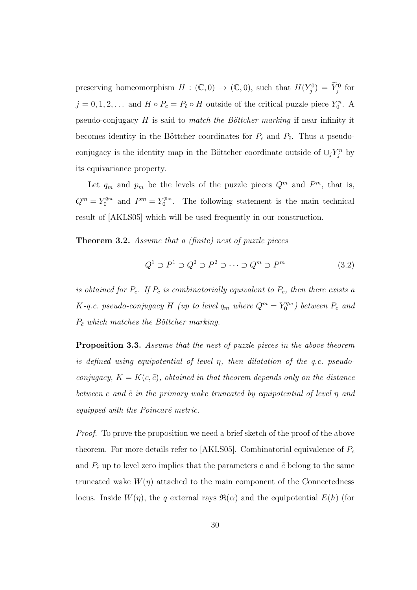preserving homeomorphism  $H : (\mathbb{C},0) \to (\mathbb{C},0)$ , such that  $H(Y_j^0) = Y_j^0$  for  $j = 0, 1, 2, \dots$  and  $H \circ P_c = P_{\tilde{c}} \circ H$  outside of the critical puzzle piece  $Y_0^n$ . A pseudo-conjugacy  $H$  is said to match the Böttcher marking if near infinity it becomes identity in the Böttcher coordinates for  $P_c$  and  $P_{\tilde{c}}$ . Thus a pseudoconjugacy is the identity map in the Böttcher coordinate outside of  $\cup_j Y_j^n$  by its equivariance property.

Let  $q_m$  and  $p_m$  be the levels of the puzzle pieces  $Q^m$  and  $P^m$ , that is,  $Q^m = Y_0^{q_m}$  and  $P^m = Y_0^{p_m}$  $\zeta_0^{p_m}$ . The following statement is the main technical result of [AKLS05] which will be used frequently in our construction.

Theorem 3.2. Assume that a (finite) nest of puzzle pieces

$$
Q^1 \supset P^1 \supset Q^2 \supset P^2 \supset \cdots \supset Q^m \supset P^m \tag{3.2}
$$

is obtained for  $P_c$ . If  $P_{\tilde{c}}$  is combinatorially equivalent to  $P_c$ , then there exists a K-q.c. pseudo-conjugacy H (up to level  $q_m$  where  $Q^m = Y_0^{q_m}$  $\binom{q_m}{0}$  between  $P_c$  and  $P_{\tilde{c}}$  which matches the Böttcher marking.

Proposition 3.3. Assume that the nest of puzzle pieces in the above theorem is defined using equipotential of level  $\eta$ , then dilatation of the q.c. pseudoconjugacy,  $K = K(c, \tilde{c})$ , obtained in that theorem depends only on the distance between c and  $\tilde{c}$  in the primary wake truncated by equipotential of level  $\eta$  and equipped with the Poincaré metric.

*Proof.* To prove the proposition we need a brief sketch of the proof of the above theorem. For more details refer to [AKLS05]. Combinatorial equivalence of  $P_c$ and  $P_{\tilde{c}}$  up to level zero implies that the parameters c and  $\tilde{c}$  belong to the same truncated wake  $W(\eta)$  attached to the main component of the Connectedness locus. Inside  $W(\eta)$ , the q external rays  $\Re(\alpha)$  and the equipotential  $E(h)$  (for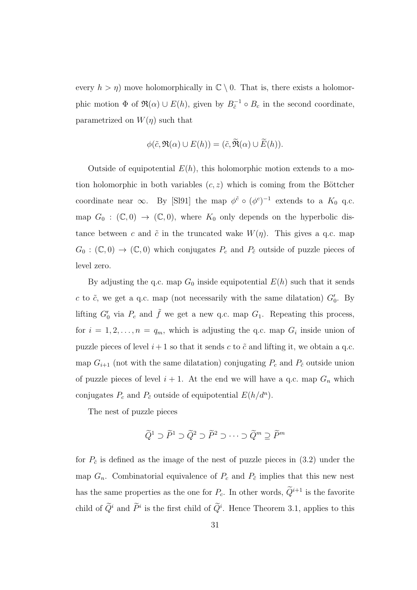every  $h > \eta$ ) move holomorphically in  $\mathbb{C} \setminus 0$ . That is, there exists a holomorphic motion  $\Phi$  of  $\Re(\alpha) \cup E(h)$ , given by  $B_{\tilde{c}}^{-1} \circ B_c$  in the second coordinate, parametrized on  $W(\eta)$  such that

$$
\phi(\tilde{c}, \mathfrak{R}(\alpha) \cup E(h)) = (\tilde{c}, \tilde{\mathfrak{R}}(\alpha) \cup \tilde{E}(h)).
$$

Outside of equipotential  $E(h)$ , this holomorphic motion extends to a motion holomorphic in both variables  $(c, z)$  which is coming from the Böttcher coordinate near  $\infty$ . By [S191] the map  $\phi^{\tilde{c}} \circ (\phi^c)^{-1}$  extends to a  $K_0$  q.c. map  $G_0 : (\mathbb{C},0) \to (\mathbb{C},0)$ , where  $K_0$  only depends on the hyperbolic distance between c and  $\tilde{c}$  in the truncated wake  $W(\eta)$ . This gives a q.c. map  $G_0 : (\mathbb{C},0) \to (\mathbb{C},0)$  which conjugates  $P_c$  and  $P_{\tilde{c}}$  outside of puzzle pieces of level zero.

By adjusting the q.c. map  $G_0$  inside equipotential  $E(h)$  such that it sends c to  $\tilde{c}$ , we get a q.c. map (not necessarily with the same dilatation)  $G'_0$ . By lifting  $G'_0$  via  $P_c$  and  $\tilde{f}$  we get a new q.c. map  $G_1$ . Repeating this process, for  $i = 1, 2, \ldots, n = q_m$ , which is adjusting the q.c. map  $G_i$  inside union of puzzle pieces of level  $i+1$  so that it sends c to  $\tilde{c}$  and lifting it, we obtain a q.c. map  $G_{i+1}$  (not with the same dilatation) conjugating  $P_c$  and  $P_{\tilde{c}}$  outside union of puzzle pieces of level  $i + 1$ . At the end we will have a q.c. map  $G_n$  which conjugates  $P_c$  and  $P_{\tilde{c}}$  outside of equipotential  $E(h/d^n)$ .

The nest of puzzle pieces

$$
\widetilde{Q}^1 \supset \widetilde{P}^1 \supset \widetilde{Q}^2 \supset \widetilde{P}^2 \supset \cdots \supset \widetilde{Q}^m \supseteq \widetilde{P}^m
$$

for  $P_{\tilde{c}}$  is defined as the image of the nest of puzzle pieces in (3.2) under the map  $G_n$ . Combinatorial equivalence of  $P_c$  and  $P_{\tilde{c}}$  implies that this new nest has the same properties as the one for  $P_c$ . In other words,  $\widetilde{Q}^{i+1}$  is the favorite child of  $\tilde{Q}^i$  and  $\tilde{P}^i$  is the first child of  $\tilde{Q}^i$ . Hence Theorem 3.1, applies to this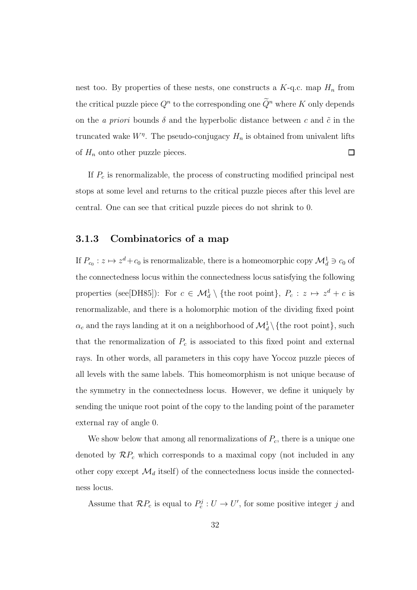nest too. By properties of these nests, one constructs a  $K$ -q.c. map  $H_n$  from the critical puzzle piece  $Q^n$  to the corresponding one  $\tilde{Q}^n$  where K only depends on the *a priori* bounds  $\delta$  and the hyperbolic distance between c and  $\tilde{c}$  in the truncated wake  $W^{\eta}$ . The pseudo-conjugacy  $H_n$  is obtained from univalent lifts of  $H_n$  onto other puzzle pieces.  $\Box$ 

If  $P_c$  is renormalizable, the process of constructing modified principal nest stops at some level and returns to the critical puzzle pieces after this level are central. One can see that critical puzzle pieces do not shrink to 0.

# 3.1.3 Combinatorics of a map

If  $P_{c_0}: z \mapsto z^d + c_0$  is renormalizable, there is a homeomorphic copy  $\mathcal{M}_d^1 \ni c_0$  of the connectedness locus within the connectedness locus satisfying the following properties (see[DH85]): For  $c \in \mathcal{M}_d^1 \setminus \{\text{the root point}\}, P_c : z \mapsto z^d + c \text{ is }$ renormalizable, and there is a holomorphic motion of the dividing fixed point  $\alpha_c$  and the rays landing at it on a neighborhood of  $\mathcal{M}_d^1 \setminus \{\text{the root point}\},\text{such}$ that the renormalization of  $P_c$  is associated to this fixed point and external rays. In other words, all parameters in this copy have Yoccoz puzzle pieces of all levels with the same labels. This homeomorphism is not unique because of the symmetry in the connectedness locus. However, we define it uniquely by sending the unique root point of the copy to the landing point of the parameter external ray of angle 0.

We show below that among all renormalizations of  $P_c$ , there is a unique one denoted by  $\mathcal{R}P_c$  which corresponds to a maximal copy (not included in any other copy except  $\mathcal{M}_d$  itself) of the connectedness locus inside the connectedness locus.

Assume that  $\mathcal{R}P_c$  is equal to  $P_c^j: U \to U'$ , for some positive integer j and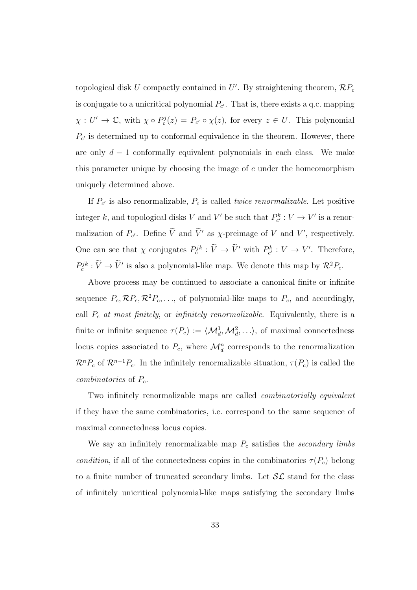topological disk U compactly contained in U'. By straightening theorem,  $\mathcal{R}P_c$ is conjugate to a unicritical polynomial  $P_{c'}$ . That is, there exists a q.c. mapping  $\chi: U' \to \mathbb{C}$ , with  $\chi \circ P_c^j(z) = P_{c'} \circ \chi(z)$ , for every  $z \in U$ . This polynomial  $P_{c'}$  is determined up to conformal equivalence in the theorem. However, there are only  $d-1$  conformally equivalent polynomials in each class. We make this parameter unique by choosing the image of  $c$  under the homeomorphism uniquely determined above.

If  $P_{c'}$  is also renormalizable,  $P_{c}$  is called *twice renormalizable*. Let positive integer k, and topological disks V and V' be such that  $P_{c'}^k : V \to V'$  is a renormalization of  $P_{c'}$ . Define V and V' as  $\chi$ -preimage of V and V', respectively. One can see that  $\chi$  conjugates  $P_c^{jk} : V \to V'$  with  $P_{c'}^k : V \to V'$ . Therefore,  $P_c^{jk}: V \to V'$  is also a polynomial-like map. We denote this map by  $\mathcal{R}^2 P_c$ .

Above process may be continued to associate a canonical finite or infinite sequence  $P_c, \mathcal{R}P_c, \mathcal{R}^2P_c, \ldots$ , of polynomial-like maps to  $P_c$ , and accordingly, call  $P_c$  at most finitely, or infinitely renormalizable. Equivalently, there is a finite or infinite sequence  $\tau(P_c) := \langle \mathcal{M}_d^1, \mathcal{M}_d^2, \ldots \rangle$ , of maximal connectedness locus copies associated to  $P_c$ , where  $\mathcal{M}_d^n$  corresponds to the renormalization  $\mathcal{R}^n P_c$  of  $\mathcal{R}^{n-1} P_c$ . In the infinitely renormalizable situation,  $\tau(P_c)$  is called the combinatorics of  $P_c$ .

Two infinitely renormalizable maps are called combinatorially equivalent if they have the same combinatorics, i.e. correspond to the same sequence of maximal connectedness locus copies.

We say an infinitely renormalizable map  $P_c$  satisfies the secondary limbs condition, if all of the connectedness copies in the combinatorics  $\tau(P_c)$  belong to a finite number of truncated secondary limbs. Let  $\mathcal{SL}$  stand for the class of infinitely unicritical polynomial-like maps satisfying the secondary limbs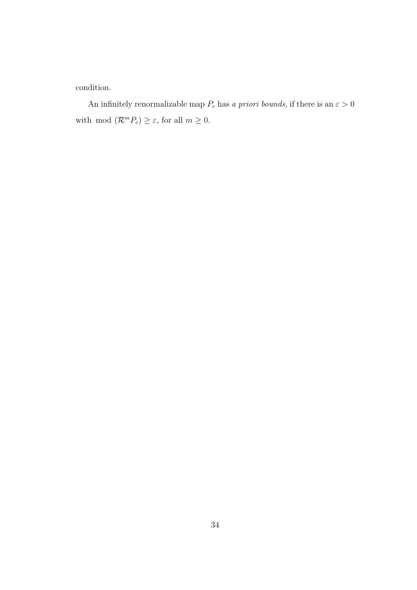condition.

An infinitely renormalizable map  $P_c$  has a priori bounds, if there is an  $\varepsilon > 0$ with mod  $(\mathcal{R}^m P_c) \geq \varepsilon$ , for all  $m \geq 0$ .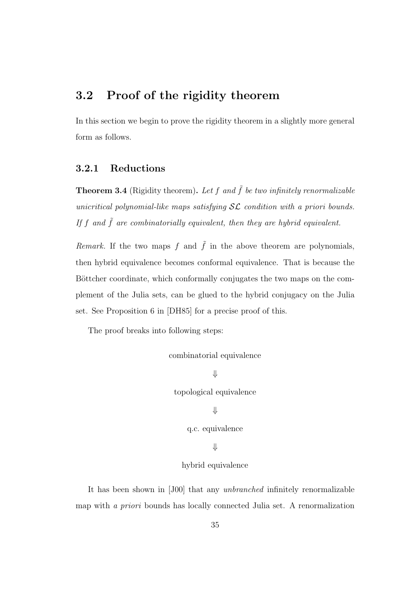# 3.2 Proof of the rigidity theorem

In this section we begin to prove the rigidity theorem in a slightly more general form as follows.

# 3.2.1 Reductions

**Theorem 3.4** (Rigidity theorem). Let f and  $\tilde{f}$  be two infinitely renormalizable unicritical polynomial-like maps satisfying  $\mathcal{SL}$  condition with a priori bounds. If f and  $\tilde{f}$  are combinatorially equivalent, then they are hybrid equivalent.

Remark. If the two maps f and  $\tilde{f}$  in the above theorem are polynomials, then hybrid equivalence becomes conformal equivalence. That is because the Böttcher coordinate, which conformally conjugates the two maps on the complement of the Julia sets, can be glued to the hybrid conjugacy on the Julia set. See Proposition 6 in [DH85] for a precise proof of this.

The proof breaks into following steps:

combinatorial equivalence

⇓

topological equivalence

⇓

q.c. equivalence

### ⇓

#### hybrid equivalence

It has been shown in [J00] that any unbranched infinitely renormalizable map with a priori bounds has locally connected Julia set. A renormalization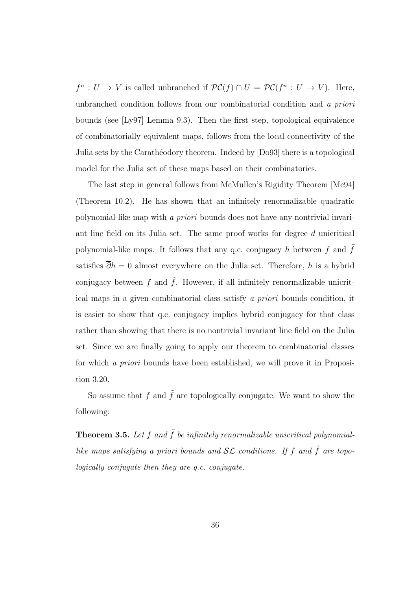$f^n: U \to V$  is called unbranched if  $\mathcal{PC}(f) \cap U = \mathcal{PC}(f^n: U \to V)$ . Here, unbranched condition follows from our combinatorial condition and a priori bounds (see [Ly97] Lemma 9.3). Then the first step, topological equivalence of combinatorially equivalent maps, follows from the local connectivity of the Julia sets by the Carath´eodory theorem. Indeed by [Do93] there is a topological model for the Julia set of these maps based on their combinatorics.

The last step in general follows from McMullen's Rigidity Theorem [Mc94] (Theorem 10.2). He has shown that an infinitely renormalizable quadratic polynomial-like map with a priori bounds does not have any nontrivial invariant line field on its Julia set. The same proof works for degree d unicritical polynomial-like maps. It follows that any q.c. conjugacy h between f and f satisfies  $\overline{\partial}h = 0$  almost everywhere on the Julia set. Therefore, h is a hybrid conjugacy between f and  $\tilde{f}$ . However, if all infinitely renormalizable unicritical maps in a given combinatorial class satisfy a priori bounds condition, it is easier to show that q.c. conjugacy implies hybrid conjugacy for that class rather than showing that there is no nontrivial invariant line field on the Julia set. Since we are finally going to apply our theorem to combinatorial classes for which a priori bounds have been established, we will prove it in Proposition 3.20.

So assume that  $f$  and  $\tilde{f}$  are topologically conjugate. We want to show the following:

**Theorem 3.5.** Let  $f$  and  $\tilde{f}$  be infinitely renormalizable unicritical polynomiallike maps satisfying a priori bounds and  $\mathcal{SL}$  conditions. If f and  $\tilde{f}$  are topologically conjugate then they are q.c. conjugate.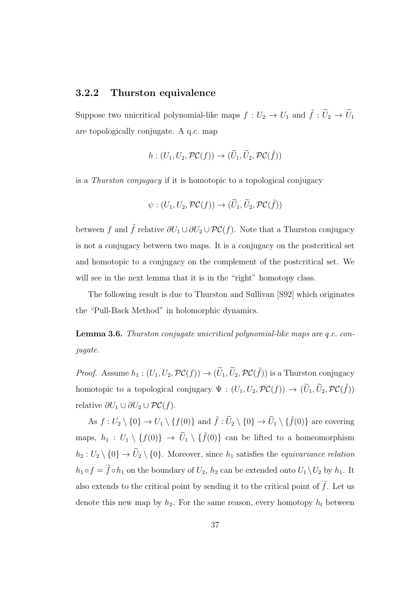#### 3.2.2 Thurston equivalence

Suppose two unicritical polynomial-like maps  $f:U_2\to U_1$  and  $\tilde f:\tilde U_2\to \tilde U_1$ are topologically conjugate. A q.c. map

$$
h:(U_1,U_2,\mathcal{PC}(f))\to(\widetilde{U}_1,\widetilde{U}_2,\mathcal{PC}(\widetilde{f}))
$$

is a Thurston conjugacy if it is homotopic to a topological conjugacy

$$
\psi : (U_1, U_2, \mathcal{PC}(f)) \to (\widetilde{U}_1, \widetilde{U}_2, \mathcal{PC}(\widetilde{f}))
$$

between f and  $\tilde{f}$  relative  $\partial U_1 \cup \partial U_2 \cup \mathcal{PC}(f)$ . Note that a Thurston conjugacy is not a conjugacy between two maps. It is a conjugacy on the postcritical set and homotopic to a conjugacy on the complement of the postcritical set. We will see in the next lemma that it is in the "right" homotopy class.

The following result is due to Thurston and Sullivan [S92] which originates the "Pull-Back Method" in holomorphic dynamics.

Lemma 3.6. Thurston conjugate unicritical polynomial-like maps are g.c. conjugate.

*Proof.* Assume  $h_1: (U_1, U_2, \mathcal{PC}(f)) \to (\widetilde{U}_1, \widetilde{U}_2, \mathcal{PC}(\widetilde{f}))$  is a Thurston conjugacy homotopic to a topological conjugacy  $\Psi : (U_1, U_2, \mathcal{PC}(f)) \to (\widetilde{U}_1, \widetilde{U}_2, \mathcal{PC}(\widetilde{f}))$ relative  $\partial U_1 \cup \partial U_2 \cup \mathcal{PC}(f)$ .

As  $f: U_2 \setminus \{0\} \to U_1 \setminus \{f(0)\}\$  and  $\tilde{f}: \tilde{U}_2 \setminus \{0\} \to \tilde{U}_1 \setminus \{\tilde{f}(0)\}\$  are covering maps,  $h_1 : U_1 \setminus \{f(0)\} \to \tilde{U}_1 \setminus \{\tilde{f}(0)\}$  can be lifted to a homeomorphism  $h_2 : U_2 \setminus \{0\} \to \widetilde{U}_2 \setminus \{0\}$ . Moreover, since  $h_1$  satisfies the *equivariance relation*  $h_1 \circ f = \tilde{f} \circ h_1$  on the boundary of  $U_2$ ,  $h_2$  can be extended onto  $U_1 \setminus U_2$  by  $h_1$ . It also extends to the critical point by sending it to the critical point of  $\tilde{f}$ . Let us denote this new map by  $h_2$ . For the same reason, every homotopy  $h_t$  between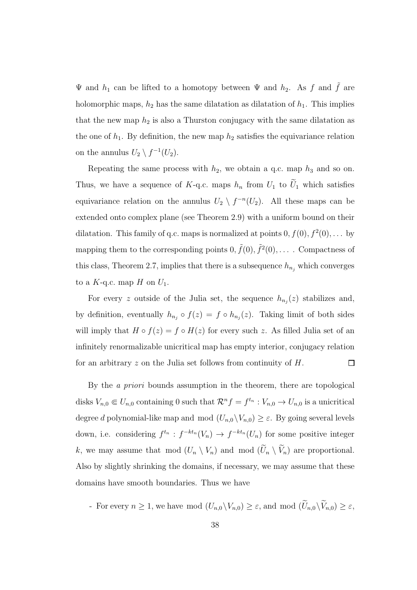Ψ and  $h_1$  can be lifted to a homotopy between Ψ and  $h_2$ . As f and  $\tilde{f}$  are holomorphic maps,  $h_2$  has the same dilatation as dilatation of  $h_1$ . This implies that the new map  $h_2$  is also a Thurston conjugacy with the same dilatation as the one of  $h_1$ . By definition, the new map  $h_2$  satisfies the equivariance relation on the annulus  $U_2 \setminus f^{-1}(U_2)$ .

Repeating the same process with  $h_2$ , we obtain a q.c. map  $h_3$  and so on. Thus, we have a sequence of K-q.c. maps  $h_n$  from  $U_1$  to  $\widetilde{U}_1$  which satisfies equivariance relation on the annulus  $U_2 \setminus f^{-n}(U_2)$ . All these maps can be extended onto complex plane (see Theorem 2.9) with a uniform bound on their dilatation. This family of q.c. maps is normalized at points  $0, f(0), f^2(0), \ldots$  by mapping them to the corresponding points  $0, \tilde{f}(0), \tilde{f}^2(0), \ldots$  . Compactness of this class, Theorem 2.7, implies that there is a subsequence  $h_{n_i}$  which converges to a  $K$ -q.c. map  $H$  on  $U_1$ .

For every z outside of the Julia set, the sequence  $h_{n_j}(z)$  stabilizes and, by definition, eventually  $h_{n_j} \circ f(z) = f \circ h_{n_j}(z)$ . Taking limit of both sides will imply that  $H \circ f(z) = f \circ H(z)$  for every such z. As filled Julia set of an infinitely renormalizable unicritical map has empty interior, conjugacy relation for an arbitrary z on the Julia set follows from continuity of H.  $\Box$ 

By the a priori bounds assumption in the theorem, there are topological disks  $V_{n,0} \n\t\in U_{n,0}$  containing 0 such that  $\mathcal{R}^n f = f^{t_n} : V_{n,0} \to U_{n,0}$  is a unicritical degree d polynomial-like map and mod  $(U_{n,0}\backslash V_{n,0}) \geq \varepsilon$ . By going several levels down, i.e. considering  $f^{t_n}: f^{-kt_n}(V_n) \to f^{-kt_n}(U_n)$  for some positive integer k, we may assume that mod  $(U_n \setminus V_n)$  and mod  $(\widetilde{U}_n \setminus \widetilde{V}_n)$  are proportional. Also by slightly shrinking the domains, if necessary, we may assume that these domains have smooth boundaries. Thus we have

- For every  $n \geq 1$ , we have mod  $(U_{n,0}\backslash V_{n,0}) \geq \varepsilon$ , and mod  $(\widetilde{U}_{n,0}\backslash \widetilde{V}_{n,0}) \geq \varepsilon$ ,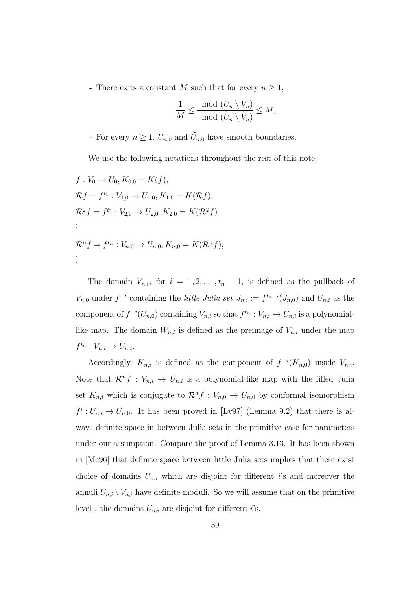- There exits a constant  $M$  such that for every  $n\geq 1,$ 

$$
\frac{1}{M} \le \frac{\text{mod } (U_n \setminus V_n)}{\text{mod } (\widetilde{U}_n \setminus \widetilde{V}_n)} \le M,
$$

- For every  $n \geq 1$ ,  $U_{n,0}$  and  $\widetilde{U}_{n,0}$  have smooth boundaries.

We use the following notations throughout the rest of this note.

$$
f: V_0 \to U_0, K_{0,0} = K(f),
$$
  
\n
$$
\mathcal{R}f = f^{t_1}: V_{1,0} \to U_{1,0}, K_{1,0} = K(\mathcal{R}f),
$$
  
\n
$$
\mathcal{R}^2f = f^{t_2}: V_{2,0} \to U_{2,0}, K_{2,0} = K(\mathcal{R}^2f),
$$
  
\n:  
\n:  
\n
$$
\mathcal{R}^nf = f^{t_n}: V_{n,0} \to U_{n,0}, K_{n,0} = K(\mathcal{R}^nf),
$$
  
\n:  
\n:

The domain  $V_{n,i}$ , for  $i = 1, 2, \ldots, t_n - 1$ , is defined as the pullback of  $V_{n,0}$  under  $f^{-i}$  containing the *little Julia set*  $J_{n,i} := f^{t_n-i}(J_{n,0})$  and  $U_{n,i}$  as the component of  $f^{-i}(U_{n,0})$  containing  $V_{n,i}$  so that  $f^{t_n}: V_{n,i} \to U_{n,i}$  is a polynomiallike map. The domain  $W_{n,i}$  is defined as the preimage of  $V_{n,i}$  under the map  $f^{t_n}: V_{n,i} \to U_{n,i}.$ 

Accordingly,  $K_{n,i}$  is defined as the component of  $f^{-i}(K_{n,0})$  inside  $V_{n,i}$ . Note that  $\mathcal{R}^n f : V_{n,i} \to U_{n,i}$  is a polynomial-like map with the filled Julia set  $K_{n,i}$  which is conjugate to  $\mathcal{R}^n f : V_{n,0} \to U_{n,0}$  by conformal isomorphism  $f^i: U_{n,i} \to U_{n,0}$ . It has been proved in [Ly97] (Lemma 9.2) that there is always definite space in between Julia sets in the primitive case for parameters under our assumption. Compare the proof of Lemma 3.13. It has been shown in [Mc96] that definite space between little Julia sets implies that there exist choice of domains  $U_{n,i}$  which are disjoint for different i's and moreover the annuli  $U_{n,i} \setminus V_{n,i}$  have definite moduli. So we will assume that on the primitive levels, the domains  $U_{n,i}$  are disjoint for different i's.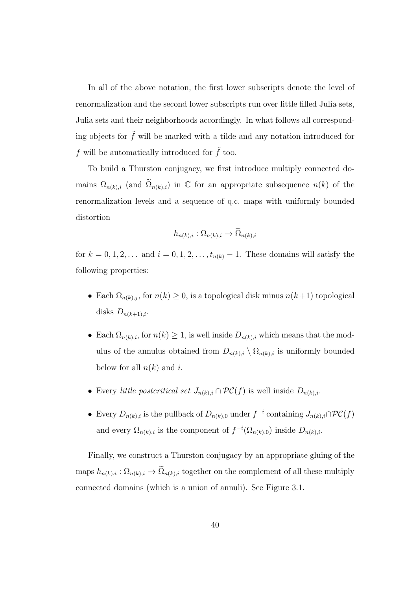In all of the above notation, the first lower subscripts denote the level of renormalization and the second lower subscripts run over little filled Julia sets, Julia sets and their neighborhoods accordingly. In what follows all corresponding objects for  $\tilde{f}$  will be marked with a tilde and any notation introduced for f will be automatically introduced for  $\tilde{f}$  too.

To build a Thurston conjugacy, we first introduce multiply connected domains  $\Omega_{n(k),i}$  (and  $\widetilde{\Omega}_{n(k),i}$ ) in C for an appropriate subsequence  $n(k)$  of the renormalization levels and a sequence of q.c. maps with uniformly bounded distortion

$$
h_{n(k),i}: \Omega_{n(k),i} \to \Omega_{n(k),i}
$$

for  $k = 0, 1, 2, \ldots$  and  $i = 0, 1, 2, \ldots, t_{n(k)} - 1$ . These domains will satisfy the following properties:

- Each  $\Omega_{n(k),j}$ , for  $n(k) \geq 0$ , is a topological disk minus  $n(k+1)$  topological disks  $D_{n(k+1),i}$ .
- Each  $\Omega_{n(k),i}$ , for  $n(k) \geq 1$ , is well inside  $D_{n(k),i}$  which means that the modulus of the annulus obtained from  $D_{n(k),i} \setminus \Omega_{n(k),i}$  is uniformly bounded below for all  $n(k)$  and i.
- Every little postcritical set  $J_{n(k),i} \cap \mathcal{PC}(f)$  is well inside  $D_{n(k),i}$ .
- Every  $D_{n(k),i}$  is the pullback of  $D_{n(k),0}$  under  $f^{-i}$  containing  $J_{n(k),i}\cap \mathcal{PC}(f)$ and every  $\Omega_{n(k),i}$  is the component of  $f^{-i}(\Omega_{n(k),0})$  inside  $D_{n(k),i}$ .

Finally, we construct a Thurston conjugacy by an appropriate gluing of the maps  $h_{n(k),i}: \Omega_{n(k),i} \to \tilde{\Omega}_{n(k),i}$  together on the complement of all these multiply connected domains (which is a union of annuli). See Figure 3.1.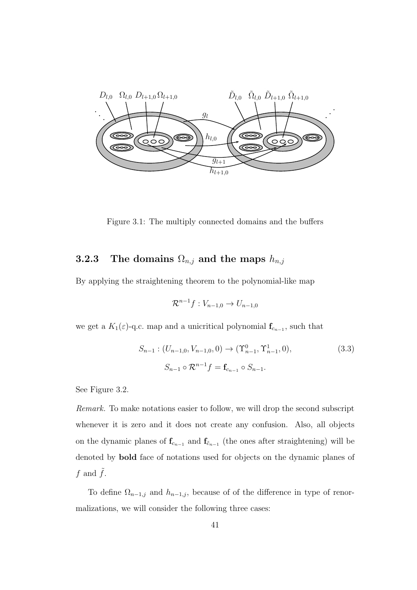

Figure 3.1: The multiply connected domains and the buffers

# 3.2.3 The domains  $\Omega_{n,j}$  and the maps  $h_{n,j}$

By applying the straightening theorem to the polynomial-like map

$$
\mathcal{R}^{n-1}f:V_{n-1,0}\to U_{n-1,0}
$$

we get a  $K_1(\varepsilon)$ -q.c. map and a unicritical polynomial  $\mathbf{f}_{c_{n-1}}$ , such that

$$
S_{n-1} : (U_{n-1,0}, V_{n-1,0}, 0) \to (\Upsilon_{n-1}^0, \Upsilon_{n-1}^1, 0),
$$
  
\n
$$
S_{n-1} \circ \mathcal{R}^{n-1} f = \mathbf{f}_{c_{n-1}} \circ S_{n-1}.
$$
\n(3.3)

See Figure 3.2.

Remark. To make notations easier to follow, we will drop the second subscript whenever it is zero and it does not create any confusion. Also, all objects on the dynamic planes of  $\mathbf{f}_{c_{n-1}}$  and  $\mathbf{f}_{\tilde{c}_{n-1}}$  (the ones after straightening) will be denoted by bold face of notations used for objects on the dynamic planes of f and  $\tilde{f}$ .

To define  $\Omega_{n-1,j}$  and  $h_{n-1,j}$ , because of of the difference in type of renormalizations, we will consider the following three cases: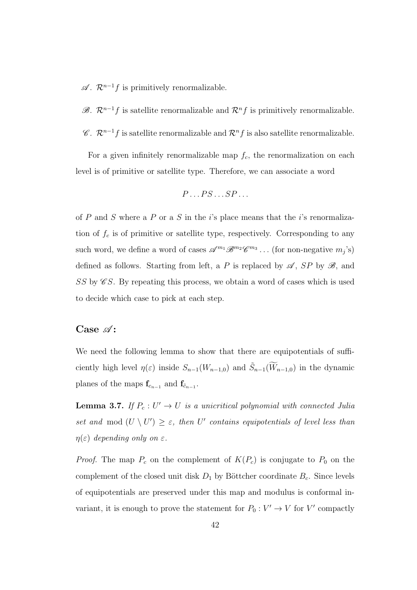$\mathscr{A}$ .  $\mathcal{R}^{n-1}f$  is primitively renormalizable.

 $\mathscr{B}$ .  $\mathcal{R}^{n-1}f$  is satellite renormalizable and  $\mathcal{R}^nf$  is primitively renormalizable.

 $\mathscr{C}.$   $\mathcal{R}^{n-1}f$  is satellite renormalizable and  $\mathcal{R}^nf$  is also satellite renormalizable.

For a given infinitely renormalizable map  $f_c$ , the renormalization on each level is of primitive or satellite type. Therefore, we can associate a word

$$
P \dots PS \dots SP \dots
$$

of  $P$  and  $S$  where a  $P$  or a  $S$  in the *i*'s place means that the *i*'s renormalization of  $f_c$  is of primitive or satellite type, respectively. Corresponding to any such word, we define a word of cases  $\mathscr{A}^{m_1} \mathscr{B}^{m_2} \mathscr{C}^{m_3} \dots$  (for non-negative  $m_j$ 's) defined as follows. Starting from left, a P is replaced by  $\mathscr A$ , SP by  $\mathscr B$ , and SS by  $CS$ . By repeating this process, we obtain a word of cases which is used to decide which case to pick at each step.

### Case  $\mathscr{A}$ :

We need the following lemma to show that there are equipotentials of sufficiently high level  $\eta(\varepsilon)$  inside  $S_{n-1}(W_{n-1,0})$  and  $\tilde{S}_{n-1}(\widetilde{W}_{n-1,0})$  in the dynamic planes of the maps  $\mathbf{f}_{c_{n-1}}$  and  $\mathbf{f}_{\tilde{c}_{n-1}}$ .

**Lemma 3.7.** If  $P_c: U' \to U$  is a unicritical polynomial with connected Julia set and mod  $(U \setminus U') \geq \varepsilon$ , then U' contains equipotentials of level less than  $\eta(\varepsilon)$  depending only on  $\varepsilon$ .

*Proof.* The map  $P_c$  on the complement of  $K(P_c)$  is conjugate to  $P_0$  on the complement of the closed unit disk  $D_1$  by Böttcher coordinate  $B_c$ . Since levels of equipotentials are preserved under this map and modulus is conformal invariant, it is enough to prove the statement for  $P_0: V' \to V$  for  $V'$  compactly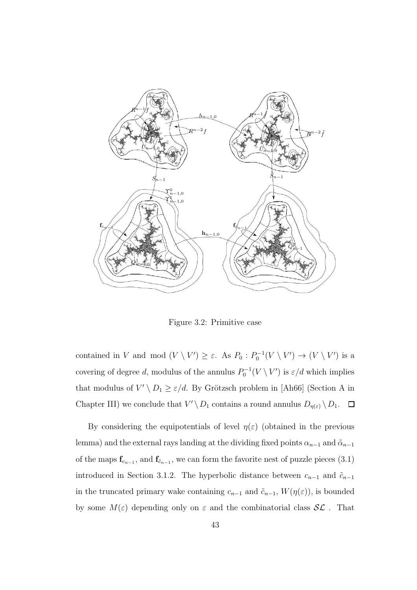

Figure 3.2: Primitive case

contained in V and mod  $(V \setminus V') \ge \varepsilon$ . As  $P_0: P_0^{-1}(V \setminus V') \to (V \setminus V')$  is a covering of degree d, modulus of the annulus  $P_0^{-1}(V \setminus V')$  is  $\varepsilon/d$  which implies that modulus of  $V' \setminus D_1 \geq \varepsilon/d$ . By Grötzsch problem in [Ah66] (Section A in Chapter III) we conclude that  $V' \setminus D_1$  contains a round annulus  $D_{\eta(\varepsilon)} \setminus D_1$ .

By considering the equipotentials of level  $\eta(\varepsilon)$  (obtained in the previous lemma) and the external rays landing at the dividing fixed points  $\alpha_{n-1}$  and  $\tilde{\alpha}_{n-1}$ of the maps  $\mathbf{f}_{c_{n-1}}$ , and  $\mathbf{f}_{\tilde{c}_{n-1}}$ , we can form the favorite nest of puzzle pieces (3.1) introduced in Section 3.1.2. The hyperbolic distance between  $c_{n-1}$  and  $\tilde{c}_{n-1}$ in the truncated primary wake containing  $c_{n-1}$  and  $\tilde{c}_{n-1}$ ,  $W(\eta(\varepsilon))$ , is bounded by some  $M(\varepsilon)$  depending only on  $\varepsilon$  and the combinatorial class  $\mathcal{SL}$ . That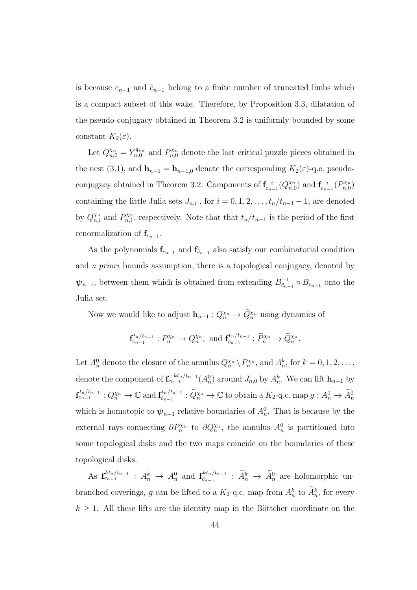is because  $c_{n-1}$  and  $\tilde{c}_{n-1}$  belong to a finite number of truncated limbs which is a compact subset of this wake. Therefore, by Proposition 3.3, dilatation of the pseudo-conjugacy obtained in Theorem 3.2 is uniformly bounded by some constant  $K_2(\varepsilon)$ .

Let  $Q_{n,0}^{\chi_n} = Y_{n,0}^{q_{\chi_n}}$  and  $P_{n,0}^{\chi_n}$  denote the last critical puzzle pieces obtained in the nest (3.1), and  $\mathbf{h}_{n-1} = \mathbf{h}_{n-1,0}$  denote the corresponding  $K_2(\varepsilon)$ -q.c. pseudoconjugacy obtained in Theorem 3.2. Components of  $\mathbf{f}_{c_{n-1}}^{-i}(Q_{n,0}^{\chi_n})$  $_{n,0}^{\chi_n}$ ) and  $\mathbf{f}_{c_{n-1}}^{-i}$  ( $P_{n,0}^{\chi_n}$  $_{n,0}^{\chi_n})$ containing the little Julia sets  $J_{n,i}$ , for  $i = 0, 1, 2, \ldots, t_n/t_{n-1} - 1$ , are denoted by  $Q_{n,i}^{\chi_n}$  and  $P_{n,i}^{\chi_n}$ , respectively. Note that that  $t_n/t_{n-1}$  is the period of the first renormalization of  $\mathbf{f}_{c_{n-1}}$ .

As the polynomials  $\mathbf{f}_{c_{n-1}}$  and  $\mathbf{f}_{\tilde{c}_{n-1}}$  also satisfy our combinatorial condition and a priori bounds assumption, there is a topological conjugacy, denoted by  $\psi_{n-1}$ , between them which is obtained from extending  $B_{\tilde{c}_{n-1}}^{-1} \circ B_{c_{n-1}}$  onto the Julia set.

Now we would like to adjust  $\mathbf{h}_{n-1}: Q_n^{\chi_n} \to Q_n^{\chi_n}$  using dynamics of

$$
\mathbf{f}_{c_{n-1}}^{t_n/t_{n-1}}: P_n^{\chi_n} \to Q_n^{\chi_n}, \text{ and } \mathbf{f}_{\tilde{c}_{n-1}}^{t_n/t_{n-1}}: \widetilde{P}_n^{\chi_n} \to \widetilde{Q}_n^{\chi_n}.
$$

Let  $A_n^0$  denote the closure of the annulus  $Q_n^{\chi_n} \setminus P_n^{\chi_n}$ , and  $A_n^k$ , for  $k = 0, 1, 2, \ldots$ , denote the component of  $f_{c_{n-1}}^{-kt_n/t_{n-1}}(A_n^0)$  around  $J_{n,0}$  by  $A_n^k$ . We can lift  $\mathbf{h}_{n-1}$  by  $\mathbf{f}_{c_{n-1}}^{t_n/t_{n-1}}: Q_n^{\chi_n} \to \mathbb{C} \text{ and } \mathbf{f}_{\tilde{c}_{n-1}}^{t_n/t_{n-1}}$  $\tilde{c}_{n-1}^{t_n/t_{n-1}}: \tilde{Q}_n^{\chi_n} \to \mathbb{C}$  to obtain a  $K_2$ -q.c. map  $g: A_n^0 \to A_n^0$ which is homotopic to  $\psi_{n-1}$  relative boundaries of  $A_n^0$ . That is because by the external rays connecting  $\partial P_n^{\chi_n}$  to  $\partial Q_n^{\chi_n}$ , the annulus  $A_n^0$  is partitioned into some topological disks and the two maps coincide on the boundaries of these topological disks.

As  $\mathbf{f}_{c_{n-1}}^{kt_n/t_{n-1}}$ :  $A_n^k \to A_n^0$  and  $\mathbf{f}_{\tilde{c}_{n-1}}^{kt_n/t_{n-1}}$  $\tilde{c}_{n-1}^{kt_n/t_{n-1}}$ :  $\tilde{A}_n^k \to \tilde{A}_n^0$  are holomorphic unbranched coverings, g can be lifted to a  $K_2$ -q.c. map from  $A_n^k$  to  $A_n^k$ , for every  $k \geq 1$ . All these lifts are the identity map in the Böttcher coordinate on the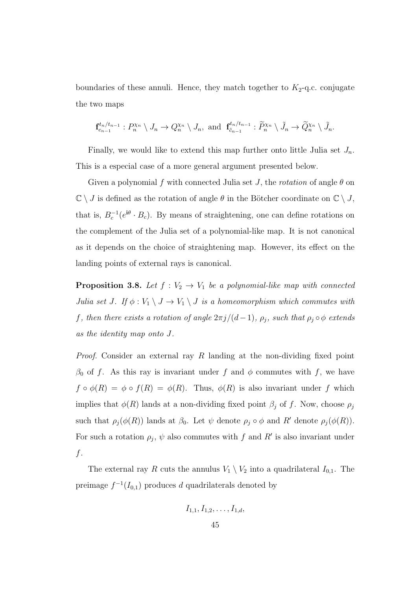boundaries of these annuli. Hence, they match together to  $K_2$ -q.c. conjugate the two maps

$$
\mathbf{f}_{c_{n-1}}^{t_n/t_{n-1}}: P_n^{\chi_n} \setminus J_n \to Q_n^{\chi_n} \setminus J_n, \text{ and } \mathbf{f}_{\tilde{c}_{n-1}}^{t_n/t_{n-1}}: \widetilde{P}_n^{\chi_n} \setminus \tilde{J}_n \to \widetilde{Q}_n^{\chi_n} \setminus \tilde{J}_n.
$$

Finally, we would like to extend this map further onto little Julia set  $J_n$ . This is a especial case of a more general argument presented below.

Given a polynomial f with connected Julia set J, the rotation of angle  $\theta$  on  $\mathbb{C} \setminus J$  is defined as the rotation of angle  $\theta$  in the Bötcher coordinate on  $\mathbb{C} \setminus J$ , that is,  $B_c^{-1}(e^{i\theta} \cdot B_c)$ . By means of straightening, one can define rotations on the complement of the Julia set of a polynomial-like map. It is not canonical as it depends on the choice of straightening map. However, its effect on the landing points of external rays is canonical.

**Proposition 3.8.** Let  $f: V_2 \to V_1$  be a polynomial-like map with connected Julia set J. If  $\phi: V_1 \setminus J \to V_1 \setminus J$  is a homeomorphism which commutes with f, then there exists a rotation of angle  $2\pi j/(d-1)$ ,  $\rho_j$ , such that  $\rho_j \circ \phi$  extends as the identity map onto J.

*Proof.* Consider an external ray R landing at the non-dividing fixed point  $\beta_0$  of f. As this ray is invariant under f and  $\phi$  commutes with f, we have  $f \circ \phi(R) = \phi \circ f(R) = \phi(R)$ . Thus,  $\phi(R)$  is also invariant under f which implies that  $\phi(R)$  lands at a non-dividing fixed point  $\beta_j$  of f. Now, choose  $\rho_j$ such that  $\rho_j(\phi(R))$  lands at  $\beta_0$ . Let  $\psi$  denote  $\rho_j \circ \phi$  and  $R'$  denote  $\rho_j(\phi(R))$ . For such a rotation  $\rho_j$ ,  $\psi$  also commutes with f and R' is also invariant under f.

The external ray R cuts the annulus  $V_1 \setminus V_2$  into a quadrilateral  $I_{0,1}$ . The preimage  $f^{-1}(I_{0,1})$  produces d quadrilaterals denoted by

$$
I_{1,1}, I_{1,2}, \ldots, I_{1,d},
$$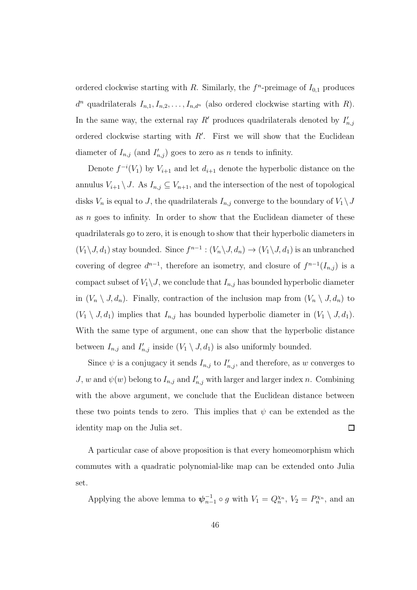ordered clockwise starting with R. Similarly, the  $f<sup>n</sup>$ -preimage of  $I<sub>0,1</sub>$  produces  $d^n$  quadrilaterals  $I_{n,1}, I_{n,2}, \ldots, I_{n,d^n}$  (also ordered clockwise starting with R). In the same way, the external ray  $R'$  produces quadrilaterals denoted by  $I'_{n,j}$ ordered clockwise starting with  $R'$ . First we will show that the Euclidean diameter of  $I_{n,j}$  (and  $I'_{n,j}$ ) goes to zero as n tends to infinity.

Denote  $f^{-i}(V_1)$  by  $V_{i+1}$  and let  $d_{i+1}$  denote the hyperbolic distance on the annulus  $V_{i+1} \setminus J$ . As  $I_{n,j} \subseteq V_{n+1}$ , and the intersection of the nest of topological disks  $V_n$  is equal to J, the quadrilaterals  $I_{n,j}$  converge to the boundary of  $V_1 \setminus J$ as  $n$  goes to infinity. In order to show that the Euclidean diameter of these quadrilaterals go to zero, it is enough to show that their hyperbolic diameters in  $(V_1 \setminus J, d_1)$  stay bounded. Since  $f^{n-1} : (V_n \setminus J, d_n) \to (V_1 \setminus J, d_1)$  is an unbranched covering of degree  $d^{n-1}$ , therefore an isometry, and closure of  $f^{n-1}(I_{n,j})$  is a compact subset of  $V_1 \backslash J$ , we conclude that  $I_{n,j}$  has bounded hyperbolic diameter in  $(V_n \setminus J, d_n)$ . Finally, contraction of the inclusion map from  $(V_n \setminus J, d_n)$  to  $(V_1 \setminus J, d_1)$  implies that  $I_{n,j}$  has bounded hyperbolic diameter in  $(V_1 \setminus J, d_1)$ . With the same type of argument, one can show that the hyperbolic distance between  $I_{n,j}$  and  $I'_{n,j}$  inside  $(V_1 \setminus J, d_1)$  is also uniformly bounded.

Since  $\psi$  is a conjugacy it sends  $I_{n,j}$  to  $I'_{n,j}$ , and therefore, as w converges to *J*, *w* and  $\psi(w)$  belong to  $I_{n,j}$  and  $I'_{n,j}$  with larger and larger index *n*. Combining with the above argument, we conclude that the Euclidean distance between these two points tends to zero. This implies that  $\psi$  can be extended as the identity map on the Julia set.  $\Box$ 

A particular case of above proposition is that every homeomorphism which commutes with a quadratic polynomial-like map can be extended onto Julia set.

Applying the above lemma to  $\psi_{n-1}^{-1} \circ g$  with  $V_1 = Q_n^{\chi_n}$ ,  $V_2 = P_n^{\chi_n}$ , and an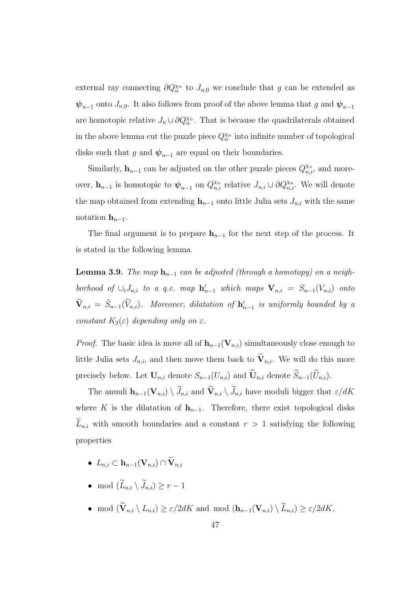external ray connecting  $\partial Q_n^{\chi_n}$  to  $J_{n,0}$  we conclude that g can be extended as  $\psi_{n-1}$  onto  $J_{n,0}$ . It also follows from proof of the above lemma that g and  $\psi_{n-1}$ are homotopic relative  $J_n \cup \partial Q_n^{\chi_n}$ . That is because the quadrilaterals obtained in the above lemma cut the puzzle piece  $Q_n^{\chi_n}$  into infinite number of topological disks such that g and  $\psi_{n-1}$  are equal on their boundaries.

Similarly,  $\mathbf{h}_{n-1}$  can be adjusted on the other puzzle pieces  $Q_{n,i}^{\chi_n}$ , and moreover,  $\mathbf{h}_{n-1}$  is homotopic to  $\psi_{n-1}$  on  $Q_{n,i}^{\chi_n}$  relative  $J_{n,i} \cup \partial Q_{n,i}^{\chi_n}$ . We will denote the map obtained from extending  $h_{n-1}$  onto little Julia sets  $J_{n,i}$  with the same notation  $h_{n-1}$ .

The final argument is to prepare  $h_{n-1}$  for the next step of the process. It is stated in the following lemma.

**Lemma 3.9.** The map  $h_{n-1}$  can be adjusted (through a homotopy) on a neighborhood of  $\cup_i J_{n,i}$  to a q.c. map  $\mathbf{h}'_{n-1}$  which maps  $\mathbf{V}_{n,i} = S_{n-1}(V_{n,i})$  onto  $\widetilde{\mathbf{V}}_{n,i}$  =  $\widetilde{S}_{n-1}(\widetilde{V}_{n,i})$ . Moreover, dilatation of  $\mathbf{h}'_{n-1}$  is uniformly bounded by a constant  $K_2(\varepsilon)$  depending only on  $\varepsilon$ .

*Proof.* The basic idea is move all of  $\mathbf{h}_{n-1}(\mathbf{V}_{n,i})$  simultaneously close enough to little Julia sets  $J_{n,i}$ , and then move them back to  $\widetilde{\mathbf{V}}_{n,i}$ . We will do this more precisely below. Let  $\mathbf{U}_{n,i}$  denote  $S_{n-1}(U_{n,i})$  and  $\widetilde{\mathbf{U}}_{n,i}$  denote  $\widetilde{S}_{n-1}(\widetilde{U}_{n,i})$ .

The annuli  $\mathbf{h}_{n-1}(\mathbf{V}_{n,i}) \setminus \widetilde{J}_{n,i}$  and  $\widetilde{\mathbf{V}}_{n,i} \setminus \widetilde{J}_{n,i}$  have moduli bigger that  $\varepsilon/dK$ where K is the dilatation of  $h_{n-1}$ . Therefore, there exist topological disks  $\widetilde{L}_{n,i}$  with smooth boundaries and a constant  $r > 1$  satisfying the following properties

- $L_{n,i} \subset \mathbf{h}_{n-1}(\mathbf{V}_{n,i}) \cap \widetilde{\mathbf{V}}_{n,i}$
- mod  $(\widetilde{L}_{n,i} \setminus \widetilde{J}_{n,i}) \geq r-1$
- mod  $(\widetilde{\mathbf{V}}_{n,i} \setminus L_{n,i}) \geq \varepsilon/2dK$  and mod  $(\mathbf{h}_{n-1}(\mathbf{V}_{n,i}) \setminus \widetilde{L}_{n,i}) \geq \varepsilon/2dK$ .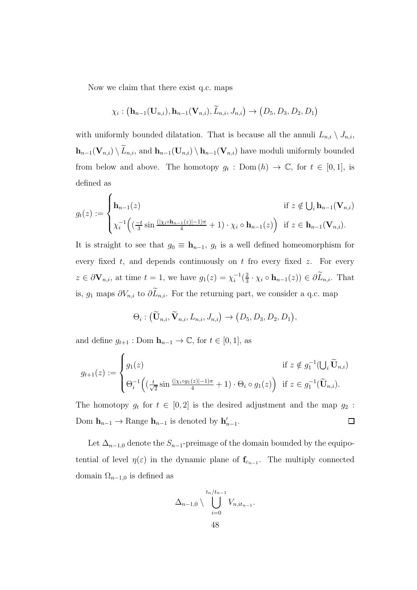Now we claim that there exist q.c. maps

$$
\chi_i: (\mathbf{h}_{n-1}(\mathbf{U}_{n,i}), \mathbf{h}_{n-1}(\mathbf{V}_{n,i}), \widetilde{L}_{n,i}, J_{n,i}) \rightarrow (D_5, D_3, D_2, D_1)
$$

with uniformly bounded dilatation. That is because all the annuli  $L_{n,i} \setminus J_{n,i}$ ,  $\mathbf{h}_{n-1}(\mathbf{V}_{n,i}) \setminus \widetilde{L}_{n,i}$ , and  $\mathbf{h}_{n-1}(\mathbf{U}_{n,i}) \setminus \mathbf{h}_{n-1}(\mathbf{V}_{n,i})$  have moduli uniformly bounded from below and above. The homotopy  $g_t : \text{Dom}(h) \to \mathbb{C}$ , for  $t \in [0,1]$ , is defined as

$$
g_t(z) := \begin{cases} \mathbf{h}_{n-1}(z) & \text{if } z \notin \bigcup_i \mathbf{h}_{n-1}(\mathbf{V}_{n,i}) \\ \chi_i^{-1}\left( \left(\frac{-t}{3}\sin\frac{(|\chi_i \circ \mathbf{h}_{n-1}(z)|-1)\pi}{4}+1\right) \cdot \chi_i \circ \mathbf{h}_{n-1}(z) \right) & \text{if } z \in \mathbf{h}_{n-1}(\mathbf{V}_{n,i}). \end{cases}
$$

It is straight to see that  $g_0 \equiv \mathbf{h}_{n-1}$ ,  $g_t$  is a well defined homeomorphism for every fixed  $t$ , and depends continuously on  $t$  fro every fixed  $z$ . For every  $z \in \partial \mathbf{V}_{n,i}$ , at time  $t = 1$ , we have  $g_1(z) = \chi_i^{-1}(\frac{2}{3})$  $\frac{2}{3} \cdot \chi_i \circ \mathbf{h}_{n-1}(z) \in \partial L_{n,i}$ . That is,  $g_1$  maps  $\partial V_{n,i}$  to  $\partial \widetilde{L}_{n,i}$ . For the returning part, we consider a q.c. map

$$
\Theta_i: (\widetilde{\mathbf{U}}_{n,i}, \widetilde{\mathbf{V}}_{n,i}, L_{n,i}, J_{n,i}) \rightarrow (D_5, D_3, D_2, D_1),
$$

and define  $g_{t+1}$ : Dom  $\mathbf{h}_{n-1} \to \mathbb{C}$ , for  $t \in [0,1]$ , as

$$
g_{t+1}(z) := \begin{cases} g_1(z) & \text{if } z \notin g_1^{-1}(\bigcup_i \widetilde{\mathbf{U}}_{n,i}) \\ \Theta_i^{-1}\Big( \left(\frac{t}{\sqrt{2}} \sin \frac{(|\chi_i \circ g_1(z)| - 1)\pi}{4} + 1\right) \cdot \Theta_i \circ g_1(z) \Big) & \text{if } z \in g_1^{-1}(\widetilde{\mathbf{U}}_{n,i}). \end{cases}
$$

The homotopy  $g_t$  for  $t \in [0,2]$  is the desired adjustment and the map  $g_2$ :  $\Box$ Dom  $\mathbf{h}_{n-1} \to \text{Range } \mathbf{h}_{n-1}$  is denoted by  $\mathbf{h}'_{n-1}$ .

Let  $\Delta_{n-1,0}$  denote the  $S_{n-1}$ -preimage of the domain bounded by the equipotential of level  $\eta(\varepsilon)$  in the dynamic plane of  $\mathbf{f}_{c_{n-1}}$ . The multiply connected domain  $\Omega_{n-1,0}$  is defined as

$$
\Delta_{n-1,0} \setminus \bigcup_{i=0}^{t_n/t_{n-1}} V_{n,it_{n-1}}.
$$
  
48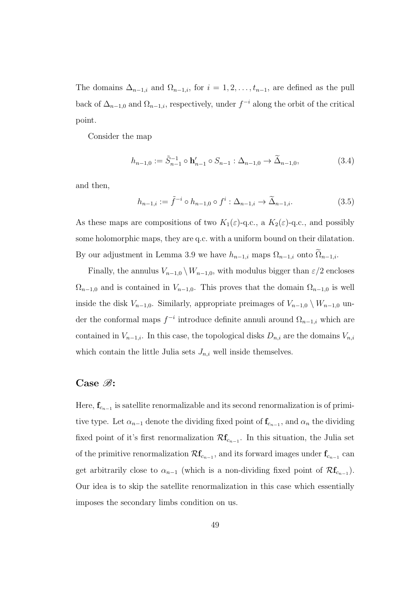The domains  $\Delta_{n-1,i}$  and  $\Omega_{n-1,i}$ , for  $i=1,2,\ldots,t_{n-1}$ , are defined as the pull back of  $\Delta_{n-1,0}$  and  $\Omega_{n-1,i}$ , respectively, under  $f^{-i}$  along the orbit of the critical point.

Consider the map

$$
h_{n-1,0} := \tilde{S}_{n-1}^{-1} \circ \mathbf{h}'_{n-1} \circ S_{n-1} : \Delta_{n-1,0} \to \tilde{\Delta}_{n-1,0},
$$
\n(3.4)

and then,

$$
h_{n-1,i} := \tilde{f}^{-i} \circ h_{n-1,0} \circ f^i : \Delta_{n-1,i} \to \tilde{\Delta}_{n-1,i}.
$$
 (3.5)

As these maps are compositions of two  $K_1(\varepsilon)$ -q.c., a  $K_2(\varepsilon)$ -q.c., and possibly some holomorphic maps, they are q.c. with a uniform bound on their dilatation. By our adjustment in Lemma 3.9 we have  $h_{n-1,i}$  maps  $\Omega_{n-1,i}$  onto  $\widetilde{\Omega}_{n-1,i}$ .

Finally, the annulus  $V_{n-1,0} \setminus W_{n-1,0}$ , with modulus bigger than  $\varepsilon/2$  encloses  $\Omega_{n-1,0}$  and is contained in  $V_{n-1,0}$ . This proves that the domain  $\Omega_{n-1,0}$  is well inside the disk  $V_{n-1,0}$ . Similarly, appropriate preimages of  $V_{n-1,0} \setminus W_{n-1,0}$  under the conformal maps  $f^{-i}$  introduce definite annuli around  $\Omega_{n-1,i}$  which are contained in  $V_{n-1,i}$ . In this case, the topological disks  $D_{n,i}$  are the domains  $V_{n,i}$ which contain the little Julia sets  $J_{n,i}$  well inside themselves.

# Case  $\mathscr{B}$ :

Here,  $\mathbf{f}_{c_{n-1}}$  is satellite renormalizable and its second renormalization is of primitive type. Let  $\alpha_{n-1}$  denote the dividing fixed point of  $\mathbf{f}_{c_{n-1}}$ , and  $\alpha_n$  the dividing fixed point of it's first renormalization  $\mathcal{R}$ **f**<sub>cn−1</sub>. In this situation, the Julia set of the primitive renormalization  $\mathcal{R} \mathbf{f}_{c_{n-1}}$ , and its forward images under  $\mathbf{f}_{c_{n-1}}$  can get arbitrarily close to  $\alpha_{n-1}$  (which is a non-dividing fixed point of  $\mathcal{R}\mathbf{f}_{c_{n-1}}$ ). Our idea is to skip the satellite renormalization in this case which essentially imposes the secondary limbs condition on us.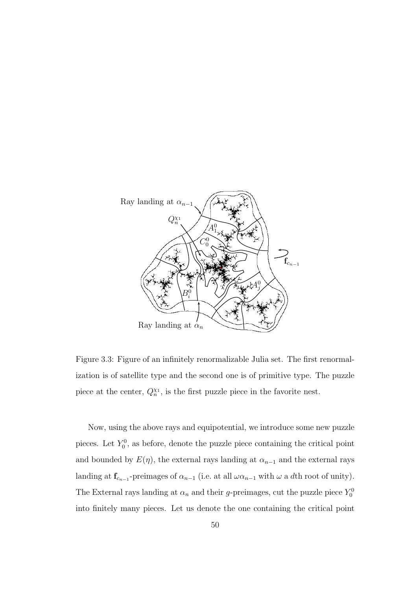

Figure 3.3: Figure of an infinitely renormalizable Julia set. The first renormalization is of satellite type and the second one is of primitive type. The puzzle piece at the center,  $Q_n^{\chi_1}$ , is the first puzzle piece in the favorite nest.

Now, using the above rays and equipotential, we introduce some new puzzle pieces. Let  $Y_0^0$ , as before, denote the puzzle piece containing the critical point and bounded by  $E(\eta)$ , the external rays landing at  $\alpha_{n-1}$  and the external rays landing at  $\mathbf{f}_{c_{n-1}}$ -preimages of  $\alpha_{n-1}$  (i.e. at all  $\omega \alpha_{n-1}$  with  $\omega$  a dth root of unity). The External rays landing at  $\alpha_n$  and their g-preimages, cut the puzzle piece  $Y_0^0$ into finitely many pieces. Let us denote the one containing the critical point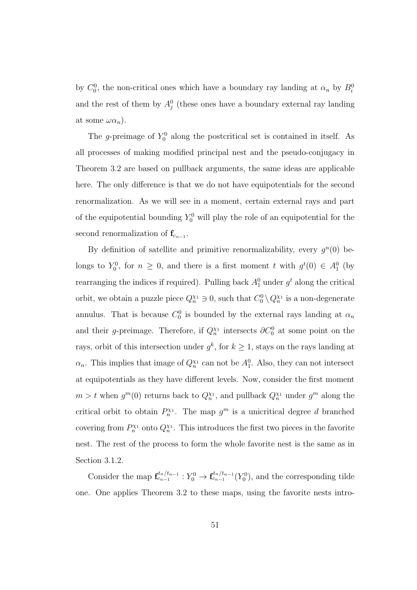by  $C_0^0$ , the non-critical ones which have a boundary ray landing at  $\alpha_n$  by  $B_i^0$ and the rest of them by  $A_j^0$  (these ones have a boundary external ray landing at some  $\omega \alpha_n$ ).

The g-preimage of  $Y_0^0$  along the postcritical set is contained in itself. As all processes of making modified principal nest and the pseudo-conjugacy in Theorem 3.2 are based on pullback arguments, the same ideas are applicable here. The only difference is that we do not have equipotentials for the second renormalization. As we will see in a moment, certain external rays and part of the equipotential bounding  $Y_0^0$  will play the role of an equipotential for the second renormalization of  $\mathbf{f}_{c_{n-1}}$ .

By definition of satellite and primitive renormalizability, every  $g^{(0)}$  belongs to  $Y_0^0$ , for  $n \geq 0$ , and there is a first moment t with  $g^t(0) \in A_1^0$  (by rearranging the indices if required). Pulling back  $A_1^0$  under  $g^t$  along the critical orbit, we obtain a puzzle piece  $Q_n^{\chi_1} \ni 0$ , such that  $C_0^0 \setminus Q_n^{\chi_1}$  is a non-degenerate annulus. That is because  $C_0^0$  is bounded by the external rays landing at  $\alpha_n$ and their g-preimage. Therefore, if  $Q_n^{\chi_1}$  intersects  $\partial C_0^0$  at some point on the rays, orbit of this intersection under  $g^k$ , for  $k \geq 1$ , stays on the rays landing at  $\alpha_n$ . This implies that image of  $Q_n^{\chi_1}$  can not be  $A_1^0$ . Also, they can not intersect at equipotentials as they have different levels. Now, consider the first moment  $m > t$  when  $g^m(0)$  returns back to  $Q_n^{\chi_1}$ , and pullback  $Q_n^{\chi_1}$  under  $g^m$  along the critical orbit to obtain  $P_n^{\chi_1}$ . The map  $g^m$  is a unicritical degree d branched covering from  $P_n^{\chi_1}$  onto  $Q_n^{\chi_1}$ . This introduces the first two pieces in the favorite nest. The rest of the process to form the whole favorite nest is the same as in Section 3.1.2.

Consider the map  $\mathbf{f}_{c_{n-1}}^{t_n/t_{n-1}}: Y_0^0 \to \mathbf{f}_{c_{n-1}}^{t_n/t_{n-1}}(Y_0^0)$ , and the corresponding tilde one. One applies Theorem 3.2 to these maps, using the favorite nests intro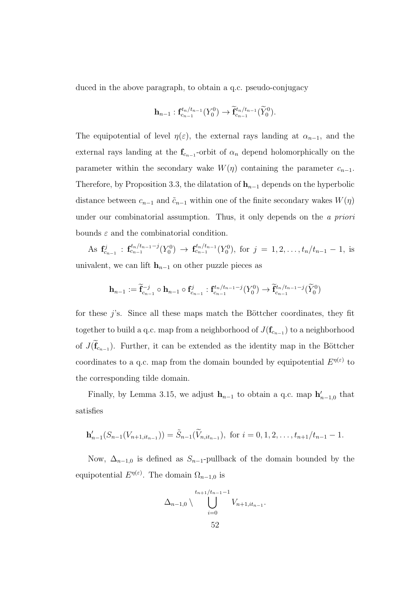duced in the above paragraph, to obtain a q.c. pseudo-conjugacy

$$
\mathbf{h}_{n-1} : \mathbf{f}_{c_{n-1}}^{t_n/t_{n-1}}(Y_0^0) \to \widetilde{\mathbf{f}}_{c_{n-1}}^{t_n/t_{n-1}}(\widetilde{Y}_0^0).
$$

The equipotential of level  $\eta(\varepsilon)$ , the external rays landing at  $\alpha_{n-1}$ , and the external rays landing at the  $f_{c_{n-1}}$ -orbit of  $\alpha_n$  depend holomorphically on the parameter within the secondary wake  $W(\eta)$  containing the parameter  $c_{n-1}$ . Therefore, by Proposition 3.3, the dilatation of  $h_{n-1}$  depends on the hyperbolic distance between  $c_{n-1}$  and  $\tilde{c}_{n-1}$  within one of the finite secondary wakes  $W(\eta)$ under our combinatorial assumption. Thus, it only depends on the a priori bounds  $\varepsilon$  and the combinatorial condition.

As  $\mathbf{f}_{c_{n-1}}^{j}$  :  $\mathbf{f}_{c_{n-1}}^{t_n/t_{n-1}-j}(Y_0^0) \to \mathbf{f}_{c_{n-1}}^{t_n/t_{n-1}}(Y_0^0)$ , for  $j = 1, 2, ..., t_n/t_{n-1} - 1$ , is univalent, we can lift  $h_{n-1}$  on other puzzle pieces as

$$
\mathbf{h}_{n-1} := \widetilde{\mathbf{f}}_{c_{n-1}}^{-j} \circ \mathbf{h}_{n-1} \circ \mathbf{f}_{c_{n-1}}^{j} : \mathbf{f}_{c_{n-1}}^{t_n/t_{n-1}-j}(Y_0^0) \to \widetilde{\mathbf{f}}_{c_{n-1}}^{t_n/t_{n-1}-j}(\widetilde{Y}_0^0)
$$

for these  $j$ 's. Since all these maps match the Böttcher coordinates, they fit together to build a q.c. map from a neighborhood of  $J(\mathbf{f}_{c_{n-1}})$  to a neighborhood of  $J(\mathbf{f}_{c_{n-1}})$ . Further, it can be extended as the identity map in the Böttcher coordinates to a q.c. map from the domain bounded by equipotential  $E^{\eta(\varepsilon)}$  to the corresponding tilde domain.

Finally, by Lemma 3.15, we adjust  $\mathbf{h}_{n-1}$  to obtain a q.c. map  $\mathbf{h}'_{n-1,0}$  that satisfies

$$
\mathbf{h}'_{n-1}(S_{n-1}(V_{n+1,it_{n-1}})) = \tilde{S}_{n-1}(\tilde{V}_{n,it_{n-1}}), \text{ for } i = 0, 1, 2, \ldots, t_{n+1}/t_{n-1} - 1.
$$

Now,  $\Delta_{n-1,0}$  is defined as  $S_{n-1}$ -pullback of the domain bounded by the equipotential  $E^{\eta(\varepsilon)}$ . The domain  $\Omega_{n-1,0}$  is

$$
\Delta_{n-1,0} \setminus \bigcup_{i=0}^{t_{n+1}/t_{n-1}-1} V_{n+1,it_{n-1}}.
$$
  
52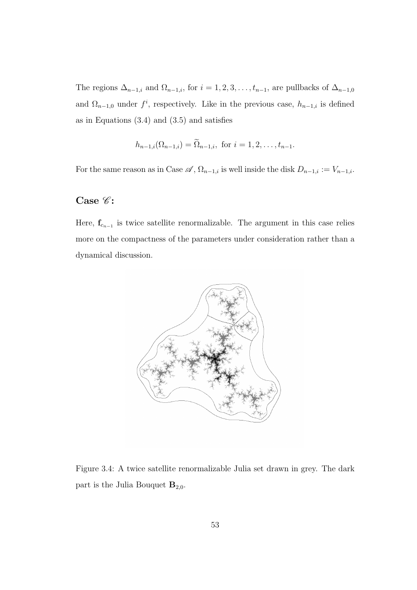The regions  $\Delta_{n-1,i}$  and  $\Omega_{n-1,i}$ , for  $i = 1, 2, 3, \ldots, t_{n-1}$ , are pullbacks of  $\Delta_{n-1,0}$ and  $\Omega_{n-1,0}$  under  $f^i$ , respectively. Like in the previous case,  $h_{n-1,i}$  is defined as in Equations  $(3.4)$  and  $(3.5)$  and satisfies

$$
h_{n-1,i}(\Omega_{n-1,i}) = \widetilde{\Omega}_{n-1,i}
$$
, for  $i = 1, 2, ..., t_{n-1}$ .

For the same reason as in Case  $\mathscr{A}, \Omega_{n-1,i}$  is well inside the disk  $D_{n-1,i} := V_{n-1,i}$ .

# Case  $\mathscr{C}$ :

Here,  $f_{c_{n-1}}$  is twice satellite renormalizable. The argument in this case relies more on the compactness of the parameters under consideration rather than a dynamical discussion.



Figure 3.4: A twice satellite renormalizable Julia set drawn in grey. The dark part is the Julia Bouquet  $\mathbf{B}_{2,0}$ .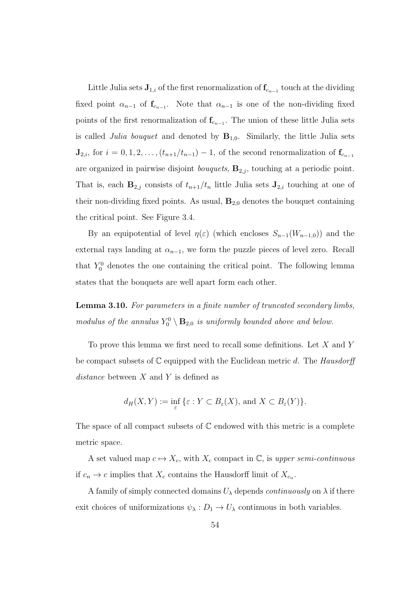Little Julia sets  $\mathbf{J}_{1,i}$  of the first renormalization of  $\mathbf{f}_{c_{n-1}}$  touch at the dividing fixed point  $\alpha_{n-1}$  of  $\mathbf{f}_{c_{n-1}}$ . Note that  $\alpha_{n-1}$  is one of the non-dividing fixed points of the first renormalization of  $\mathbf{f}_{c_{n-1}}$ . The union of these little Julia sets is called *Julia bouquet* and denoted by  $B_{1,0}$ . Similarly, the little Julia sets  ${\bf J}_{2,i}$ , for  $i = 0, 1, 2, \ldots, (t_{n+1}/t_{n-1}) - 1$ , of the second renormalization of  ${\bf f}_{c_{n-1}}$ are organized in pairwise disjoint *bouquets*,  $B_{2,j}$ , touching at a periodic point. That is, each  $\mathbf{B}_{2,j}$  consists of  $t_{n+1}/t_n$  little Julia sets  $\mathbf{J}_{2,i}$  touching at one of their non-dividing fixed points. As usual,  $B_{2,0}$  denotes the bouquet containing the critical point. See Figure 3.4.

By an equipotential of level  $\eta(\varepsilon)$  (which encloses  $S_{n-1}(W_{n-1,0})$ ) and the external rays landing at  $\alpha_{n-1}$ , we form the puzzle pieces of level zero. Recall that  $Y_0^0$  denotes the one containing the critical point. The following lemma states that the bouquets are well apart form each other.

Lemma 3.10. For parameters in a finite number of truncated secondary limbs, modulus of the annulus  $Y_0^0 \setminus \mathbf{B}_{2,0}$  is uniformly bounded above and below.

To prove this lemma we first need to recall some definitions. Let  $X$  and  $Y$ be compact subsets of  $\mathbb C$  equipped with the Euclidean metric d. The Hausdorff distance between  $X$  and  $Y$  is defined as

$$
d_H(X, Y) := \inf_{\varepsilon} \{ \varepsilon : Y \subset B_{\varepsilon}(X), \text{ and } X \subset B_{\varepsilon}(Y) \}.
$$

The space of all compact subsets of  $\mathbb C$  endowed with this metric is a complete metric space.

A set valued map  $c \mapsto X_c$ , with  $X_c$  compact in  $\mathbb{C}$ , is upper semi-continuous if  $c_n \to c$  implies that  $X_c$  contains the Hausdorff limit of  $X_{c_n}$ .

A family of simply connected domains  $U_{\lambda}$  depends *continuously* on  $\lambda$  if there exit choices of uniformizations  $\psi_{\lambda}: D_1 \to U_{\lambda}$  continuous in both variables.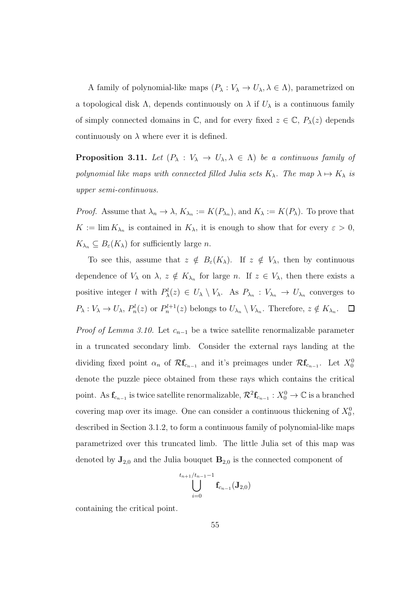A family of polynomial-like maps  $(P_\lambda : V_\lambda \to U_\lambda, \lambda \in \Lambda)$ , parametrized on a topological disk  $\Lambda$ , depends continuously on  $\lambda$  if  $U_{\lambda}$  is a continuous family of simply connected domains in  $\mathbb{C}$ , and for every fixed  $z \in \mathbb{C}$ ,  $P_{\lambda}(z)$  depends continuously on  $\lambda$  where ever it is defined.

**Proposition 3.11.** Let  $(P_{\lambda} : V_{\lambda} \to U_{\lambda}, \lambda \in \Lambda)$  be a continuous family of polynomial like maps with connected filled Julia sets  $K_{\lambda}$ . The map  $\lambda \mapsto K_{\lambda}$  is upper semi-continuous.

*Proof.* Assume that  $\lambda_n \to \lambda$ ,  $K_{\lambda_n} := K(P_{\lambda_n})$ , and  $K_{\lambda} := K(P_{\lambda})$ . To prove that  $K := \lim K_{\lambda_n}$  is contained in  $K_{\lambda}$ , it is enough to show that for every  $\varepsilon > 0$ ,  $K_{\lambda_n} \subseteq B_{\varepsilon}(K_{\lambda})$  for sufficiently large n.

To see this, assume that  $z \notin B_\varepsilon(K_\lambda)$ . If  $z \notin V_\lambda$ , then by continuous dependence of  $V_{\lambda}$  on  $\lambda$ ,  $z \notin K_{\lambda_n}$  for large n. If  $z \in V_{\lambda}$ , then there exists a positive integer l with  $P^l_\lambda(z) \in U_\lambda \setminus V_\lambda$ . As  $P_{\lambda_n} : V_{\lambda_n} \to U_{\lambda_n}$  converges to  $P_{\lambda}: V_{\lambda} \to U_{\lambda}, P_n^l(z)$  or  $P_n^{l+1}(z)$  belongs to  $U_{\lambda_n} \setminus V_{\lambda_n}$ . Therefore,  $z \notin K_{\lambda_n}$ .  $\Box$ 

*Proof of Lemma 3.10.* Let  $c_{n-1}$  be a twice satellite renormalizable parameter in a truncated secondary limb. Consider the external rays landing at the dividing fixed point  $\alpha_n$  of  $\mathcal{R} \mathbf{f}_{c_{n-1}}$  and it's preimages under  $\mathcal{R} \mathbf{f}_{c_{n-1}}$ . Let  $X_0^0$ denote the puzzle piece obtained from these rays which contains the critical point. As  $\mathbf{f}_{c_{n-1}}$  is twice satellite renormalizable,  $\mathcal{R}^2 \mathbf{f}_{c_{n-1}} : X_0^0 \to \mathbb{C}$  is a branched covering map over its image. One can consider a continuous thickening of  $X_0^0$ , described in Section 3.1.2, to form a continuous family of polynomial-like maps parametrized over this truncated limb. The little Julia set of this map was denoted by  $\mathbf{J}_{2,0}$  and the Julia bouquet  $\mathbf{B}_{2,0}$  is the connected component of

$$
\bigcup_{i=0}^{t_{n+1}/t_{n-1}-1} \mathbf{f}_{c_{n-1}}(\mathbf{J}_{2,0})
$$

containing the critical point.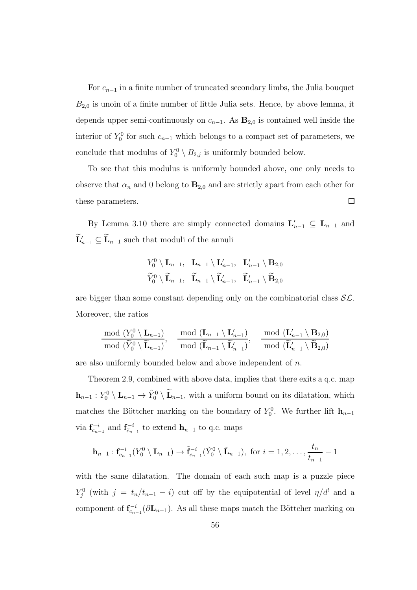For  $c_{n-1}$  in a finite number of truncated secondary limbs, the Julia bouquet  $B_{2,0}$  is unoin of a finite number of little Julia sets. Hence, by above lemma, it depends upper semi-continuously on  $c_{n-1}$ . As  $\mathbf{B}_{2,0}$  is contained well inside the interior of  $Y_0^0$  for such  $c_{n-1}$  which belongs to a compact set of parameters, we conclude that modulus of  $Y_0^0 \setminus B_{2,j}$  is uniformly bounded below.

To see that this modulus is uniformly bounded above, one only needs to observe that  $\alpha_n$  and 0 belong to  $\mathbf{B}_{2,0}$  and are strictly apart from each other for these parameters.  $\Box$ 

By Lemma 3.10 there are simply connected domains  $\mathbf{L}'_{n-1} \subseteq \mathbf{L}_{n-1}$  and  $\mathbf{L}'_{n-1} \subseteq \mathbf{L}_{n-1}$  such that moduli of the annuli

$$
Y_0^0 \setminus \mathbf{L}_{n-1}, \quad \mathbf{L}_{n-1} \setminus \mathbf{L}_{n-1}', \quad \mathbf{L}_{n-1}' \setminus \mathbf{B}_{2,0}
$$
  

$$
\widetilde{Y}_0^0 \setminus \widetilde{\mathbf{L}}_{n-1}, \quad \widetilde{\mathbf{L}}_{n-1}' \setminus \widetilde{\mathbf{L}}_{n-1}', \quad \widetilde{\mathbf{L}}_{n-1}' \setminus \widetilde{\mathbf{B}}_{2,0}
$$

are bigger than some constant depending only on the combinatorial class  $SL$ . Moreover, the ratios

$$
\frac{\mod (Y_0^0 \setminus \mathbf{L}_{n-1})}{\mod (\widetilde{Y}_0^0 \setminus \widetilde{\mathbf{L}}_{n-1})}, \quad \frac{\mod (\mathbf{L}_{n-1} \setminus \mathbf{L}_{n-1}')}{\mod (\widetilde{\mathbf{L}}_{n-1} \setminus \widetilde{\mathbf{L}}_{n-1}')}, \quad \frac{\mod (\mathbf{L}_{n-1}' \setminus \mathbf{B}_{2,0})}{\mod (\widetilde{\mathbf{L}}_{n-1}' \setminus \widetilde{\mathbf{B}}_{2,0})}
$$

are also uniformly bounded below and above independent of n.

Theorem 2.9, combined with above data, implies that there exits a q.c. map  $\mathbf{h}_{n-1}: Y_0^0 \setminus \mathbf{L}_{n-1} \to \tilde{Y}_0^0 \setminus \tilde{\mathbf{L}}_{n-1}$ , with a uniform bound on its dilatation, which matches the Böttcher marking on the boundary of  $Y_0^0$ . We further lift  $\mathbf{h}_{n-1}$ via  $\mathbf{f}_{c_{n-1}}^{-i}$  and  $\mathbf{f}_{\tilde{c}_{n-1}}^{-i}$  to extend  $\mathbf{h}_{n-1}$  to q.c. maps

$$
\mathbf{h}_{n-1} : \mathbf{f}_{c_{n-1}}^{-i} (Y_0^0 \setminus \mathbf{L}_{n-1}) \to \tilde{\mathbf{f}}_{c_{n-1}}^{-i} (\tilde{Y}_0^0 \setminus \tilde{\mathbf{L}}_{n-1}), \text{ for } i = 1, 2, \dots, \frac{t_n}{t_{n-1}} - 1
$$

with the same dilatation. The domain of each such map is a puzzle piece  $Y_j^0$  (with  $j = t_n/t_{n-1} - i$ ) cut off by the equipotential of level  $\eta/d^l$  and a component of  $f_{c_{n-1}}^{-i}(\partial \mathbf{L}_{n-1})$ . As all these maps match the Böttcher marking on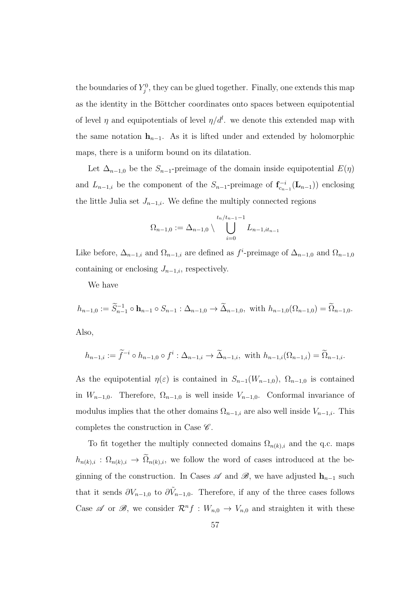the boundaries of  $Y_j^0$ , they can be glued together. Finally, one extends this map as the identity in the Böttcher coordinates onto spaces between equipotential of level  $\eta$  and equipotentials of level  $\eta/d^l$ , we denote this extended map with the same notation  $h_{n-1}$ . As it is lifted under and extended by holomorphic maps, there is a uniform bound on its dilatation.

Let  $\Delta_{n-1,0}$  be the  $S_{n-1}$ -preimage of the domain inside equipotential  $E(\eta)$ and  $L_{n-1,i}$  be the component of the  $S_{n-1}$ -preimage of  $\mathbf{f}_{c_{n-1}}^{-i}(\mathbf{L}_{n-1})$  enclosing the little Julia set  $J_{n-1,i}$ . We define the multiply connected regions

$$
\Omega_{n-1,0} := \Delta_{n-1,0} \setminus \bigcup_{i=0}^{t_n/t_{n-1}-1} L_{n-1,it_{n-1}}
$$

Like before,  $\Delta_{n-1,i}$  and  $\Omega_{n-1,i}$  are defined as  $f^i$ -preimage of  $\Delta_{n-1,0}$  and  $\Omega_{n-1,0}$ containing or enclosing  $J_{n-1,i}$ , respectively.

We have

$$
h_{n-1,0} := \widetilde{S}_{n-1}^{-1} \circ \mathbf{h}_{n-1} \circ S_{n-1} : \Delta_{n-1,0} \to \widetilde{\Delta}_{n-1,0}, \text{ with } h_{n-1,0}(\Omega_{n-1,0}) = \widetilde{\Omega}_{n-1,0}.
$$

Also,

$$
h_{n-1,i} := \widetilde{f}^{-i} \circ h_{n-1,0} \circ f^i : \Delta_{n-1,i} \to \widetilde{\Delta}_{n-1,i}, \text{ with } h_{n-1,i}(\Omega_{n-1,i}) = \widetilde{\Omega}_{n-1,i}.
$$

As the equipotential  $\eta(\varepsilon)$  is contained in  $S_{n-1}(W_{n-1,0}), \Omega_{n-1,0}$  is contained in  $W_{n-1,0}$ . Therefore,  $\Omega_{n-1,0}$  is well inside  $V_{n-1,0}$ . Conformal invariance of modulus implies that the other domains  $\Omega_{n-1,i}$  are also well inside  $V_{n-1,i}$ . This completes the construction in Case  $\mathscr{C}$ .

To fit together the multiply connected domains  $\Omega_{n(k),i}$  and the q.c. maps  $h_{n(k),i}$ :  $\Omega_{n(k),i} \to \tilde{\Omega}_{n(k),i}$ , we follow the word of cases introduced at the beginning of the construction. In Cases  $\mathscr A$  and  $\mathscr B$ , we have adjusted  $\mathbf h_{n-1}$  such that it sends  $\partial V_{n-1,0}$  to  $\partial \tilde{V}_{n-1,0}$ . Therefore, if any of the three cases follows Case  $\mathscr A$  or  $\mathscr B$ , we consider  $\mathcal R^n f : W_{n,0} \to V_{n,0}$  and straighten it with these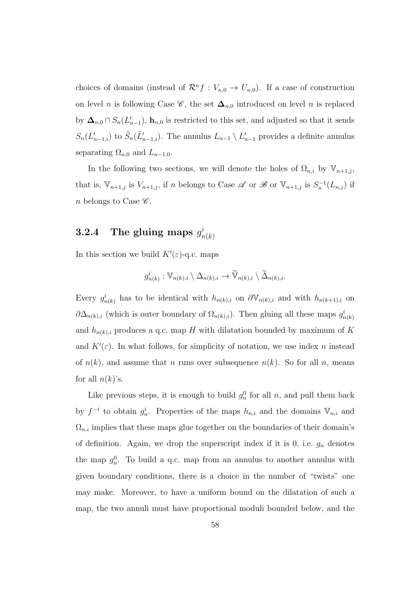choices of domains (instead of  $\mathcal{R}^n f : V_{n,0} \to U_{n,0}$ ). If a case of construction on level *n* is following Case  $\mathscr{C}$ , the set  $\Delta_{n,0}$  introduced on level *n* is replaced by  $\mathbf{\Delta}_{n,0} \cap S_n(L'_{n-1}), \mathbf{h}_{n,0}$  is restricted to this set, and adjusted so that it sends  $S_n(L'_{n-1,i})$  to  $\tilde{S}_n(\tilde{L}'_{n-1,i})$ . The annulus  $L_{n-1} \setminus L'_{n-1}$  provides a definite annulus separating  $\Omega_{n,0}$  and  $L_{n-1,0}$ .

In the following two sections, we will denote the holes of  $\Omega_{n,i}$  by  $\mathbb{V}_{n+1,j}$ , that is,  $\mathbb{V}_{n+1,j}$  is  $V_{n+1,j}$ , if n belongs to Case  $\mathscr A$  or  $\mathscr B$  or  $\mathbb{V}_{n+1,j}$  is  $S_n^{-1}(L_{n,j})$  if n belongs to Case  $\mathscr{C}.$ 

#### $\mathbf{3.2.4} \quad \textbf{The gluing maps} \; g^i_r$  $n(k)$

In this section we build  $K'(\varepsilon)$ -q.c. maps

$$
g_{n(k)}^i: \mathbb{V}_{n(k),i} \setminus \Delta_{n(k),i} \to \widetilde{\mathbb{V}}_{n(k),i} \setminus \widetilde{\Delta}_{n(k),i}.
$$

Every  $g_{n(k)}^i$  has to be identical with  $h_{n(k),i}$  on  $\partial \mathbb{V}_{n(k),i}$  and with  $h_{n(k+1),i}$  on  $\partial \Delta_{n(k),i}$  (which is outer boundary of  $\Omega_{n(k),i}$ ). Then gluing all these maps  $g_{n(k)}^i$ and  $h_{n(k),i}$  produces a q.c. map H with dilatation bounded by maximum of K and  $K'(\varepsilon)$ . In what follows, for simplicity of notation, we use index n instead of  $n(k)$ , and assume that n runs over subsequence  $n(k)$ . So for all n, means for all  $n(k)$ 's.

Like previous steps, it is enough to build  $g_n^0$  for all n, and pull them back by  $f^{-i}$  to obtain  $g_n^i$ . Properties of the maps  $h_{n,i}$  and the domains  $\mathbb{V}_{n,i}$  and  $\Omega_{n,i}$  implies that these maps glue together on the boundaries of their domain's of definition. Again, we drop the superscript index if it is  $0$ , i.e.  $g_n$  denotes the map  $g_n^0$ . To build a q.c. map from an annulus to another annulus with given boundary conditions, there is a choice in the number of "twists" one may make. Moreover, to have a uniform bound on the dilatation of such a map, the two annuli must have proportional moduli bounded below, and the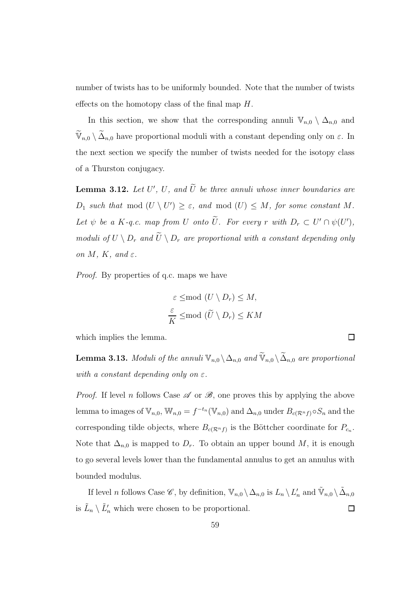number of twists has to be uniformly bounded. Note that the number of twists effects on the homotopy class of the final map H.

In this section, we show that the corresponding annuli  $\mathbb{V}_{n,0} \setminus \Delta_{n,0}$  and  $\widetilde{\mathbb{V}}_{n,0} \setminus \widetilde{\Delta}_{n,0}$  have proportional moduli with a constant depending only on  $\varepsilon$ . In the next section we specify the number of twists needed for the isotopy class of a Thurston conjugacy.

**Lemma 3.12.** Let  $U'$ ,  $U$ , and  $U$  be three annuli whose inner boundaries are  $D_1$  such that mod  $(U \setminus U') \geq \varepsilon$ , and mod  $(U) \leq M$ , for some constant M. Let  $\psi$  be a K-q.c. map from U onto U. For every r with  $D_r \subset U' \cap \psi(U')$ , moduli of  $U \setminus D_r$  and  $\widetilde{U} \setminus D_r$  are proportional with a constant depending only on  $M, K,$  and  $\varepsilon$ .

Proof. By properties of q.c. maps we have

$$
\varepsilon \leq \text{mod } (U \setminus D_r) \leq M,
$$
  

$$
\frac{\varepsilon}{K} \leq \text{mod } (\widetilde{U} \setminus D_r) \leq KM
$$

 $\Box$ 

which implies the lemma.

**Lemma 3.13.** Moduli of the annuli  $\mathbb{V}_{n,0} \setminus \Delta_{n,0}$  and  $\widetilde{\mathbb{V}}_{n,0} \setminus \widetilde{\Delta}_{n,0}$  are proportional with a constant depending only on  $\varepsilon$ .

*Proof.* If level n follows Case  $\mathscr A$  or  $\mathscr B$ , one proves this by applying the above lemma to images of  $\mathbb{V}_{n,0}$ ,  $\mathbb{W}_{n,0} = f^{-t_n}(\mathbb{V}_{n,0})$  and  $\Delta_{n,0}$  under  $B_{c(\mathcal{R}^nf)} \circ S_n$  and the corresponding tilde objects, where  $B_{c(\mathcal{R}^nf)}$  is the Böttcher coordinate for  $P_{c_n}$ . Note that  $\Delta_{n,0}$  is mapped to  $D_r$ . To obtain an upper bound M, it is enough to go several levels lower than the fundamental annulus to get an annulus with bounded modulus.

If level *n* follows Case  $\mathscr{C}$ , by definition,  $\mathbb{V}_{n,0} \setminus \Delta_{n,0}$  is  $L_n \setminus L'_n$  and  $\tilde{\mathbb{V}}_{n,0} \setminus \tilde{\Delta}_{n,0}$ is  $\tilde{L}_n \setminus \tilde{L}'_n$  which were chosen to be proportional.  $\Box$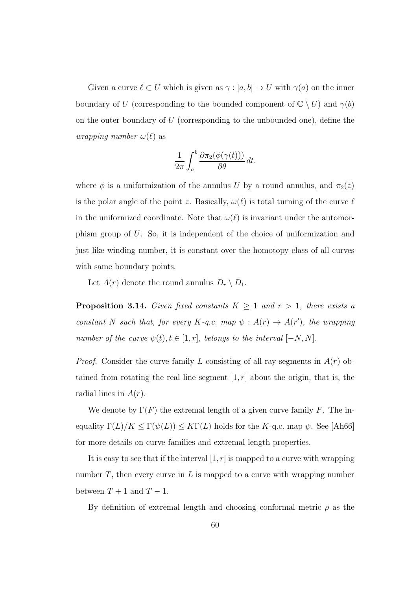Given a curve  $\ell \subset U$  which is given as  $\gamma : [a, b] \to U$  with  $\gamma(a)$  on the inner boundary of U (corresponding to the bounded component of  $\mathbb{C} \setminus U$ ) and  $\gamma(b)$ on the outer boundary of  $U$  (corresponding to the unbounded one), define the *wrapping number*  $\omega(\ell)$  as

$$
\frac{1}{2\pi} \int_{a}^{b} \frac{\partial \pi_2(\phi(\gamma(t)))}{\partial \theta} dt.
$$

where  $\phi$  is a uniformization of the annulus U by a round annulus, and  $\pi_2(z)$ is the polar angle of the point z. Basically,  $\omega(\ell)$  is total turning of the curve  $\ell$ in the uniformized coordinate. Note that  $\omega(\ell)$  is invariant under the automorphism group of U. So, it is independent of the choice of uniformization and just like winding number, it is constant over the homotopy class of all curves with same boundary points.

Let  $A(r)$  denote the round annulus  $D_r \setminus D_1$ .

**Proposition 3.14.** Given fixed constants  $K \geq 1$  and  $r > 1$ , there exists a constant N such that, for every K-q.c. map  $\psi : A(r) \to A(r')$ , the wrapping number of the curve  $\psi(t)$ ,  $t \in [1, r]$ , belongs to the interval  $[-N, N]$ .

*Proof.* Consider the curve family L consisting of all ray segments in  $A(r)$  obtained from rotating the real line segment  $(1, r)$  about the origin, that is, the radial lines in  $A(r)$ .

We denote by  $\Gamma(F)$  the extremal length of a given curve family F. The inequality  $\Gamma(L)/K \leq \Gamma(\psi(L)) \leq K\Gamma(L)$  holds for the K-q.c. map  $\psi$ . See [Ah66] for more details on curve families and extremal length properties.

It is easy to see that if the interval  $[1, r]$  is mapped to a curve with wrapping number  $T$ , then every curve in  $L$  is mapped to a curve with wrapping number between  $T + 1$  and  $T - 1$ .

By definition of extremal length and choosing conformal metric  $\rho$  as the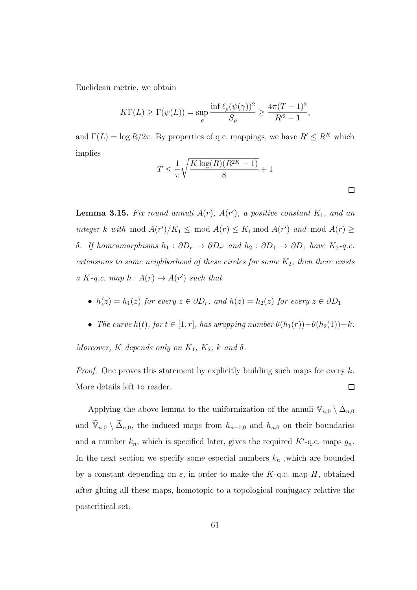Euclidean metric, we obtain

$$
K\Gamma(L) \ge \Gamma(\psi(L)) = \sup_{\rho} \frac{\inf \ell_{\rho}(\psi(\gamma))^{2}}{S_{\rho}} \ge \frac{4\pi (T-1)^{2}}{R'^{2}-1},
$$

and  $\Gamma(L) = \log R/2\pi$ . By properties of q.c. mappings, we have  $R' \leq R^{K}$  which implies

$$
T \le \frac{1}{\pi} \sqrt{\frac{K \log(R)(R^{2K} - 1)}{8}} + 1
$$

**Lemma 3.15.** Fix round annuli  $A(r)$ ,  $A(r')$ , a positive constant  $K_1$ , and an integer k with mod  $A(r')/K_1 \leq \text{ mod } A(r) \leq K_1 \text{ mod } A(r')$  and mod  $A(r) \geq$ δ. If homeomorphisms  $h_1: ∂D_r → ∂D_{r'}$  and  $h_2: ∂D_1 → ∂D_1$  have  $K_2$ -q.c. extensions to some neighborhood of these circles for some  $K_2$ , then there exists a K-q.c. map  $h: A(r) \to A(r')$  such that

• 
$$
h(z) = h_1(z)
$$
 for every  $z \in \partial D_r$ , and  $h(z) = h_2(z)$  for every  $z \in \partial D_1$ 

• The curve  $h(t)$ , for  $t \in [1, r]$ , has wrapping number  $\theta(h_1(r)) - \theta(h_2(1)) + k$ .

Moreover, K depends only on  $K_1$ ,  $K_2$ , k and  $\delta$ .

*Proof.* One proves this statement by explicitly building such maps for every  $k$ . More details left to reader.  $\Box$ 

Applying the above lemma to the uniformization of the annuli  $\mathbb{V}_{n,0} \setminus \Delta_{n,0}$ and  $\widetilde{\mathbb{V}}_{n,0} \setminus \widetilde{\Delta}_{n,0}$ , the induced maps from  $h_{n-1,0}$  and  $h_{n,0}$  on their boundaries and a number  $k_n$ , which is specified later, gives the required  $K'$ -q.c. maps  $g_n$ . In the next section we specify some especial numbers  $k_n$ , which are bounded by a constant depending on  $\varepsilon$ , in order to make the K-q.c. map H, obtained after gluing all these maps, homotopic to a topological conjugacy relative the postcritical set.

 $\Box$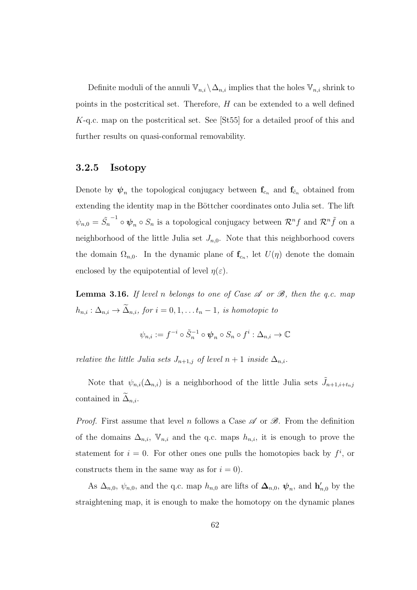Definite moduli of the annuli  $\mathbb{V}_{n,i} \setminus \Delta_{n,i}$  implies that the holes  $\mathbb{V}_{n,i}$  shrink to points in the postcritical set. Therefore,  $H$  can be extended to a well defined K-q.c. map on the postcritical set. See [St55] for a detailed proof of this and further results on quasi-conformal removability.

# 3.2.5 Isotopy

Denote by  $\psi_n$  the topological conjugacy between  $f_{c_n}$  and  $f_{\tilde{c}_n}$  obtained from extending the identity map in the Böttcher coordinates onto Julia set. The lift  $\psi_{n,0} = \tilde{S_n}^{-1} \circ \psi_n \circ S_n$  is a topological conjugacy between  $\mathcal{R}^n f$  and  $\mathcal{R}^n \tilde{f}$  on a neighborhood of the little Julia set  $J_{n,0}$ . Note that this neighborhood covers the domain  $\Omega_{n,0}$ . In the dynamic plane of  $\mathbf{f}_{c_n}$ , let  $U(\eta)$  denote the domain enclosed by the equipotential of level  $\eta(\varepsilon)$ .

**Lemma 3.16.** If level n belongs to one of Case  $\mathscr A$  or  $\mathscr B$ , then the q.c. map  $h_{n,i} : \Delta_{n,i} \to \widetilde{\Delta}_{n,i}$ , for  $i = 0, 1, \ldots t_n - 1$ , is homotopic to

$$
\psi_{n,i} := f^{-i} \circ \tilde{S}_n^{-1} \circ \psi_n \circ S_n \circ f^i : \Delta_{n,i} \to \mathbb{C}
$$

relative the little Julia sets  $J_{n+1,j}$  of level  $n+1$  inside  $\Delta_{n,i}$ .

Note that  $\psi_{n,i}(\Delta_{n,i})$  is a neighborhood of the little Julia sets  $\tilde{J}_{n+1,i+t_{n},j}$ contained in  $\Delta_{n,i}$ .

*Proof.* First assume that level n follows a Case  $\mathscr A$  or  $\mathscr B$ . From the definition of the domains  $\Delta_{n,i}$ ,  $\mathbb{V}_{n,i}$  and the q.c. maps  $h_{n,i}$ , it is enough to prove the statement for  $i = 0$ . For other ones one pulls the homotopies back by  $f^i$ , or constructs them in the same way as for  $i = 0$ .

As  $\Delta_{n,0}$ ,  $\psi_{n,0}$ , and the q.c. map  $h_{n,0}$  are lifts of  $\Delta_{n,0}$ ,  $\psi_n$ , and  $h'_{n,0}$  by the straightening map, it is enough to make the homotopy on the dynamic planes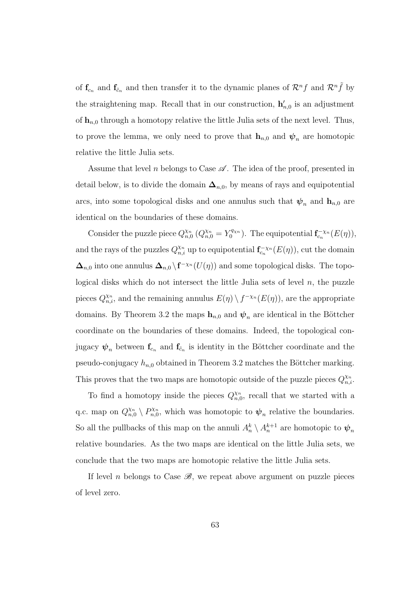of  $\mathbf{f}_{c_n}$  and  $\mathbf{f}_{\tilde{c}_n}$  and then transfer it to the dynamic planes of  $\mathcal{R}^n f$  and  $\mathcal{R}^n \tilde{f}$  by the straightening map. Recall that in our construction,  $h'_{n,0}$  is an adjustment of  $h_{n,0}$  through a homotopy relative the little Julia sets of the next level. Thus, to prove the lemma, we only need to prove that  $h_{n,0}$  and  $\psi_n$  are homotopic relative the little Julia sets.

Assume that level n belongs to Case  $\mathscr A$ . The idea of the proof, presented in detail below, is to divide the domain  $\Delta_{n,0}$ , by means of rays and equipotential arcs, into some topological disks and one annulus such that  $\psi_n$  and  $\mathbf{h}_{n,0}$  are identical on the boundaries of these domains.

Consider the puzzle piece  $Q_{n,\alpha}^{\chi_n}$  $X_n^{\chi_n}(Q_{n,0}^{\chi_n} = Y_0^{q_{\chi_n}})$ . The equipotential  $\mathbf{f}_{c_n}^{-\chi_n}(E(\eta))$ , and the rays of the puzzles  $Q_{n,i}^{\chi_n}$  up to equipotential  $\mathbf{f}_{c_n}^{-\chi_n}(E(\eta))$ , cut the domain  $\Delta_{n,0}$  into one annulus  $\Delta_{n,0} \backslash f^{-\chi_n}(U(\eta))$  and some topological disks. The topological disks which do not intersect the little Julia sets of level  $n$ , the puzzle pieces  $Q_{n,i}^{\chi_n}$ , and the remaining annulus  $E(\eta) \setminus f^{-\chi_n}(E(\eta))$ , are the appropriate domains. By Theorem 3.2 the maps  $h_{n,0}$  and  $\psi_n$  are identical in the Böttcher coordinate on the boundaries of these domains. Indeed, the topological conjugacy  $\psi_n$  between  $f_{c_n}$  and  $f_{\tilde{c}_n}$  is identity in the Böttcher coordinate and the pseudo-conjugacy  $h_{n,0}$  obtained in Theorem 3.2 matches the Böttcher marking. This proves that the two maps are homotopic outside of the puzzle pieces  $Q_{n,i}^{\chi_n}$ .

To find a homotopy inside the pieces  $Q_{n,\ell}^{\chi_n}$  $\chi_{n,0}^{\chi_n}$ , recall that we started with a q.c. map on  $Q_{n,0}^{\chi_n} \setminus P_{n,0}^{\chi_n}$  $\psi_{n,0}^{\chi_n}$ , which was homotopic to  $\psi_n$  relative the boundaries. So all the pullbacks of this map on the annuli  $A_n^k \setminus A_n^{k+1}$  are homotopic to  $\psi_n$ relative boundaries. As the two maps are identical on the little Julia sets, we conclude that the two maps are homotopic relative the little Julia sets.

If level n belongs to Case  $\mathscr{B}$ , we repeat above argument on puzzle pieces of level zero.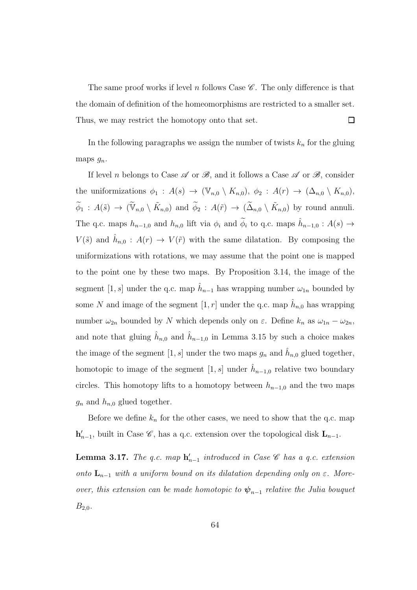The same proof works if level n follows Case  $\mathscr{C}$ . The only difference is that the domain of definition of the homeomorphisms are restricted to a smaller set. Thus, we may restrict the homotopy onto that set.  $\Box$ 

In the following paragraphs we assign the number of twists  $k_n$  for the gluing maps  $g_n$ .

If level *n* belongs to Case  $\mathscr A$  or  $\mathscr B$ , and it follows a Case  $\mathscr A$  or  $\mathscr B$ , consider the uniformizations  $\phi_1$  :  $A(s) \rightarrow (\mathbb{V}_{n,0} \setminus K_{n,0}), \phi_2$  :  $A(r) \rightarrow (\Delta_{n,0} \setminus K_{n,0}),$  $\widetilde{\phi}_1$  :  $A(\tilde{s}) \to (\widetilde{\mathbb{V}}_{n,0} \setminus \widetilde{K}_{n,0})$  and  $\widetilde{\phi}_2$  :  $A(\tilde{r}) \to (\widetilde{\Delta}_{n,0} \setminus \widetilde{K}_{n,0})$  by round annuli. The q.c. maps  $h_{n-1,0}$  and  $h_{n,0}$  lift via  $\phi_i$  and  $\widetilde{\phi}_i$  to q.c. maps  $\hat{h}_{n-1,0}$ :  $A(s) \to$  $V(\tilde{s})$  and  $\hat{h}_{n,0}$ :  $A(r) \to V(\tilde{r})$  with the same dilatation. By composing the uniformizations with rotations, we may assume that the point one is mapped to the point one by these two maps. By Proposition 3.14, the image of the segment [1, s] under the q.c. map  $\hat{h}_{n-1}$  has wrapping number  $\omega_{1n}$  bounded by some N and image of the segment  $[1, r]$  under the q.c. map  $\hat{h}_{n,0}$  has wrapping number  $\omega_{2n}$  bounded by N which depends only on  $\varepsilon$ . Define  $k_n$  as  $\omega_{1n} - \omega_{2n}$ , and note that gluing  $\hat{h}_{n,0}$  and  $\hat{h}_{n-1,0}$  in Lemma 3.15 by such a choice makes the image of the segment  $[1, s]$  under the two maps  $g_n$  and  $\hat{h}_{n,0}$  glued together, homotopic to image of the segment  $[1, s]$  under  $\hat{h}_{n-1,0}$  relative two boundary circles. This homotopy lifts to a homotopy between  $h_{n-1,0}$  and the two maps  $g_n$  and  $h_{n,0}$  glued together.

Before we define  $k_n$  for the other cases, we need to show that the q.c. map  $\mathbf{h}'_{n-1}$ , built in Case  $\mathscr{C}$ , has a q.c. extension over the topological disk  $\mathbf{L}_{n-1}$ .

**Lemma 3.17.** The q.c. map  $h'_{n-1}$  introduced in Case  $\mathscr{C}$  has a q.c. extension onto  $\mathbf{L}_{n-1}$  with a uniform bound on its dilatation depending only on  $\varepsilon$ . Moreover, this extension can be made homotopic to  $\psi_{n-1}$  relative the Julia bouquet  $B_{2,0}$ .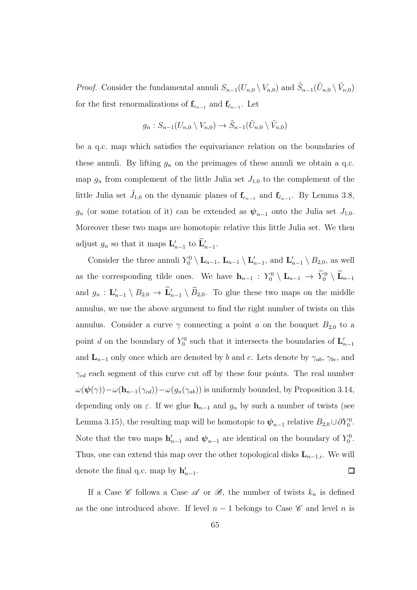*Proof.* Consider the fundamental annuli  $S_{n-1}(U_{n,0} \setminus V_{n,0})$  and  $\tilde{S}_{n-1}(\tilde{U}_{n,0} \setminus \tilde{V}_{n,0})$ for the first renormalizations of  $\mathbf{f}_{c_{n-1}}$  and  $\mathbf{f}_{\tilde{c}_{n-1}}$ . Let

$$
g_n: S_{n-1}(U_{n,0}\setminus V_{n,0})\to \tilde{S}_{n-1}(\tilde{U}_{n,0}\setminus \tilde{V}_{n,0})
$$

be a q.c. map which satisfies the equivariance relation on the boundaries of these annuli. By lifting  $g_n$  on the preimages of these annuli we obtain a q.c. map  $g_n$  from complement of the little Julia set  $J_{1,0}$  to the complement of the little Julia set  $\tilde{J}_{1,0}$  on the dynamic planes of  $\mathbf{f}_{c_{n-1}}$  and  $\mathbf{f}_{\tilde{c}_{n-1}}$ . By Lemma 3.8,  $g_n$  (or some rotation of it) can be extended as  $\psi_{n-1}$  onto the Julia set  $J_{1,0}$ . Moreover these two maps are homotopic relative this little Julia set. We then adjust  $g_n$  so that it maps  $\mathbf{L}'_{n-1}$  to  $\mathbf{L}'_{n-1}$ .

Consider the three annuli  $Y_0^0 \setminus \mathbf{L}_{n-1}$ ,  $\mathbf{L}_{n-1} \setminus \mathbf{L}_{n-1}'$ , and  $\mathbf{L}_{n-1}' \setminus B_{2,0}$ , as well as the corresponding tilde ones. We have  $\mathbf{h}_{n-1} : Y_0^0 \setminus \mathbf{L}_{n-1} \to Y_0^0 \setminus \mathbf{L}_{n-1}$ and  $g_n: \mathbf{L}'_{n-1} \setminus B_{2,0} \to \mathbf{L}'_{n-1} \setminus B_{2,0}$ . To glue these two maps on the middle annulus, we use the above argument to find the right number of twists on this annulus. Consider a curve  $\gamma$  connecting a point a on the bouquet  $B_{2,0}$  to a point d on the boundary of  $Y_0^0$  such that it intersects the boundaries of  $\mathbf{L}'_{n-1}$ and  $\mathbf{L}_{n-1}$  only once which are denoted by b and c. Lets denote by  $\gamma_{ab}$ ,  $\gamma_{bc}$ , and  $\gamma_{cd}$  each segment of this curve cut off by these four points. The real number  $\omega(\boldsymbol{\psi}(\gamma))-\omega(\mathbf{h}_{n-1}(\gamma_{cd}))-\omega(g_n(\gamma_{ab}))$  is uniformly bounded, by Proposition 3.14, depending only on  $\varepsilon$ . If we glue  $h_{n-1}$  and  $g_n$  by such a number of twists (see Lemma 3.15), the resulting map will be homotopic to  $\psi_{n-1}$  relative  $B_{2,0}\cup \partial Y_0^0$ . Note that the two maps  $h'_{n-1}$  and  $\psi_{n-1}$  are identical on the boundary of  $Y_0^0$ . Thus, one can extend this map over the other topological disks  $\mathbf{L}_{n-1,i}$ . We will denote the final q.c. map by  $h'_{n-1}$ .  $\Box$ 

If a Case  $\mathscr C$  follows a Case  $\mathscr A$  or  $\mathscr B$ , the number of twists  $k_n$  is defined as the one introduced above. If level  $n-1$  belongs to Case  $\mathscr C$  and level n is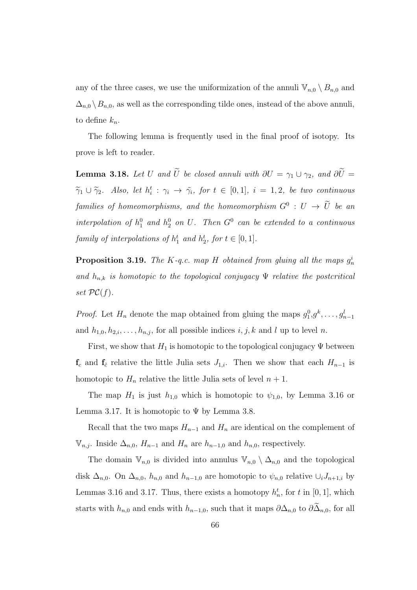any of the three cases, we use the uniformization of the annuli  $\mathbb{V}_{n,0} \setminus B_{n,0}$  and  $\Delta_{n,0} \setminus B_{n,0}$ , as well as the corresponding tilde ones, instead of the above annuli, to define  $k_n$ .

The following lemma is frequently used in the final proof of isotopy. Its prove is left to reader.

**Lemma 3.18.** Let U and  $\tilde{U}$  be closed annuli with  $\partial U = \gamma_1 \cup \gamma_2$ , and  $\partial \tilde{U} =$  $\tilde{\gamma}_1 \cup \tilde{\gamma}_2$ . Also, let  $h_i^t : \gamma_i \to \tilde{\gamma}_i$ , for  $t \in [0,1]$ ,  $i = 1,2$ , be two continuous  $families\ of\ homeomorphisms,\ and\ the\ homeomorphism\ G^0\ :\ U\ \rightarrow\ \bar{U}\ be\ an$ interpolation of  $h_1^0$  and  $h_2^0$  on U. Then  $G^0$  can be extended to a continuous family of interpolations of  $h_1^t$  and  $h_2^t$ , for  $t \in [0,1]$ .

**Proposition 3.19.** The K-q.c. map H obtained from gluing all the maps  $g_n^i$ and  $h_{n,k}$  is homotopic to the topological conjugacy  $\Psi$  relative the postcritical set  $\mathcal{PC}(f)$ .

*Proof.* Let  $H_n$  denote the map obtained from gluing the maps  $g_1^0, g^k, \ldots, g_{n-1}^l$ and  $h_{1,0}, h_{2,i}, \ldots, h_{n,j}$ , for all possible indices  $i, j, k$  and l up to level n.

First, we show that  $H_1$  is homotopic to the topological conjugacy  $\Psi$  between  $f_c$  and  $f_{\tilde{c}}$  relative the little Julia sets  $J_{1,i}$ . Then we show that each  $H_{n-1}$  is homotopic to  $H_n$  relative the little Julia sets of level  $n + 1$ .

The map  $H_1$  is just  $h_{1,0}$  which is homotopic to  $\psi_{1,0}$ , by Lemma 3.16 or Lemma 3.17. It is homotopic to  $\Psi$  by Lemma 3.8.

Recall that the two maps  $H_{n-1}$  and  $H_n$  are identical on the complement of  $\mathbb{V}_{n,j}$ . Inside  $\Delta_{n,0}$ ,  $H_{n-1}$  and  $H_n$  are  $h_{n-1,0}$  and  $h_{n,0}$ , respectively.

The domain  $\mathbb{V}_{n,0}$  is divided into annulus  $\mathbb{V}_{n,0} \setminus \Delta_{n,0}$  and the topological disk  $\Delta_{n,0}$ . On  $\Delta_{n,0}$ ,  $h_{n,0}$  and  $h_{n-1,0}$  are homotopic to  $\psi_{n,0}$  relative  $\cup_i J_{n+1,i}$  by Lemmas 3.16 and 3.17. Thus, there exists a homotopy  $h_n^t$ , for t in [0, 1], which starts with  $h_{n,0}$  and ends with  $h_{n-1,0}$ , such that it maps  $\partial \Delta_{n,0}$  to  $\partial \Delta_{n,0}$ , for all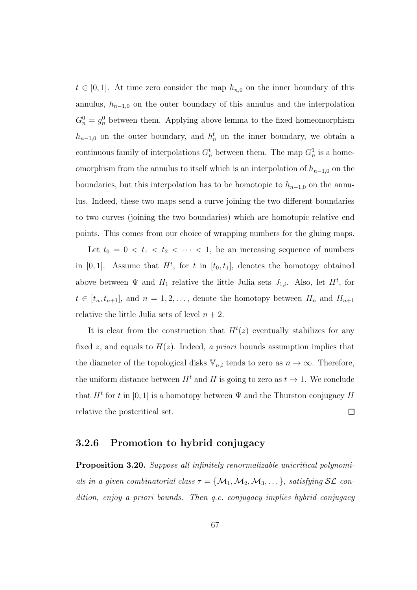$t \in [0, 1]$ . At time zero consider the map  $h_{n,0}$  on the inner boundary of this annulus,  $h_{n-1,0}$  on the outer boundary of this annulus and the interpolation  $G_n^0 = g_n^0$  between them. Applying above lemma to the fixed homeomorphism  $h_{n-1,0}$  on the outer boundary, and  $h_n^t$  on the inner boundary, we obtain a continuous family of interpolations  $G_n^t$  between them. The map  $G_n^1$  is a homeomorphism from the annulus to itself which is an interpolation of  $h_{n-1,0}$  on the boundaries, but this interpolation has to be homotopic to  $h_{n-1,0}$  on the annulus. Indeed, these two maps send a curve joining the two different boundaries to two curves (joining the two boundaries) which are homotopic relative end points. This comes from our choice of wrapping numbers for the gluing maps.

Let  $t_0 = 0 < t_1 < t_2 < \cdots < 1$ , be an increasing sequence of numbers in [0, 1]. Assume that  $H^t$ , for t in [ $t_0, t_1$ ], denotes the homotopy obtained above between  $\Psi$  and  $H_1$  relative the little Julia sets  $J_{1,i}$ . Also, let  $H^t$ , for  $t \in [t_n, t_{n+1}],$  and  $n = 1, 2, \ldots$ , denote the homotopy between  $H_n$  and  $H_{n+1}$ relative the little Julia sets of level  $n + 2$ .

It is clear from the construction that  $H^t(z)$  eventually stabilizes for any fixed z, and equals to  $H(z)$ . Indeed, a priori bounds assumption implies that the diameter of the topological disks  $\mathbb{V}_{n,i}$  tends to zero as  $n \to \infty$ . Therefore, the uniform distance between  $H^t$  and H is going to zero as  $t \to 1$ . We conclude that  $H^t$  for t in [0, 1] is a homotopy between  $\Psi$  and the Thurston conjugacy H  $\Box$ relative the postcritical set.

#### 3.2.6 Promotion to hybrid conjugacy

Proposition 3.20. Suppose all infinitely renormalizable unicritical polynomials in a given combinatorial class  $\tau = \{M_1, M_2, M_3, \dots\}$ , satisfying  $\mathcal{SL}$  condition, enjoy a priori bounds. Then q.c. conjugacy implies hybrid conjugacy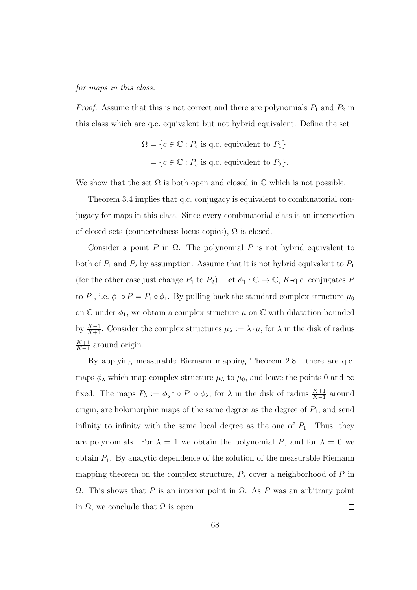#### for maps in this class.

*Proof.* Assume that this is not correct and there are polynomials  $P_1$  and  $P_2$  in this class which are q.c. equivalent but not hybrid equivalent. Define the set

$$
\Omega = \{c \in \mathbb{C} : P_c \text{ is q.c. equivalent to } P_1\}
$$

$$
= \{c \in \mathbb{C} : P_c \text{ is q.c. equivalent to } P_2\}.
$$

We show that the set  $\Omega$  is both open and closed in  $\mathbb C$  which is not possible.

Theorem 3.4 implies that q.c. conjugacy is equivalent to combinatorial conjugacy for maps in this class. Since every combinatorial class is an intersection of closed sets (connectedness locus copies),  $\Omega$  is closed.

Consider a point P in  $\Omega$ . The polynomial P is not hybrid equivalent to both of  $P_1$  and  $P_2$  by assumption. Assume that it is not hybrid equivalent to  $P_1$ (for the other case just change  $P_1$  to  $P_2$ ). Let  $\phi_1 : \mathbb{C} \to \mathbb{C}$ , K-q.c. conjugates P to  $P_1$ , i.e.  $\phi_1 \circ P = P_1 \circ \phi_1$ . By pulling back the standard complex structure  $\mu_0$ on  $\mathbb C$  under  $\phi_1$ , we obtain a complex structure  $\mu$  on  $\mathbb C$  with dilatation bounded by  $\frac{K-1}{K+1}$ . Consider the complex structures  $\mu_{\lambda} := \lambda \cdot \mu$ , for  $\lambda$  in the disk of radius  $K+1$  $\frac{K+1}{K-1}$  around origin.

By applying measurable Riemann mapping Theorem 2.8 , there are q.c. maps  $\phi_{\lambda}$  which map complex structure  $\mu_{\lambda}$  to  $\mu_0$ , and leave the points 0 and  $\infty$ fixed. The maps  $P_{\lambda} := \phi_{\lambda}^{-1} \circ P_1 \circ \phi_{\lambda}$ , for  $\lambda$  in the disk of radius  $\frac{K+1}{K-1}$  around origin, are holomorphic maps of the same degree as the degree of  $P_1$ , and send infinity to infinity with the same local degree as the one of  $P_1$ . Thus, they are polynomials. For  $\lambda = 1$  we obtain the polynomial P, and for  $\lambda = 0$  we obtain  $P_1$ . By analytic dependence of the solution of the measurable Riemann mapping theorem on the complex structure,  $P_{\lambda}$  cover a neighborhood of P in Ω. This shows that P is an interior point in Ω. As P was an arbitrary point in  $\Omega$ , we conclude that  $\Omega$  is open.  $\Box$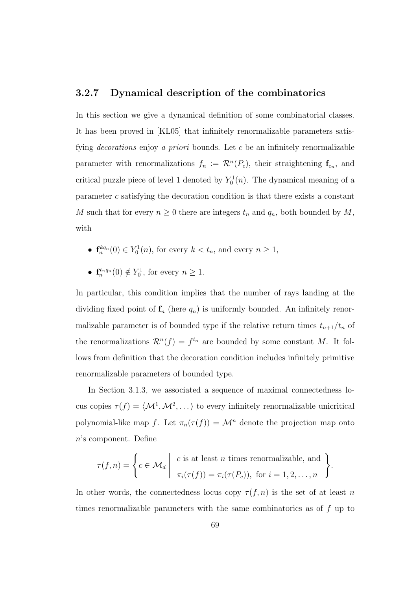#### 3.2.7 Dynamical description of the combinatorics

In this section we give a dynamical definition of some combinatorial classes. It has been proved in [KL05] that infinitely renormalizable parameters satisfying *decorations* enjoy a priori bounds. Let  $c$  be an infinitely renormalizable parameter with renormalizations  $f_n := \mathcal{R}^n(P_c)$ , their straightening  $f_{c_n}$ , and critical puzzle piece of level 1 denoted by  $Y_0^1(n)$ . The dynamical meaning of a parameter c satisfying the decoration condition is that there exists a constant M such that for every  $n \geq 0$  there are integers  $t_n$  and  $q_n$ , both bounded by M, with

- $\mathbf{f}_n^{kq_n}(0) \in Y_0^1(n)$ , for every  $k < t_n$ , and every  $n \geq 1$ ,
- $\mathbf{f}_n^{t_n q_n}(0) \notin Y_0^1$ , for every  $n \geq 1$ .

In particular, this condition implies that the number of rays landing at the dividing fixed point of  $f_n$  (here  $q_n$ ) is uniformly bounded. An infinitely renormalizable parameter is of bounded type if the relative return times  $t_{n+1}/t_n$  of the renormalizations  $\mathcal{R}^n(f) = f^{t_n}$  are bounded by some constant M. It follows from definition that the decoration condition includes infinitely primitive renormalizable parameters of bounded type.

In Section 3.1.3, we associated a sequence of maximal connectedness locus copies  $\tau(f) = \langle \mathcal{M}^1, \mathcal{M}^2, \dots \rangle$  to every infinitely renormalizable unicritical polynomial-like map f. Let  $\pi_n(\tau(f)) = \mathcal{M}^n$  denote the projection map onto n's component. Define

$$
\tau(f,n) = \left\{ c \in \mathcal{M}_d \mid \begin{array}{c} c \text{ is at least } n \text{ times renormalizable, and} \\ \pi_i(\tau(f)) = \pi_i(\tau(P_c)), \text{ for } i = 1, 2, \dots, n \end{array} \right\}.
$$

In other words, the connectedness locus copy  $\tau(f, n)$  is the set of at least n times renormalizable parameters with the same combinatorics as of f up to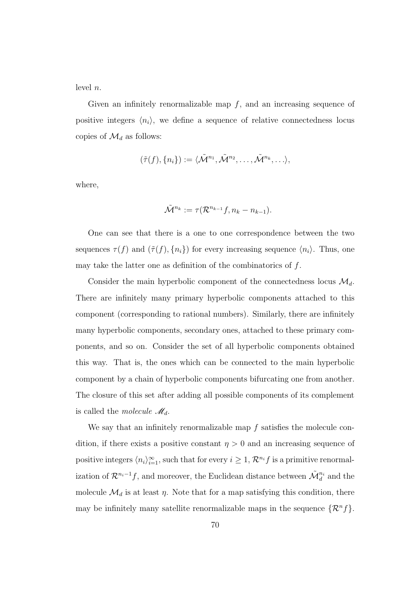level n.

Given an infinitely renormalizable map  $f$ , and an increasing sequence of positive integers  $\langle n_i \rangle$ , we define a sequence of relative connectedness locus copies of  $\mathcal{M}_d$  as follows:

$$
(\tilde{\tau}(f), \{n_i\}) := \langle \tilde{\mathcal{M}}^{n_1}, \tilde{\mathcal{M}}^{n_2}, \dots, \tilde{\mathcal{M}}^{n_k}, \dots \rangle,
$$

where,

$$
\tilde{\mathcal{M}}^{n_k} := \tau(\mathcal{R}^{n_{k-1}}f, n_k - n_{k-1}).
$$

One can see that there is a one to one correspondence between the two sequences  $\tau(f)$  and  $(\tilde{\tau}(f), \{n_i\})$  for every increasing sequence  $\langle n_i \rangle$ . Thus, one may take the latter one as definition of the combinatorics of  $f$ .

Consider the main hyperbolic component of the connectedness locus  $\mathcal{M}_d$ . There are infinitely many primary hyperbolic components attached to this component (corresponding to rational numbers). Similarly, there are infinitely many hyperbolic components, secondary ones, attached to these primary components, and so on. Consider the set of all hyperbolic components obtained this way. That is, the ones which can be connected to the main hyperbolic component by a chain of hyperbolic components bifurcating one from another. The closure of this set after adding all possible components of its complement is called the molecule  $\mathcal{M}_d$ .

We say that an infinitely renormalizable map  $f$  satisfies the molecule condition, if there exists a positive constant  $\eta > 0$  and an increasing sequence of positive integers  $\langle n_i \rangle_{i=1}^{\infty}$ , such that for every  $i \geq 1$ ,  $\mathcal{R}^{n_i} f$  is a primitive renormalization of  $\mathcal{R}^{n_i-1}f$ , and moreover, the Euclidean distance between  $\tilde{\mathcal{M}}_d^{n_i}$  and the molecule  $\mathcal{M}_d$  is at least  $\eta$ . Note that for a map satisfying this condition, there may be infinitely many satellite renormalizable maps in the sequence  $\{\mathcal{R}^nf\}.$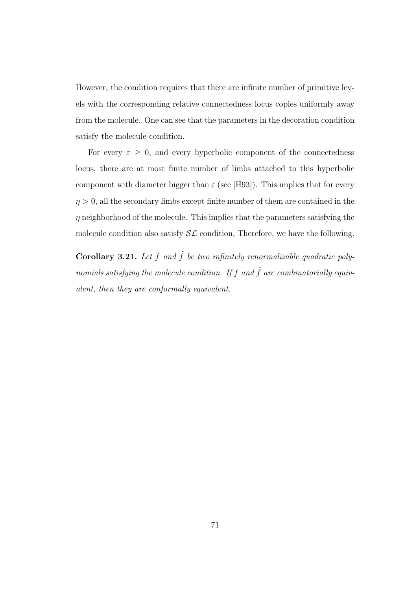However, the condition requires that there are infinite number of primitive levels with the corresponding relative connectedness locus copies uniformly away from the molecule. One can see that the parameters in the decoration condition satisfy the molecule condition.

For every  $\varepsilon \geq 0$ , and every hyperbolic component of the connectedness locus, there are at most finite number of limbs attached to this hyperbolic component with diameter bigger than  $\varepsilon$  (see [H93]). This implies that for every  $\eta > 0$ , all the secondary limbs except finite number of them are contained in the  $\eta$  neighborhood of the molecule. This implies that the parameters satisfying the molecule condition also satisfy  $\mathcal{SL}$  condition, Therefore, we have the following.

Corollary 3.21. Let  $f$  and  $\tilde{f}$  be two infinitely renormalizable quadratic polynomials satisfying the molecule condition. If  $f$  and  $\tilde{f}$  are combinatorially equivalent, then they are conformally equivalent.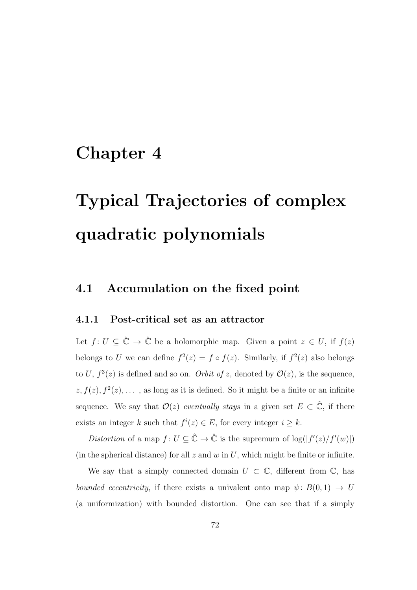# Chapter 4

# Typical Trajectories of complex quadratic polynomials

## 4.1 Accumulation on the fixed point

### 4.1.1 Post-critical set as an attractor

Let  $f: U \subseteq \hat{\mathbb{C}} \to \hat{\mathbb{C}}$  be a holomorphic map. Given a point  $z \in U$ , if  $f(z)$ belongs to U we can define  $f^2(z) = f \circ f(z)$ . Similarly, if  $f^2(z)$  also belongs to U,  $f^3(z)$  is defined and so on. Orbit of z, denoted by  $\mathcal{O}(z)$ , is the sequence,  $z, f(z), f^{2}(z), \ldots$ , as long as it is defined. So it might be a finite or an infinite sequence. We say that  $\mathcal{O}(z)$  eventually stays in a given set  $E \subset \hat{\mathbb{C}}$ , if there exists an integer k such that  $f^{i}(z) \in E$ , for every integer  $i \geq k$ .

Distortion of a map  $f: U \subseteq \hat{\mathbb{C}} \to \hat{\mathbb{C}}$  is the supremum of  $\log(|f'(z)/f'(w)|)$ (in the spherical distance) for all  $z$  and  $w$  in  $U$ , which might be finite or infinite.

We say that a simply connected domain  $U \subset \mathbb{C}$ , different from  $\mathbb{C}$ , has bounded eccentricity, if there exists a univalent onto map  $\psi: B(0,1) \rightarrow U$ (a uniformization) with bounded distortion. One can see that if a simply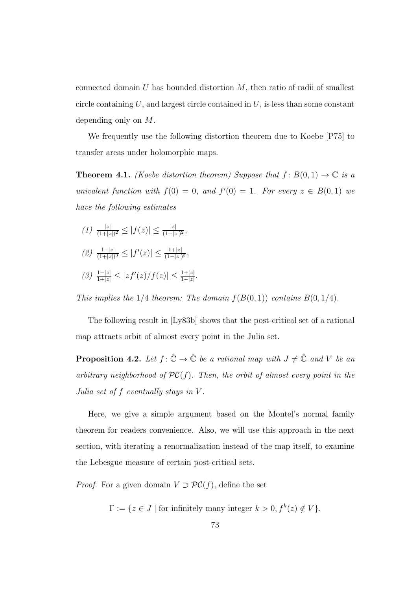connected domain  $U$  has bounded distortion  $M$ , then ratio of radii of smallest circle containing  $U$ , and largest circle contained in  $U$ , is less than some constant depending only on M.

We frequently use the following distortion theorem due to Koebe [P75] to transfer areas under holomorphic maps.

**Theorem 4.1.** (Koebe distortion theorem) Suppose that  $f: B(0,1) \to \mathbb{C}$  is a univalent function with  $f(0) = 0$ , and  $f'(0) = 1$ . For every  $z \in B(0,1)$  we have the following estimates

- $(1)$   $\frac{|z|}{(1+|z|)^2} \leq |f(z)| \leq \frac{|z|}{(1-|z|)^2},$
- $(2) \frac{1-|z|}{(1+|z|)^3} \leq |f'(z)| \leq \frac{1+|z|}{(1-|z|)^3},$
- $(3) \frac{1-|z|}{1+|z|} \leq |zf'(z)/f(z)| \leq \frac{1+|z|}{1-|z|}.$

This implies the  $1/4$  theorem: The domain  $f(B(0, 1))$  contains  $B(0, 1/4)$ .

The following result in [Ly83b] shows that the post-critical set of a rational map attracts orbit of almost every point in the Julia set.

**Proposition 4.2.** Let  $f: \hat{\mathbb{C}} \to \hat{\mathbb{C}}$  be a rational map with  $J \neq \hat{\mathbb{C}}$  and V be an arbitrary neighborhood of  $PC(f)$ . Then, the orbit of almost every point in the Julia set of  $f$  eventually stays in  $V$ .

Here, we give a simple argument based on the Montel's normal family theorem for readers convenience. Also, we will use this approach in the next section, with iterating a renormalization instead of the map itself, to examine the Lebesgue measure of certain post-critical sets.

*Proof.* For a given domain  $V \supset \mathcal{PC}(f)$ , define the set

 $\Gamma := \{ z \in J \mid \text{for infinitely many integer } k > 0, f^k(z) \notin V \}.$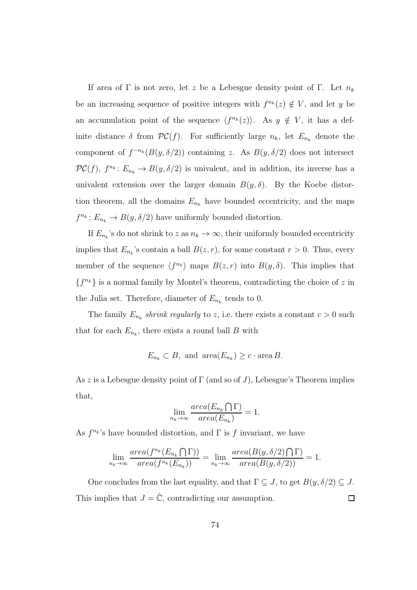If area of Γ is not zero, let z be a Lebesgue density point of Γ. Let  $n_k$ be an increasing sequence of positive integers with  $f^{n_k}(z) \notin V$ , and let y be an accumulation point of the sequence  $\langle f^{n_k}(z) \rangle$ . As  $y \notin V$ , it has a definite distance  $\delta$  from  $\mathcal{PC}(f)$ . For sufficiently large  $n_k$ , let  $E_{n_k}$  denote the component of  $f^{-n_k}(B(y,\delta/2))$  containing z. As  $B(y,\delta/2)$  does not intersect  $\mathcal{PC}(f)$ ,  $f^{n_k}: E_{n_k} \to B(y,\delta/2)$  is univalent, and in addition, its inverse has a univalent extension over the larger domain  $B(y, \delta)$ . By the Koebe distortion theorem, all the domains  $E_{n_k}$  have bounded eccentricity, and the maps  $f^{n_k}: E_{n_k} \to B(y, \delta/2)$  have uniformly bounded distortion.

If  $E_{n_k}$ 's do not shrink to z as  $n_k \to \infty$ , their uniformly bounded eccentricity implies that  $E_{n_k}$ 's contain a ball  $B(z, r)$ , for some constant  $r > 0$ . Thus, every member of the sequence  $\langle f^{n_k} \rangle$  maps  $B(z, r)$  into  $B(y, \delta)$ . This implies that  ${f^{n_k}}$  is a normal family by Montel's theorem, contradicting the choice of z in the Julia set. Therefore, diameter of  $E_{n_k}$  tends to 0.

The family  $E_{n_k}$  shrink regularly to z, i.e. there exists a constant  $c > 0$  such that for each  $E_{n_k}$ , there exists a round ball B with

$$
E_{n_k} \subset B
$$
, and area $(E_{n_k}) \ge c \cdot \text{area } B$ .

As z is a Lebesgue density point of  $\Gamma$  (and so of J), Lebesgue's Theorem implies that,

$$
\lim_{n_k \to \infty} \frac{area(E_{n_k} \cap \Gamma)}{area(E_{n_k})} = 1.
$$

As  $f^{n_k}$ 's have bounded distortion, and  $\Gamma$  is f invariant, we have

$$
\lim_{n_k \to \infty} \frac{\text{area}(f^{n_k}(E_{n_k} \cap \Gamma))}{\text{area}(f^{n_k}(E_{n_k}))} = \lim_{n_k \to \infty} \frac{\text{area}(B(y, \delta/2) \cap \Gamma)}{\text{area}(B(y, \delta/2))} = 1.
$$

One concludes from the last equality, and that  $\Gamma \subseteq J$ , to get  $B(y, \delta/2) \subseteq J$ . This implies that  $J=\hat{\mathbb{C}},$  contradicting our assumption.  $\Box$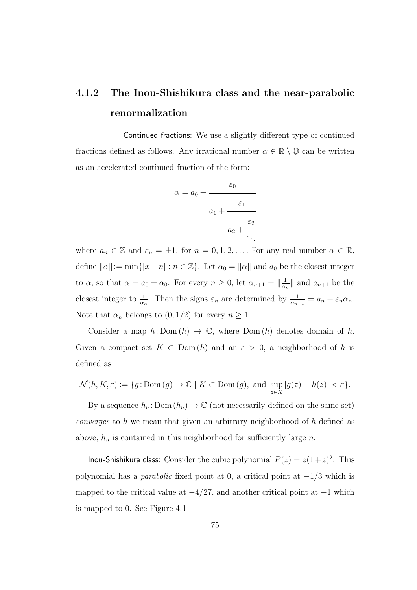# 4.1.2 The Inou-Shishikura class and the near-parabolic renormalization

Continued fractions: We use a slightly different type of continued fractions defined as follows. Any irrational number  $\alpha \in \mathbb{R} \setminus \mathbb{Q}$  can be written as an accelerated continued fraction of the form:

$$
\alpha = a_0 + \cfrac{\varepsilon_0}{a_1 + \cfrac{\varepsilon_1}{a_2 + \cfrac{\varepsilon_2}{\ddots}}}
$$

where  $a_n \in \mathbb{Z}$  and  $\varepsilon_n = \pm 1$ , for  $n = 0, 1, 2, \dots$  For any real number  $\alpha \in \mathbb{R}$ , define  $||\alpha|| := \min\{|x - n| : n \in \mathbb{Z}\}$ . Let  $\alpha_0 = ||\alpha||$  and  $a_0$  be the closest integer to  $\alpha$ , so that  $\alpha = a_0 \pm \alpha_0$ . For every  $n \geq 0$ , let  $\alpha_{n+1} = \|\frac{1}{\alpha_n}$  $\frac{1}{\alpha_n}$  and  $a_{n+1}$  be the closest integer to  $\frac{1}{\alpha_n}$ . Then the signs  $\varepsilon_n$  are determined by  $\frac{1}{\alpha_{n-1}} = a_n + \varepsilon_n \alpha_n$ . Note that  $\alpha_n$  belongs to  $(0, 1/2)$  for every  $n \geq 1$ .

Consider a map  $h: \text{Dom}(h) \to \mathbb{C}$ , where  $\text{Dom}(h)$  denotes domain of h. Given a compact set  $K \subset \text{Dom}(h)$  and an  $\varepsilon > 0$ , a neighborhood of h is defined as

$$
\mathcal{N}(h, K, \varepsilon) := \{ g : \text{Dom}(g) \to \mathbb{C} \mid K \subset \text{Dom}(g), \text{ and } \sup_{z \in K} |g(z) - h(z)| < \varepsilon \}.
$$

By a sequence  $h_n: \text{Dom}(h_n) \to \mathbb{C}$  (not necessarily defined on the same set) converges to h we mean that given an arbitrary neighborhood of h defined as above,  $h_n$  is contained in this neighborhood for sufficiently large n.

Inou-Shishikura class: Consider the cubic polynomial  $P(z) = z(1+z)^2$ . This polynomial has a *parabolic* fixed point at 0, a critical point at  $-1/3$  which is mapped to the critical value at  $-4/27$ , and another critical point at  $-1$  which is mapped to 0. See Figure 4.1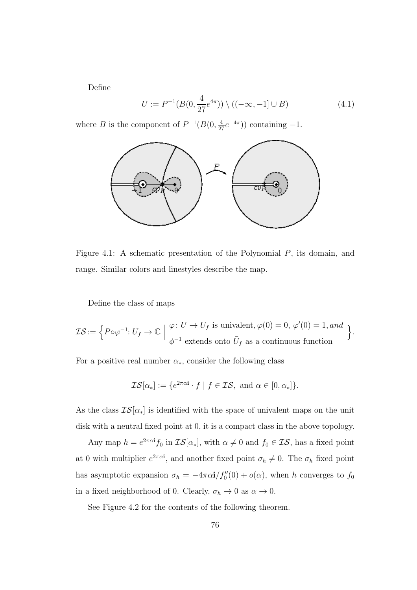Define

$$
U := P^{-1}(B(0, \frac{4}{27}e^{4\pi})) \setminus ((-\infty, -1] \cup B)
$$
\n(4.1)

where B is the component of  $P^{-1}(B(0, \frac{4}{27}e^{-4\pi}))$  containing -1.



Figure 4.1: A schematic presentation of the Polynomial P, its domain, and range. Similar colors and linestyles describe the map.

Define the class of maps

$$
\mathcal{IS} := \Big\{ P \circ \varphi^{-1} : U_f \to \mathbb{C} \; \Big| \; \begin{array}{l} \varphi \colon U \to U_f \text{ is univalent, } \varphi(0) = 0, \, \varphi'(0) = 1, and \\ \varphi^{-1} \text{ extends onto } \bar{U}_f \text{ as a continuous function} \end{array} \Big\}.
$$

For a positive real number  $\alpha_*$ , consider the following class

$$
\mathcal{IS}[\alpha_*] := \{ e^{2\pi \alpha \mathbf{i}} \cdot f \mid f \in \mathcal{IS}, \text{ and } \alpha \in [0, \alpha_*] \}.
$$

As the class  $\mathcal{IS}[\alpha_*]$  is identified with the space of univalent maps on the unit disk with a neutral fixed point at 0, it is a compact class in the above topology.

Any map  $h = e^{2\pi \alpha i} f_0$  in  $\mathcal{IS}[\alpha_*]$ , with  $\alpha \neq 0$  and  $f_0 \in \mathcal{IS}$ , has a fixed point at 0 with multiplier  $e^{2\pi\alpha i}$ , and another fixed point  $\sigma_h \neq 0$ . The  $\sigma_h$  fixed point has asymptotic expansion  $\sigma_h = -4\pi \alpha \mathbf{i}/f_0''(0) + o(\alpha)$ , when h converges to  $f_0$ in a fixed neighborhood of 0. Clearly,  $\sigma_h \to 0$  as  $\alpha \to 0$ .

See Figure 4.2 for the contents of the following theorem.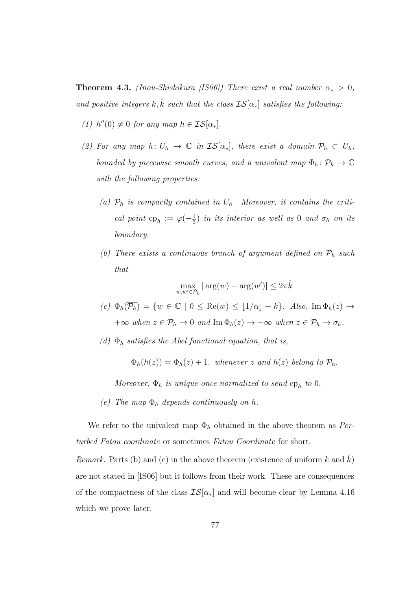**Theorem 4.3.** (Inou-Shishikura [IS06]) There exist a real number  $\alpha_* > 0$ , and positive integers k,  $\hat{k}$  such that the class  $\mathcal{IS}[\alpha_*]$  satisfies the following:

- (1)  $h''(0) \neq 0$  for any map  $h \in \mathcal{IS}[\alpha_*].$
- (2) For any map  $h: U_h \to \mathbb{C}$  in  $\mathcal{IS}[\alpha_*]$ , there exist a domain  $\mathcal{P}_h \subset U_h$ , bounded by piecewise smooth curves, and a univalent map  $\Phi_h: \mathcal{P}_h \to \mathbb{C}$ with the following properties:
	- (a)  $\mathcal{P}_h$  is compactly contained in  $U_h$ . Moreover, it contains the critical point  $\text{cp}_h := \varphi(-\frac{1}{3})$  $\frac{1}{3}$ ) in its interior as well as 0 and  $\sigma_h$  on its boundary.
	- (b) There exists a continuous branch of argument defined on  $P_h$  such that

$$
\max_{w,w' \in \mathcal{P}_h} |\arg(w) - \arg(w')| \le 2\pi \hat{k}
$$

- (c)  $\Phi_h(\overline{\mathcal{P}_h}) = \{w \in \mathbb{C} \mid 0 \leq \text{Re}(w) \leq \lfloor 1/\alpha \rfloor k\}.$  Also,  $\text{Im } \Phi_h(z) \to$  $+\infty$  when  $z \in \mathcal{P}_h \to 0$  and  $\text{Im } \Phi_h(z) \to -\infty$  when  $z \in \mathcal{P}_h \to \sigma_h$ .
- (d)  $\Phi_h$  satisfies the Abel functional equation, that is,

 $\Phi_h(h(z)) = \Phi_h(z) + 1$ , whenever z and  $h(z)$  belong to  $\mathcal{P}_h$ .

Moreover,  $\Phi_h$  is unique once normalized to send  $cp_h$  to 0.

(e) The map  $\Phi_h$  depends continuously on h.

We refer to the univalent map  $\Phi_h$  obtained in the above theorem as Perturbed Fatou coordinate or sometimes Fatou Coordinate for short.

*Remark.* Parts (b) and (c) in the above theorem (existence of uniform k and  $\hat{k}$ ) are not stated in [IS06] but it follows from their work. These are consequences of the compactness of the class  $\mathcal{IS}[\alpha_*]$  and will become clear by Lemma 4.16 which we prove later.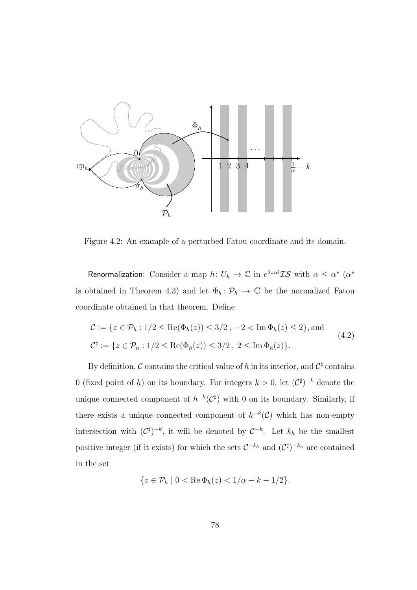

Figure 4.2: An example of a perturbed Fatou coordinate and its domain.

Renormalization: Consider a map  $h\colon U_h \to \mathbb{C}$  in  $e^{2\pi\alpha i} \mathcal{IS}$  with  $\alpha \leq \alpha^*$  ( $\alpha^*$ is obtained in Theorem 4.3) and let  $\Phi_h: \mathcal{P}_h \to \mathbb{C}$  be the normalized Fatou coordinate obtained in that theorem. Define

$$
C := \{ z \in \mathcal{P}_h : 1/2 \le \text{Re}(\Phi_h(z)) \le 3/2 \}, -2 < \text{Im } \Phi_h(z) \le 2 \}, \text{and}
$$
  

$$
C^{\sharp} := \{ z \in \mathcal{P}_h : 1/2 \le \text{Re}(\Phi_h(z)) \le 3/2 \}, 2 \le \text{Im } \Phi_h(z) \}.
$$
 (4.2)

By definition,  $\mathcal C$  contains the critical value of h in its interior, and  $\mathcal C^\sharp$  contains 0 (fixed point of h) on its boundary. For integers  $k > 0$ , let  $(\mathcal{C}^{\sharp})^{-k}$  denote the unique connected component of  $h^{-k}(\mathcal{C}^{\sharp})$  with 0 on its boundary. Similarly, if there exists a unique connected component of  $h^{-k}(\mathcal{C})$  which has non-empty intersection with  $(\mathcal{C}^{\sharp})^{-k}$ , it will be denoted by  $\mathcal{C}^{-k}$ . Let  $k_h$  be the smallest positive integer (if it exists) for which the sets  $C^{-k_h}$  and  $(C^{\sharp})^{-k_h}$  are contained in the set

$$
\{z \in \mathcal{P}_h \mid 0 < \operatorname{Re} \Phi_h(z) < 1/\alpha - k - 1/2\}.
$$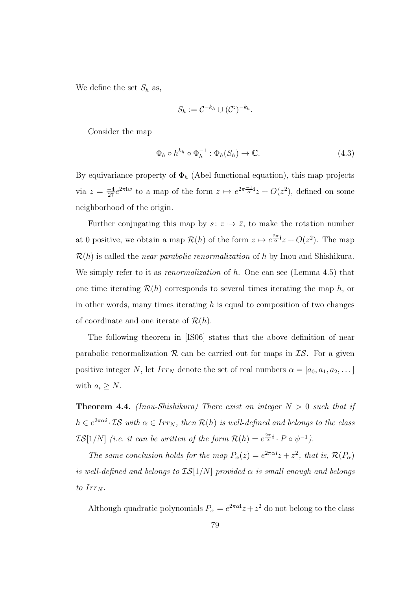We define the set  $S_h$  as,

$$
S_h := \mathcal{C}^{-k_h} \cup (\mathcal{C}^{\sharp})^{-k_h}.
$$

Consider the map

$$
\Phi_h \circ h^{k_h} \circ \Phi_h^{-1} : \Phi_h(S_h) \to \mathbb{C}.\tag{4.3}
$$

By equivariance property of  $\Phi_h$  (Abel functional equation), this map projects via  $z = \frac{-4}{27}e^{2\pi i w}$  to a map of the form  $z \mapsto e^{2\pi \frac{-1}{\alpha}i}z + O(z^2)$ , defined on some neighborhood of the origin.

Further conjugating this map by  $s: z \mapsto \overline{z}$ , to make the rotation number at 0 positive, we obtain a map  $\mathcal{R}(h)$  of the form  $z \mapsto e^{\frac{2\pi}{\alpha}i}z + O(z^2)$ . The map  $\mathcal{R}(h)$  is called the *near parabolic renormalization* of h by Inou and Shishikura. We simply refer to it as *renormalization* of h. One can see (Lemma 4.5) that one time iterating  $\mathcal{R}(h)$  corresponds to several times iterating the map h, or in other words, many times iterating  $h$  is equal to composition of two changes of coordinate and one iterate of  $\mathcal{R}(h)$ .

The following theorem in [IS06] states that the above definition of near parabolic renormalization  $\mathcal R$  can be carried out for maps in  $\mathcal{IS}$ . For a given positive integer N, let  $Irr_N$  denote the set of real numbers  $\alpha = [a_0, a_1, a_2, \dots]$ with  $a_i \geq N$ .

**Theorem 4.4.** (Inou-Shishikura) There exist an integer  $N > 0$  such that if  $h \in e^{2\pi\alpha i} \cdot \mathcal{IS}$  with  $\alpha \in Irr_N$ , then  $\mathcal{R}(h)$  is well-defined and belongs to the class  $\mathcal{LS}[1/N]$  (i.e. it can be written of the form  $\mathcal{R}(h) = e^{\frac{2\pi}{\alpha}i} \cdot P \circ \psi^{-1}$ ).

The same conclusion holds for the map  $P_{\alpha}(z) = e^{2\pi\alpha i}z + z^2$ , that is,  $\mathcal{R}(P_{\alpha})$ is well-defined and belongs to  $IS[1/N]$  provided  $\alpha$  is small enough and belongs to  $Irr_N$ .

Although quadratic polynomials  $P_{\alpha} = e^{2\pi \alpha i} z + z^2$  do not belong to the class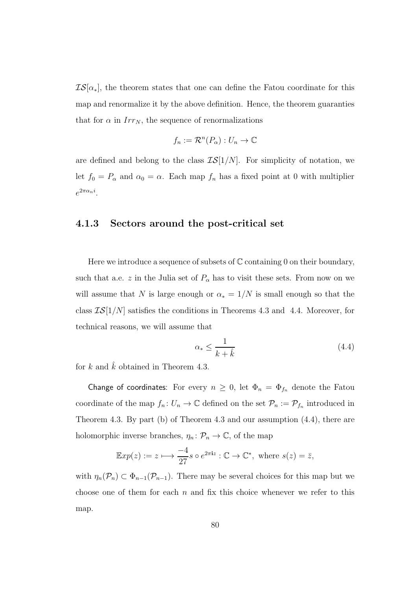$\mathcal{IS}[\alpha_*],$  the theorem states that one can define the Fatou coordinate for this map and renormalize it by the above definition. Hence, the theorem guaranties that for  $\alpha$  in  $Irr_N$ , the sequence of renormalizations

$$
f_n := \mathcal{R}^n(P_\alpha) : U_n \to \mathbb{C}
$$

are defined and belong to the class  $\mathcal{LS}[1/N]$ . For simplicity of notation, we let  $f_0 = P_\alpha$  and  $\alpha_0 = \alpha$ . Each map  $f_n$  has a fixed point at 0 with multiplier  $e^{2\pi \alpha_n i}$ .

## 4.1.3 Sectors around the post-critical set

Here we introduce a sequence of subsets of  $\mathbb C$  containing 0 on their boundary, such that a.e. z in the Julia set of  $P_{\alpha}$  has to visit these sets. From now on we will assume that N is large enough or  $\alpha_*=1/N$  is small enough so that the class  $TS[1/N]$  satisfies the conditions in Theorems 4.3 and 4.4. Moreover, for technical reasons, we will assume that

$$
\alpha_* \le \frac{1}{k + \hat{k}}\tag{4.4}
$$

for k and  $\hat{k}$  obtained in Theorem 4.3.

Change of coordinates: For every  $n \geq 0$ , let  $\Phi_n = \Phi_{f_n}$  denote the Fatou coordinate of the map  $f_n: U_n \to \mathbb{C}$  defined on the set  $\mathcal{P}_n := \mathcal{P}_{f_n}$  introduced in Theorem 4.3. By part (b) of Theorem 4.3 and our assumption (4.4), there are holomorphic inverse branches,  $\eta_n: \mathcal{P}_n \to \mathbb{C}$ , of the map

$$
\mathbb{E}xp(z) := z \longmapsto \frac{-4}{27}s \circ e^{2\pi i z} : \mathbb{C} \to \mathbb{C}^*, \text{ where } s(z) = \overline{z},
$$

with  $\eta_n(\mathcal{P}_n) \subset \Phi_{n-1}(\mathcal{P}_{n-1})$ . There may be several choices for this map but we choose one of them for each  $n$  and fix this choice whenever we refer to this map.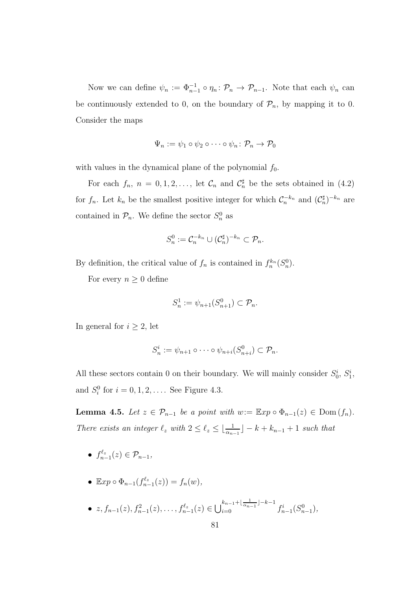Now we can define  $\psi_n := \Phi_{n-1}^{-1} \circ \eta_n : \mathcal{P}_n \to \mathcal{P}_{n-1}$ . Note that each  $\psi_n$  can be continuously extended to 0, on the boundary of  $\mathcal{P}_n$ , by mapping it to 0. Consider the maps

$$
\Psi_n := \psi_1 \circ \psi_2 \circ \cdots \circ \psi_n \colon \mathcal{P}_n \to \mathcal{P}_0
$$

with values in the dynamical plane of the polynomial  $f_0$ .

For each  $f_n$ ,  $n = 0, 1, 2, \ldots$ , let  $\mathcal{C}_n$  and  $\mathcal{C}_n^{\sharp}$  be the sets obtained in (4.2) for  $f_n$ . Let  $k_n$  be the smallest positive integer for which  $C_n^{-k_n}$  and  $(\mathcal{C}_n^{\sharp})^{-k_n}$  are contained in  $\mathcal{P}_n$ . We define the sector  $S_n^0$  as

$$
S_n^0 := \mathcal{C}_n^{-k_n} \cup (\mathcal{C}_n^{\sharp})^{-k_n} \subset \mathcal{P}_n.
$$

By definition, the critical value of  $f_n$  is contained in  $f_n^{k_n}(S_n^0)$ .

For every  $n \geq 0$  define

$$
S_n^1 := \psi_{n+1}(S_{n+1}^0) \subset \mathcal{P}_n.
$$

In general for  $i \geq 2$ , let

$$
S_n^i := \psi_{n+1} \circ \cdots \circ \psi_{n+i}(S_{n+i}^0) \subset \mathcal{P}_n.
$$

All these sectors contain 0 on their boundary. We will mainly consider  $S_0^i$ ,  $S_1^i$ , and  $S_i^0$  for  $i = 0, 1, 2, \dots$ . See Figure 4.3.

**Lemma 4.5.** Let  $z \in \mathcal{P}_{n-1}$  be a point with  $w := \mathbb{E}xp \circ \Phi_{n-1}(z) \in \text{Dom}(f_n)$ . There exists an integer  $\ell_z$  with  $2 \leq \ell_z \leq \lfloor \frac{1}{\alpha_{n-1}} \rfloor - k + k_{n-1} + 1$  such that

$$
\bullet \, f_{n-1}^{\ell_z}(z) \in \mathcal{P}_{n-1},
$$

- $\mathbb{E}xp \circ \Phi_{n-1}(f_{n-1}^{\ell_z})$  $f_{n-1}^{e}(z) = f_n(w),$
- $z, f_{n-1}(z), f_{n-1}^2(z), \ldots, f_{n-1}^{\ell_z}(z) \in \bigcup_{i=0}^{k_{n-1}+\lfloor \frac{1}{\alpha_{n-1}} \rfloor k 1} f_{n-1}^i(S_{n-1}^0),$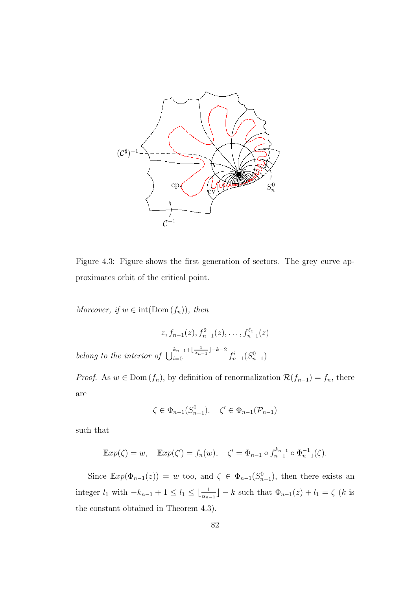

Figure 4.3: Figure shows the first generation of sectors. The grey curve approximates orbit of the critical point.

Moreover, if  $w \in \text{int}(\text{Dom}(f_n))$ , then

$$
z, f_{n-1}(z), f_{n-1}^2(z), \ldots, f_{n-1}^{\ell_z}(z)
$$

belong to the interior of  $\bigcup_{i=0}^{k_{n-1}+\lfloor \frac{1}{\alpha_{n-1}}\rfloor-k-2} f_{n-1}^i(S_{n-1}^0)$ 

*Proof.* As  $w \in \text{Dom}(f_n)$ , by definition of renormalization  $\mathcal{R}(f_{n-1}) = f_n$ , there are

$$
\zeta \in \Phi_{n-1}(S_{n-1}^0), \quad \zeta' \in \Phi_{n-1}(\mathcal{P}_{n-1})
$$

such that

$$
\mathbb{E}xp(\zeta) = w, \quad \mathbb{E}xp(\zeta') = f_n(w), \quad \zeta' = \Phi_{n-1} \circ f_{n-1}^{k_{n-1}} \circ \Phi_{n-1}^{-1}(\zeta).
$$

Since  $\mathbb{E}xp(\Phi_{n-1}(z)) = w$  too, and  $\zeta \in \Phi_{n-1}(S_{n-1}^0)$ , then there exists an integer  $l_1$  with  $-k_{n-1}+1 \leq l_1 \leq \lfloor \frac{1}{\alpha_{n-1}} \rfloor - k$  such that  $\Phi_{n-1}(z) + l_1 = \zeta$  (k is the constant obtained in Theorem 4.3).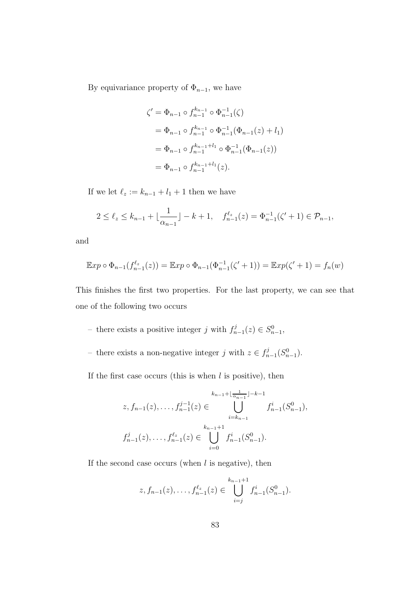By equivariance property of  $\Phi_{n-1}$ , we have

$$
\zeta' = \Phi_{n-1} \circ f_{n-1}^{k_{n-1}} \circ \Phi_{n-1}^{-1}(\zeta)
$$
  
=  $\Phi_{n-1} \circ f_{n-1}^{k_{n-1}} \circ \Phi_{n-1}^{-1}(\Phi_{n-1}(z) + l_1)$   
=  $\Phi_{n-1} \circ f_{n-1}^{k_{n-1}+l_1} \circ \Phi_{n-1}^{-1}(\Phi_{n-1}(z))$   
=  $\Phi_{n-1} \circ f_{n-1}^{k_{n-1}+l_1}(z).$ 

If we let  $\ell_z:=k_{n-1}+l_1+1$  then we have

$$
2 \le \ell_z \le k_{n-1} + \lfloor \frac{1}{\alpha_{n-1}} \rfloor - k + 1, \quad f_{n-1}^{\ell_z}(z) = \Phi_{n-1}^{-1}(\zeta' + 1) \in \mathcal{P}_{n-1},
$$

and

$$
\mathbb{E}xp \circ \Phi_{n-1}(f_{n-1}^{\ell_z}(z)) = \mathbb{E}xp \circ \Phi_{n-1}(\Phi_{n-1}^{-1}(\zeta' + 1)) = \mathbb{E}xp(\zeta' + 1) = f_n(w)
$$

This finishes the first two properties. For the last property, we can see that one of the following two occurs

- there exists a positive integer j with  $f_n^j$  $s_{n-1}^j(z) \in S_{n-1}^0$
- there exists a non-negative integer j with  $z \in f_n^j$  $x_{n-1}^j(S_{n-1}^0).$

If the first case occurs (this is when  $l$  is positive), then

$$
k_{n-1} + \lfloor \frac{1}{\alpha_{n-1}} \rfloor - k - 1
$$
  

$$
z, f_{n-1}(z), \dots, f_{n-1}^{j-1}(z) \in \bigcup_{i=k_{n-1}}^{k_{n-1}+1} f_{n-1}^i(S_{n-1}^0),
$$
  

$$
f_{n-1}^j(z), \dots, f_{n-1}^{\ell_z}(z) \in \bigcup_{i=0}^{k_{n-1}+1} f_{n-1}^i(S_{n-1}^0).
$$

If the second case occurs (when  $l$  is negative), then

$$
z, f_{n-1}(z), \ldots, f_{n-1}^{\ell_z}(z) \in \bigcup_{i=j}^{k_{n-1}+1} f_{n-1}^i(S_{n-1}^0).
$$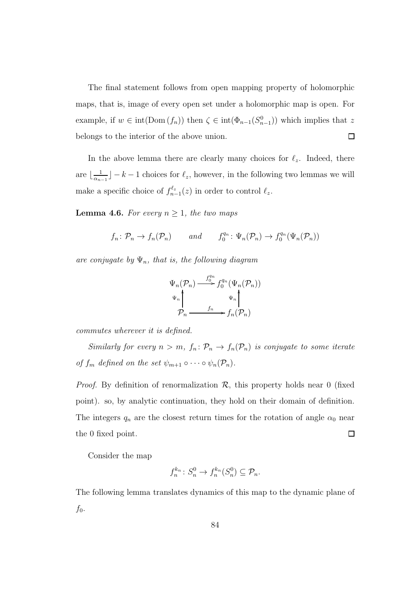The final statement follows from open mapping property of holomorphic maps, that is, image of every open set under a holomorphic map is open. For example, if  $w \in \text{int}(\text{Dom}(f_n))$  then  $\zeta \in \text{int}(\Phi_{n-1}(S_{n-1}^0))$  which implies that z  $\Box$ belongs to the interior of the above union.

In the above lemma there are clearly many choices for  $\ell_z$ . Indeed, there are  $\lfloor \frac{1}{\alpha_n} \rfloor$  $\frac{1}{\alpha_{n-1}}$  – k – 1 choices for  $\ell_z$ , however, in the following two lemmas we will make a specific choice of  $f_{n-}^{\ell_z}$  $\binom{\ell_z}{n-1}(z)$  in order to control  $\ell_z$ .

**Lemma 4.6.** For every  $n \geq 1$ , the two maps

$$
f_n \colon \mathcal{P}_n \to f_n(\mathcal{P}_n)
$$
 and  $f_0^{q_n} \colon \Psi_n(\mathcal{P}_n) \to f_0^{q_n}(\Psi_n(\mathcal{P}_n))$ 

are conjugate by  $\Psi_n$ , that is, the following diagram

$$
\Psi_n(\mathcal{P}_n) \xrightarrow{f_0^{q_n}} f_0^{q_n}(\Psi_n(\mathcal{P}_n))
$$
  

$$
\Psi_n \downarrow \qquad \Psi_n \downarrow
$$
  

$$
\mathcal{P}_n \xrightarrow{f_n} f_n(\mathcal{P}_n)
$$

commutes wherever it is defined.

Similarly for every  $n > m$ ,  $f_n \colon \mathcal{P}_n \to f_n(\mathcal{P}_n)$  is conjugate to some iterate of  $f_m$  defined on the set  $\psi_{m+1} \circ \cdots \circ \psi_n(\mathcal{P}_n)$ .

*Proof.* By definition of renormalization  $\mathcal{R}$ , this property holds near 0 (fixed point). so, by analytic continuation, they hold on their domain of definition. The integers  $q_n$  are the closest return times for the rotation of angle  $\alpha_0$  near the 0 fixed point.  $\Box$ 

Consider the map

$$
f_n^{k_n}: S_n^0 \to f_n^{k_n}(S_n^0) \subseteq \mathcal{P}_n.
$$

The following lemma translates dynamics of this map to the dynamic plane of  $f_0$ .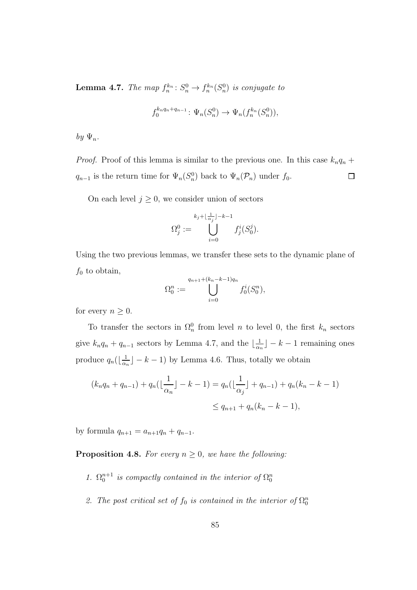**Lemma 4.7.** The map  $f_n^{k_n}: S_n^0 \to f_n^{k_n}(S_n^0)$  is conjugate to

$$
f_0^{knq_n+q_{n-1}}\colon \Psi_n(S_n^0) \to \Psi_n(f_n^{k_n}(S_n^0)),
$$

by  $\Psi_n$ .

*Proof.* Proof of this lemma is similar to the previous one. In this case  $k_nq_n$  +  $q_{n-1}$  is the return time for  $\Psi_n(S_n^0)$  back to  $\Psi_n(\mathcal{P}_n)$  under  $f_0$ .  $\Box$ 

On each level  $j \geq 0$ , we consider union of sectors

$$
\Omega_j^0 := \bigcup_{i=0}^{k_j + \lfloor \frac{1}{\alpha_j} \rfloor - k - 1} f_j^i(S_0^j).
$$

Using the two previous lemmas, we transfer these sets to the dynamic plane of  $f_0$  to obtain,

$$
\Omega_0^n := \bigcup_{i=0}^{q_{n+1}+(k_n-k-1)q_n} f_0^i(S_0^n),
$$

for every  $n \geq 0$ .

To transfer the sectors in  $\Omega_n^0$  from level n to level 0, the first  $k_n$  sectors give  $k_n q_n + q_{n-1}$  sectors by Lemma 4.7, and the  $\lfloor \frac{1}{\alpha_n} \rfloor$  $\frac{1}{\alpha_n}$ ] – k – 1 remaining ones produce  $q_n(\lfloor \frac{1}{\alpha_n} \rfloor)$  $\frac{1}{\alpha_n}$   $-k-1$ ) by Lemma 4.6. Thus, totally we obtain

$$
(k_n q_n + q_{n-1}) + q_n \left( \left\lfloor \frac{1}{\alpha_n} \right\rfloor - k - 1 \right) = q_n \left( \left\lfloor \frac{1}{\alpha_j} \right\rfloor + q_{n-1} \right) + q_n (k_n - k - 1)
$$
  

$$
\leq q_{n+1} + q_n (k_n - k - 1),
$$

by formula  $q_{n+1} = a_{n+1}q_n + q_{n-1}$ .

**Proposition 4.8.** For every  $n \geq 0$ , we have the following:

- 1.  $\Omega_0^{n+1}$  is compactly contained in the interior of  $\Omega_0^n$
- 2. The post critical set of  $f_0$  is contained in the interior of  $\Omega_0^n$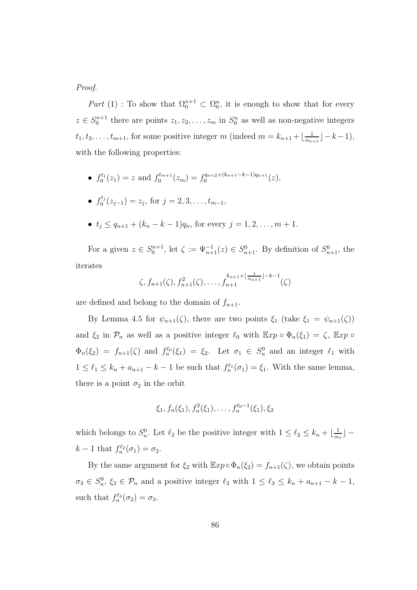Proof.

Part (1) : To show that  $\Omega_0^{n+1} \subset \Omega_0^n$ , it is enough to show that for every  $z \in S_0^{n+1}$  there are points  $z_1, z_2, \ldots, z_m$  in  $S_0^n$  as well as non-negative integers  $t_1, t_2, \ldots, t_{m+1}$ , for some positive integer m (indeed  $m = k_{n+1} + \lfloor \frac{1}{\alpha_n} \rfloor$  $\frac{1}{\alpha_{n+1}}$ ]  $-k-1$ ), with the following properties:

•  $f_0^{t_1}$  $f_0^{t_1}(z_1) = z$  and  $f_0^{t_{m+1}}$  $b_0^{t_{m+1}}(z_m) = f_0^{q_{n+2}+(k_{n+1}-k-1)q_{n+1}}(z),$ 

• 
$$
f_0^{t_j}(z_{j-1}) = z_j
$$
, for  $j = 2, 3, ..., t_{m-1}$ ,

•  $t_j \leq q_{n+1} + (k_n - k - 1)q_n$ , for every  $j = 1, 2, ..., m + 1$ .

For a given  $z \in S_0^{n+1}$ , let  $\zeta := \Psi_{n+1}^{-1}(z) \in S_{n+1}^0$ . By definition of  $S_{n+1}^0$ , the iterates

$$
\zeta, f_{n+1}(\zeta), f_{n+1}^2(\zeta), \ldots, f_{n+1}^{k_{n+1} + \lfloor \frac{1}{\alpha_{n+1}} \rfloor - k - 1}(\zeta)
$$

are defined and belong to the domain of  $f_{n+1}$ .

By Lemma 4.5 for  $\psi_{n+1}(\zeta)$ , there are two points  $\xi_1$  (take  $\xi_1 = \psi_{n+1}(\zeta)$ ) and  $\xi_2$  in  $\mathcal{P}_n$  as well as a positive integer  $\ell_0$  with  $\mathbb{E}xp \circ \Phi_n(\xi_1) = \zeta$ ,  $\mathbb{E}xp \circ \Phi_n(x)$  $\Phi_n(\xi_2) = f_{n+1}(\zeta)$  and  $f_n^{\ell_0}(\xi_1) = \xi_2$ . Let  $\sigma_1 \in S_n^0$  and an integer  $\ell_1$  with  $1 \leq \ell_1 \leq k_n + a_{n+1} - k - 1$  be such that  $f_n^{\ell_1}(\sigma_1) = \xi_1$ . With the same lemma, there is a point  $\sigma_2$  in the orbit

$$
\xi_1, f_n(\xi_1), f_n^2(\xi_1), \ldots, f_n^{\ell_0-1}(\xi_1), \xi_2
$$

which belongs to  $S_n^0$ . Let  $\ell_2$  be the positive integer with  $1 \leq \ell_2 \leq k_n + \lfloor \frac{1}{\alpha_n} \rfloor$  $\frac{1}{\alpha_n}\rfloor$  –  $k-1$  that  $f_n^{\ell_2}(\sigma_1) = \sigma_2$ .

By the same argument for  $\xi_2$  with  $\mathbb{E}xp \circ \Phi_n(\xi_2) = f_{n+1}(\zeta)$ , we obtain points  $\sigma_3 \in S_n^0$ ,  $\xi_3 \in \mathcal{P}_n$  and a positive integer  $\ell_3$  with  $1 \leq \ell_3 \leq k_n + a_{n+1} - k - 1$ , such that  $f_n^{\ell_3}(\sigma_2) = \sigma_3$ .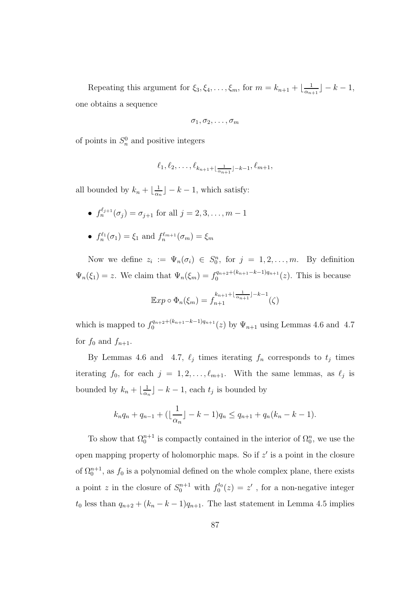Repeating this argument for  $\xi_3, \xi_4, \ldots, \xi_m$ , for  $m = k_{n+1} + \lfloor \frac{1}{\alpha_n} \rfloor$  $\frac{1}{\alpha_{n+1}}$ ] –  $k-1$ , one obtains a sequence

$$
\sigma_1, \sigma_2, \ldots, \sigma_m
$$

of points in  $S_n^0$  and positive integers

$$
\ell_1, \ell_2, \ldots, \ell_{k_{n+1}+\lfloor \frac{1}{\alpha_{n+1}}\rfloor-k-1}, \ell_{m+1},
$$

all bounded by  $k_n + \lfloor \frac{1}{\alpha_n} \rfloor$  $\frac{1}{\alpha_n}$ ] – k – 1, which satisfy:

- $f_n^{\ell_{j+1}}(\sigma_j) = \sigma_{j+1}$  for all  $j = 2, 3, ..., m-1$
- $f_n^{\ell_1}(\sigma_1) = \xi_1$  and  $f_n^{\ell_{m+1}}(\sigma_m) = \xi_m$

Now we define  $z_i := \Psi_n(\sigma_i) \in S_0^n$ , for  $j = 1, 2, ..., m$ . By definition  $\Psi_n(\xi_1) = z$ . We claim that  $\Psi_n(\xi_m) = f_0^{q_{n+2} + (k_{n+1} - k - 1)q_{n+1}}(z)$ . This is because

$$
\mathbb{E}xp \circ \Phi_n(\xi_m) = f_{n+1}^{k_{n+1} + \lfloor \frac{1}{\alpha_{n+1}} \rfloor - k - 1}(\zeta)
$$

which is mapped to  $f_0^{q_{n+2}+(k_{n+1}-k-1)q_{n+1}}(z)$  by  $\Psi_{n+1}$  using Lemmas 4.6 and 4.7 for  $f_0$  and  $f_{n+1}$ .

By Lemmas 4.6 and 4.7,  $\ell_j$  times iterating  $f_n$  corresponds to  $t_j$  times iterating  $f_0$ , for each  $j = 1, 2, \ldots, \ell_{m+1}$ . With the same lemmas, as  $\ell_j$  is bounded by  $k_n + \lfloor \frac{1}{\alpha_n} \rfloor$  $\frac{1}{\alpha_n}$ ] – k – 1, each  $t_j$  is bounded by

$$
k_n q_n + q_{n-1} + \left(\lfloor \frac{1}{\alpha_n} \rfloor - k - 1\right) q_n \le q_{n+1} + q_n (k_n - k - 1).
$$

To show that  $\Omega_0^{n+1}$  is compactly contained in the interior of  $\Omega_0^n$ , we use the open mapping property of holomorphic maps. So if z ′ is a point in the closure of  $\Omega_0^{n+1}$ , as  $f_0$  is a polynomial defined on the whole complex plane, there exists a point z in the closure of  $S_0^{n+1}$  with  $f_0^{t_0}$  $v_0^{t_0}(z) = z'$ , for a non-negative integer  $t_0$  less than  $q_{n+2} + (k_n - k - 1)q_{n+1}$ . The last statement in Lemma 4.5 implies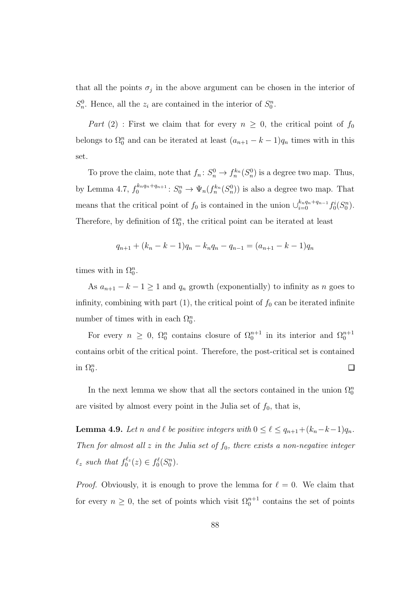that all the points  $\sigma_j$  in the above argument can be chosen in the interior of  $S_n^0$ . Hence, all the  $z_i$  are contained in the interior of  $S_0^n$ .

Part (2) : First we claim that for every  $n \geq 0$ , the critical point of  $f_0$ belongs to  $\Omega_0^n$  and can be iterated at least  $(a_{n+1} - k - 1)q_n$  times with in this set.

To prove the claim, note that  $f_n: S_n^0 \to f_n^{k_n}(S_n^0)$  is a degree two map. Thus, by Lemma 4.7,  $f_0^{k_n q_n + q_{n+1}}$  $S_0^{k_n q_n + q_{n+1}}$ :  $S_0^n \to \Psi_n(f_n^{k_n}(S_n^0))$  is also a degree two map. That means that the critical point of  $f_0$  is contained in the union  $\bigcup_{i=0}^{k_nq_n+q_{n-1}}f_0^i(S_0^n)$ . Therefore, by definition of  $\Omega_0^n$ , the critical point can be iterated at least

$$
q_{n+1} + (k_n - k - 1)q_n - k_n q_n - q_{n-1} = (a_{n+1} - k - 1)q_n
$$

times with in  $\Omega_0^n$ .

As  $a_{n+1} - k - 1 \ge 1$  and  $q_n$  growth (exponentially) to infinity as n goes to infinity, combining with part  $(1)$ , the critical point of  $f_0$  can be iterated infinite number of times with in each  $\Omega_0^n$ .

For every  $n \geq 0$ ,  $\Omega_0^n$  contains closure of  $\Omega_0^{n+1}$  in its interior and  $\Omega_0^{n+1}$ contains orbit of the critical point. Therefore, the post-critical set is contained in  $\Omega_0^n$ .  $\Box$ 

In the next lemma we show that all the sectors contained in the union  $\Omega_0^n$ are visited by almost every point in the Julia set of  $f_0$ , that is,

**Lemma 4.9.** Let n and  $\ell$  be positive integers with  $0 \leq \ell \leq q_{n+1} + (k_n - k - 1)q_n$ . Then for almost all  $z$  in the Julia set of  $f_0$ , there exists a non-negative integer  $\ell_z$  such that  $f_0^{\ell_z}(z) \in f_0^{\ell}(S_0^n)$ .

*Proof.* Obviously, it is enough to prove the lemma for  $\ell = 0$ . We claim that for every  $n \geq 0$ , the set of points which visit  $\Omega_0^{n+1}$  contains the set of points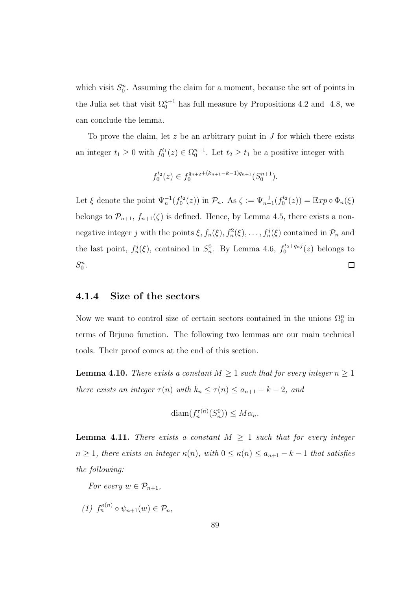which visit  $S_0^n$ . Assuming the claim for a moment, because the set of points in the Julia set that visit  $\Omega_0^{n+1}$  has full measure by Propositions 4.2 and 4.8, we can conclude the lemma.

To prove the claim, let  $z$  be an arbitrary point in  $J$  for which there exists an integer  $t_1 \geq 0$  with  $f_0^{t_1}(z) \in \Omega_0^{n+1}$ . Let  $t_2 \geq t_1$  be a positive integer with

$$
f_0^{t_2}(z) \in f_0^{q_{n+2} + (k_{n+1} - k - 1)q_{n+1}}(S_0^{n+1}).
$$

Let  $\xi$  denote the point  $\Psi_n^{-1}(f_0^{t_2})$  $\mathcal{O}_0^{t_2}(z)$ ) in  $\mathcal{P}_n$ . As  $\zeta := \Psi_{n+1}^{-1}(f_0^{t_2})$  $\mathbb{E}^{t_2}(z)$  =  $\mathbb{E}xp \circ \Phi_n(\xi)$ belongs to  $\mathcal{P}_{n+1}$ ,  $f_{n+1}(\zeta)$  is defined. Hence, by Lemma 4.5, there exists a nonnegative integer j with the points  $\xi$ ,  $f_n(\xi)$ ,  $f_n^2(\xi)$ , ...,  $f_n^j(\xi)$  contained in  $\mathcal{P}_n$  and the last point,  $f_n^j(\xi)$ , contained in  $S_n^0$ . By Lemma 4.6,  $f_0^{t_2+q_nj}$  $\binom{b}{0}^{t_2+q_{n}j}(z)$  belongs to  $S_0^n$ .  $\Box$ 

#### 4.1.4 Size of the sectors

Now we want to control size of certain sectors contained in the unions  $\Omega_0^n$  in terms of Brjuno function. The following two lemmas are our main technical tools. Their proof comes at the end of this section.

**Lemma 4.10.** There exists a constant  $M \geq 1$  such that for every integer  $n \geq 1$ there exists an integer  $\tau(n)$  with  $k_n \leq \tau(n) \leq a_{n+1} - k - 2$ , and

$$
\text{diam}(f_n^{\tau(n)}(S_n^0)) \leq M\alpha_n.
$$

**Lemma 4.11.** There exists a constant  $M \geq 1$  such that for every integer  $n \geq 1$ , there exists an integer  $\kappa(n)$ , with  $0 \leq \kappa(n) \leq a_{n+1} - k - 1$  that satisfies the following:

For every  $w \in \mathcal{P}_{n+1}$ ,

(1)  $f_n^{\kappa(n)} \circ \psi_{n+1}(w) \in \mathcal{P}_n$ ,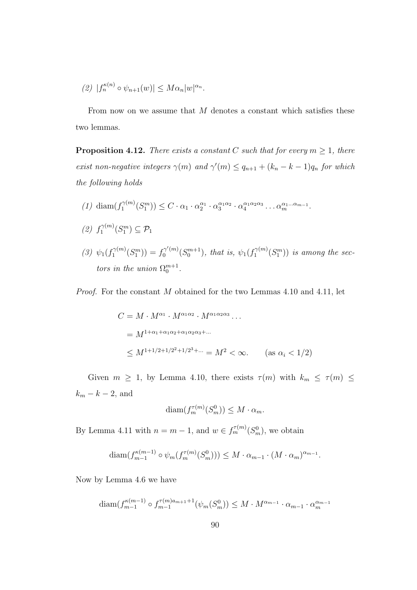(2)  $|f_n^{\kappa(n)} \circ \psi_{n+1}(w)| \leq M \alpha_n |w|^{\alpha_n}.$ 

From now on we assume that  $M$  denotes a constant which satisfies these two lemmas.

**Proposition 4.12.** There exists a constant C such that for every  $m \geq 1$ , there exist non-negative integers  $\gamma(m)$  and  $\gamma'(m) \leq q_{n+1} + (k_n - k - 1)q_n$  for which the following holds

- $(1)$  diam $(f_1^{\gamma(m)}$  $\binom{\gamma(m)}{1}(S_1^m) \leq C \cdot \alpha_1 \cdot \alpha_2^{\alpha_1}$  $\frac{\alpha_1}{2} \cdot \alpha_3^{\alpha_1 \alpha_2}$  $\alpha_1 \alpha_2 \cdot \alpha_4^{\alpha_1 \alpha_2 \alpha_3}$  $\alpha_1 \alpha_2 \alpha_3 \ldots \alpha_m^{\alpha_1 \ldots \alpha_{m-1}}$ .
- $(2) f_1^{\gamma(m)}$  $\mathcal{C}_1^{(m)}(S_1^m) \subseteq \mathcal{P}_1$
- (3)  $\psi_1(f_1^{\gamma(m)})$  $f_1^{\gamma(m)}(S_1^m)) = f_0^{\gamma'(m)}$  $\psi_0^{\gamma'(m)}(S_0^{m+1}),$  that is,  $\psi_1(f_1^{\gamma(m)})$  $\binom{\gamma(m)}{1}(S^m_1)$  is among the sectors in the union  $\Omega_0^{m+1}$ .

Proof. For the constant M obtained for the two Lemmas 4.10 and 4.11, let

$$
C = M \cdot M^{\alpha_1} \cdot M^{\alpha_1 \alpha_2} \cdot M^{\alpha_1 \alpha_2 \alpha_3} \dots
$$
  
=  $M^{1+\alpha_1+\alpha_1 \alpha_2+\alpha_1 \alpha_2 \alpha_3+\dots}$   
 $\leq M^{1+1/2+1/2^2+1/2^3+\dots} = M^2 < \infty.$  (as  $\alpha_i < 1/2$ )

Given  $m \geq 1$ , by Lemma 4.10, there exists  $\tau(m)$  with  $k_m \leq \tau(m) \leq$  $k_m - k - 2$ , and

$$
\text{diam}(f_m^{\tau(m)}(S_m^0)) \leq M \cdot \alpha_m.
$$

By Lemma 4.11 with  $n = m - 1$ , and  $w \in f_m^{\tau(m)}(S_m^0)$ , we obtain

$$
\text{diam}(f_{m-1}^{\kappa(m-1)} \circ \psi_m(f_m^{\tau(m)}(S_m^0))) \leq M \cdot \alpha_{m-1} \cdot (M \cdot \alpha_m)^{\alpha_{m-1}}.
$$

Now by Lemma 4.6 we have

$$
\text{diam}(f_{m-1}^{\kappa(m-1)} \circ f_{m-1}^{\tau(m)a_{m+1}+1}(\psi_m(S_m^0)) \leq M \cdot M^{\alpha_{m-1}} \cdot \alpha_{m-1} \cdot \alpha_m^{\alpha_{m-1}}
$$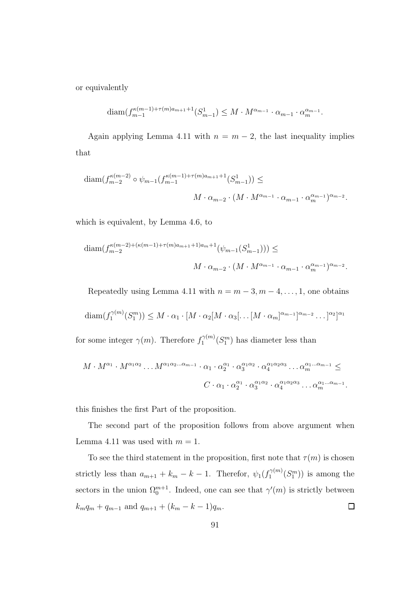or equivalently

$$
\text{diam}(f_{m-1}^{\kappa(m-1)+\tau(m)a_{m+1}+1}(S_{m-1}^1) \leq M \cdot M^{\alpha_{m-1}} \cdot \alpha_{m-1} \cdot \alpha_m^{\alpha_{m-1}}.
$$

Again applying Lemma 4.11 with  $n = m - 2$ , the last inequality implies that

$$
\text{diam}(f_{m-2}^{\kappa(m-2)} \circ \psi_{m-1}(f_{m-1}^{\kappa(m-1)+\tau(m)a_{m+1}+1}(S_{m-1}^1)) \leq
$$
  

$$
M \cdot \alpha_{m-2} \cdot (M \cdot M^{\alpha_{m-1}} \cdot \alpha_{m-1}^{\alpha_{m-1}} \cdot \alpha_m^{\alpha_{m-1}})^{\alpha_{m-2}}.
$$

which is equivalent, by Lemma 4.6, to

$$
\text{diam}(f_{m-2}^{\kappa(m-2)+(\kappa(m-1)+\tau(m)a_{m+1}+1)a_m+1}(\psi_{m-1}(S_{m-1}^1))) \leq
$$
  

$$
M \cdot \alpha_{m-2} \cdot (M \cdot M^{\alpha_{m-1}} \cdot \alpha_{m-1}^{\alpha_{m-1}})^{\alpha_{m-2}}.
$$

Repeatedly using Lemma 4.11 with  $n = m - 3, m - 4, \ldots, 1$ , one obtains diam $(f_1^{\gamma(m)}$  $\Gamma_1^{\gamma(m)}(S_1^m)) \leq M \cdot \alpha_1 \cdot [M \cdot \alpha_2 [M \cdot \alpha_3 [ \dots [M \cdot \alpha_m]^{\alpha_{m-1}}]^{\alpha_{m-2}} \dots ]^{\alpha_2}]^{\alpha_1}$ 

for some integer  $\gamma(m)$ . Therefore  $f_1^{\gamma(m)}$  $1^{N(m)}(S_1^m)$  has diameter less than

$$
M \cdot M^{\alpha_1} \cdot M^{\alpha_1 \alpha_2} \dots M^{\alpha_1 \alpha_2 \dots \alpha_{m-1}} \cdot \alpha_1 \cdot \alpha_2^{\alpha_1} \cdot \alpha_3^{\alpha_1 \alpha_2} \cdot \alpha_4^{\alpha_1 \alpha_2 \alpha_3} \dots \alpha_m^{\alpha_1 \dots \alpha_{m-1}} \le
$$
  

$$
C \cdot \alpha_1 \cdot \alpha_2^{\alpha_1} \cdot \alpha_3^{\alpha_1 \alpha_2} \cdot \alpha_4^{\alpha_1 \alpha_2 \alpha_3} \dots \alpha_m^{\alpha_1 \dots \alpha_{m-1}}.
$$

this finishes the first Part of the proposition.

The second part of the proposition follows from above argument when Lemma 4.11 was used with  $m = 1$ .

To see the third statement in the proposition, first note that  $\tau(m)$  is chosen strictly less than  $a_{m+1} + k_m - k - 1$ . Therefor,  $\psi_1(f_1^{\gamma(m)})$  $\binom{1}{1}$  (S<sup>m</sup>) is among the sectors in the union  $\Omega_0^{m+1}$ . Indeed, one can see that  $\gamma'(m)$  is strictly between  $k_m q_m + q_{m-1}$  and  $q_{m+1} + (k_m - k - 1)q_m$ .  $\Box$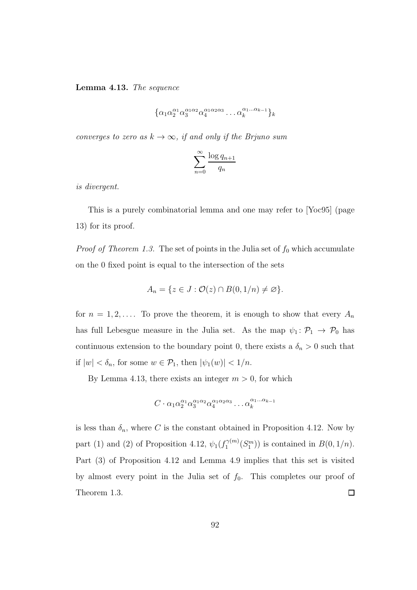Lemma 4.13. The sequence

$$
\{\alpha_1\alpha_2^{\alpha_1}\alpha_3^{\alpha_1\alpha_2}\alpha_4^{\alpha_1\alpha_2\alpha_3}\dots\alpha_k^{\alpha_1\dots\alpha_{k-1}}\}_k
$$

converges to zero as  $k \to \infty$ , if and only if the Brjuno sum

$$
\sum_{n=0}^{\infty} \frac{\log q_{n+1}}{q_n}
$$

is divergent.

This is a purely combinatorial lemma and one may refer to [Yoc95] (page 13) for its proof.

*Proof of Theorem 1.3.* The set of points in the Julia set of  $f_0$  which accumulate on the 0 fixed point is equal to the intersection of the sets

$$
A_n = \{ z \in J : \mathcal{O}(z) \cap B(0, 1/n) \neq \varnothing \}.
$$

for  $n = 1, 2, \ldots$  To prove the theorem, it is enough to show that every  $A_n$ has full Lebesgue measure in the Julia set. As the map  $\psi_1: \mathcal{P}_1 \to \mathcal{P}_0$  has continuous extension to the boundary point 0, there exists a  $\delta_n > 0$  such that if  $|w| < \delta_n$ , for some  $w \in \mathcal{P}_1$ , then  $|\psi_1(w)| < 1/n$ .

By Lemma 4.13, there exists an integer  $m > 0$ , for which

$$
C \cdot \alpha_1 \alpha_2^{\alpha_1} \alpha_3^{\alpha_1 \alpha_2} \alpha_4^{\alpha_1 \alpha_2 \alpha_3} \dots \alpha_k^{\alpha_1 \dots \alpha_{k-1}}
$$

is less than  $\delta_n$ , where C is the constant obtained in Proposition 4.12. Now by part (1) and (2) of Proposition 4.12,  $\psi_1(f_1^{\gamma(m)})$  $\binom{\gamma(m)}{1}(S_1^m)$  is contained in  $B(0,1/n)$ . Part (3) of Proposition 4.12 and Lemma 4.9 implies that this set is visited by almost every point in the Julia set of  $f_0$ . This completes our proof of Theorem 1.3.  $\Box$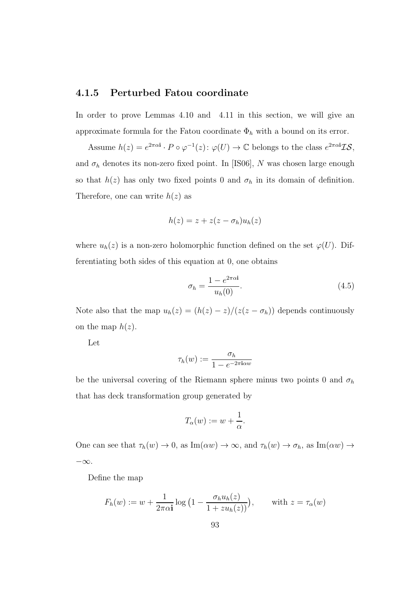#### 4.1.5 Perturbed Fatou coordinate

In order to prove Lemmas 4.10 and 4.11 in this section, we will give an approximate formula for the Fatou coordinate  $\Phi_h$  with a bound on its error.

Assume  $h(z) = e^{2\pi\alpha i} \cdot P \circ \varphi^{-1}(z) : \varphi(U) \to \mathbb{C}$  belongs to the class  $e^{2\pi\alpha i} \mathcal{IS},$ and  $\sigma_h$  denotes its non-zero fixed point. In [IS06], N was chosen large enough so that  $h(z)$  has only two fixed points 0 and  $\sigma_h$  in its domain of definition. Therefore, one can write  $h(z)$  as

$$
h(z) = z + z(z - \sigma_h)u_h(z)
$$

where  $u_h(z)$  is a non-zero holomorphic function defined on the set  $\varphi(U)$ . Differentiating both sides of this equation at 0, one obtains

$$
\sigma_h = \frac{1 - e^{2\pi\alpha i}}{u_h(0)}.\tag{4.5}
$$

Note also that the map  $u_h(z) = (h(z) - z)/(z(z - \sigma_h))$  depends continuously on the map  $h(z)$ .

Let

$$
\tau_h(w) := \frac{\sigma_h}{1 - e^{-2\pi i \alpha w}}
$$

be the universal covering of the Riemann sphere minus two points 0 and  $\sigma_h$ that has deck transformation group generated by

$$
T_{\alpha}(w) := w + \frac{1}{\alpha}.
$$

One can see that  $\tau_h(w) \to 0$ , as  $\text{Im}(\alpha w) \to \infty$ , and  $\tau_h(w) \to \sigma_h$ , as  $\text{Im}(\alpha w) \to$ −∞.

Define the map

$$
F_h(w) := w + \frac{1}{2\pi\alpha \mathbf{i}} \log \left( 1 - \frac{\sigma_h u_h(z)}{1 + z u_h(z)} \right), \quad \text{with } z = \tau_\alpha(w)
$$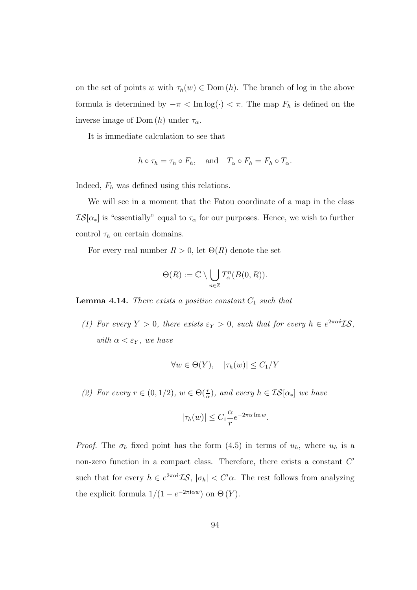on the set of points w with  $\tau_h(w) \in \text{Dom}(h)$ . The branch of log in the above formula is determined by  $-\pi <$ Im log(·)  $< \pi$ . The map  $F_h$  is defined on the inverse image of Dom  $(h)$  under  $\tau_{\alpha}$ .

It is immediate calculation to see that

$$
h \circ \tau_h = \tau_h \circ F_h
$$
, and  $T_\alpha \circ F_h = F_h \circ T_\alpha$ .

Indeed,  $F_h$  was defined using this relations.

We will see in a moment that the Fatou coordinate of a map in the class  $\mathcal{IS}[\alpha_*]$  is "essentially" equal to  $\tau_{\alpha}$  for our purposes. Hence, we wish to further control  $\tau_h$  on certain domains.

For every real number  $R > 0$ , let  $\Theta(R)$  denote the set

$$
\Theta(R) := \mathbb{C} \setminus \bigcup_{n \in \mathbb{Z}} T_{\alpha}^{n}(B(0,R)).
$$

**Lemma 4.14.** There exists a positive constant  $C_1$  such that

(1) For every  $Y > 0$ , there exists  $\varepsilon_Y > 0$ , such that for every  $h \in e^{2\pi \alpha i} \mathcal{IS}$ , with  $\alpha < \varepsilon_Y$ , we have

$$
\forall w \in \Theta(Y), \quad |\tau_h(w)| \le C_1/Y
$$

(2) For every  $r \in (0, 1/2)$ ,  $w \in \Theta(\frac{r}{\alpha})$ , and every  $h \in \mathcal{IS}[\alpha_*]$  we have

$$
|\tau_h(w)| \le C_1 \frac{\alpha}{r} e^{-2\pi\alpha \operatorname{Im} w}.
$$

*Proof.* The  $\sigma_h$  fixed point has the form (4.5) in terms of  $u_h$ , where  $u_h$  is a non-zero function in a compact class. Therefore, there exists a constant  $C'$ such that for every  $h \in e^{2\pi \alpha i} \mathcal{IS}, |\sigma_h| < C' \alpha$ . The rest follows from analyzing the explicit formula  $1/(1 - e^{-2\pi i \alpha w})$  on  $\Theta(Y)$ .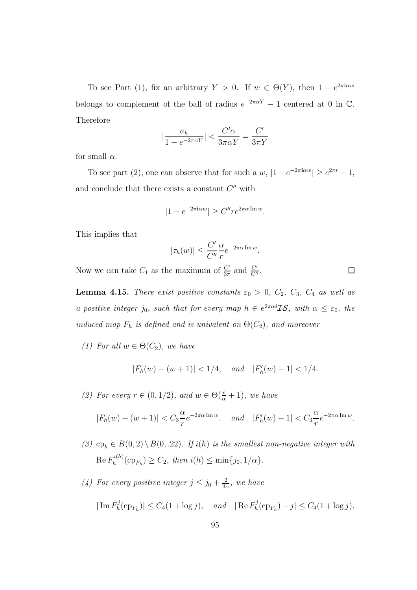To see Part (1), fix an arbitrary  $Y > 0$ . If  $w \in \Theta(Y)$ , then  $1 - e^{2\pi i \alpha w}$ belongs to complement of the ball of radius  $e^{-2\pi\alpha Y} - 1$  centered at 0 in  $\mathbb{C}$ . Therefore

$$
\left|\frac{\sigma_h}{1 - e^{-2\pi\alpha Y}}\right| < \frac{C'\alpha}{3\pi\alpha Y} = \frac{C'}{3\pi Y}
$$

for small  $\alpha$ .

To see part (2), one can observe that for such a  $w$ ,  $|1 - e^{-2\pi i \alpha w}| \ge e^{2\pi r} - 1$ , and conclude that there exists a constant  $C''$  with

$$
|1 - e^{-2\pi i \alpha w}| \ge C'' r e^{2\pi \alpha \operatorname{Im} w}.
$$

This implies that

$$
|\tau_h(w)| \le \frac{C'}{C''} \frac{\alpha}{r} e^{-2\pi\alpha \operatorname{Im} w}.
$$

 $\Box$ 

Now we can take  $C_1$  as the maximum of  $\frac{C'}{3\pi}$  and  $\frac{C'}{C''}$ .

**Lemma 4.15.** There exist positive constants  $\varepsilon_0 > 0$ ,  $C_2$ ,  $C_3$ ,  $C_4$  as well as a positive integer j<sub>0</sub>, such that for every map  $h \in e^{2\pi \alpha i} \mathcal{IS}$ , with  $\alpha \leq \varepsilon_0$ , the induced map  $F_h$  is defined and is univalent on  $\Theta(C_2)$ , and moreover

(1) For all  $w \in \Theta(C_2)$ , we have

$$
|F_h(w) - (w+1)| < 1/4, \quad \text{and} \quad |F'_h(w) - 1| < 1/4.
$$

(2) For every  $r \in (0, 1/2)$ , and  $w \in \Theta(\frac{r}{\alpha} + 1)$ , we have

$$
|F_h(w)-(w+1)| < C_3\frac{\alpha}{r}e^{-2\pi\alpha \operatorname{Im}w}, \quad \text{and} \quad |F'_h(w)-1| < C_3\frac{\alpha}{r}e^{-2\pi\alpha \operatorname{Im}w}.
$$

- (3) cp<sub>h</sub>  $\in B(0, 2) \setminus B(0, .22)$ . If i(h) is the smallest non-negative integer with  ${\rm Re}\, F_h^{i(h)}$  $h^{n(n)}(\text{cp}_{F_h}) \geq C_2$ , then  $i(h) \leq \min\{j_0, 1/\alpha\}.$
- (4) For every positive integer  $j \leq j_0 + \frac{2}{3c}$  $\frac{2}{3\alpha}$ , we have

$$
|\operatorname{Im} F_h^j(\mathrm{cp}_{F_h})| \le C_4(1 + \log j), \quad \text{and} \quad |\operatorname{Re} F_h^j(\mathrm{cp}_{F_h}) - j| \le C_4(1 + \log j).
$$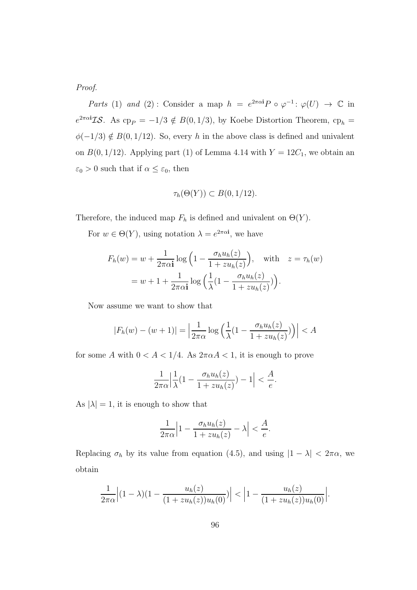Proof.

Parts (1) and (2): Consider a map  $h = e^{2\pi \alpha i} P \circ \varphi^{-1} : \varphi(U) \to \mathbb{C}$  in  $e^{2\pi\alpha i}$ IS. As cp<sub>P</sub> = -1/3  $\notin B(0, 1/3)$ , by Koebe Distortion Theorem, cp<sub>h</sub> =  $\phi(-1/3) \notin B(0, 1/12)$ . So, every h in the above class is defined and univalent on  $B(0, 1/12)$ . Applying part (1) of Lemma 4.14 with  $Y = 12C_1$ , we obtain an  $\varepsilon_0 > 0$  such that if  $\alpha \leq \varepsilon_0$ , then

$$
\tau_h(\Theta(Y)) \subset B(0,1/12).
$$

Therefore, the induced map  $F_h$  is defined and univalent on  $\Theta(Y)$ .

For  $w \in \Theta(Y)$ , using notation  $\lambda = e^{2\pi \alpha i}$ , we have

$$
F_h(w) = w + \frac{1}{2\pi\alpha i} \log\left(1 - \frac{\sigma_h u_h(z)}{1 + zu_h(z)}\right), \quad \text{with} \quad z = \tau_h(w)
$$

$$
= w + 1 + \frac{1}{2\pi\alpha i} \log\left(\frac{1}{\lambda}\left(1 - \frac{\sigma_h u_h(z)}{1 + zu_h(z)}\right)\right).
$$

Now assume we want to show that

$$
|F_h(w) - (w+1)| = \left|\frac{1}{2\pi\alpha}\log\left(\frac{1}{\lambda}\left(1 - \frac{\sigma_h u_h(z)}{1 + zu_h(z)}\right)\right)\right| < A
$$

for some A with  $0 < A < 1/4$ . As  $2\pi \alpha A < 1$ , it is enough to prove

$$
\frac{1}{2\pi\alpha}\Big|\frac{1}{\lambda}(1-\frac{\sigma_h u_h(z)}{1+zu_h(z)})-1\Big|<\frac{A}{e}.
$$

As  $|\lambda| = 1$ , it is enough to show that

$$
\frac{1}{2\pi\alpha}\Big|1-\frac{\sigma_h u_h(z)}{1+zu_h(z)}-\lambda\Big|<\frac{A}{e}.
$$

Replacing  $\sigma_h$  by its value from equation (4.5), and using  $|1 - \lambda| < 2\pi\alpha$ , we obtain

$$
\frac{1}{2\pi\alpha}\Big|(1-\lambda)(1-\frac{u_h(z)}{(1+zu_h(z))u_h(0)}\Big)\Big|<\Big|1-\frac{u_h(z)}{(1+zu_h(z))u_h(0)}\Big|.
$$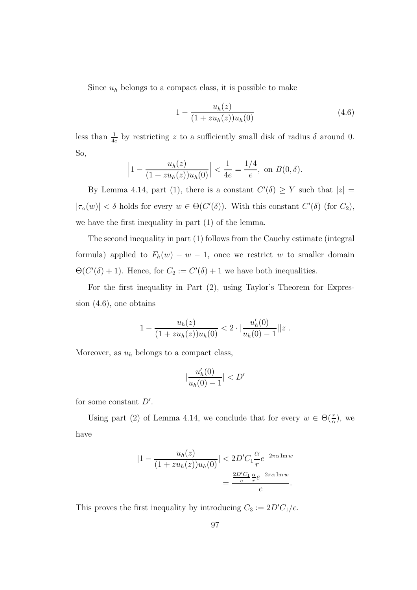Since  $u_h$  belongs to a compact class, it is possible to make

$$
1 - \frac{u_h(z)}{(1 + zu_h(z))u_h(0)}\tag{4.6}
$$

less than  $\frac{1}{4e}$  by restricting z to a sufficiently small disk of radius  $\delta$  around 0. So,

$$
\left|1 - \frac{u_h(z)}{(1 + zu_h(z))u_h(0)}\right| < \frac{1}{4e} = \frac{1/4}{e}, \text{ on } B(0, \delta).
$$

By Lemma 4.14, part (1), there is a constant  $C'(\delta) \geq Y$  such that  $|z| =$  $|\tau_{\alpha}(w)| < \delta$  holds for every  $w \in \Theta(C'(\delta))$ . With this constant  $C'(\delta)$  (for  $C_2$ ), we have the first inequality in part (1) of the lemma.

The second inequality in part (1) follows from the Cauchy estimate (integral formula) applied to  $F_h(w) - w - 1$ , once we restrict w to smaller domain  $\Theta(C'(\delta) + 1)$ . Hence, for  $C_2 := C'(\delta) + 1$  we have both inequalities.

For the first inequality in Part (2), using Taylor's Theorem for Expression (4.6), one obtains

$$
1 - \frac{u_h(z)}{(1 + zu_h(z))u_h(0)} < 2 \cdot \left| \frac{u'_h(0)}{u_h(0) - 1} \right| |z|.
$$

Moreover, as  $u_h$  belongs to a compact class,

$$
|\frac{u'_h(0)}{u_h(0) - 1}| < D'
$$

for some constant  $D'$ .

Using part (2) of Lemma 4.14, we conclude that for every  $w \in \Theta(\frac{r}{\alpha})$ , we have

$$
\left|1 - \frac{u_h(z)}{(1 + zu_h(z))u_h(0)}\right| < 2D'C_1 \frac{\alpha}{r} e^{-2\pi\alpha \operatorname{Im} w} \\
= \frac{\frac{2D'C_1}{e} \frac{\alpha}{r} e^{-2\pi\alpha \operatorname{Im} w}}{e}.
$$

This proves the first inequality by introducing  $C_3 := 2D'C_1/e$ .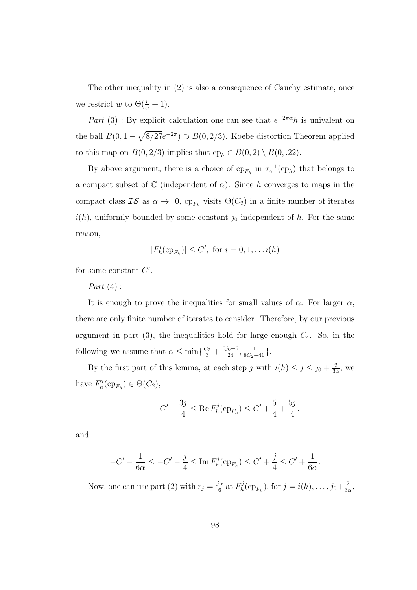The other inequality in (2) is also a consequence of Cauchy estimate, once we restrict w to  $\Theta(\frac{r}{\alpha}+1)$ .

Part (3) : By explicit calculation one can see that  $e^{-2\pi\alpha}h$  is univalent on the ball  $B(0, 1 - \sqrt{8/27}e^{-2\pi}) \supset B(0, 2/3)$ . Koebe distortion Theorem applied to this map on  $B(0, 2/3)$  implies that  $cp_h \in B(0, 2) \setminus B(0, .22)$ .

By above argument, there is a choice of  $cp_{F_h}$  in  $\tau_\alpha^{-1}(cp_h)$  that belongs to a compact subset of  $\mathbb C$  (independent of  $\alpha$ ). Since h converges to maps in the compact class  $\mathcal{IS}$  as  $\alpha \to 0$ ,  $cp_{F_h}$  visits  $\Theta(C_2)$  in a finite number of iterates  $i(h)$ , uniformly bounded by some constant  $j_0$  independent of h. For the same reason,

$$
|F_h^i(\mathrm{cp}_{F_h})| \le C', \text{ for } i = 0, 1, \dots i(h)
$$

for some constant  $C'$ .

Part  $(4)$  :

It is enough to prove the inequalities for small values of  $\alpha$ . For larger  $\alpha$ , there are only finite number of iterates to consider. Therefore, by our previous argument in part  $(3)$ , the inequalities hold for large enough  $C_4$ . So, in the following we assume that  $\alpha \le \min\{\frac{C_2}{3} + \frac{5j_0+5}{24}, \frac{1}{8C_2+41}\}.$ 

By the first part of this lemma, at each step j with  $i(h) \leq j \leq j_0 + \frac{2}{3c}$  $\frac{2}{3\alpha}$ , we have  $F_h^j$  $b_n^{\mathcal{G}}(\mathrm{cp}_{F_h}) \in \Theta(C_2),$ 

$$
C' + \frac{3j}{4} \leq \text{Re } F_h^j(\text{cp}_{F_h}) \leq C' + \frac{5}{4} + \frac{5j}{4}.
$$

and,

$$
-C' - \frac{1}{6\alpha} \le -C' - \frac{j}{4} \le \text{Im } F_h^j(\text{cp}_{F_h}) \le C' + \frac{j}{4} \le C' + \frac{1}{6\alpha}.
$$

Now, one can use part (2) with  $r_j = \frac{j\alpha}{6}$  $\frac{a}{6}$  at  $F_h^j$  $h_i^j(\text{cp}_{F_h}), \text{ for } j = i(h), \ldots, j_0 + \frac{2}{3c}$  $\frac{2}{3\alpha}$ ,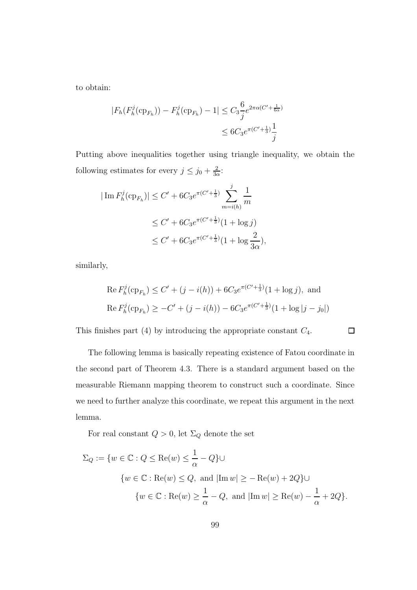to obtain:

$$
|F_h(F_h^j(\text{cp}_{F_h})) - F_h^j(\text{cp}_{F_h}) - 1| \le C_3 \frac{6}{j} e^{2\pi \alpha (C' + \frac{1}{6\alpha})}
$$
  

$$
\le 6C_3 e^{\pi (C' + \frac{1}{3})} \frac{1}{j}
$$

Putting above inequalities together using triangle inequality, we obtain the following estimates for every  $j \leq j_0 + \frac{2}{3c}$  $\frac{2}{3\alpha}$ :

$$
|\operatorname{Im} F_h^j(\operatorname{cp}_{F_h})| \le C' + 6C_3 e^{\pi (C' + \frac{1}{3})} \sum_{m=i(h)}^j \frac{1}{m}
$$
  

$$
\le C' + 6C_3 e^{\pi (C' + \frac{1}{3})} (1 + \log j)
$$
  

$$
\le C' + 6C_3 e^{\pi (C' + \frac{1}{3})} (1 + \log \frac{2}{3\alpha}),
$$

similarly,

Re 
$$
F_h^j
$$
(cp<sub>F\_h</sub>)  $\leq C' + (j - i(h)) + 6C_3 e^{\pi(C' + \frac{1}{3})} (1 + \log j)$ , and  
Re  $F_h^j$ (cp<sub>F\_h</sub>)  $\geq -C' + (j - i(h)) - 6C_3 e^{\pi(C' + \frac{1}{3})} (1 + \log |j - j_0|)$ 

This finishes part (4) by introducing the appropriate constant  $C_4$ .

 $\Box$ 

The following lemma is basically repeating existence of Fatou coordinate in the second part of Theorem 4.3. There is a standard argument based on the measurable Riemann mapping theorem to construct such a coordinate. Since we need to further analyze this coordinate, we repeat this argument in the next lemma.

For real constant  $Q>0,$  let  $\Sigma_Q$  denote the set

$$
\Sigma_Q := \{ w \in \mathbb{C} : Q \le \text{Re}(w) \le \frac{1}{\alpha} - Q \} \cup
$$
  

$$
\{ w \in \mathbb{C} : \text{Re}(w) \le Q, \text{ and } |\text{Im } w| \ge -\text{Re}(w) + 2Q \} \cup
$$
  

$$
\{ w \in \mathbb{C} : \text{Re}(w) \ge \frac{1}{\alpha} - Q, \text{ and } |\text{Im } w| \ge \text{Re}(w) - \frac{1}{\alpha} + 2Q \}.
$$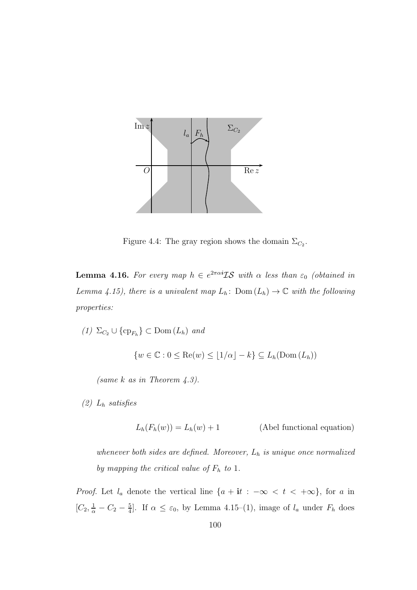

Figure 4.4: The gray region shows the domain  $\Sigma_{C_2}$ .

**Lemma 4.16.** For every map  $h \in e^{2\pi \alpha i} \mathcal{IS}$  with  $\alpha$  less than  $\varepsilon_0$  (obtained in Lemma 4.15), there is a univalent map  $L_h$ : Dom  $(L_h) \to \mathbb{C}$  with the following properties:

 $(1)$   $\Sigma_{C_2} \cup \{cp_{F_h}\} \subset \text{Dom}(L_h)$  and

 $\{w \in \mathbb{C} : 0 \leq \text{Re}(w) \leq |1/\alpha| - k\} \subseteq L_h(\text{Dom}(L_h))$ 

(same  $k$  as in Theorem 4.3).

 $(2)$   $L_h$  satisfies

 $L_h(F_h(w)) = L_h(w) + 1$  (Abel functional equation)

whenever both sides are defined. Moreover,  $L_h$  is unique once normalized by mapping the critical value of  $F_h$  to 1.

*Proof.* Let  $l_a$  denote the vertical line  $\{a + it : -\infty < t < +\infty\}$ , for a in  $[C_2, \frac{1}{\alpha} - C_2 - \frac{5}{4}]$  $\frac{5}{4}$ . If  $\alpha \leq \varepsilon_0$ , by Lemma 4.15–(1), image of  $l_a$  under  $F_h$  does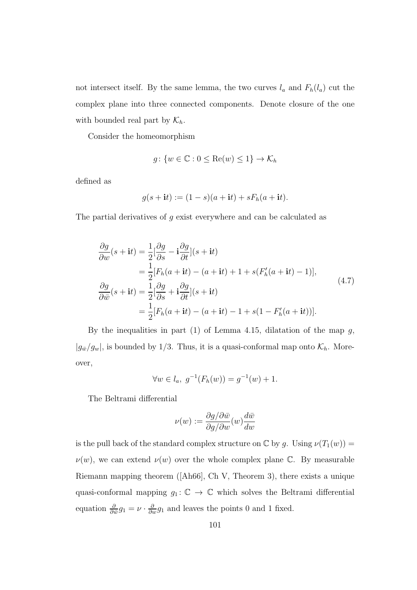not intersect itself. By the same lemma, the two curves  $l_a$  and  $F_h(l_a)$  cut the complex plane into three connected components. Denote closure of the one with bounded real part by  $\mathcal{K}_h$ .

Consider the homeomorphism

$$
g \colon \{ w \in \mathbb{C} : 0 \le \text{Re}(w) \le 1 \} \to \mathcal{K}_h
$$

defined as

$$
g(s + it) := (1 - s)(a + it) + sFh(a + it).
$$

The partial derivatives of  $g$  exist everywhere and can be calculated as

$$
\frac{\partial g}{\partial w}(s+it) = \frac{1}{2}[\frac{\partial g}{\partial s} - i\frac{\partial g}{\partial t}](s+it)
$$
  
\n
$$
= \frac{1}{2}[F_h(a+it) - (a+it) + 1 + s(F'_h(a+it) - 1)],
$$
  
\n
$$
\frac{\partial g}{\partial \bar{w}}(s+it) = \frac{1}{2}[\frac{\partial g}{\partial s} + i\frac{\partial g}{\partial t}](s+it)
$$
  
\n
$$
= \frac{1}{2}[F_h(a+it) - (a+it) - 1 + s(1 - F'_h(a+it))].
$$
\n(4.7)

By the inequalities in part (1) of Lemma 4.15, dilatation of the map  $g$ ,  $|g_{\bar{w}}/g_w|$ , is bounded by 1/3. Thus, it is a quasi-conformal map onto  $\mathcal{K}_h$ . Moreover,

$$
\forall w \in l_a, \ g^{-1}(F_h(w)) = g^{-1}(w) + 1.
$$

The Beltrami differential

$$
\nu(w):=\frac{\partial g/\partial \bar{w}}{\partial g/\partial w}(w)\frac{d\bar{w}}{dw}
$$

is the pull back of the standard complex structure on  $\mathbb C$  by g. Using  $\nu(T_1(w)) =$  $\nu(w)$ , we can extend  $\nu(w)$  over the whole complex plane C. By measurable Riemann mapping theorem ([Ah66], Ch V, Theorem 3), there exists a unique quasi-conformal mapping  $g_1: \mathbb{C} \to \mathbb{C}$  which solves the Beltrami differential equation  $\frac{\partial}{\partial \bar{w}}g_1 = \nu \cdot \frac{\partial}{\partial w}g_1$  and leaves the points 0 and 1 fixed.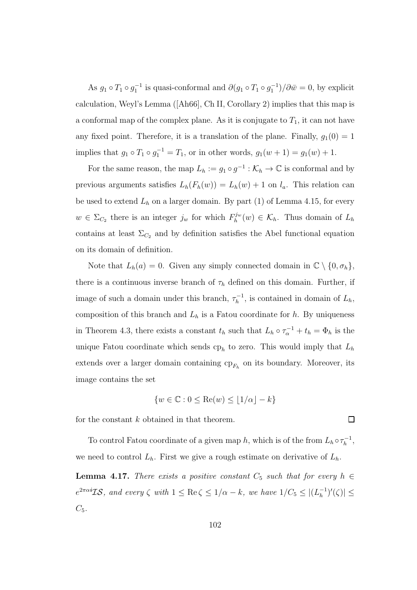As  $g_1 \circ T_1 \circ g_1^{-1}$  is quasi-conformal and  $\partial (g_1 \circ T_1 \circ g_1^{-1})/\partial \bar{w} = 0$ , by explicit calculation, Weyl's Lemma ([Ah66], Ch II, Corollary 2) implies that this map is a conformal map of the complex plane. As it is conjugate to  $T_1$ , it can not have any fixed point. Therefore, it is a translation of the plane. Finally,  $g_1(0) = 1$ implies that  $g_1 \circ T_1 \circ g_1^{-1} = T_1$ , or in other words,  $g_1(w + 1) = g_1(w) + 1$ .

For the same reason, the map  $L_h := g_1 \circ g^{-1} : \mathcal{K}_h \to \mathbb{C}$  is conformal and by previous arguments satisfies  $L_h(F_h(w)) = L_h(w) + 1$  on  $l_a$ . This relation can be used to extend  $L_h$  on a larger domain. By part (1) of Lemma 4.15, for every  $w \in \Sigma_{C_2}$  there is an integer  $j_w$  for which  $F_h^{j_w}$  $h^{j_w}(w) \in \mathcal{K}_h$ . Thus domain of  $L_h$ contains at least  $\Sigma_{C_2}$  and by definition satisfies the Abel functional equation on its domain of definition.

Note that  $L_h(a) = 0$ . Given any simply connected domain in  $\mathbb{C} \setminus \{0, \sigma_h\},$ there is a continuous inverse branch of  $\tau_h$  defined on this domain. Further, if image of such a domain under this branch,  $\tau_h^{-1}$ , is contained in domain of  $L_h$ , composition of this branch and  $L<sub>h</sub>$  is a Fatou coordinate for h. By uniqueness in Theorem 4.3, there exists a constant  $t_h$  such that  $L_h \circ \tau_\alpha^{-1} + t_h = \Phi_h$  is the unique Fatou coordinate which sends  $cp_h$  to zero. This would imply that  $L_h$ extends over a larger domain containing  $cp_{F_h}$  on its boundary. Moreover, its image contains the set

$$
\{w \in \mathbb{C} : 0 \le \text{Re}(w) \le \lfloor 1/\alpha \rfloor - k\}
$$

for the constant k obtained in that theorem.

To control Fatou coordinate of a given map h, which is of the from  $L_h \circ \tau_h^{-1}$ , we need to control  $L_h$ . First we give a rough estimate on derivative of  $L_h$ .

**Lemma 4.17.** There exists a positive constant  $C_5$  such that for every  $h \in$  $e^{2\pi\alpha i} \mathcal{IS},$  and every  $\zeta$  with  $1 \leq \text{Re}\,\zeta \leq 1/\alpha - k$ , we have  $1/C_5 \leq |(L_h^{-1})'(\zeta)| \leq$  $C_5$ .

 $\Box$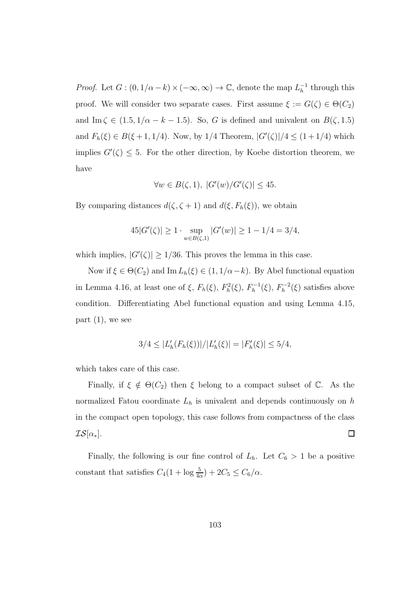*Proof.* Let  $G : (0, 1/\alpha - k) \times (-\infty, \infty) \to \mathbb{C}$ , denote the map  $L_h^{-1}$  through this proof. We will consider two separate cases. First assume  $\xi := G(\zeta) \in \Theta(C_2)$ and Im  $\zeta \in (1.5, 1/\alpha - k - 1.5)$ . So, G is defined and univalent on  $B(\zeta, 1.5)$ and  $F_h(\xi) \in B(\xi + 1, 1/4)$ . Now, by 1/4 Theorem,  $|G'(\zeta)|/4 \le (1 + 1/4)$  which implies  $G'(\zeta) \leq 5$ . For the other direction, by Koebe distortion theorem, we have

$$
\forall w \in B(\zeta, 1), \ |G'(w)/G'(\zeta)| \le 45.
$$

By comparing distances  $d(\zeta, \zeta + 1)$  and  $d(\xi, F_h(\xi))$ , we obtain

$$
45|G'(\zeta)| \ge 1 \cdot \sup_{w \in B(\zeta, 1)} |G'(w)| \ge 1 - 1/4 = 3/4,
$$

which implies,  $|G'(\zeta)| \geq 1/36$ . This proves the lemma in this case.

Now if  $\xi \in \Theta(C_2)$  and Im  $L_h(\xi) \in (1, 1/\alpha - k)$ . By Abel functional equation in Lemma 4.16, at least one of  $\xi$ ,  $F_h(\xi)$ ,  $F_h^2(\xi)$ ,  $F_h^{-1}(\xi)$ ,  $F_h^{-2}(\xi)$  satisfies above condition. Differentiating Abel functional equation and using Lemma 4.15, part  $(1)$ , we see

$$
3/4 \le |L'_h(F_h(\xi))|/|L'_h(\xi)| = |F'_h(\xi)| \le 5/4,
$$

which takes care of this case.

Finally, if  $\xi \notin \Theta(C_2)$  then  $\xi$  belong to a compact subset of  $\mathbb{C}$ . As the normalized Fatou coordinate  $L_h$  is univalent and depends continuously on  $h$ in the compact open topology, this case follows from compactness of the class  $\mathcal{IS}[\alpha_*].$  $\Box$ 

Finally, the following is our fine control of  $L_h$ . Let  $C_6 > 1$  be a positive constant that satisfies  $C_4(1 + \log \frac{5}{4\alpha}) + 2C_5 \le C_6/\alpha$ .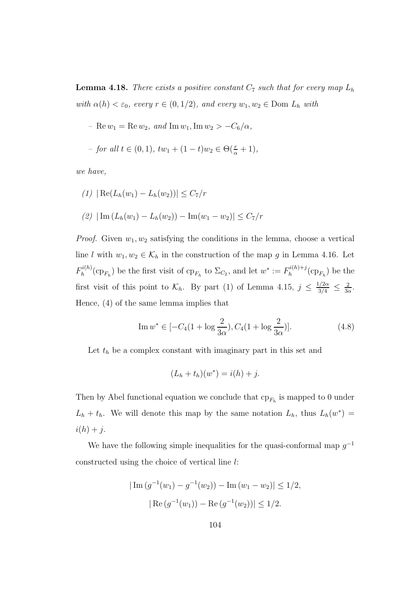**Lemma 4.18.** There exists a positive constant  $C_7$  such that for every map  $L_h$ with  $\alpha(h) < \varepsilon_0$ , every  $r \in (0, 1/2)$ , and every  $w_1, w_2 \in \text{Dom } L_h$  with

– Re $w_1 = \text{Re } w_2$ , and Im  $w_1$ , Im  $w_2 > -C_6/\alpha$ ,

- for all 
$$
t \in (0, 1)
$$
,  $tw_1 + (1 - t)w_2 \in \Theta(\frac{r}{\alpha} + 1)$ ,

we have,

(1) 
$$
|\text{Re}(L_h(w_1) - L_h(w_2))| \le C_7/r
$$
  
(2)  $|\text{Im}(L_h(w_1) - L_h(w_2)) - \text{Im}(w_1 - w_2)| \le C_7/r$ 

*Proof.* Given  $w_1, w_2$  satisfying the conditions in the lemma, choose a vertical line l with  $w_1, w_2 \in \mathcal{K}_h$  in the construction of the map g in Lemma 4.16. Let  $F^{i(h)}_h$  $h_h^{i(h)}(\text{cp}_{F_h})$  be the first visit of  $\text{cp}_{F_h}$  to  $\Sigma_{C_2}$ , and let  $w^* := F_h^{i(h)+j}$  $h^{(n)+j}(\text{cp}_{F_h})$  be the first visit of this point to  $\mathcal{K}_h$ . By part (1) of Lemma 4.15,  $j \leq \frac{1/2\alpha}{3/4} \leq \frac{2}{3\alpha}$  $rac{2}{3\alpha}$ . Hence, (4) of the same lemma implies that

Im 
$$
w^* \in [-C_4(1 + \log \frac{2}{3\alpha}), C_4(1 + \log \frac{2}{3\alpha})].
$$
 (4.8)

Let  $t<sub>h</sub>$  be a complex constant with imaginary part in this set and

$$
(Lh + th)(w*) = i(h) + j.
$$

Then by Abel functional equation we conclude that  $cp_{F_h}$  is mapped to 0 under  $L_h + t_h$ . We will denote this map by the same notation  $L_h$ , thus  $L_h(w^*) =$  $i(h) + j.$ 

We have the following simple inequalities for the quasi-conformal map  $g^{-1}$ constructed using the choice of vertical line l:

$$
|\operatorname{Im} (g^{-1}(w_1) - g^{-1}(w_2)) - \operatorname{Im} (w_1 - w_2)| \le 1/2,
$$
  

$$
|\operatorname{Re} (g^{-1}(w_1)) - \operatorname{Re} (g^{-1}(w_2))| \le 1/2.
$$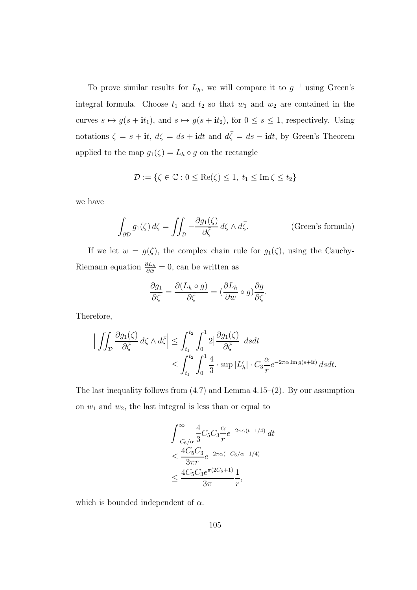To prove similar results for  $L<sub>h</sub>$ , we will compare it to  $g<sup>-1</sup>$  using Green's integral formula. Choose  $t_1$  and  $t_2$  so that  $w_1$  and  $w_2$  are contained in the curves  $s \mapsto g(s + i t_1)$ , and  $s \mapsto g(s + i t_2)$ , for  $0 \le s \le 1$ , respectively. Using notations  $\zeta = s + \mathbf{i}t$ ,  $d\zeta = ds + \mathbf{i}dt$  and  $d\bar{\zeta} = ds - \mathbf{i}dt$ , by Green's Theorem applied to the map  $g_1(\zeta) = L_h \circ g$  on the rectangle

$$
\mathcal{D} := \{ \zeta \in \mathbb{C} : 0 \le \text{Re}(\zeta) \le 1, t_1 \le \text{Im}\,\zeta \le t_2 \}
$$

we have

$$
\int_{\partial \mathcal{D}} g_1(\zeta) d\zeta = \iint_{\mathcal{D}} -\frac{\partial g_1(\zeta)}{\partial \bar{\zeta}} d\zeta \wedge d\bar{\zeta}.
$$
 (Green's formula)

If we let  $w = g(\zeta)$ , the complex chain rule for  $g_1(\zeta)$ , using the Cauchy-Riemann equation  $\frac{\partial L_h}{\partial \bar{w}} = 0$ , can be written as

$$
\frac{\partial g_1}{\partial \bar{\zeta}} = \frac{\partial (L_h \circ g)}{\partial \bar{\zeta}} = \left(\frac{\partial L_h}{\partial w} \circ g\right) \frac{\partial g}{\partial \bar{\zeta}}.
$$

Therefore,

$$
\left| \iint_{\mathcal{D}} \frac{\partial g_1(\zeta)}{\partial \overline{\zeta}} d\zeta \wedge d\overline{\zeta} \right| \leq \int_{t_1}^{t_2} \int_0^1 2 \left| \frac{\partial g_1(\zeta)}{\partial \overline{\zeta}} \right| ds dt
$$
  

$$
\leq \int_{t_1}^{t_2} \int_0^1 \frac{4}{3} \cdot \sup |L_h'| \cdot C_3 \frac{\alpha}{r} e^{-2\pi \alpha \operatorname{Im} g(s+it)} ds dt.
$$

The last inequality follows from  $(4.7)$  and Lemma  $4.15-(2)$ . By our assumption on  $w_1$  and  $w_2$ , the last integral is less than or equal to

$$
\int_{-C_6/\alpha}^{\infty} \frac{4}{3} C_5 C_3 \frac{\alpha}{r} e^{-2\pi \alpha (t - 1/4)} dt
$$
  
\n
$$
\leq \frac{4C_5 C_3}{3\pi r} e^{-2\pi \alpha (-C_6/\alpha - 1/4)}
$$
  
\n
$$
\leq \frac{4C_5 C_3 e^{\pi (2C_6 + 1)}}{3\pi} \frac{1}{r},
$$

which is bounded independent of  $\alpha$ .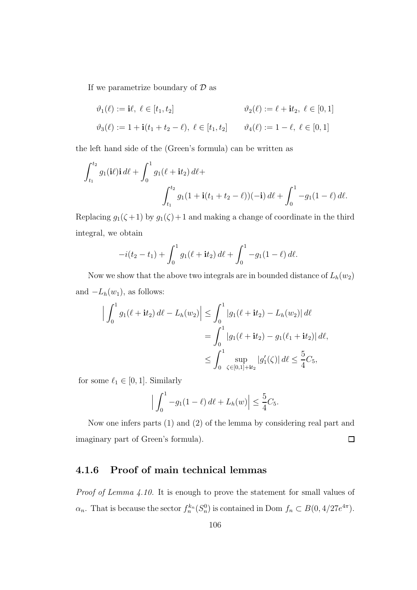If we parametrize boundary of  $\mathcal D$  as

$$
\vartheta_1(\ell) := \mathbf{i}\ell, \ \ell \in [t_1, t_2] \qquad \qquad \vartheta_2(\ell) := \ell + \mathbf{i}t_2, \ \ell \in [0, 1]
$$
  

$$
\vartheta_3(\ell) := 1 + \mathbf{i}(t_1 + t_2 - \ell), \ \ell \in [t_1, t_2] \qquad \vartheta_4(\ell) := 1 - \ell, \ \ell \in [0, 1]
$$

the left hand side of the (Green's formula) can be written as

$$
\int_{t_1}^{t_2} g_1(\mathbf{i}\ell) \mathbf{i} \, d\ell + \int_0^1 g_1(\ell + \mathbf{i}t_2) \, d\ell + \int_{t_1}^{t_2} g_1(1 + \mathbf{i}(t_1 + t_2 - \ell))(-\mathbf{i}) \, d\ell + \int_0^1 -g_1(1 - \ell) \, d\ell.
$$

Replacing  $g_1(\zeta + 1)$  by  $g_1(\zeta) + 1$  and making a change of coordinate in the third integral, we obtain

$$
-i(t_2-t_1)+\int_0^1g_1(\ell+{\bf i}t_2)\,d\ell+\int_0^1-g_1(1-\ell)\,d\ell.
$$

Now we show that the above two integrals are in bounded distance of  $L_h(w_2)$ and  $-L_h(w_1)$ , as follows:

$$
\left| \int_0^1 g_1(\ell + it_2) \, d\ell - L_h(w_2) \right| \le \int_0^1 |g_1(\ell + it_2) - L_h(w_2)| \, d\ell
$$
  
= 
$$
\int_0^1 |g_1(\ell + it_2) - g_1(\ell_1 + it_2)| \, d\ell,
$$
  

$$
\le \int_0^1 \sup_{\zeta \in [0,1] + it_2} |g'_1(\zeta)| \, d\ell \le \frac{5}{4} C_5,
$$

for some  $\ell_1 \in [0,1]$ . Similarly

$$
\left| \int_0^1 -g_1(1-\ell) \, d\ell + L_h(w) \right| \leq \frac{5}{4} C_5.
$$

Now one infers parts (1) and (2) of the lemma by considering real part and imaginary part of Green's formula).  $\Box$ 

# 4.1.6 Proof of main technical lemmas

Proof of Lemma 4.10. It is enough to prove the statement for small values of  $\alpha_n$ . That is because the sector  $f_n^{k_n}(S_n^0)$  is contained in Dom  $f_n \subset B(0, 4/27e^{4\pi})$ .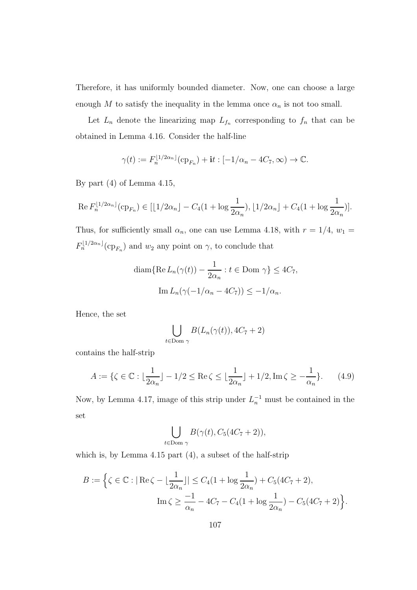Therefore, it has uniformly bounded diameter. Now, one can choose a large enough M to satisfy the inequality in the lemma once  $\alpha_n$  is not too small.

Let  $L_n$  denote the linearizing map  $L_{f_n}$  corresponding to  $f_n$  that can be obtained in Lemma 4.16. Consider the half-line

$$
\gamma(t) := F_n^{\lfloor 1/2\alpha_n \rfloor}(\mathrm{cp}_{F_n}) + \mathbf{i}t : [-1/\alpha_n - 4C_7, \infty) \to \mathbb{C}.
$$

By part (4) of Lemma 4.15,

$$
\operatorname{Re} F_n^{\lfloor 1/2\alpha_n \rfloor}(\operatorname{cp}_{F_n}) \in [\lfloor 1/2\alpha_n \rfloor - C_4(1 + \log \frac{1}{2\alpha_n}), \lfloor 1/2\alpha_n \rfloor + C_4(1 + \log \frac{1}{2\alpha_n})].
$$

Thus, for sufficiently small  $\alpha_n$ , one can use Lemma 4.18, with  $r = 1/4$ ,  $w_1 =$  $F_n^{\lfloor 1/2\alpha_n \rfloor}(\mathrm{cp}_{F_n})$  and  $w_2$  any point on  $\gamma$ , to conclude that

$$
\operatorname{diam}\{\operatorname{Re} L_n(\gamma(t)) - \frac{1}{2\alpha_n} : t \in \operatorname{Dom} \gamma\} \le 4C_7,
$$

$$
\operatorname{Im} L_n(\gamma(-1/\alpha_n - 4C_7)) \le -1/\alpha_n.
$$

Hence, the set

$$
\bigcup_{t \in \text{Dom } \gamma} B(L_n(\gamma(t)), 4C_7 + 2)
$$

contains the half-strip

$$
A := \{ \zeta \in \mathbb{C} : \lfloor \frac{1}{2\alpha_n} \rfloor - 1/2 \le \text{Re}\,\zeta \le \lfloor \frac{1}{2\alpha_n} \rfloor + 1/2, \text{Im}\,\zeta \ge -\frac{1}{\alpha_n} \}. \tag{4.9}
$$

Now, by Lemma 4.17, image of this strip under  $L_n^{-1}$  must be contained in the set

$$
\bigcup_{t \in \text{Dom } \gamma} B(\gamma(t), C_5(4C_7 + 2)),
$$

which is, by Lemma 4.15 part (4), a subset of the half-strip

$$
B := \left\{ \zeta \in \mathbb{C} : |\operatorname{Re}\zeta - \lfloor \frac{1}{2\alpha_n} \rfloor| \le C_4 (1 + \log \frac{1}{2\alpha_n}) + C_5 (4C_7 + 2), \right\}
$$

$$
\operatorname{Im}\zeta \ge \frac{-1}{\alpha_n} - 4C_7 - C_4 (1 + \log \frac{1}{2\alpha_n}) - C_5 (4C_7 + 2) \right\}.
$$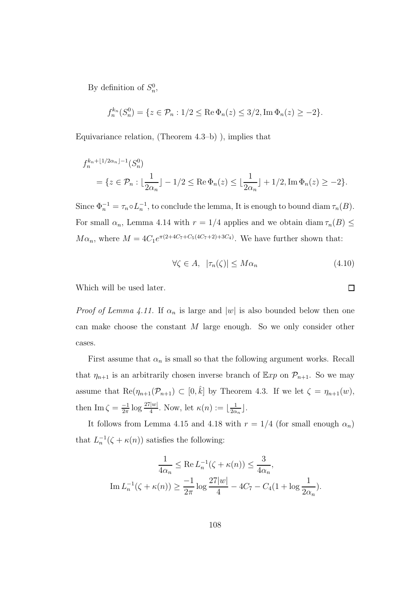By definition of  $S_n^0$ ,

$$
f_n^{k_n}(S_n^0) = \{ z \in \mathcal{P}_n : 1/2 \le \text{Re } \Phi_n(z) \le 3/2, \text{Im } \Phi_n(z) \ge -2 \}.
$$

Equivariance relation, (Theorem 4.3–b) ), implies that

$$
f_n^{k_n + \lfloor 1/2\alpha_n \rfloor - 1}(S_n^0)
$$
  
=  $\{z \in \mathcal{P}_n : \lfloor \frac{1}{2\alpha_n} \rfloor - 1/2 \le \text{Re}\,\Phi_n(z) \le \lfloor \frac{1}{2\alpha_n} \rfloor + 1/2, \text{Im}\,\Phi_n(z) \ge -2\}.$ 

Since  $\Phi_n^{-1} = \tau_n \circ L_n^{-1}$ , to conclude the lemma, It is enough to bound diam  $\tau_n(B)$ . For small  $\alpha_n$ , Lemma 4.14 with  $r = 1/4$  applies and we obtain diam  $\tau_n(B) \leq$  $M\alpha_n$ , where  $M = 4C_1e^{\pi(2+4C_7+C_5(4C_7+2)+3C_4)}$ . We have further shown that:

$$
\forall \zeta \in A, \ |\tau_n(\zeta)| \le M\alpha_n \tag{4.10}
$$

Which will be used later.

*Proof of Lemma 4.11.* If  $\alpha_n$  is large and |w| is also bounded below then one can make choose the constant M large enough. So we only consider other cases.

First assume that  $\alpha_n$  is small so that the following argument works. Recall that  $\eta_{n+1}$  is an arbitrarily chosen inverse branch of  $\mathbb{E}xp$  on  $\mathcal{P}_{n+1}$ . So we may assume that  $\text{Re}(\eta_{n+1}(\mathcal{P}_{n+1}) \subset [0,\hat{k}]$  by Theorem 4.3. If we let  $\zeta = \eta_{n+1}(w)$ , then Im  $\zeta = \frac{-1}{2\pi} \log \frac{27|w|}{4}$ . Now, let  $\kappa(n) := \lfloor \frac{1}{2\alpha} \rfloor$  $rac{1}{2\alpha_n}$ .

It follows from Lemma 4.15 and 4.18 with  $r = 1/4$  (for small enough  $\alpha_n$ ) that  $L_n^{-1}(\zeta + \kappa(n))$  satisfies the following:

$$
\frac{1}{4\alpha_n} \le \text{Re } L_n^{-1}(\zeta + \kappa(n)) \le \frac{3}{4\alpha_n},
$$
  
\n
$$
\text{Im } L_n^{-1}(\zeta + \kappa(n)) \ge \frac{-1}{2\pi} \log \frac{27|w|}{4} - 4C_7 - C_4(1 + \log \frac{1}{2\alpha_n}).
$$

 $\Box$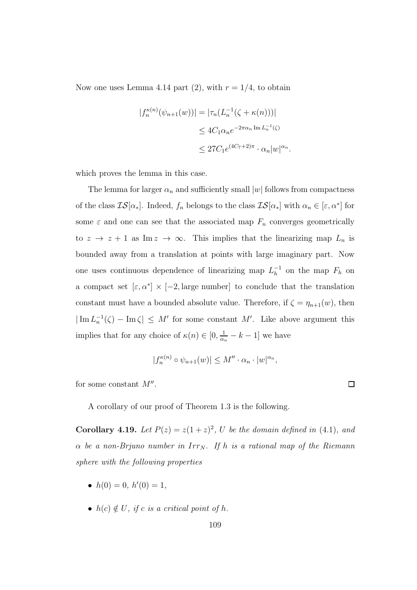Now one uses Lemma 4.14 part (2), with  $r = 1/4$ , to obtain

$$
|f_n^{\kappa(n)}(\psi_{n+1}(w))| = |\tau_n(L_n^{-1}(\zeta + \kappa(n)))|
$$
  
\n
$$
\leq 4C_1 \alpha_n e^{-2\pi \alpha_n \operatorname{Im} L_n^{-1}(\zeta)}
$$
  
\n
$$
\leq 27C_1 e^{(4C_7 + 2)\pi} \cdot \alpha_n |w|^{\alpha_n}.
$$

which proves the lemma in this case.

The lemma for larger  $\alpha_n$  and sufficiently small  $|w|$  follows from compactness of the class  $\mathcal{IS}[\alpha_*]$ . Indeed,  $f_n$  belongs to the class  $\mathcal{IS}[\alpha_*]$  with  $\alpha_n \in [\varepsilon, \alpha^*]$  for some  $\varepsilon$  and one can see that the associated map  $F_n$  converges geometrically to  $z \to z + 1$  as Im  $z \to \infty$ . This implies that the linearizing map  $L_n$  is bounded away from a translation at points with large imaginary part. Now one uses continuous dependence of linearizing map  $L_h^{-1}$  on the map  $F_h$  on a compact set  $[\varepsilon, \alpha^*] \times [-2]$ , large number to conclude that the translation constant must have a bounded absolute value. Therefore, if  $\zeta = \eta_{n+1}(w)$ , then  $|\operatorname{Im} L_n^{-1}(\zeta) - \operatorname{Im} \zeta| \leq M'$  for some constant M'. Like above argument this implies that for any choice of  $\kappa(n) \in [0, \frac{1}{\alpha_n}]$  $\frac{1}{\alpha_n} - k - 1$  we have

$$
|f_n^{\kappa(n)} \circ \psi_{n+1}(w)| \leq M'' \cdot \alpha_n \cdot |w|^{\alpha_n},
$$

 $\Box$ 

for some constant  $M''$ .

A corollary of our proof of Theorem 1.3 is the following.

**Corollary 4.19.** Let  $P(z) = z(1+z)^2$ , U be the domain defined in (4.1), and  $\alpha$  be a non-Brjuno number in Irr<sub>N</sub>. If h is a rational map of the Riemann sphere with the following properties

- $h(0) = 0, h'(0) = 1,$
- $h(c) \notin U$ , if c is a critical point of h.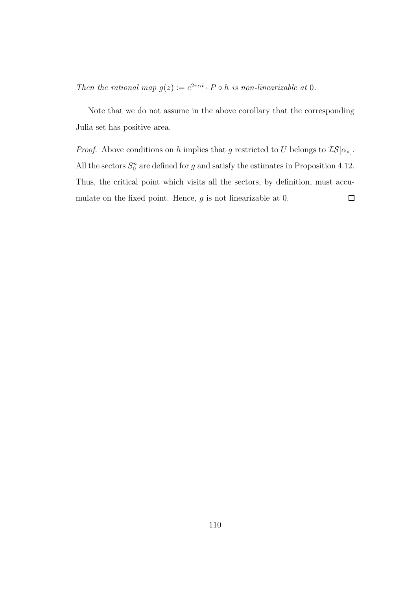Then the rational map  $g(z) := e^{2\pi\alpha i} \cdot P \circ h$  is non-linearizable at 0.

Note that we do not assume in the above corollary that the corresponding Julia set has positive area.

*Proof.* Above conditions on h implies that g restricted to U belongs to  $\mathcal{IS}[\alpha_*]$ . All the sectors  $S_0^n$  are defined for g and satisfy the estimates in Proposition 4.12. Thus, the critical point which visits all the sectors, by definition, must accu- $\Box$ mulate on the fixed point. Hence,  $g$  is not linearizable at 0.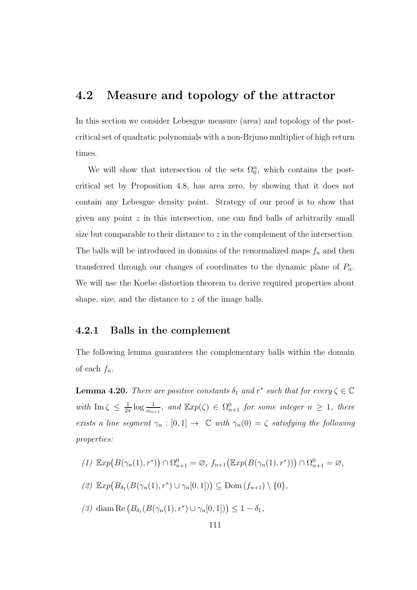# 4.2 Measure and topology of the attractor

In this section we consider Lebesgue measure (area) and topology of the postcritical set of quadratic polynomials with a non-Brjuno multiplier of high return times.

We will show that intersection of the sets  $\Omega_0^n$ , which contains the postcritical set by Proposition 4.8, has area zero, by showing that it does not contain any Lebesgue density point. Strategy of our proof is to show that given any point  $z$  in this intersection, one can find balls of arbitrarily small size but comparable to their distance to  $z$  in the complement of the intersection. The balls will be introduced in domains of the renormalized maps  $f_n$  and then transferred through our changes of coordinates to the dynamic plane of  $P_{\alpha}$ . We will use the Koebe distortion theorem to derive required properties about shape, size, and the distance to z of the image balls.

#### 4.2.1 Balls in the complement

The following lemma guarantees the complementary balls within the domain of each  $f_n$ .

**Lemma 4.20.** There are positive constants  $\delta_1$  and  $r^*$  such that for every  $\zeta \in \mathbb{C}$ with  $\text{Im }\zeta \leq \frac{1}{2n}$  $\frac{1}{2\pi} \log \frac{1}{\alpha_{n+1}}$ , and  $\mathbb{E}xp(\zeta) \in \Omega_{n+1}^0$  for some integer  $n \geq 1$ , there exists a line segment  $\gamma_n : [0,1] \to \mathbb{C}$  with  $\gamma_n(0) = \zeta$  satisfying the following properties:

- (1)  $\mathbb{E}xp(B(\gamma_n(1), r^*)) \cap \Omega_{n+1}^0 = \emptyset$ ,  $f_{n+1}(\mathbb{E}xp(B(\gamma_n(1), r^*))) \cap \Omega_{n+1}^0 = \emptyset$ , (2)  $\mathbb{E}xp(B_{\delta_1}(B(\gamma_n(1), r^*) \cup \gamma_n[0, 1])) \subseteq \text{Dom}(f_{n+1}) \setminus \{0\},\$
- (3) diam Re  $(B_{\delta_1}(B(\gamma_n(1), r^*) \cup \gamma_n[0, 1])) \leq 1 \delta_1$ ,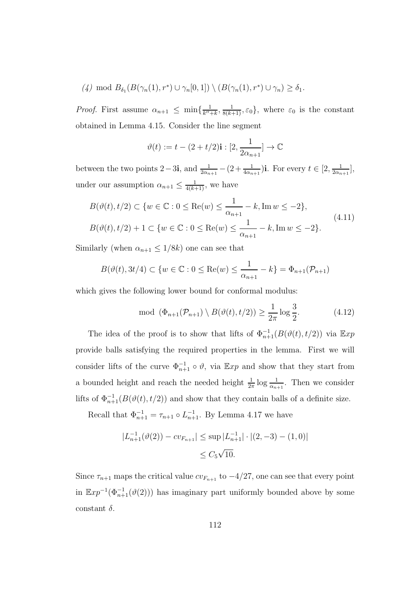$$
(4) \text{ mod } B_{\delta_1}(B(\gamma_n(1), r^*) \cup \gamma_n[0,1]) \setminus (B(\gamma_n(1), r^*) \cup \gamma_n) \ge \delta_1.
$$

*Proof.* First assume  $\alpha_{n+1} \leq \min\{\frac{1}{k^n}\}$  $\frac{1}{k''+k}, \frac{1}{8(k+1)}, \varepsilon_0$ , where  $\varepsilon_0$  is the constant obtained in Lemma 4.15. Consider the line segment

$$
\vartheta(t) := t - (2 + t/2)\mathbf{i} : [2, \frac{1}{2\alpha_{n+1}}] \to \mathbb{C}
$$

between the two points 2 – 3**i**, and  $\frac{1}{2\alpha_{n+1}} - (2 + \frac{1}{4\alpha_{n+1}})$ **i**. For every  $t \in [2, \frac{1}{2\alpha_n}]$  $\frac{1}{2\alpha_{n+1}}\big],$ under our assumption  $\alpha_{n+1} \leq \frac{1}{4(k+1)}$ , we have

$$
B(\vartheta(t), t/2) \subset \{w \in \mathbb{C} : 0 \le \text{Re}(w) \le \frac{1}{\alpha_{n+1}} - k, \text{Im } w \le -2\},\
$$
  

$$
B(\vartheta(t), t/2) + 1 \subset \{w \in \mathbb{C} : 0 \le \text{Re}(w) \le \frac{1}{\alpha_{n+1}} - k, \text{Im } w \le -2\}.
$$
  
(4.11)

Similarly (when  $\alpha_{n+1} \leq 1/8k$ ) one can see that

$$
B(\vartheta(t), 3t/4) \subset \{w \in \mathbb{C} : 0 \le \text{Re}(w) \le \frac{1}{\alpha_{n+1}} - k\} = \Phi_{n+1}(\mathcal{P}_{n+1})
$$

which gives the following lower bound for conformal modulus:

$$
\text{mod } (\Phi_{n+1}(\mathcal{P}_{n+1}) \setminus B(\vartheta(t), t/2)) \ge \frac{1}{2\pi} \log \frac{3}{2}.
$$
 (4.12)

The idea of the proof is to show that lifts of  $\Phi_{n+1}^{-1}(B(\vartheta(t), t/2))$  via  $\mathbb{E}xp$ provide balls satisfying the required properties in the lemma. First we will consider lifts of the curve  $\Phi_{n+1}^{-1} \circ \vartheta$ , via  $\mathbb{E}xp$  and show that they start from a bounded height and reach the needed height  $\frac{1}{2\pi} \log \frac{1}{\alpha_{n+1}}$ . Then we consider lifts of  $\Phi_{n+1}^{-1}(B(\vartheta(t), t/2))$  and show that they contain balls of a definite size.

Recall that  $\Phi_{n+1}^{-1} = \tau_{n+1} \circ L_{n+1}^{-1}$ . By Lemma 4.17 we have

$$
|L_{n+1}^{-1}(\vartheta(2)) - cv_{F_{n+1}}| \le \sup |L_{n+1}^{-1}| \cdot |(2, -3) - (1, 0)|
$$
  

$$
\le C_5 \sqrt{10}.
$$

Since  $\tau_{n+1}$  maps the critical value  $cv_{F_{n+1}}$  to  $-4/27$ , one can see that every point in  $\mathbb{E}xp^{-1}(\Phi_{n+1}^{-1}(\vartheta(2)))$  has imaginary part uniformly bounded above by some constant  $\delta$ .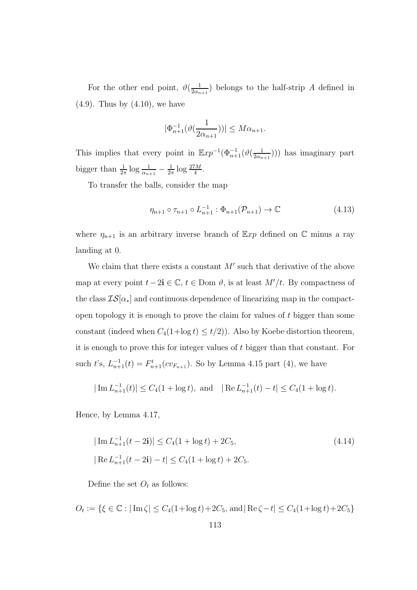For the other end point,  $\vartheta(\frac{1}{2\alpha})$  $\frac{1}{2\alpha_{n+1}}$ ) belongs to the half-strip A defined in (4.9). Thus by (4.10), we have

$$
|\Phi_{n+1}^{-1}(\vartheta(\frac{1}{2\alpha_{n+1}}))| \leq M\alpha_{n+1}.
$$

This implies that every point in  $\mathbb{E}xp^{-1}(\Phi_{n+1}^{-1}(\vartheta(\frac{1}{2\alpha_n}))$  $(\frac{1}{2\alpha_{n+1}}))$  has imaginary part bigger than  $\frac{1}{2\pi} \log \frac{1}{\alpha_{n+1}} - \frac{1}{2\pi}$  $\frac{1}{2\pi} \log \frac{27M}{4}$ .

To transfer the balls, consider the map

$$
\eta_{n+1} \circ \tau_{n+1} \circ L_{n+1}^{-1} : \Phi_{n+1}(\mathcal{P}_{n+1}) \to \mathbb{C}
$$
\n(4.13)

where  $\eta_{n+1}$  is an arbitrary inverse branch of Exp defined on C minus a ray landing at 0.

We claim that there exists a constant  $M'$  such that derivative of the above map at every point  $t-2i \in \mathbb{C}$ ,  $t \in$  Dom  $\vartheta$ , is at least  $M'/t$ . By compactness of the class  $\mathcal{IS}[\alpha_*]$  and continuous dependence of linearizing map in the compactopen topology it is enough to prove the claim for values of t bigger than some constant (indeed when  $C_4(1+\log t) \leq t/2$ ). Also by Koebe distortion theorem, it is enough to prove this for integer values of t bigger than that constant. For such t's,  $L_{n+1}^{-1}(t) = F_{n+1}^t(cv_{F_{n+1}})$ . So by Lemma 4.15 part (4), we have

$$
|\operatorname{Im} L_{n+1}^{-1}(t)| \le C_4(1 + \log t)
$$
, and  $|\operatorname{Re} L_{n+1}^{-1}(t) - t| \le C_4(1 + \log t)$ .

Hence, by Lemma 4.17,

$$
|\operatorname{Im} L_{n+1}^{-1}(t-2\mathbf{i})| \le C_4(1+\log t) + 2C_5,
$$
\n
$$
|\operatorname{Re} L_{n+1}^{-1}(t-2\mathbf{i}) - t| \le C_4(1+\log t) + 2C_5.
$$
\n(4.14)

Define the set  $O_t$  as follows:

 $O_t := \{ \xi \in \mathbb{C} : |\operatorname{Im} \zeta| \leq C_4(1 + \log t) + 2C_5, \text{ and } |\operatorname{Re} \zeta - t| \leq C_4(1 + \log t) + 2C_5 \}$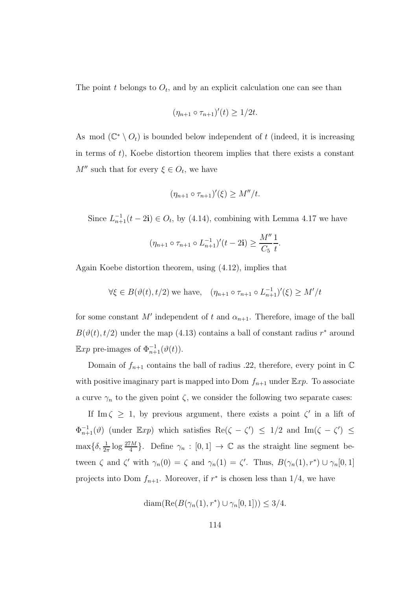The point t belongs to  $O_t$ , and by an explicit calculation one can see than

$$
(\eta_{n+1} \circ \tau_{n+1})'(t) \geq 1/2t.
$$

As mod  $(\mathbb{C}^* \setminus O_t)$  is bounded below independent of t (indeed, it is increasing in terms of  $t$ ), Koebe distortion theorem implies that there exists a constant  $M''$  such that for every  $\xi \in O_t$ , we have

$$
(\eta_{n+1} \circ \tau_{n+1})'(\xi) \ge M''/t.
$$

Since  $L_{n+1}^{-1}(t-2\mathbf{i}) \in O_t$ , by (4.14), combining with Lemma 4.17 we have

$$
(\eta_{n+1} \circ \tau_{n+1} \circ L_{n+1}^{-1})'(t-2\mathbf{i}) \ge \frac{M''}{C_5} \frac{1}{t}.
$$

Again Koebe distortion theorem, using (4.12), implies that

$$
\forall \xi \in B(\vartheta(t), t/2) \text{ we have, } (\eta_{n+1} \circ \tau_{n+1} \circ L_{n+1}^{-1})'(\xi) \ge M'/t
$$

for some constant M' independent of t and  $\alpha_{n+1}$ . Therefore, image of the ball  $B(\vartheta(t), t/2)$  under the map (4.13) contains a ball of constant radius  $r^*$  around Exp pre-images of  $\Phi_{n+1}^{-1}(\vartheta(t)).$ 

Domain of  $f_{n+1}$  contains the ball of radius .22, therefore, every point in  $\mathbb C$ with positive imaginary part is mapped into Dom  $f_{n+1}$  under  $\mathbb{E}xp$ . To associate a curve  $\gamma_n$  to the given point  $\zeta$ , we consider the following two separate cases:

If Im  $\zeta \geq 1$ , by previous argument, there exists a point  $\zeta'$  in a lift of  $\Phi_{n+1}^{-1}(\vartheta)$  (under Exp) which satisfies Re( $\zeta - \zeta'$ )  $\leq$  1/2 and Im( $\zeta - \zeta'$ )  $\leq$  $\max\{\delta, \frac{1}{2\pi} \log \frac{27M}{4}\}.$  Define  $\gamma_n : [0,1] \to \mathbb{C}$  as the straight line segment between  $\zeta$  and  $\zeta'$  with  $\gamma_n(0) = \zeta$  and  $\gamma_n(1) = \zeta'$ . Thus,  $B(\gamma_n(1), r^*) \cup \gamma_n[0, 1]$ projects into Dom  $f_{n+1}$ . Moreover, if  $r^*$  is chosen less than  $1/4$ , we have

$$
diam(Re(B(\gamma_n(1), r^*) \cup \gamma_n[0, 1])) \leq 3/4.
$$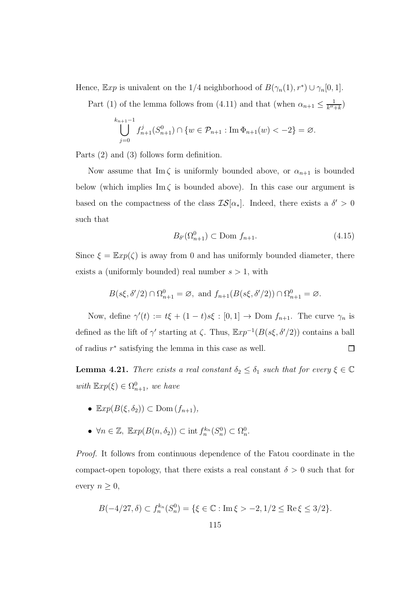Hence,  $\mathbb{E}xp$  is univalent on the 1/4 neighborhood of  $B(\gamma_n(1), r^*) \cup \gamma_n[0, 1]$ .

Part (1) of the lemma follows from (4.11) and that (when  $\alpha_{n+1} \leq \frac{1}{k''}$  $\frac{1}{k''+k}$ 

$$
\bigcup_{j=0}^{k_{n+1}-1} f_{n+1}^j(S_{n+1}^0) \cap \{w \in \mathcal{P}_{n+1} : \text{Im } \Phi_{n+1}(w) < -2\} = \varnothing.
$$

Parts (2) and (3) follows form definition.

Now assume that Im  $\zeta$  is uniformly bounded above, or  $\alpha_{n+1}$  is bounded below (which implies  $\text{Im }\zeta$  is bounded above). In this case our argument is based on the compactness of the class  $\mathcal{IS}[\alpha_*]$ . Indeed, there exists a  $\delta' > 0$ such that

$$
B_{\delta'}(\Omega_{n+1}^0) \subset \text{Dom } f_{n+1}.\tag{4.15}
$$

Since  $\xi = \mathbb{E}xp(\zeta)$  is away from 0 and has uniformly bounded diameter, there exists a (uniformly bounded) real number  $s > 1$ , with

$$
B(s\xi, \delta'/2) \cap \Omega_{n+1}^0 = \varnothing, \text{ and } f_{n+1}(B(s\xi, \delta'/2)) \cap \Omega_{n+1}^0 = \varnothing.
$$

Now, define  $\gamma'(t) := t\xi + (1-t)s\xi : [0,1] \to \text{Dom } f_{n+1}$ . The curve  $\gamma_n$  is defined as the lift of  $\gamma'$  starting at  $\zeta$ . Thus,  $\mathbb{E}xp^{-1}(B(s\xi, \delta'/2))$  contains a ball  $\Box$ of radius r ∗ satisfying the lemma in this case as well.

**Lemma 4.21.** There exists a real constant  $\delta_2 \leq \delta_1$  such that for every  $\xi \in \mathbb{C}$ with  $\mathbb{E}xp(\xi) \in \Omega_{n+1}^0$ , we have

- $\mathbb{E}xp(B(\xi,\delta_2)) \subset \text{Dom}(f_{n+1}),$
- $\forall n \in \mathbb{Z}, \ \mathbb{E}xp(B(n, \delta_2)) \subset \mathrm{int} f_n^{k_n}(S_n^0) \subset \Omega_n^0.$

Proof. It follows from continuous dependence of the Fatou coordinate in the compact-open topology, that there exists a real constant  $\delta > 0$  such that for every  $n \geq 0$ ,

$$
B(-4/27,\delta) \subset f_n^{k_n}(S_n^0) = \{ \xi \in \mathbb{C} : \text{Im}\,\xi > -2, 1/2 \le \text{Re}\,\xi \le 3/2 \}.
$$
  
115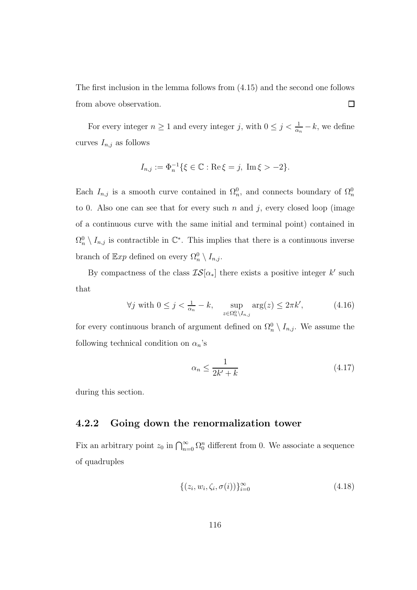The first inclusion in the lemma follows from (4.15) and the second one follows from above observation.  $\Box$ 

For every integer  $n \geq 1$  and every integer j, with  $0 \leq j < \frac{1}{\alpha_n} - k$ , we define curves  $I_{n,j}$  as follows

$$
I_{n,j} := \Phi_n^{-1} \{ \xi \in \mathbb{C} : \text{Re}\,\xi = j, \text{ Im}\,\xi > -2 \}.
$$

Each  $I_{n,j}$  is a smooth curve contained in  $\Omega_n^0$ , and connects boundary of  $\Omega_n^0$ to 0. Also one can see that for every such  $n$  and  $j$ , every closed loop (image of a continuous curve with the same initial and terminal point) contained in  $\Omega_n^0 \setminus I_{n,j}$  is contractible in  $\mathbb{C}^*$ . This implies that there is a continuous inverse branch of  $\mathbb{E}xp$  defined on every  $\Omega_n^0 \setminus I_{n,j}$ .

By compactness of the class  $\mathcal{IS}[\alpha_*]$  there exists a positive integer k' such that

$$
\forall j \text{ with } 0 \le j < \frac{1}{\alpha_n} - k, \quad \sup_{z \in \Omega_n^0 \setminus I_{n,j}} \arg(z) \le 2\pi k', \tag{4.16}
$$

for every continuous branch of argument defined on  $\Omega_n^0 \setminus I_{n,j}$ . We assume the following technical condition on  $\alpha_n$ 's

$$
\alpha_n \le \frac{1}{2k' + k} \tag{4.17}
$$

during this section.

#### 4.2.2 Going down the renormalization tower

Fix an arbitrary point  $z_0$  in  $\bigcap_{n=0}^{\infty} \Omega_0^n$  different from 0. We associate a sequence of quadruples

$$
\{(z_i, w_i, \zeta_i, \sigma(i))\}_{i=0}^{\infty} \tag{4.18}
$$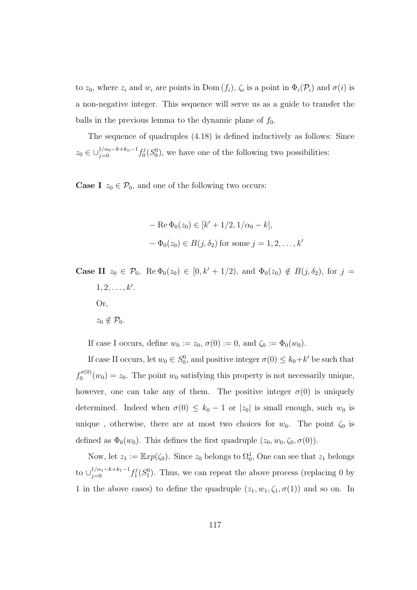to  $z_0$ , where  $z_i$  and  $w_i$  are points in Dom  $(f_i)$ ,  $\zeta_i$  is a point in  $\Phi_i(\mathcal{P}_i)$  and  $\sigma(i)$  is a non-negative integer. This sequence will serve us as a guide to transfer the balls in the previous lemma to the dynamic plane of  $f_0$ .

The sequence of quadruples (4.18) is defined inductively as follows: Since  $z_0 \in \bigcup_{j=0}^{1/\alpha_0 - k + k_n - 1} f_0^j$  $\mathcal{O}_0^{j}(S_0^0)$ , we have one of the following two possibilities:

**Case I**  $z_0 \in \mathcal{P}_0$ , and one of the following two occurs:

$$
- \operatorname{Re}\Phi_0(z_0) \in [k' + 1/2, 1/\alpha_0 - k],
$$
  

$$
- \Phi_0(z_0) \in B(j, \delta_2) \text{ for some } j = 1, 2, ..., k'
$$

**Case II**  $z_0 \in \mathcal{P}_0$ ,  $\text{Re } \Phi_0(z_0) \in [0, k' + 1/2)$ , and  $\Phi_0(z_0) \notin B(j, \delta_2)$ , for  $j =$  $1, 2, \ldots, k'$ . Or,  $z_0 \notin \mathcal{P}_0$ .

If case I occurs, define  $w_0 := z_0$ ,  $\sigma(0) := 0$ , and  $\zeta_0 := \Phi_0(w_0)$ .

If case II occurs, let  $w_0 \in S_0^0$ , and positive integer  $\sigma(0) \leq k_0 + k'$  be such that  $f_0^{\sigma(0)}$  $\sigma_0^{\sigma(0)}(w_0) = z_0$ . The point  $w_0$  satisfying this property is not necessarily unique, however, one can take any of them. The positive integer  $\sigma(0)$  is uniquely determined. Indeed when  $\sigma(0) \leq k_0 - 1$  or  $|z_0|$  is small enough, such  $w_0$  is unique, otherwise, there are at most two choices for  $w_0$ . The point  $\zeta_0$  is defined as  $\Phi_0(w_0)$ . This defines the first quadruple  $(z_0, w_0, \zeta_0, \sigma(0))$ .

Now, let  $z_1 := \mathbb{E}xp(\zeta_0)$ . Since  $z_0$  belongs to  $\Omega_0^1$ , One can see that  $z_1$  belongs to  $\cup_{j=0}^{1/\alpha_1-k+k_1-1} f_1^j$  $\mathcal{L}_1^j(S_1^0)$ . Thus, we can repeat the above process (replacing 0 by 1 in the above cases) to define the quadruple  $(z_1, w_1, \zeta_1, \sigma(1))$  and so on. In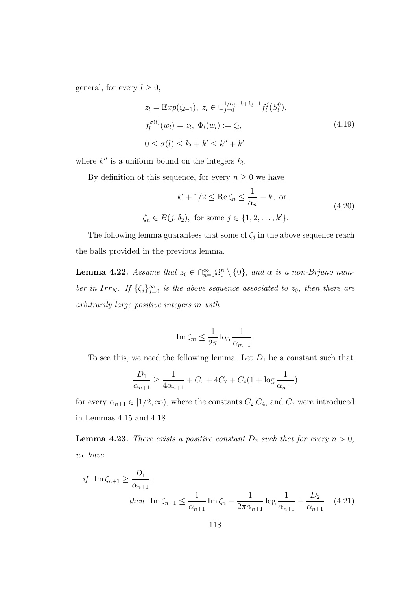general, for every  $l \geq 0$ ,

$$
z_{l} = \mathbb{E}xp(\zeta_{l-1}), \ z_{l} \in \bigcup_{j=0}^{1/\alpha_{l}-k+k_{l}-1} f_{l}^{j}(S_{l}^{0}),
$$
  

$$
f_{l}^{\sigma(l)}(w_{l}) = z_{l}, \ \Phi_{l}(w_{l}) := \zeta_{l},
$$
  

$$
0 \leq \sigma(l) \leq k_{l} + k' \leq k'' + k'
$$
 (4.19)

where  $k''$  is a uniform bound on the integers  $k_l$ .

By definition of this sequence, for every  $n \geq 0$  we have

$$
k' + 1/2 \le \text{Re}\,\zeta_n \le \frac{1}{\alpha_n} - k, \text{ or},
$$
  

$$
\zeta_n \in B(j, \delta_2), \text{ for some } j \in \{1, 2, \dots, k'\}.
$$
 (4.20)

The following lemma guarantees that some of  $\zeta_j$  in the above sequence reach the balls provided in the previous lemma.

**Lemma 4.22.** Assume that  $z_0 \in \bigcap_{n=0}^{\infty} \Omega_0^n \setminus \{0\}$ , and  $\alpha$  is a non-Brjuno number in  $Irr_N$ . If  $\{\zeta_j\}_{j=0}^{\infty}$  is the above sequence associated to  $z_0$ , then there are arbitrarily large positive integers m with

$$
\operatorname{Im}\zeta_m \le \frac{1}{2\pi} \log \frac{1}{\alpha_{m+1}}.
$$

To see this, we need the following lemma. Let  $D_1$  be a constant such that

$$
\frac{D_1}{\alpha_{n+1}} \ge \frac{1}{4\alpha_{n+1}} + C_2 + 4C_7 + C_4(1 + \log \frac{1}{\alpha_{n+1}})
$$

for every  $\alpha_{n+1} \in [1/2, \infty)$ , where the constants  $C_2, C_4$ , and  $C_7$  were introduced in Lemmas 4.15 and 4.18.

**Lemma 4.23.** There exists a positive constant  $D_2$  such that for every  $n > 0$ , we have

if 
$$
\text{Im }\zeta_{n+1} \ge \frac{D_1}{\alpha_{n+1}},
$$
  
\nthen  $\text{Im }\zeta_{n+1} \le \frac{1}{\alpha_{n+1}} \text{Im }\zeta_n - \frac{1}{2\pi \alpha_{n+1}} \log \frac{1}{\alpha_{n+1}} + \frac{D_2}{\alpha_{n+1}}.$  (4.21)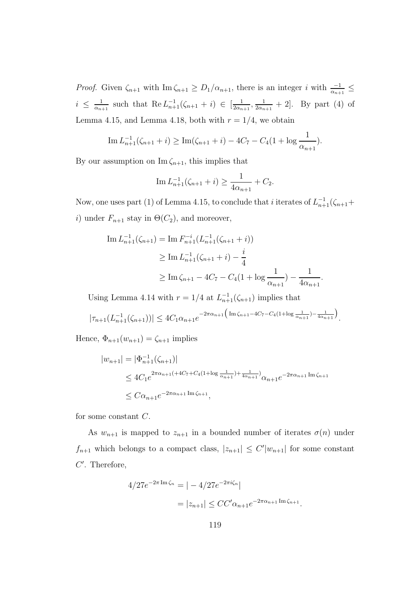*Proof.* Given  $\zeta_{n+1}$  with Im  $\zeta_{n+1} \ge D_1/\alpha_{n+1}$ , there is an integer i with  $\frac{-1}{\alpha_{n+1}} \le$  $i \leq \frac{1}{\alpha_n}$  $\frac{1}{\alpha_{n+1}}$  such that  $\text{Re } L_{n+1}^{-1}(\zeta_{n+1} + i) \in [\frac{1}{2\alpha_n}]$  $\frac{1}{2\alpha_{n+1}}, \frac{1}{2\alpha_n}$  $\frac{1}{2\alpha_{n+1}}+2$ . By part (4) of Lemma 4.15, and Lemma 4.18, both with  $r = 1/4$ , we obtain

Im 
$$
L_{n+1}^{-1}(\zeta_{n+1} + i) \ge \text{Im}(\zeta_{n+1} + i) - 4C_7 - C_4(1 + \log \frac{1}{\alpha_{n+1}}).
$$

By our assumption on  $\text{Im }\zeta_{n+1}$ , this implies that

Im 
$$
L_{n+1}^{-1}(\zeta_{n+1} + i) \ge \frac{1}{4\alpha_{n+1}} + C_2.
$$

Now, one uses part (1) of Lemma 4.15, to conclude that i iterates of  $L_{n+1}^{-1}(\zeta_{n+1}+)$ i) under  $F_{n+1}$  stay in  $\Theta(C_2)$ , and moreover,

Im 
$$
L_{n+1}^{-1}(\zeta_{n+1})
$$
 = Im  $F_{n+1}^{-i}(L_{n+1}^{-1}(\zeta_{n+1} + i))$   
\n $\geq$  Im  $L_{n+1}^{-1}(\zeta_{n+1} + i) - \frac{i}{4}$   
\n $\geq$  Im  $\zeta_{n+1} - 4C_7 - C_4(1 + \log \frac{1}{\alpha_{n+1}}) - \frac{1}{4\alpha_{n+1}}$ 

.

.

Using Lemma 4.14 with  $r = 1/4$  at  $L_{n+1}^{-1}(\zeta_{n+1})$  implies that

$$
|\tau_{n+1}(L_{n+1}^{-1}(\zeta_{n+1}))| \le 4C_1\alpha_{n+1}e^{-2\pi\alpha_{n+1}\left(\operatorname{Im}\zeta_{n+1} - 4C_7 - C_4(1+\log\frac{1}{\alpha_{n+1}}) - \frac{1}{4\alpha_{n+1}}\right)}.
$$

Hence,  $\Phi_{n+1}(w_{n+1}) = \zeta_{n+1}$  implies

$$
|w_{n+1}| = |\Phi_{n+1}^{-1}(\zeta_{n+1})|
$$
  
\n
$$
\leq 4C_1 e^{2\pi \alpha_{n+1} (+4C_7 + C_4(1+\log \frac{1}{\alpha_{n+1}}) + \frac{1}{4\alpha_{n+1}})} \alpha_{n+1} e^{-2\pi \alpha_{n+1} \operatorname{Im} \zeta_{n+1}}
$$
  
\n
$$
\leq C\alpha_{n+1} e^{-2\pi \alpha_{n+1} \operatorname{Im} \zeta_{n+1}},
$$

for some constant C.

As  $w_{n+1}$  is mapped to  $z_{n+1}$  in a bounded number of iterates  $\sigma(n)$  under  $f_{n+1}$  which belongs to a compact class,  $|z_{n+1}| \leq C' |w_{n+1}|$  for some constant  $C'$ . Therefore,

$$
4/27e^{-2\pi \operatorname{Im}\zeta_n} = |-4/27e^{-2\pi i \zeta_n}|
$$
  
=  $|z_{n+1}| \le CC'\alpha_{n+1}e^{-2\pi \alpha_{n+1} \operatorname{Im}\zeta_{n+1}}$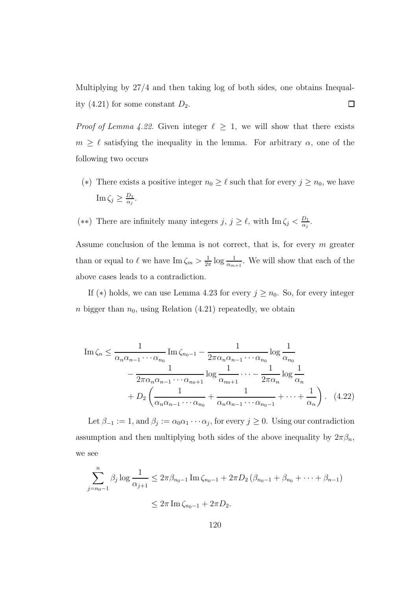Multiplying by 27/4 and then taking log of both sides, one obtains Inequality (4.21) for some constant  $D_2$ .  $\Box$ 

*Proof of Lemma 4.22.* Given integer  $\ell \geq 1$ , we will show that there exists  $m \geq \ell$  satisfying the inequality in the lemma. For arbitrary  $\alpha$ , one of the following two occurs

- (\*) There exists a positive integer  $n_0 \geq \ell$  such that for every  $j \geq n_0$ , we have  $\text{Im }\zeta_j \geq \frac{D_1}{\alpha_j}$  $\frac{D_1}{\alpha_j}$  .
- (\*\*) There are infinitely many integers  $j, j \geq \ell$ , with Im  $\zeta_j < \frac{D_1}{\alpha_j}$  $\frac{D_1}{\alpha_j}$  .

Assume conclusion of the lemma is not correct, that is, for every  $m$  greater than or equal to  $\ell$  we have  $\text{Im }\zeta_m > \frac{1}{2\pi}$  $\frac{1}{2\pi} \log \frac{1}{\alpha_{m+1}}$ . We will show that each of the above cases leads to a contradiction.

If (\*) holds, we can use Lemma 4.23 for every  $j \geq n_0$ . So, for every integer n bigger than  $n_0$ , using Relation (4.21) repeatedly, we obtain

$$
\operatorname{Im}\zeta_{n} \leq \frac{1}{\alpha_{n}\alpha_{n-1}\cdots\alpha_{n_{0}}} \operatorname{Im}\zeta_{n_{0}-1} - \frac{1}{2\pi\alpha_{n}\alpha_{n-1}\cdots\alpha_{n_{0}}} \log\frac{1}{\alpha_{n_{0}}} - \frac{1}{2\pi\alpha_{n}\alpha_{n-1}\cdots\alpha_{n_{0}+1}} \log\frac{1}{\alpha_{n_{0}+1}} \cdots - \frac{1}{2\pi\alpha_{n}} \log\frac{1}{\alpha_{n}} + D_{2}\left(\frac{1}{\alpha_{n}\alpha_{n-1}\cdots\alpha_{n_{0}}} + \frac{1}{\alpha_{n}\alpha_{n-1}\cdots\alpha_{n_{0}-1}} + \cdots + \frac{1}{\alpha_{n}}\right). (4.22)
$$

Let  $\beta_{-1} := 1$ , and  $\beta_j := \alpha_0 \alpha_1 \cdots \alpha_j$ , for every  $j \ge 0$ . Using our contradiction assumption and then multiplying both sides of the above inequality by  $2\pi\beta_n$ , we see

$$
\sum_{j=n_0-1}^{n} \beta_j \log \frac{1}{\alpha_{j+1}} \leq 2\pi \beta_{n_0-1} \operatorname{Im} \zeta_{n_0-1} + 2\pi D_2 (\beta_{n_0-1} + \beta_{n_0} + \dots + \beta_{n-1})
$$
  

$$
\leq 2\pi \operatorname{Im} \zeta_{n_0-1} + 2\pi D_2.
$$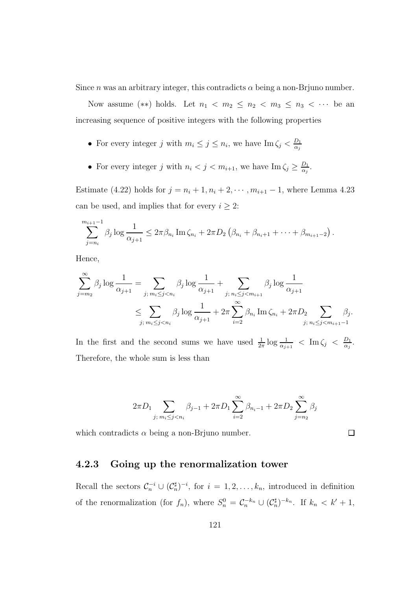Since *n* was an arbitrary integer, this contradicts  $\alpha$  being a non-Brjuno number.

Now assume (\*\*) holds. Let  $n_1 < m_2 \le n_2 < m_3 \le n_3 < \cdots$  be an increasing sequence of positive integers with the following properties

- For every integer j with  $m_i \leq j \leq n_i$ , we have  $\text{Im}\,\zeta_j < \frac{D_1}{\alpha_j}$  $\alpha_j$
- For every integer j with  $n_i < j < m_{i+1}$ , we have  $\text{Im }\zeta_j \geq \frac{D_1}{\alpha_j}$  $\frac{D_1}{\alpha_j}$  .

Estimate (4.22) holds for  $j = n_i + 1, n_i + 2, \dots, m_{i+1} - 1$ , where Lemma 4.23 can be used, and implies that for every  $i \geq 2$ :

$$
\sum_{j=n_i}^{m_{i+1}-1} \beta_j \log \frac{1}{\alpha_{j+1}} \leq 2\pi \beta_{n_i} \operatorname{Im} \zeta_{n_i} + 2\pi D_2 \left( \beta_{n_i} + \beta_{n_i+1} + \cdots + \beta_{m_{i+1}-2} \right).
$$

Hence,

$$
\sum_{j=m_2}^{\infty} \beta_j \log \frac{1}{\alpha_{j+1}} = \sum_{j; \, m_i \le j < n_i} \beta_j \log \frac{1}{\alpha_{j+1}} + \sum_{j; \, n_i \le j < m_{i+1}} \beta_j \log \frac{1}{\alpha_{j+1}} \n\le \sum_{j; \, m_i \le j < n_i} \beta_j \log \frac{1}{\alpha_{j+1}} + 2\pi \sum_{i=2}^{\infty} \beta_{n_i} \operatorname{Im} \zeta_{n_i} + 2\pi D_2 \sum_{j; \, n_i \le j < m_{i+1}-1} \beta_j.
$$

In the first and the second sums we have used  $\frac{1}{2\pi} \log \frac{1}{\alpha_{j+1}} < \text{Im }\zeta_j < \frac{D_1}{\alpha_j}$  $\frac{D_1}{\alpha_j}$  . Therefore, the whole sum is less than

$$
2\pi D_1 \sum_{j;\ m_i \le j < n_i} \beta_{j-1} + 2\pi D_1 \sum_{i=2}^{\infty} \beta_{n_i-1} + 2\pi D_2 \sum_{j=n_2}^{\infty} \beta_j
$$

 $\Box$ 

which contradicts  $\alpha$  being a non-Brjuno number.

### 4.2.3 Going up the renormalization tower

Recall the sectors  $C_n^{-i} \cup (C_n^{\sharp})^{-i}$ , for  $i = 1, 2, ..., k_n$ , introduced in definition of the renormalization (for  $f_n$ ), where  $S_n^0 = C_n^{-k_n} \cup (C_n^{\sharp})^{-k_n}$ . If  $k_n < k' + 1$ ,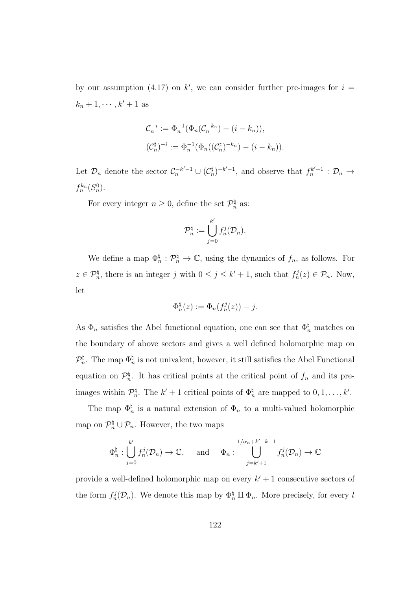by our assumption (4.17) on k', we can consider further pre-images for  $i =$  $k_n + 1, \cdots, k' + 1$  as

$$
C_n^{-i} := \Phi_n^{-1}(\Phi_n(C_n^{-k_n}) - (i - k_n)),
$$
  

$$
(C_n^{\sharp})^{-i} := \Phi_n^{-1}(\Phi_n((C_n^{\sharp})^{-k_n}) - (i - k_n)).
$$

Let  $\mathcal{D}_n$  denote the sector  $\mathcal{C}_n^{-k'-1} \cup (\mathcal{C}_n^{\sharp})^{-k'-1}$ , and observe that  $f_n^{k'+1} : \mathcal{D}_n \to$  $f_n^{k_n}(S_n^0)$ .

For every integer  $n \geq 0$ , define the set  $\mathcal{P}_n^{\natural}$  as:

$$
\mathcal{P}_n^{\natural} := \bigcup_{j=0}^{k'} f_n^j(\mathcal{D}_n).
$$

We define a map  $\Phi_n^{\natural}: \mathcal{P}_n^{\natural} \to \mathbb{C}$ , using the dynamics of  $f_n$ , as follows. For  $z \in \mathcal{P}_n^{\natural}$ , there is an integer j with  $0 \leq j \leq k'+1$ , such that  $f_n^j(z) \in \mathcal{P}_n$ . Now, let

$$
\Phi_n^{\natural}(z) := \Phi_n(f_n^j(z)) - j.
$$

As  $\Phi_n$  satisfies the Abel functional equation, one can see that  $\Phi_n^{\dagger}$  matches on the boundary of above sectors and gives a well defined holomorphic map on  $\mathcal{P}_n^{\natural}$ . The map  $\Phi_n^{\natural}$  is not univalent, however, it still satisfies the Abel Functional equation on  $\mathcal{P}_n^{\natural}$ . It has critical points at the critical point of  $f_n$  and its preimages within  $\mathcal{P}_n^{\natural}$ . The  $k' + 1$  critical points of  $\Phi_n^{\natural}$  are mapped to  $0, 1, \ldots, k'$ .

The map  $\Phi_n^{\natural}$  is a natural extension of  $\Phi_n$  to a multi-valued holomorphic map on  $\mathcal{P}_n^{\natural} \cup \mathcal{P}_n$ . However, the two maps

$$
\Phi_n^{\natural}: \bigcup_{j=0}^{k'} f_n^j(\mathcal{D}_n) \to \mathbb{C}, \quad \text{and} \quad \Phi_n: \bigcup_{j=k'+1}^{1/\alpha_n + k'-k-1} f_n^j(\mathcal{D}_n) \to \mathbb{C}
$$

provide a well-defined holomorphic map on every  $k' + 1$  consecutive sectors of the form  $f_n^j(\mathcal{D}_n)$ . We denote this map by  $\Phi_n^{\dagger} \amalg \Phi_n$ . More precisely, for every l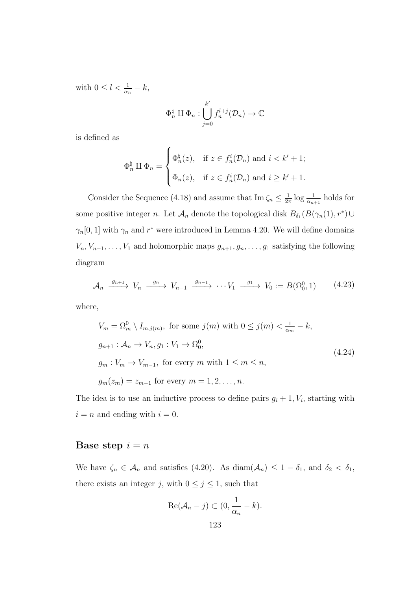with  $0 \leq l < \frac{1}{\alpha_n} - k$ ,

$$
\Phi_n^{\natural}\amalg\Phi_n:\bigcup_{j=0}^{k'}f_n^{l+j}(\mathcal{D}_n)\to\mathbb{C}
$$

is defined as

$$
\Phi_n^{\natural}\amalg\Phi_n=\begin{cases} \Phi_n^{\natural}(z),&\text{if }z\in f_n^i(\mathcal{D}_n)\text{ and }i
$$

Consider the Sequence (4.18) and assume that  $\text{Im }\zeta_n \leq \frac{1}{2\tau}$  $\frac{1}{2\pi} \log \frac{1}{\alpha_{n+1}}$  holds for some positive integer *n*. Let  $\mathcal{A}_n$  denote the topological disk  $B_{\delta_1}(B(\gamma_n(1), r^*) \cup$  $\gamma_n[0,1]$  with  $\gamma_n$  and  $r^*$  were introduced in Lemma 4.20. We will define domains  $V_n, V_{n-1}, \ldots, V_1$  and holomorphic maps  $g_{n+1}, g_n, \ldots, g_1$  satisfying the following diagram

$$
\mathcal{A}_n \xrightarrow{g_{n+1}} V_n \xrightarrow{g_n} V_{n-1} \xrightarrow{g_{n-1}} \cdots V_1 \xrightarrow{g_1} V_0 := B(\Omega_0^0, 1) \qquad (4.23)
$$

where,

$$
V_m = \Omega_m^0 \setminus I_{m,j(m)}, \text{ for some } j(m) \text{ with } 0 \le j(m) < \frac{1}{\alpha_m} - k,
$$
\n
$$
g_{n+1} : \mathcal{A}_n \to V_n, g_1 : V_1 \to \Omega_0^0,
$$
\n
$$
g_m : V_m \to V_{m-1}, \text{ for every } m \text{ with } 1 \le m \le n,
$$
\n
$$
g_m(z_m) = z_{m-1} \text{ for every } m = 1, 2, \dots, n.
$$
\n
$$
(4.24)
$$

The idea is to use an inductive process to define pairs  $g_i + 1, V_i$ , starting with  $i = n$  and ending with  $i = 0$ .

# Base step  $i = n$

We have  $\zeta_n \in \mathcal{A}_n$  and satisfies (4.20). As  $\text{diam}(\mathcal{A}_n) \leq 1 - \delta_1$ , and  $\delta_2 < \delta_1$ , there exists an integer j, with  $0 \le j \le 1$ , such that

$$
\operatorname{Re}(\mathcal{A}_n - j) \subset (0, \frac{1}{\alpha_n} - k).
$$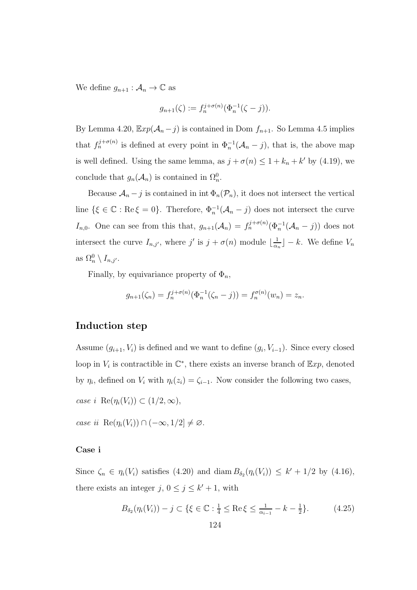We define  $g_{n+1} : A_n \to \mathbb{C}$  as

$$
g_{n+1}(\zeta) := f_n^{j+\sigma(n)}(\Phi_n^{-1}(\zeta - j)).
$$

By Lemma 4.20,  $\mathbb{E}xp(\mathcal{A}_n-j)$  is contained in Dom  $f_{n+1}$ . So Lemma 4.5 implies that  $f_n^{j+\sigma(n)}$  is defined at every point in  $\Phi_n^{-1}(\mathcal{A}_n - j)$ , that is, the above map is well defined. Using the same lemma, as  $j + \sigma(n) \leq 1 + k_n + k'$  by (4.19), we conclude that  $g_n(\mathcal{A}_n)$  is contained in  $\Omega_n^0$ .

Because  $\mathcal{A}_n - j$  is contained in int  $\Phi_n(\mathcal{P}_n)$ , it does not intersect the vertical line  $\{\xi \in \mathbb{C} : \text{Re}\,\xi = 0\}$ . Therefore,  $\Phi_n^{-1}(\mathcal{A}_n - j)$  does not intersect the curve  $I_{n,0}$ . One can see from this that,  $g_{n+1}(\mathcal{A}_n) = f_n^{j+\sigma(n)}(\Phi_n^{-1}(\mathcal{A}_n - j))$  does not intersect the curve  $I_{n,j'}$ , where  $j'$  is  $j + \sigma(n)$  module  $\lfloor \frac{1}{\alpha_n} \rfloor$  $\frac{1}{\alpha_n}$ ] – k. We define  $V_n$ as  $\Omega_n^0 \setminus I_{n,j'}$ .

Finally, by equivariance property of  $\Phi_n$ ,

$$
g_{n+1}(\zeta_n) = f_n^{j+\sigma(n)}(\Phi_n^{-1}(\zeta_n - j)) = f_n^{\sigma(n)}(w_n) = z_n.
$$

#### Induction step

Assume  $(g_{i+1}, V_i)$  is defined and we want to define  $(g_i, V_{i-1})$ . Since every closed loop in  $V_i$  is contractible in  $\mathbb{C}^*$ , there exists an inverse branch of  $\mathbb{E}xp$ , denoted by  $\eta_i$ , defined on  $V_i$  with  $\eta_i(z_i) = \zeta_{i-1}$ . Now consider the following two cases,

case i Re $(\eta_i(V_i)) \subset (1/2, \infty),$ 

case ii  $\text{Re}(\eta_i(V_i)) \cap (-\infty, 1/2] \neq \emptyset$ .

#### Case i

Since  $\zeta_n \in \eta_i(V_i)$  satisfies (4.20) and diam  $B_{\delta_2}(\eta_i(V_i)) \leq k' + 1/2$  by (4.16), there exists an integer  $j, 0 \le j \le k'+1$ , with

$$
B_{\delta_2}(\eta_i(V_i)) - j \subset \{ \xi \in \mathbb{C} : \frac{1}{4} \le \text{Re}\,\xi \le \frac{1}{\alpha_{i-1}} - k - \frac{1}{2} \}. \tag{4.25}
$$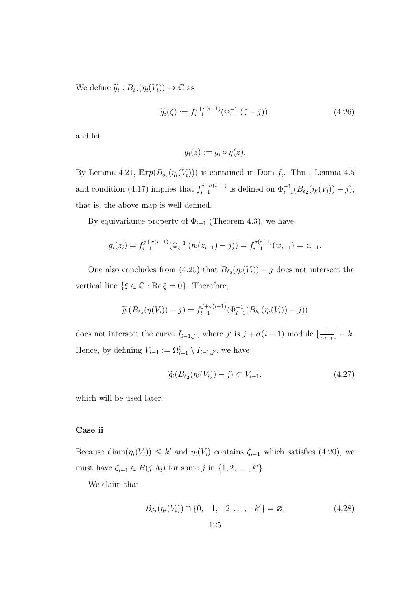We define  $\widetilde{g}_i : B_{\delta_2}(\eta_i(V_i)) \to \mathbb{C}$  as

$$
\widetilde{g}_i(\zeta) := f_{i-1}^{j+\sigma(i-1)}(\Phi_{i-1}^{-1}(\zeta - j)),\tag{4.26}
$$

and let

$$
g_i(z) := \widetilde{g}_i \circ \eta(z).
$$

By Lemma 4.21,  $\mathbb{E}xp(B_{\delta_2}(\eta_i(V_i)))$  is contained in Dom  $f_i$ . Thus, Lemma 4.5 and condition (4.17) implies that  $f_{i-1}^{j+\sigma(i-1)}$  $\frac{j+\sigma(i-1)}{i-1}$  is defined on  $\Phi_{i-1}^{-1}(B_{\delta_2}(\eta_i(V_i))-j),$ that is, the above map is well defined.

By equivariance property of  $\Phi_{i-1}$  (Theorem 4.3), we have

$$
g_i(z_i) = f_{i-1}^{j+\sigma(i-1)}(\Phi_{i-1}^{-1}(\eta_i(z_{i-1}) - j)) = f_{i-1}^{\sigma(i-1)}(w_{i-1}) = z_{i-1}.
$$

One also concludes from (4.25) that  $B_{\delta_2}(\eta_i(V_i)) - j$  does not intersect the vertical line  $\{\xi \in \mathbb{C} : \text{Re}\,\xi = 0\}$ . Therefore,

$$
\widetilde{g}_i(B_{\delta_2}(\eta(V_i))-j) = f_{i-1}^{j+\sigma(i-1)}(\Phi_{i-1}^{-1}(B_{\delta_2}(\eta_i(V_i))-j))
$$

does not intersect the curve  $I_{i-1,j'}$ , where  $j'$  is  $j + \sigma(i-1)$  module  $\lfloor \frac{1}{\alpha_{i}} \rfloor$  $\frac{1}{\alpha_{i-1}}$  – k. Hence, by defining  $V_{i-1} := \Omega_{i-1}^0 \setminus I_{i-1,j'}$ , we have

$$
\widetilde{g}_i(B_{\delta_2}(\eta_i(V_i)) - j) \subset V_{i-1},\tag{4.27}
$$

which will be used later.

#### Case ii

Because diam $(\eta_i(V_i)) \leq k'$  and  $\eta_i(V_i)$  contains  $\zeta_{i-1}$  which satisfies (4.20), we must have  $\zeta_{i-1} \in B(j, \delta_2)$  for some j in  $\{1, 2, \ldots, k'\}.$ 

We claim that

$$
B_{\delta_2}(\eta_i(V_i)) \cap \{0, -1, -2, \dots, -k'\} = \varnothing.
$$
\n(4.28)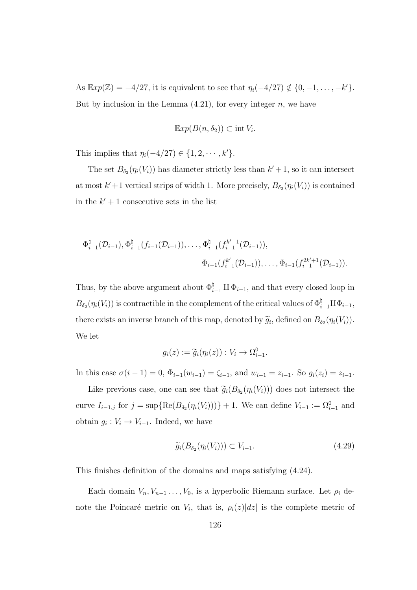As  $\mathbb{E}xp(\mathbb{Z}) = -4/27$ , it is equivalent to see that  $\eta_i(-4/27) \notin \{0, -1, \ldots, -k'\}.$ But by inclusion in the Lemma  $(4.21)$ , for every integer n, we have

$$
\mathbb{E}xp(B(n,\delta_2))\subset\operatorname{int}V_i.
$$

This implies that  $\eta_i(-4/27) \in \{1, 2, \cdots, k'\}.$ 

The set  $B_{\delta_2}(\eta_i(V_i))$  has diameter strictly less than  $k' + 1$ , so it can intersect at most  $k' + 1$  vertical strips of width 1. More precisely,  $B_{\delta_2}(\eta_i(V_i))$  is contained in the  $k' + 1$  consecutive sets in the list

$$
\Phi_{i-1}^{\natural}(\mathcal{D}_{i-1}), \Phi_{i-1}^{\natural}(f_{i-1}(\mathcal{D}_{i-1})), \dots, \Phi_{i-1}^{\natural}(f_{i-1}^{k'-1}(\mathcal{D}_{i-1})),
$$
  

$$
\Phi_{i-1}(f_{i-1}^{k'}(\mathcal{D}_{i-1})), \dots, \Phi_{i-1}(f_{i-1}^{2k'+1}(\mathcal{D}_{i-1})).
$$

Thus, by the above argument about  $\Phi_{i-1}^{\natural} \amalg \Phi_{i-1}$ , and that every closed loop in  $B_{\delta_2}(\eta_i(V_i))$  is contractible in the complement of the critical values of  $\Phi_{i-1}^{\natural} \amalg \Phi_{i-1}$ , there exists an inverse branch of this map, denoted by  $\tilde{g}_i$ , defined on  $B_{\delta_2}(\eta_i(V_i))$ . We let

$$
g_i(z) := \widetilde{g}_i(\eta_i(z)) : V_i \to \Omega_{i-1}^0.
$$

In this case  $\sigma(i-1) = 0$ ,  $\Phi_{i-1}(w_{i-1}) = \zeta_{i-1}$ , and  $w_{i-1} = z_{i-1}$ . So  $g_i(z_i) = z_{i-1}$ .

Like previous case, one can see that  $\tilde{g}_i(B_{\delta_2}(\eta_i(V_i)))$  does not intersect the curve  $I_{i-1,j}$  for  $j = \sup \{ \text{Re}(B_{\delta_2}(\eta_i(V_i))) \} + 1$ . We can define  $V_{i-1} := \Omega_{i-1}^0$  and obtain  $g_i: V_i \to V_{i-1}$ . Indeed, we have

$$
\widetilde{g}_i(B_{\delta_2}(\eta_i(V_i))) \subset V_{i-1}.\tag{4.29}
$$

This finishes definition of the domains and maps satisfying (4.24).

Each domain  $V_n, V_{n-1}, \ldots, V_0$ , is a hyperbolic Riemann surface. Let  $\rho_i$  denote the Poincaré metric on  $V_i$ , that is,  $\rho_i(z)|dz|$  is the complete metric of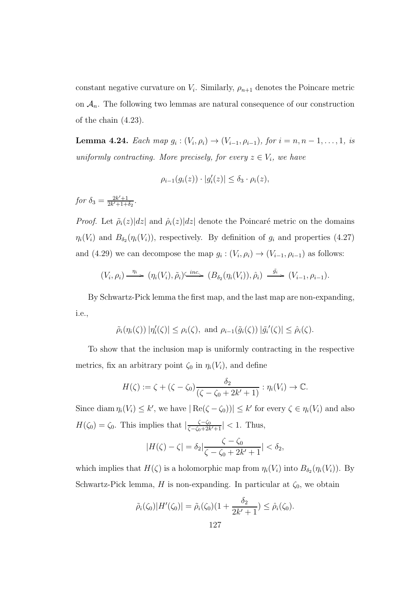constant negative curvature on  $V_i$ . Similarly,  $\rho_{n+1}$  denotes the Poincare metric on  $A_n$ . The following two lemmas are natural consequence of our construction of the chain (4.23).

**Lemma 4.24.** Each map  $g_i: (V_i, \rho_i) \to (V_{i-1}, \rho_{i-1}),$  for  $i = n, n-1, ..., 1$ , is uniformly contracting. More precisely, for every  $z \in V_i$ , we have

$$
\rho_{i-1}(g_i(z)) \cdot |g'_i(z)| \leq \delta_3 \cdot \rho_i(z),
$$

for  $\delta_3 = \frac{2k'+1}{2k'+1+1}$  $\frac{2k'+1}{2k'+1+\delta_2}$ .

*Proof.* Let  $\tilde{\rho}_i(z)|dz|$  and  $\hat{\rho}_i(z)|dz|$  denote the Poincaré metric on the domains  $\eta_i(V_i)$  and  $B_{\delta_2}(\eta_i(V_i))$ , respectively. By definition of  $g_i$  and properties (4.27) and (4.29) we can decompose the map  $g_i : (V_i, \rho_i) \to (V_{i-1}, \rho_{i-1})$  as follows:

$$
(V_i, \rho_i) \xrightarrow{\eta_i} (\eta_i(V_i), \tilde{\rho}_i) \xrightarrow{inc} (B_{\delta_2}(\eta_i(V_i)), \hat{\rho}_i) \xrightarrow{\tilde{g}_i} (V_{i-1}, \rho_{i-1}).
$$

By Schwartz-Pick lemma the first map, and the last map are non-expanding, i.e.,

$$
\tilde{\rho}_i(\eta_i(\zeta)) | \eta'_i(\zeta) | \leq \rho_i(\zeta), \text{ and } \rho_{i-1}(\tilde{g}_i(\zeta)) | \tilde{g}'_i(\zeta) | \leq \hat{\rho}_i(\zeta).
$$

To show that the inclusion map is uniformly contracting in the respective metrics, fix an arbitrary point  $\zeta_0$  in  $\eta_i(V_i)$ , and define

$$
H(\zeta) := \zeta + (\zeta - \zeta_0) \frac{\delta_2}{(\zeta - \zeta_0 + 2k' + 1)} : \eta_i(V_i) \to \mathbb{C}.
$$

Since diam  $\eta_i(V_i) \leq k'$ , we have  $|\text{Re}(\zeta - \zeta_0)| \leq k'$  for every  $\zeta \in \eta_i(V_i)$  and also  $H(\zeta_0) = \zeta_0$ . This implies that  $\left| \frac{\zeta - \zeta_0}{\zeta - \zeta_0 + 2k} \right|$  $\frac{\zeta - \zeta_0}{\zeta - \zeta_0 + 2k' + 1}$  < 1. Thus,

$$
|H(\zeta) - \zeta| = \delta_2 |\frac{\zeta - \zeta_0}{\zeta - \zeta_0 + 2k' + 1}| < \delta_2,
$$

which implies that  $H(\zeta)$  is a holomorphic map from  $\eta_i(V_i)$  into  $B_{\delta_2}(\eta_i(V_i))$ . By Schwartz-Pick lemma, H is non-expanding. In particular at  $\zeta_0$ , we obtain

$$
\tilde{\rho}_i(\zeta_0)|H'(\zeta_0)| = \tilde{\rho}_i(\zeta_0)(1 + \frac{\delta_2}{2k' + 1}) \leq \hat{\rho}_i(\zeta_0).
$$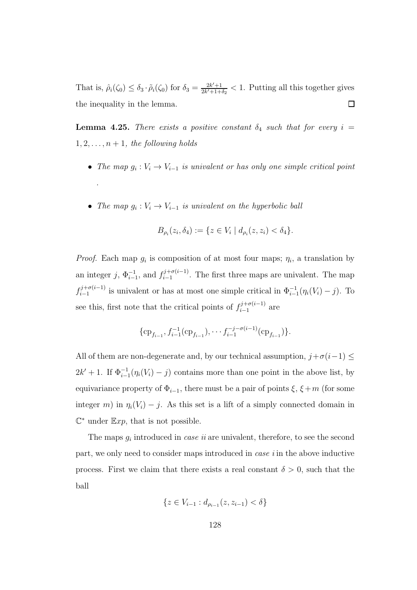That is,  $\hat{\rho}_i(\zeta_0) \leq \delta_3 \cdot \tilde{\rho}_i(\zeta_0)$  for  $\delta_3 = \frac{2k'+1}{2k'+1+1}$  $\frac{2k'+1}{2k'+1+\delta_2}$  < 1. Putting all this together gives the inequality in the lemma.  $\Box$ 

**Lemma 4.25.** There exists a positive constant  $\delta_4$  such that for every  $i =$  $1, 2, \ldots, n+1$ , the following holds

- The map  $g_i: V_i \to V_{i-1}$  is univalent or has only one simple critical point .
- The map  $g_i: V_i \to V_{i-1}$  is univalent on the hyperbolic ball

$$
B_{\rho_i}(z_i, \delta_4) := \{ z \in V_i \mid d_{\rho_i}(z, z_i) < \delta_4 \}.
$$

*Proof.* Each map  $g_i$  is composition of at most four maps;  $\eta_i$ , a translation by an integer j,  $\Phi_{i-1}^{-1}$ , and  $f_{i-1}^{j+\sigma(i-1)}$  $i_{i-1}^{(j+\sigma(i-1))}$ . The first three maps are univalent. The map  $f_{i-1}^{j+\sigma(i-1)}$  $i,j+\sigma(i-1)$  is univalent or has at most one simple critical in  $\Phi_{i-1}^{-1}(\eta_i(V_i) - j)$ . To see this, first note that the critical points of  $f_{i-1}^{j+\sigma(i-1)}$  $i-1$ <sup> $i-1$ </sup> are

{
$$
c_{p_{i-1}}, f_{i-1}^{-1}(c_{p_{i-1}}), \cdots, f_{i-1}^{-j-\sigma(i-1)}(c_{p_{i-1}})
$$
 }.

All of them are non-degenerate and, by our technical assumption,  $j+\sigma(i-1) \leq$  $2k' + 1$ . If  $\Phi_{i-1}^{-1}(\eta_i(V_i) - j)$  contains more than one point in the above list, by equivariance property of  $\Phi_{i-1}$ , there must be a pair of points  $\xi$ ,  $\xi + m$  (for some integer m) in  $\eta_i(V_i) - j$ . As this set is a lift of a simply connected domain in  $\mathbb{C}^*$  under  $\mathbb{E}xp$ , that is not possible.

The maps  $g_i$  introduced in *case ii* are univalent, therefore, to see the second part, we only need to consider maps introduced in case i in the above inductive process. First we claim that there exists a real constant  $\delta > 0$ , such that the ball

$$
\{z \in V_{i-1} : d_{\rho_{i-1}}(z, z_{i-1}) < \delta\}
$$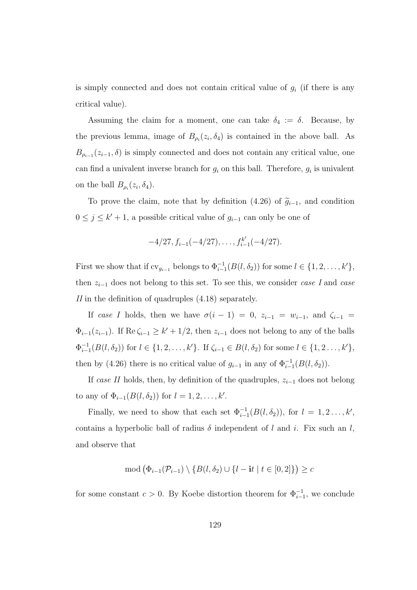is simply connected and does not contain critical value of  $g_i$  (if there is any critical value).

Assuming the claim for a moment, one can take  $\delta_4 := \delta$ . Because, by the previous lemma, image of  $B_{\rho_i}(z_i, \delta_4)$  is contained in the above ball. As  $B_{\rho_{i-1}}(z_{i-1},\delta)$  is simply connected and does not contain any critical value, one can find a univalent inverse branch for  $g_i$  on this ball. Therefore,  $g_i$  is univalent on the ball  $B_{\rho_i}(z_i, \delta_4)$ .

To prove the claim, note that by definition (4.26) of  $\tilde{g}_{i-1}$ , and condition  $0 \leq j \leq k' + 1$ , a possible critical value of  $g_{i-1}$  can only be one of

$$
-4/27, f_{i-1}(-4/27), \ldots, f_{i-1}^{k'}(-4/27).
$$

First we show that if  $\text{cv}_{g_{i-1}}$  belongs to  $\Phi_{i-1}^{-1}(B(l, \delta_2))$  for some  $l \in \{1, 2, ..., k'\},$ then  $z_{i-1}$  does not belong to this set. To see this, we consider *case I* and *case* II in the definition of quadruples  $(4.18)$  separately.

If case I holds, then we have  $\sigma(i - 1) = 0$ ,  $z_{i-1} = w_{i-1}$ , and  $\zeta_{i-1} =$  $\Phi_{i-1}(z_{i-1})$ . If  $\text{Re }\zeta_{i-1} \geq k'+1/2$ , then  $z_{i-1}$  does not belong to any of the balls  $\Phi^{-1}_{i-}$  $\begin{aligned} \n\substack{-1 \ -1}}(B(l, \delta_2)) \text{ for } l \in \{1, 2, \ldots, k'\}. \text{ If } \zeta_{i-1} \in B(l, \delta_2) \text{ for some } l \in \{1, 2, \ldots, k'\}, \n\end{aligned}$ then by (4.26) there is no critical value of  $g_{i-1}$  in any of  $\Phi_{i-1}^{-1}(B(l, \delta_2))$ .

If case II holds, then, by definition of the quadruples,  $z_{i-1}$  does not belong to any of  $\Phi_{i-1}(B(l, \delta_2))$  for  $l = 1, 2, ..., k'$ .

Finally, we need to show that each set  $\Phi_{i-1}^{-1}(B(l,\delta_2))$ , for  $l = 1,2...,k'$ , contains a hyperbolic ball of radius  $\delta$  independent of l and i. Fix such an l, and observe that

$$
\mod\left(\Phi_{i-1}(\mathcal{P}_{i-1})\setminus\left\{B(l,\delta_2)\cup\left\{l-\mathbf{i}t\mid t\in[0,2]\right\}\right)\geq c
$$

for some constant  $c > 0$ . By Koebe distortion theorem for  $\Phi_{i-1}^{-1}$ , we conclude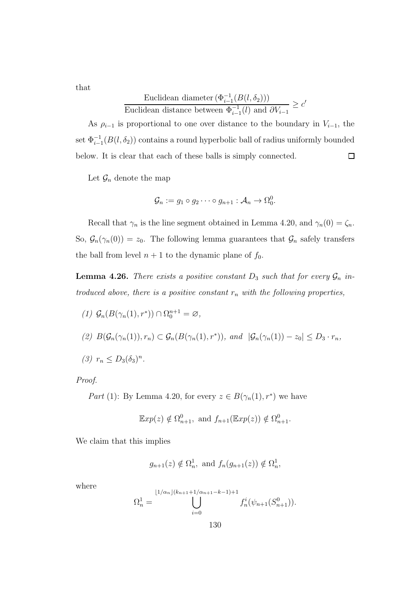that

Euclidean diameter 
$$
(\Phi_{i-1}^{-1}(B(l, \delta_2)))
$$
  
Euclidean distance between  $\Phi_{i-1}^{-1}(l)$  and  $\partial V_{i-1} \ge c'$ 

As  $\rho_{i-1}$  is proportional to one over distance to the boundary in  $V_{i-1}$ , the set  $\Phi_{i-1}^{-1}(B(l, \delta_2))$  contains a round hyperbolic ball of radius uniformly bounded below. It is clear that each of these balls is simply connected.  $\Box$ 

Let  $\mathcal{G}_n$  denote the map

$$
\mathcal{G}_n := g_1 \circ g_2 \cdots \circ g_{n+1} : \mathcal{A}_n \to \Omega_0^0.
$$

Recall that  $\gamma_n$  is the line segment obtained in Lemma 4.20, and  $\gamma_n(0) = \zeta_n$ . So,  $\mathcal{G}_n(\gamma_n(0)) = z_0$ . The following lemma guarantees that  $\mathcal{G}_n$  safely transfers the ball from level  $n + 1$  to the dynamic plane of  $f_0$ .

**Lemma 4.26.** There exists a positive constant  $D_3$  such that for every  $\mathcal{G}_n$  introduced above, there is a positive constant  $r_n$  with the following properties,

- (1)  $\mathcal{G}_n(B(\gamma_n(1), r^*)) \cap \Omega_0^{n+1} = \varnothing,$
- (2)  $B(\mathcal{G}_n(\gamma_n(1)), r_n) \subset \mathcal{G}_n(B(\gamma_n(1), r^*)), \text{ and } |\mathcal{G}_n(\gamma_n(1)) z_0| \leq D_3 \cdot r_n,$
- (3)  $r_n \leq D_3(\delta_3)^n$ .

Proof.

Part (1): By Lemma 4.20, for every  $z \in B(\gamma_n(1), r^*)$  we have

$$
\mathbb{E}xp(z) \notin \Omega_{n+1}^0, \text{ and } f_{n+1}(\mathbb{E}xp(z)) \notin \Omega_{n+1}^0.
$$

We claim that this implies

$$
g_{n+1}(z) \notin \Omega_n^1
$$
, and  $f_n(g_{n+1}(z)) \notin \Omega_n^1$ ,

where

$$
\Omega_n^1 = \bigcup_{i=0}^{\lfloor 1/\alpha_n \rfloor (k_{n+1} + 1/\alpha_{n+1} - k - 1) + 1} f_n^i(\psi_{n+1}(S_{n+1}^0)).
$$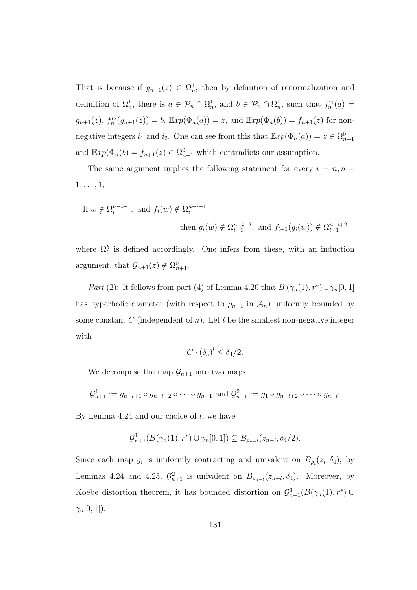That is because if  $g_{n+1}(z) \in \Omega_n^1$ , then by definition of renormalization and definition of  $\Omega_n^1$ , there is  $a \in \mathcal{P}_n \cap \Omega_n^1$ , and  $b \in \mathcal{P}_n \cap \Omega_n^1$ , such that  $f_n^{i_1}(a) =$  $g_{n+1}(z)$ ,  $f_n^{i_2}(g_{n+1}(z)) = b$ ,  $\mathbb{E}xp(\Phi_n(a)) = z$ , and  $\mathbb{E}xp(\Phi_n(b)) = f_{n+1}(z)$  for nonnegative integers  $i_1$  and  $i_2$ . One can see from this that  $\mathbb{E}xp(\Phi_n(a)) = z \in \Omega_{n+1}^0$ and  $\mathbb{E}xp(\Phi_n(b) = f_{n+1}(z) \in \Omega_{n+1}^0$  which contradicts our assumption.

The same argument implies the following statement for every  $i = n, n 1, \ldots, 1,$ 

If 
$$
w \notin \Omega_i^{n-i+1}
$$
, and  $f_i(w) \notin \Omega_i^{n-i+1}$   
then  $g_i(w) \notin \Omega_{i-1}^{n-i+2}$ , and  $f_{i-1}(g_i(w)) \notin \Omega_{i-1}^{n-i+2}$ 

where  $\Omega_l^k$  is defined accordingly. One infers from these, with an induction argument, that  $\mathcal{G}_{n+1}(z) \notin \Omega_{n+1}^0$ .

Part (2): It follows from part (4) of Lemma 4.20 that  $B(\gamma_n(1), r^*) \cup \gamma_n[0, 1]$ has hyperbolic diameter (with respect to  $\rho_{n+1}$  in  $\mathcal{A}_n$ ) uniformly bounded by some constant C (independent of n). Let  $l$  be the smallest non-negative integer with

$$
C \cdot (\delta_3)^l \le \delta_4/2.
$$

We decompose the map  $\mathcal{G}_{n+1}$  into two maps

$$
\mathcal{G}_{n+1}^1 := g_{n-l+1} \circ g_{n-l+2} \circ \cdots \circ g_{n+1} \text{ and } \mathcal{G}_{n+1}^2 := g_1 \circ g_{n-l+2} \circ \cdots \circ g_{n-l}.
$$

By Lemma  $4.24$  and our choice of l, we have

$$
\mathcal{G}_{n+1}^1(B(\gamma_n(1), r^*) \cup \gamma_n[0, 1]) \subseteq B_{\rho_{n-1}}(z_{n-1}, \delta_4/2).
$$

Since each map  $g_i$  is uniformly contracting and univalent on  $B_{\rho_i}(z_i, \delta_4)$ , by Lemmas 4.24 and 4.25,  $\mathcal{G}_{n+1}^2$  is univalent on  $B_{\rho_{n-l}}(z_{n-l}, \delta_4)$ . Moreover, by Koebe distortion theorem, it has bounded distortion on  $\mathcal{G}^1_{n+1}(B(\gamma_n(1), r^*) \cup$  $\gamma_n[0,1]$ ).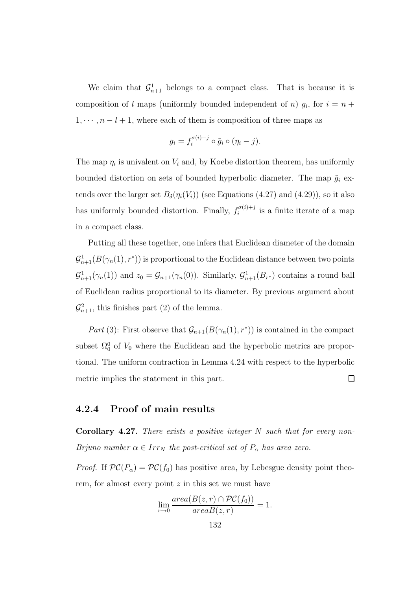We claim that  $\mathcal{G}_{n+1}^1$  belongs to a compact class. That is because it is composition of l maps (uniformly bounded independent of n)  $g_i$ , for  $i = n +$  $1, \dots, n-l+1$ , where each of them is composition of three maps as

$$
g_i = f_i^{\sigma(i)+j} \circ \tilde{g}_i \circ (\eta_i - j).
$$

The map  $\eta_i$  is univalent on  $V_i$  and, by Koebe distortion theorem, has uniformly bounded distortion on sets of bounded hyperbolic diameter. The map  $\tilde{g}_i$  extends over the larger set  $B_\delta(\eta_i(V_i))$  (see Equations (4.27) and (4.29)), so it also has uniformly bounded distortion. Finally,  $f_i^{\sigma(i)+j}$  $i^{(\sigma(i)+j)}$  is a finite iterate of a map in a compact class.

Putting all these together, one infers that Euclidean diameter of the domain  $\mathcal{G}_{n+1}^1(B(\gamma_n(1),r^*))$  is proportional to the Euclidean distance between two points  $\mathcal{G}_{n+1}^1(\gamma_n(1))$  and  $z_0 = \mathcal{G}_{n+1}(\gamma_n(0))$ . Similarly,  $\mathcal{G}_{n+1}^1(B_{r^*})$  contains a round ball of Euclidean radius proportional to its diameter. By previous argument about  $\mathcal{G}_{n+1}^2$ , this finishes part (2) of the lemma.

Part (3): First observe that  $\mathcal{G}_{n+1}(B(\gamma_n(1), r^*))$  is contained in the compact subset  $\Omega_0^0$  of  $V_0$  where the Euclidean and the hyperbolic metrics are proportional. The uniform contraction in Lemma 4.24 with respect to the hyperbolic metric implies the statement in this part.  $\Box$ 

# 4.2.4 Proof of main results

**Corollary 4.27.** There exists a positive integer  $N$  such that for every non-Brjuno number  $\alpha \in Irr_N$  the post-critical set of  $P_\alpha$  has area zero.

*Proof.* If  $PC(P_\alpha) = PC(f_0)$  has positive area, by Lebesgue density point theorem, for almost every point  $z$  in this set we must have

$$
\lim_{r \to 0} \frac{\text{area}(B(z, r) \cap \mathcal{PC}(f_0))}{\text{area}B(z, r)} = 1.
$$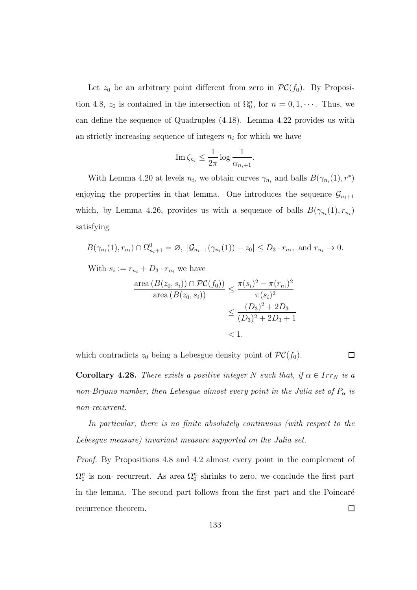Let  $z_0$  be an arbitrary point different from zero in  $\mathcal{PC}(f_0)$ . By Proposition 4.8,  $z_0$  is contained in the intersection of  $\Omega_0^n$ , for  $n = 0, 1, \cdots$ . Thus, we can define the sequence of Quadruples (4.18). Lemma 4.22 provides us with an strictly increasing sequence of integers  $n_i$  for which we have

$$
\operatorname{Im}\zeta_{n_i} \le \frac{1}{2\pi} \log \frac{1}{\alpha_{n_i+1}}.
$$

With Lemma 4.20 at levels  $n_i$ , we obtain curves  $\gamma_{n_i}$  and balls  $B(\gamma_{n_i}(1), r^*)$ enjoying the properties in that lemma. One introduces the sequence  $\mathcal{G}_{n_i+1}$ which, by Lemma 4.26, provides us with a sequence of balls  $B(\gamma_{n_i}(1), r_{n_i})$ satisfying

$$
B(\gamma_{n_i}(1), r_{n_i}) \cap \Omega_{n_i+1}^0 = \varnothing, \ |\mathcal{G}_{n_i+1}(\gamma_{n_i}(1)) - z_0| \le D_3 \cdot r_{n_i}, \text{ and } r_{n_i} \to 0.
$$

With  $s_i := r_{n_i} + D_3 \cdot r_{n_i}$  we have

$$
\frac{\text{area} (B(z_0, s_i)) \cap \mathcal{PC}(f_0))}{\text{area} (B(z_0, s_i))} \le \frac{\pi (s_i)^2 - \pi (r_{n_i})^2}{\pi (s_i)^2} \n\le \frac{(D_3)^2 + 2D_3}{(D_3)^2 + 2D_3 + 1} < 1.
$$

which contradicts  $z_0$  being a Lebesgue density point of  $\mathcal{PC}(f_0)$ .

 $\Box$ 

**Corollary 4.28.** There exists a positive integer N such that, if  $\alpha \in \text{Irr}_N$  is a non-Brjuno number, then Lebesgue almost every point in the Julia set of  $P_{\alpha}$  is non-recurrent.

In particular, there is no finite absolutely continuous (with respect to the Lebesgue measure) invariant measure supported on the Julia set.

Proof. By Propositions 4.8 and 4.2 almost every point in the complement of  $\Omega_0^n$  is non- recurrent. As area  $\Omega_0^n$  shrinks to zero, we conclude the first part in the lemma. The second part follows from the first part and the Poincaré recurrence theorem.  $\Box$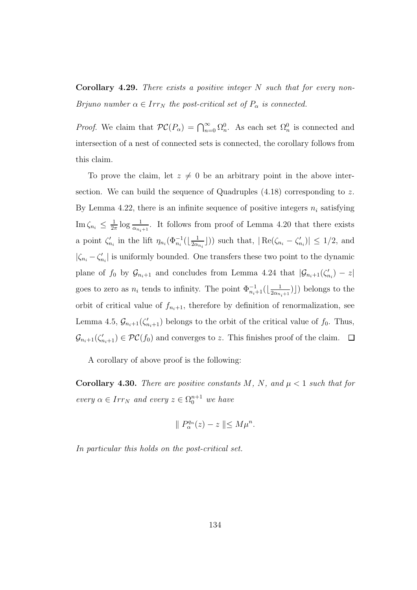# **Corollary 4.29.** There exists a positive integer  $N$  such that for every non-Brjuno number  $\alpha \in Irr_N$  the post-critical set of  $P_\alpha$  is connected.

*Proof.* We claim that  $\mathcal{PC}(P_\alpha) = \bigcap_{n=0}^{\infty} \Omega_n^0$ . As each set  $\Omega_n^0$  is connected and intersection of a nest of connected sets is connected, the corollary follows from this claim.

To prove the claim, let  $z \neq 0$  be an arbitrary point in the above intersection. We can build the sequence of Quadruples  $(4.18)$  corresponding to z. By Lemma 4.22, there is an infinite sequence of positive integers  $n_i$  satisfying  $\text{Im}\,\zeta_{n_i} \leq \frac{1}{2\pi}$  $\frac{1}{2\pi}$  log  $\frac{1}{\alpha_{n_i+1}}$ . It follows from proof of Lemma 4.20 that there exists a point  $\zeta'_{n_i}$  in the lift  $\eta_{n_i}(\Phi_{n_i}^{-1}(\lfloor \frac{1}{2\alpha_i})\rfloor)$  $\frac{1}{2\alpha_{n_i}}$ ]) such that,  $|\text{Re}(\zeta_{n_i} - \zeta'_{n_i})| \leq 1/2$ , and  $|\zeta_{n_i} - \zeta'_{n_i}|$  is uniformly bounded. One transfers these two point to the dynamic plane of  $f_0$  by  $\mathcal{G}_{n_i+1}$  and concludes from Lemma 4.24 that  $|\mathcal{G}_{n_i+1}(\zeta'_{n_i}) - z|$ goes to zero as  $n_i$  tends to infinity. The point  $\Phi_{n_i+1}^{-1}(\lfloor \frac{1}{2\alpha_{n_i}} \rfloor)$  $\frac{1}{2\alpha_{n_i+1}}$ ]) belongs to the orbit of critical value of  $f_{n+1}$ , therefore by definition of renormalization, see Lemma 4.5,  $\mathcal{G}_{n_i+1}(\zeta_{n_i+1}')$  belongs to the orbit of the critical value of  $f_0$ . Thus,  $\mathcal{G}_{n_i+1}(\zeta_{n_i+1}') \in \mathcal{PC}(f_0)$  and converges to z. This finishes proof of the claim.

A corollary of above proof is the following:

**Corollary 4.30.** There are positive constants M, N, and  $\mu < 1$  such that for every  $\alpha \in Irr_N$  and every  $z \in \Omega_0^{n+1}$  we have

$$
\parallel P_\alpha^{q_n}(z)-z\parallel\leq M\mu^n.
$$

In particular this holds on the post-critical set.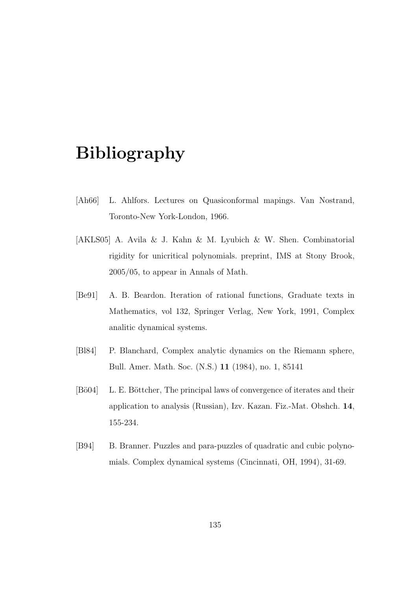# Bibliography

- [Ah66] L. Ahlfors. Lectures on Quasiconformal mapings. Van Nostrand, Toronto-New York-London, 1966.
- [AKLS05] A. Avila & J. Kahn & M. Lyubich & W. Shen. Combinatorial rigidity for unicritical polynomials. preprint, IMS at Stony Brook, 2005/05, to appear in Annals of Math.
- [Be91] A. B. Beardon. Iteration of rational functions, Graduate texts in Mathematics, vol 132, Springer Verlag, New York, 1991, Complex analitic dynamical systems.
- [Bl84] P. Blanchard, Complex analytic dynamics on the Riemann sphere, Bull. Amer. Math. Soc. (N.S.) 11 (1984), no. 1, 85141
- [Bö04] L. E. Böttcher, The principal laws of convergence of iterates and their application to analysis (Russian), Izv. Kazan. Fiz.-Mat. Obshch. 14, 155-234.
- [B94] B. Branner. Puzzles and para-puzzles of quadratic and cubic polynomials. Complex dynamical systems (Cincinnati, OH, 1994), 31-69.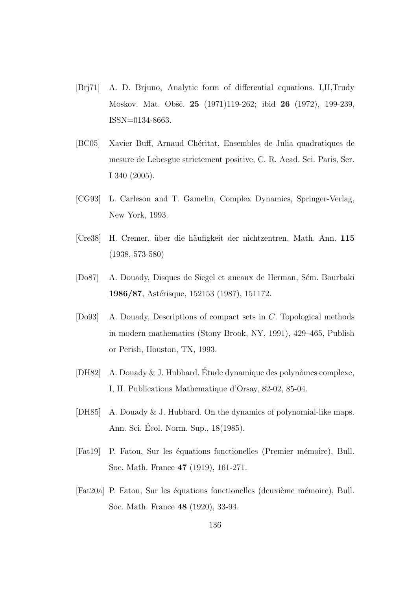- [Brj71] A. D. Brjuno, Analytic form of differential equations. I,II,Trudy Moskov. Mat. Obšč. 25 (1971)119-262; ibid 26 (1972), 199-239, ISSN=0134-8663.
- [BC05] Xavier Buff, Arnaud Chéritat, Ensembles de Julia quadratiques de mesure de Lebesgue strictement positive, C. R. Acad. Sci. Paris, Ser. I 340 (2005).
- [CG93] L. Carleson and T. Gamelin, Complex Dynamics, Springer-Verlag, New York, 1993.
- [Cre38] H. Cremer, über die häufigkeit der nichtzentren, Math. Ann. 115 (1938, 573-580)
- [Do87] A. Douady, Disques de Siegel et aneaux de Herman, Sém. Bourbaki 1986/87, Astérisque, 152153 (1987), 151172.
- [Do93] A. Douady, Descriptions of compact sets in C. Topological methods in modern mathematics (Stony Brook, NY, 1991), 429–465, Publish or Perish, Houston, TX, 1993.
- $[DH82]$  A. Douady & J. Hubbard. Étude dynamique des polynômes complexe, I, II. Publications Mathematique d'Orsay, 82-02, 85-04.
- [DH85] A. Douady & J. Hubbard. On the dynamics of polynomial-like maps. Ann. Sci. Ecol. Norm. Sup., 18(1985). ´
- [Fat19] P. Fatou, Sur les équations fonctionelles (Premier mémoire), Bull. Soc. Math. France 47 (1919), 161-271.
- [Fat20a] P. Fatou, Sur les équations fonctionelles (deuxième mémoire), Bull. Soc. Math. France 48 (1920), 33-94.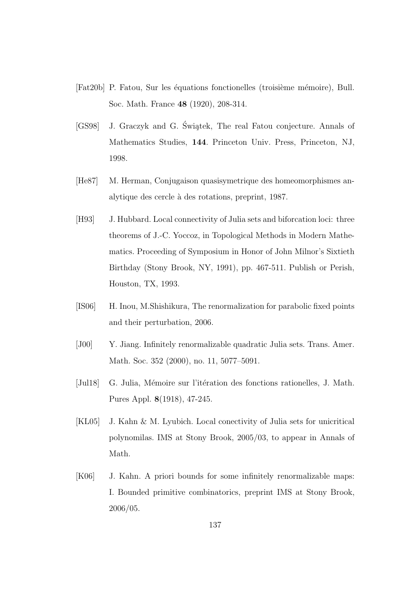- [Fat20b] P. Fatou, Sur les équations fonctionelles (troisième mémoire), Bull. Soc. Math. France 48 (1920), 208-314.
- [GS98] J. Graczyk and G. Świątek, The real Fatou conjecture. Annals of Mathematics Studies, 144. Princeton Univ. Press, Princeton, NJ, 1998.
- [He87] M. Herman, Conjugaison quasisymetrique des homeomorphismes analytique des cercle `a des rotations, preprint, 1987.
- [H93] J. Hubbard. Local connectivity of Julia sets and biforcation loci: three theorems of J.-C. Yoccoz, in Topological Methods in Modern Mathematics. Proceeding of Symposium in Honor of John Milnor's Sixtieth Birthday (Stony Brook, NY, 1991), pp. 467-511. Publish or Perish, Houston, TX, 1993.
- [IS06] H. Inou, M.Shishikura, The renormalization for parabolic fixed points and their perturbation, 2006.
- [J00] Y. Jiang. Infinitely renormalizable quadratic Julia sets. Trans. Amer. Math. Soc. 352 (2000), no. 11, 5077–5091.
- [Jul18] G. Julia, Mémoire sur l'itération des fonctions rationelles, J. Math. Pures Appl. 8(1918), 47-245.
- [KL05] J. Kahn & M. Lyubich. Local conectivity of Julia sets for unicritical polynomilas. IMS at Stony Brook, 2005/03, to appear in Annals of Math.
- [K06] J. Kahn. A priori bounds for some infinitely renormalizable maps: I. Bounded primitive combinatorics, preprint IMS at Stony Brook, 2006/05.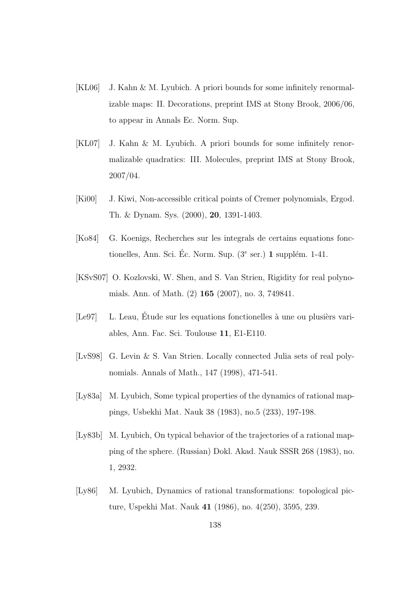- [KL06] J. Kahn & M. Lyubich. A priori bounds for some infinitely renormalizable maps: II. Decorations, preprint IMS at Stony Brook, 2006/06, to appear in Annals Ec. Norm. Sup.
- [KL07] J. Kahn & M. Lyubich. A priori bounds for some infinitely renormalizable quadratics: III. Molecules, preprint IMS at Stony Brook, 2007/04.
- [Ki00] J. Kiwi, Non-accessible critical points of Cremer polynomials, Ergod. Th. & Dynam. Sys. (2000), 20, 1391-1403.
- [Ko84] G. Koenigs, Recherches sur les integrals de certains equations fonctionelles, Ann. Sci. Éc. Norm. Sup.  $(3^e \text{ ser.})$  1 supplém. 1-41.
- [KSvS07] O. Kozlovski, W. Shen, and S. Van Strien, Rigidity for real polynomials. Ann. of Math. (2) 165 (2007), no. 3, 749841.
- $[Le 97]$  L. Leau, Étude sur les equations fonctionelles à une ou plusièrs variables, Ann. Fac. Sci. Toulouse 11, E1-E110.
- [LvS98] G. Levin & S. Van Strien. Locally connected Julia sets of real polynomials. Annals of Math., 147 (1998), 471-541.
- [Ly83a] M. Lyubich, Some typical properties of the dynamics of rational mappings, Usbekhi Mat. Nauk 38 (1983), no.5 (233), 197-198.
- [Ly83b] M. Lyubich, On typical behavior of the trajectories of a rational mapping of the sphere. (Russian) Dokl. Akad. Nauk SSSR 268 (1983), no. 1, 2932.
- [Ly86] M. Lyubich, Dynamics of rational transformations: topological picture, Uspekhi Mat. Nauk 41 (1986), no. 4(250), 3595, 239.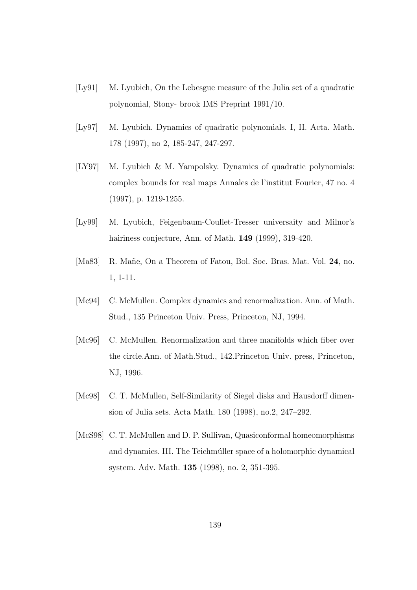- [Ly91] M. Lyubich, On the Lebesgue measure of the Julia set of a quadratic polynomial, Stony- brook IMS Preprint 1991/10.
- [Ly97] M. Lyubich. Dynamics of quadratic polynomials. I, II. Acta. Math. 178 (1997), no 2, 185-247, 247-297.
- [LY97] M. Lyubich & M. Yampolsky. Dynamics of quadratic polynomials: complex bounds for real maps Annales de l'institut Fourier, 47 no. 4 (1997), p. 1219-1255.
- [Ly99] M. Lyubich, Feigenbaum-Coullet-Tresser universaity and Milnor's hairiness conjecture, Ann. of Math. 149 (1999), 319-420.
- [Ma83] R. Mañe, On a Theorem of Fatou, Bol. Soc. Bras. Mat. Vol. 24, no. 1, 1-11.
- [Mc94] C. McMullen. Complex dynamics and renormalization. Ann. of Math. Stud., 135 Princeton Univ. Press, Princeton, NJ, 1994.
- [Mc96] C. McMullen. Renormalization and three manifolds which fiber over the circle.Ann. of Math.Stud., 142.Princeton Univ. press, Princeton, NJ, 1996.
- [Mc98] C. T. McMullen, Self-Similarity of Siegel disks and Hausdorff dimension of Julia sets. Acta Math. 180 (1998), no.2, 247–292.
- [McS98] C. T. McMullen and D. P. Sullivan, Quasiconformal homeomorphisms and dynamics. III. The Teichmuller space of a holomorphic dynamical system. Adv. Math. 135 (1998), no. 2, 351-395.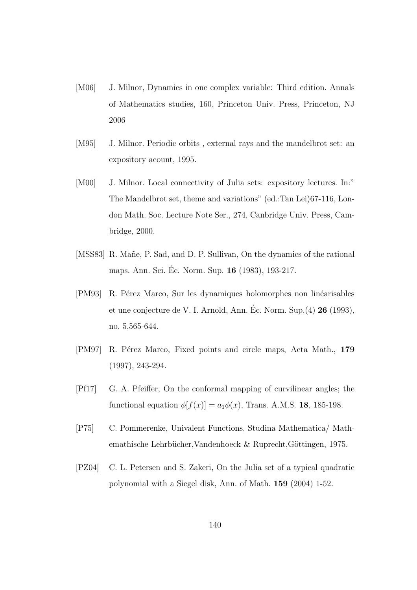- [M06] J. Milnor, Dynamics in one complex variable: Third edition. Annals of Mathematics studies, 160, Princeton Univ. Press, Princeton, NJ 2006
- [M95] J. Milnor. Periodic orbits , external rays and the mandelbrot set: an expository acount, 1995.
- [M00] J. Milnor. Local connectivity of Julia sets: expository lectures. In:" The Mandelbrot set, theme and variations" (ed.:Tan Lei)67-116, London Math. Soc. Lecture Note Ser., 274, Canbridge Univ. Press, Cambridge, 2000.
- [MSS83] R. Mañe, P. Sad, and D. P. Sullivan, On the dynamics of the rational maps. Ann. Sci. Éc. Norm. Sup. 16 (1983), 193-217.
- [PM93] R. Pérez Marco, Sur les dynamiques holomorphes non linéarisables et une conjecture de V. I. Arnold, Ann. Éc. Norm. Sup. $(4)$  26 (1993), no. 5,565-644.
- [PM97] R. Pérez Marco, Fixed points and circle maps, Acta Math., 179 (1997), 243-294.
- [Pf17] G. A. Pfeiffer, On the conformal mapping of curvilinear angles; the functional equation  $\phi[f(x)] = a_1 \phi(x)$ , Trans. A.M.S. 18, 185-198.
- [P75] C. Pommerenke, Univalent Functions, Studina Mathematica/ Mathemathische Lehrbücher, Vandenhoeck & Ruprecht, Göttingen, 1975.
- [PZ04] C. L. Petersen and S. Zakeri, On the Julia set of a typical quadratic polynomial with a Siegel disk, Ann. of Math. 159 (2004) 1-52.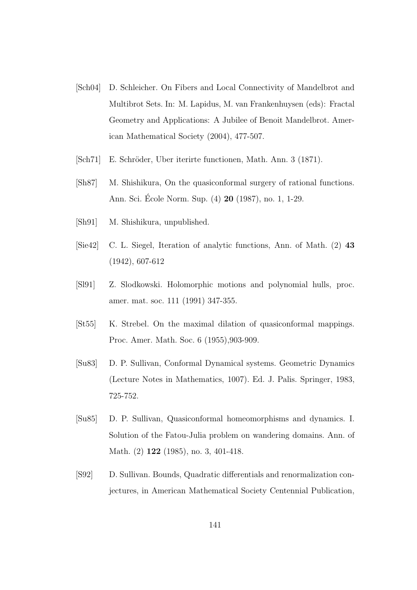- [Sch04] D. Schleicher. On Fibers and Local Connectivity of Mandelbrot and Multibrot Sets. In: M. Lapidus, M. van Frankenhuysen (eds): Fractal Geometry and Applications: A Jubilee of Benoit Mandelbrot. American Mathematical Society (2004), 477-507.
- [Sch71] E. Schröder, Uber iterirte functionen, Math. Ann. 3 (1871).
- [Sh87] M. Shishikura, On the quasiconformal surgery of rational functions. Ann. Sci. Ecole Norm. Sup. (4) **20** (1987), no. 1, 1-29.
- [Sh91] M. Shishikura, unpublished.
- [Sie42] C. L. Siegel, Iteration of analytic functions, Ann. of Math. (2) 43 (1942), 607-612
- [Sl91] Z. Slodkowski. Holomorphic motions and polynomial hulls, proc. amer. mat. soc. 111 (1991) 347-355.
- [St55] K. Strebel. On the maximal dilation of quasiconformal mappings. Proc. Amer. Math. Soc. 6 (1955),903-909.
- [Su83] D. P. Sullivan, Conformal Dynamical systems. Geometric Dynamics (Lecture Notes in Mathematics, 1007). Ed. J. Palis. Springer, 1983, 725-752.
- [Su85] D. P. Sullivan, Quasiconformal homeomorphisms and dynamics. I. Solution of the Fatou-Julia problem on wandering domains. Ann. of Math. (2) **122** (1985), no. 3, 401-418.
- [S92] D. Sullivan. Bounds, Quadratic differentials and renormalization conjectures, in American Mathematical Society Centennial Publication,